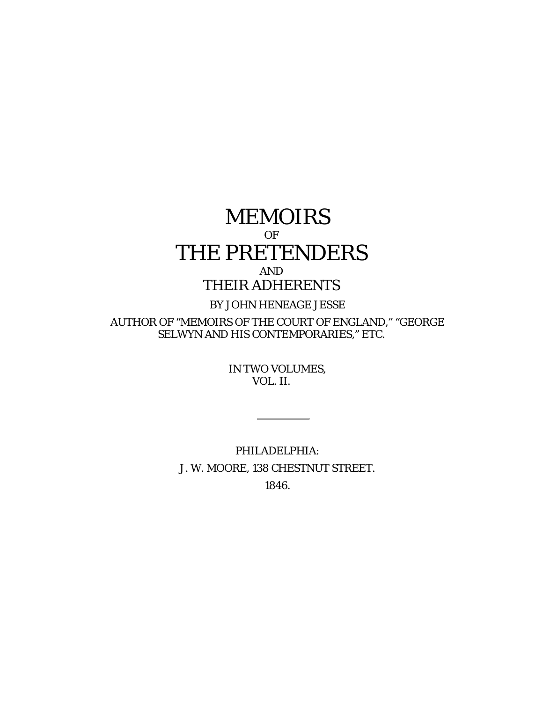# MEMOIRS OF THE PRETENDERS AND

## THEIR ADHERENTS

### BY JOHN HENEAGE JESSE

AUTHOR OF "MEMOIRS OF THE COURT OF ENGLAND," "GEORGE SELWYN AND HIS CONTEMPORARIES," ETC.

> IN TWO VOLUMES, VOL. II.

PHILADELPHIA: J. W. MOORE, 138 CHESTNUT STREET. 1846.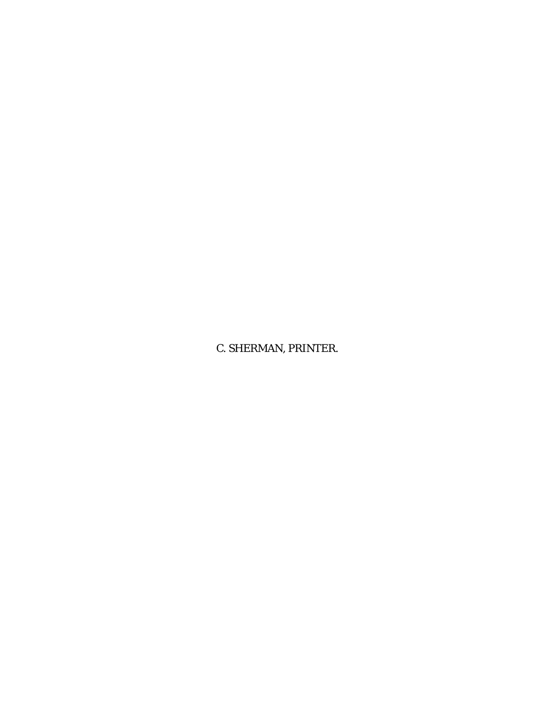C. SHERMAN, PRINTER.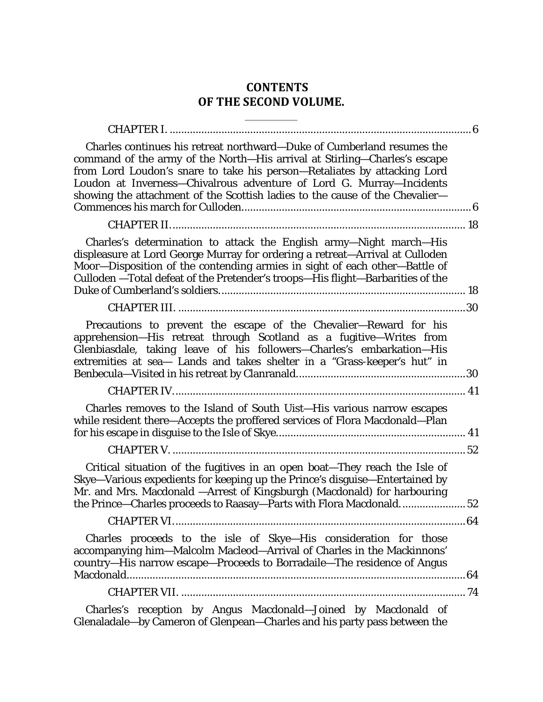## **CONTENTS OF THE SECOND VOLUME.**

| Charles continues his retreat northward-Duke of Cumberland resumes the<br>command of the army of the North-His arrival at Stirling-Charles's escape<br>from Lord Loudon's snare to take his person-Retaliates by attacking Lord<br>Loudon at Inverness-Chivalrous adventure of Lord G. Murray-Incidents<br>showing the attachment of the Scottish ladies to the cause of the Chevalier- |    |
|-----------------------------------------------------------------------------------------------------------------------------------------------------------------------------------------------------------------------------------------------------------------------------------------------------------------------------------------------------------------------------------------|----|
|                                                                                                                                                                                                                                                                                                                                                                                         |    |
| Charles's determination to attack the English army-Night march-His<br>displeasure at Lord George Murray for ordering a retreat-Arrival at Culloden<br>Moor-Disposition of the contending armies in sight of each other-Battle of<br>Culloden - Total defeat of the Pretender's troops-His flight-Barbarities of the                                                                     |    |
|                                                                                                                                                                                                                                                                                                                                                                                         |    |
| Precautions to prevent the escape of the Chevalier-Reward for his<br>apprehension-His retreat through Scotland as a fugitive-Writes from<br>Glenbiasdale, taking leave of his followers-Charles's embarkation-His<br>extremities at sea- Lands and takes shelter in a "Grass-keeper's hut" in                                                                                           |    |
|                                                                                                                                                                                                                                                                                                                                                                                         |    |
| Charles removes to the Island of South Uist-His various narrow escapes<br>while resident there-Accepts the proffered services of Flora Macdonald-Plan                                                                                                                                                                                                                                   |    |
|                                                                                                                                                                                                                                                                                                                                                                                         |    |
| Critical situation of the fugitives in an open boat-They reach the Isle of<br>Skye-Various expedients for keeping up the Prince's disguise-Entertained by<br>Mr. and Mrs. Macdonald - Arrest of Kingsburgh (Macdonald) for harbouring<br>the Prince—Charles proceeds to Raasay—Parts with Flora Macdonald                                                                               | 52 |
|                                                                                                                                                                                                                                                                                                                                                                                         |    |
| Charles proceeds to the isle of Skye-His consideration for those<br>accompanying him-Malcolm Macleod-Arrival of Charles in the Mackinnons'<br>country-His narrow escape-Proceeds to Borradaile-The residence of Angus                                                                                                                                                                   |    |
|                                                                                                                                                                                                                                                                                                                                                                                         |    |
| Charles's reception by Angus Macdonald-Joined by Macdonald of                                                                                                                                                                                                                                                                                                                           |    |

[Glenaladale—by Cameron of Glenpean—Charles and his party pass between the](#page-73-1)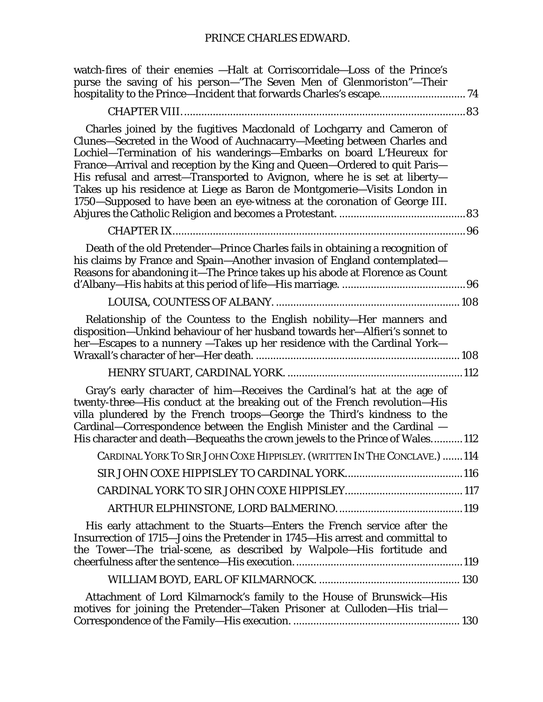| watch-fires of their enemies —Halt at Corriscorridale—Loss of the Prince's<br>purse the saving of his person-"The Seven Men of Glenmoriston"-Their<br>hospitality to the Prince-Incident that forwards Charles's escape 74                                                                                                                                                                                                                                                                                                                   |
|----------------------------------------------------------------------------------------------------------------------------------------------------------------------------------------------------------------------------------------------------------------------------------------------------------------------------------------------------------------------------------------------------------------------------------------------------------------------------------------------------------------------------------------------|
|                                                                                                                                                                                                                                                                                                                                                                                                                                                                                                                                              |
| Charles joined by the fugitives Macdonald of Lochgarry and Cameron of<br>Clunes-Secreted in the Wood of Auchnacarry-Meeting between Charles and<br>Lochiel-Termination of his wanderings-Embarks on board L'Heureux for<br>France-Arrival and reception by the King and Queen-Ordered to quit Paris-<br>His refusal and arrest-Transported to Avignon, where he is set at liberty-<br>Takes up his residence at Liege as Baron de Montgomerie-Visits London in<br>1750-Supposed to have been an eye-witness at the coronation of George III. |
|                                                                                                                                                                                                                                                                                                                                                                                                                                                                                                                                              |
| Death of the old Pretender-Prince Charles fails in obtaining a recognition of<br>his claims by France and Spain-Another invasion of England contemplated-<br>Reasons for abandoning it-The Prince takes up his abode at Florence as Count                                                                                                                                                                                                                                                                                                    |
|                                                                                                                                                                                                                                                                                                                                                                                                                                                                                                                                              |
| Relationship of the Countess to the English nobility-Her manners and<br>disposition-Unkind behaviour of her husband towards her-Alfieri's sonnet to<br>her-Escapes to a nunnery -Takes up her residence with the Cardinal York-                                                                                                                                                                                                                                                                                                              |
|                                                                                                                                                                                                                                                                                                                                                                                                                                                                                                                                              |
| Gray's early character of him-Receives the Cardinal's hat at the age of<br>twenty-three-His conduct at the breaking out of the French revolution-His<br>villa plundered by the French troops-George the Third's kindness to the<br>Cardinal–Correspondence between the English Minister and the Cardinal –<br>His character and death-Bequeaths the crown jewels to the Prince of Wales112                                                                                                                                                   |
| CARDINAL YORK TO SIR JOHN COXE HIPPISLEY. (WRITTEN IN THE CONCLAVE.) 114                                                                                                                                                                                                                                                                                                                                                                                                                                                                     |
|                                                                                                                                                                                                                                                                                                                                                                                                                                                                                                                                              |
|                                                                                                                                                                                                                                                                                                                                                                                                                                                                                                                                              |
|                                                                                                                                                                                                                                                                                                                                                                                                                                                                                                                                              |
| His early attachment to the Stuarts-Enters the French service after the<br>Insurrection of 1715–Joins the Pretender in 1745–His arrest and committal to<br>the Tower-The trial-scene, as described by Walpole-His fortitude and                                                                                                                                                                                                                                                                                                              |
|                                                                                                                                                                                                                                                                                                                                                                                                                                                                                                                                              |
| Attachment of Lord Kilmarnock's family to the House of Brunswick-His<br>motives for joining the Pretender-Taken Prisoner at Culloden-His trial-                                                                                                                                                                                                                                                                                                                                                                                              |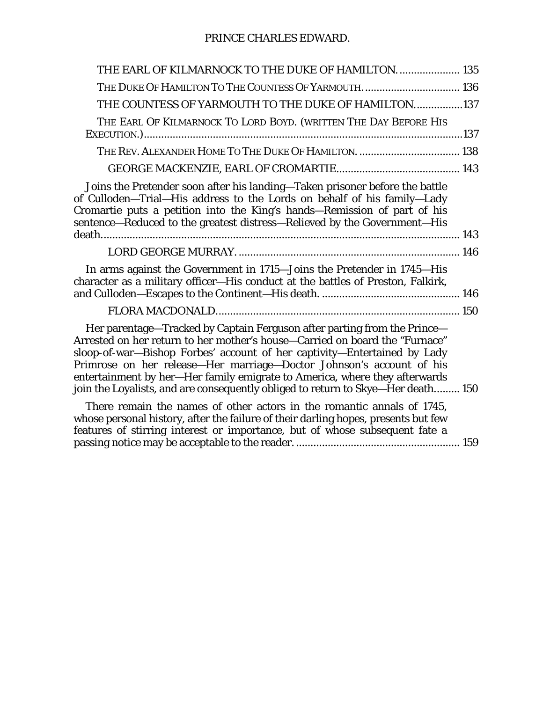## PRINCE CHARLES EDWARD.

| THE EARL OF KILMARNOCK TO THE DUKE OF HAMILTON.  135                                                                                                                                                                                                                                                                                                                                                                                                                          |  |
|-------------------------------------------------------------------------------------------------------------------------------------------------------------------------------------------------------------------------------------------------------------------------------------------------------------------------------------------------------------------------------------------------------------------------------------------------------------------------------|--|
| THE DUKE OF HAMILTON TO THE COUNTESS OF YARMOUTH 136                                                                                                                                                                                                                                                                                                                                                                                                                          |  |
| THE COUNTESS OF YARMOUTH TO THE DUKE OF HAMILTON137                                                                                                                                                                                                                                                                                                                                                                                                                           |  |
| THE EARL OF KILMARNOCK TO LORD BOYD. (WRITTEN THE DAY BEFORE HIS                                                                                                                                                                                                                                                                                                                                                                                                              |  |
| THE REV. ALEXANDER HOME TO THE DUKE OF HAMILTON.  138                                                                                                                                                                                                                                                                                                                                                                                                                         |  |
|                                                                                                                                                                                                                                                                                                                                                                                                                                                                               |  |
| Joins the Pretender soon after his landing—Taken prisoner before the battle<br>of Culloden-Trial-His address to the Lords on behalf of his family-Lady<br>Cromartie puts a petition into the King's hands-Remission of part of his<br>sentence-Reduced to the greatest distress-Relieved by the Government-His                                                                                                                                                                |  |
|                                                                                                                                                                                                                                                                                                                                                                                                                                                                               |  |
| In arms against the Government in 1715-Joins the Pretender in 1745-His<br>character as a military officer-His conduct at the battles of Preston, Falkirk,                                                                                                                                                                                                                                                                                                                     |  |
|                                                                                                                                                                                                                                                                                                                                                                                                                                                                               |  |
| Her parentage-Tracked by Captain Ferguson after parting from the Prince-<br>Arrested on her return to her mother's house—Carried on board the "Furnace"<br>sloop-of-war-Bishop Forbes' account of her captivity-Entertained by Lady<br>Primrose on her release-Her marriage-Doctor Johnson's account of his<br>entertainment by her-Her family emigrate to America, where they afterwards<br>join the Loyalists, and are consequently obliged to return to Skye-Her death 150 |  |
| There remain the names of other actors in the romantic annals of 1745,<br>whose personal history, after the failure of their darling hopes, presents but few<br>features of stirring interest or importance, but of whose subsequent fate a                                                                                                                                                                                                                                   |  |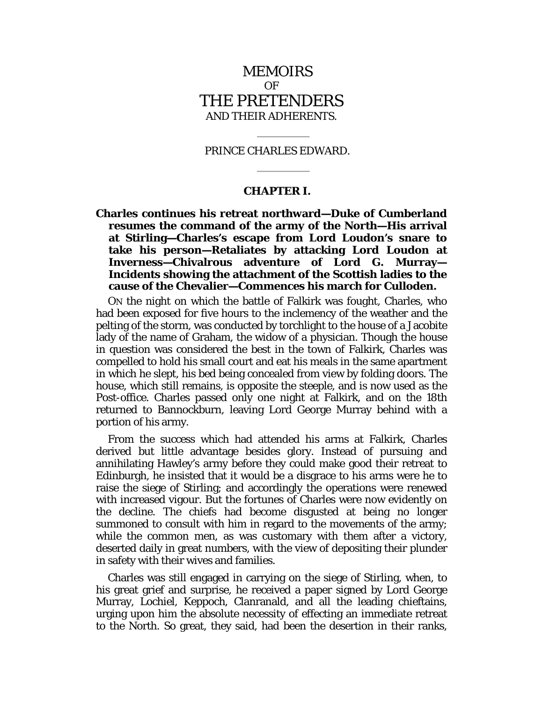### MEMOIRS OF THE PRETENDERS AND THEIR ADHERENTS.

#### PRINCE CHARLES EDWARD.

#### **CHAPTER I.**

<span id="page-5-1"></span><span id="page-5-0"></span>**Charles continues his retreat northward—Duke of Cumberland resumes the command of the army of the North—His arrival at Stirling—Charles's escape from Lord Loudon's snare to take his person—Retaliates by attacking Lord Loudon at Inverness—Chivalrous adventure of Lord G. Murray— Incidents showing the attachment of the Scottish ladies to the cause of the Chevalier—Commences his march for Culloden.**

ON the night on which the battle of Falkirk was fought, Charles, who had been exposed for five hours to the inclemency of the weather and the pelting of the storm, was conducted by torchlight to the house of a Jacobite lady of the name of Graham, the widow of a physician. Though the house in question was considered the best in the town of Falkirk, Charles was compelled to hold his small court and eat his meals in the same apartment in which he slept, his bed being concealed from view by folding doors. The house, which still remains, is opposite the steeple, and is now used as the Post-office. Charles passed only one night at Falkirk, and on the 18th returned to Bannockburn, leaving Lord George Murray behind with a portion of his army.

From the success which had attended his arms at Falkirk, Charles derived but little advantage besides glory. Instead of pursuing and annihilating Hawley's army before they could make good their retreat to Edinburgh, he insisted that it would be a disgrace to his arms were he to raise the siege of Stirling; and accordingly the operations were renewed with increased vigour. But the fortunes of Charles were now evidently on the decline. The chiefs had become disgusted at being no longer summoned to consult with him in regard to the movements of the army; while the common men, as was customary with them after a victory, deserted daily in great numbers, with the view of depositing their plunder in safety with their wives and families.

Charles was still engaged in carrying on the siege of Stirling, when, to his great grief and surprise, he received a paper signed by Lord George Murray, Lochiel, Keppoch, Clanranald, and all the leading chieftains, urging upon him the absolute necessity of effecting an immediate retreat to the North. So great, they said, had been the desertion in their ranks,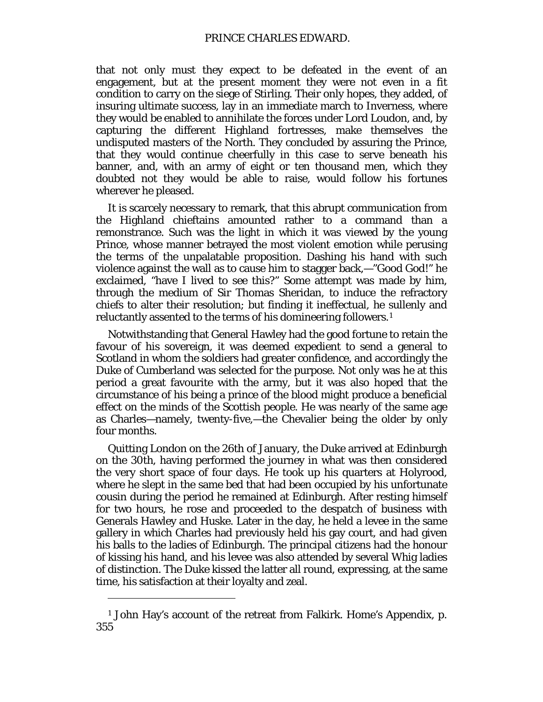#### PRINCE CHARLES EDWARD.

that not only must they expect to be defeated in the event of an engagement, but at the present moment they were not even in a fit condition to carry on the siege of Stirling. Their only hopes, they added, of insuring ultimate success, lay in an immediate march to Inverness, where they would be enabled to annihilate the forces under Lord Loudon, and, by capturing the different Highland fortresses, make themselves the undisputed masters of the North. They concluded by assuring the Prince, that they would continue cheerfully in this case to serve beneath his banner, and, with an army of eight or ten thousand men, which they doubted not they would be able to raise, would follow his fortunes wherever he pleased.

It is scarcely necessary to remark, that this abrupt communication from the Highland chieftains amounted rather to a command than a remonstrance. Such was the light in which it was viewed by the young Prince, whose manner betrayed the most violent emotion while perusing the terms of the unpalatable proposition. Dashing his hand with such violence against the wall as to cause him to stagger back,—"Good God!" he exclaimed, "have I lived to see this?" Some attempt was made by him, through the medium of Sir Thomas Sheridan, to induce the refractory chiefs to alter their resolution; but finding it ineffectual, he sullenly and reluctantly assented to the terms of his domineering followers.[1](#page-6-0)

Notwithstanding that General Hawley had the good fortune to retain the favour of his sovereign, it was deemed expedient to send a general to Scotland in whom the soldiers had greater confidence, and accordingly the Duke of Cumberland was selected for the purpose. Not only was he at this period a great favourite with the army, but it was also hoped that the circumstance of his being a prince of the blood might produce a beneficial effect on the minds of the Scottish people. He was nearly of the same age as Charles—namely, twenty-five,—the Chevalier being the older by only four months.

Quitting London on the 26th of January, the Duke arrived at Edinburgh on the 30th, having performed the journey in what was then considered the very short space of four days. He took up his quarters at Holyrood, where he slept in the same bed that had been occupied by his unfortunate cousin during the period he remained at Edinburgh. After resting himself for two hours, he rose and proceeded to the despatch of business with Generals Hawley and Huske. Later in the day, he held a levee in the same gallery in which Charles had previously held his gay court, and had given his balls to the ladies of Edinburgh. The principal citizens had the honour of kissing his hand, and his levee was also attended by several Whig ladies of distinction. The Duke kissed the latter all round, expressing, at the same time, his satisfaction at their loyalty and zeal.

<span id="page-6-0"></span><sup>1</sup> John Hay's account of the retreat from Falkirk. Home's Appendix, p. 355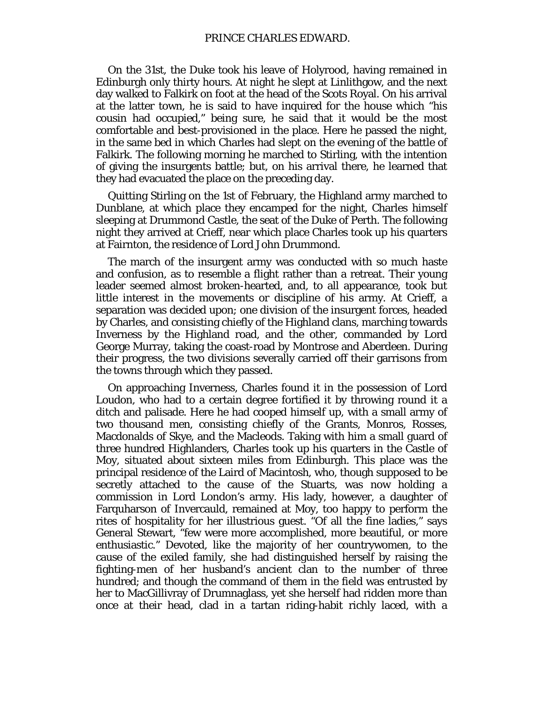On the 31st, the Duke took his leave of Holyrood, having remained in Edinburgh only thirty hours. At night he slept at Linlithgow, and the next day walked to Falkirk on foot at the head of the Scots Royal. On his arrival at the latter town, he is said to have inquired for the house which "his cousin had occupied," being sure, he said that it would be the most comfortable and best-provisioned in the place. Here he passed the night, in the same bed in which Charles had slept on the evening of the battle of Falkirk. The following morning he marched to Stirling, with the intention of giving the insurgents battle; but, on his arrival there, he learned that they had evacuated the place on the preceding day.

Quitting Stirling on the 1st of February, the Highland army marched to Dunblane, at which place they encamped for the night, Charles himself sleeping at Drummond Castle, the seat of the Duke of Perth. The following night they arrived at Crieff, near which place Charles took up his quarters at Fairnton, the residence of Lord John Drummond.

The march of the insurgent army was conducted with so much haste and confusion, as to resemble a flight rather than a retreat. Their young leader seemed almost broken-hearted, and, to all appearance, took but little interest in the movements or discipline of his army. At Crieff, a separation was decided upon; one division of the insurgent forces, headed by Charles, and consisting chiefly of the Highland clans, marching towards Inverness by the Highland road, and the other, commanded by Lord George Murray, taking the coast-road by Montrose and Aberdeen. During their progress, the two divisions severally carried off their garrisons from the towns through which they passed.

On approaching Inverness, Charles found it in the possession of Lord Loudon, who had to a certain degree fortified it by throwing round it a ditch and palisade. Here he had cooped himself up, with a small army of two thousand men, consisting chiefly of the Grants, Monros, Rosses, Macdonalds of Skye, and the Macleods. Taking with him a small guard of three hundred Highlanders, Charles took up his quarters in the Castle of Moy, situated about sixteen miles from Edinburgh. This place was the principal residence of the Laird of Macintosh, who, though supposed to be secretly attached to the cause of the Stuarts, was now holding a commission in Lord London's army. His lady, however, a daughter of Farquharson of Invercauld, remained at Moy, too happy to perform the rites of hospitality for her illustrious guest. "Of all the fine ladies," says General Stewart, "few were more accomplished, more beautiful, or more enthusiastic." Devoted, like the majority of her countrywomen, to the cause of the exiled family, she had distinguished herself by raising the fighting-men of her husband's ancient clan to the number of three hundred; and though the command of them in the field was entrusted by her to MacGillivray of Drumnaglass, yet she herself had ridden more than once at their head, clad in a tartan riding-habit richly laced, with a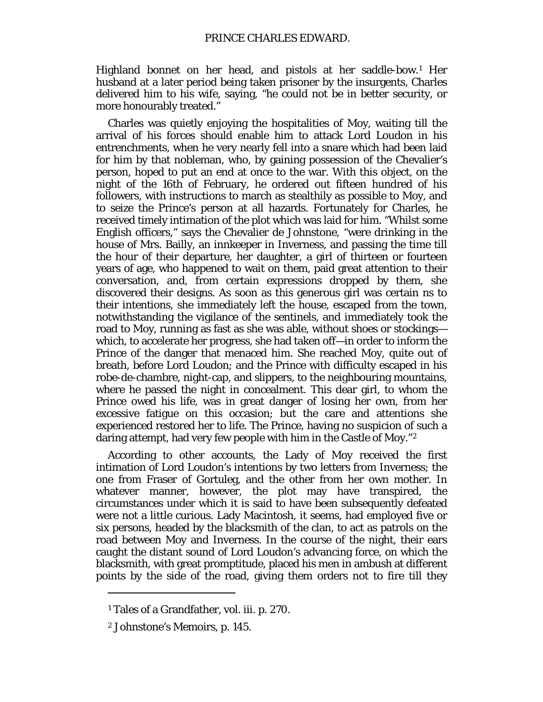Highland bonnet on her head, and pistols at her saddle-bow.[1](#page-8-0) Her husband at a later period being taken prisoner by the insurgents, Charles delivered him to his wife, saying, "he could not be in better security, or more honourably treated."

Charles was quietly enjoying the hospitalities of Moy, waiting till the arrival of his forces should enable him to attack Lord Loudon in his entrenchments, when he very nearly fell into a snare which had been laid for him by that nobleman, who, by gaining possession of the Chevalier's person, hoped to put an end at once to the war. With this object, on the night of the 16th of February, he ordered out fifteen hundred of his followers, with instructions to march as stealthily as possible to Moy, and to seize the Prince's person at all hazards. Fortunately for Charles, he received timely intimation of the plot which was laid for him. "Whilst some English officers," says the Chevalier de Johnstone, "were drinking in the house of Mrs. Bailly, an innkeeper in Inverness, and passing the time till the hour of their departure, her daughter, a girl of thirteen or fourteen years of age, who happened to wait on them, paid great attention to their conversation, and, from certain expressions dropped by them, she discovered their designs. As soon as this generous girl was certain ns to their intentions, she immediately left the house, escaped from the town, notwithstanding the vigilance of the sentinels, and immediately took the road to Moy, running as fast as she was able, without shoes or stockings which, to accelerate her progress, she had taken off—in order to inform the Prince of the danger that menaced him. She reached Moy, quite out of breath, before Lord Loudon; and the Prince with difficulty escaped in his robe-de-chambre, night-cap, and slippers, to the neighbouring mountains, where he passed the night in concealment. This dear girl, to whom the Prince owed his life, was in great danger of losing her own, from her excessive fatigue on this occasion; but the care and attentions she experienced restored her to life. The Prince, having no suspicion of such a daring attempt, had very few people with him in the Castle of Moy."[2](#page-8-1)

According to other accounts, the Lady of Moy received the first intimation of Lord Loudon's intentions by two letters from Inverness; the one from Fraser of Gortuleg, and the other from her own mother. In whatever manner, however, the plot may have transpired, the circumstances under which it is said to have been subsequently defeated were not a little curious. Lady Macintosh, it seems, had employed five or six persons, headed by the blacksmith of the clan, to act as patrols on the road between Moy and Inverness. In the course of the night, their ears caught the distant sound of Lord Loudon's advancing force, on which the blacksmith, with great promptitude, placed his men in ambush at different points by the side of the road, giving them orders not to fire till they

<span id="page-8-0"></span><sup>1</sup> Tales of a Grandfather, vol. iii. p. 270.

<span id="page-8-1"></span><sup>2</sup> Johnstone's Memoirs, p. 145.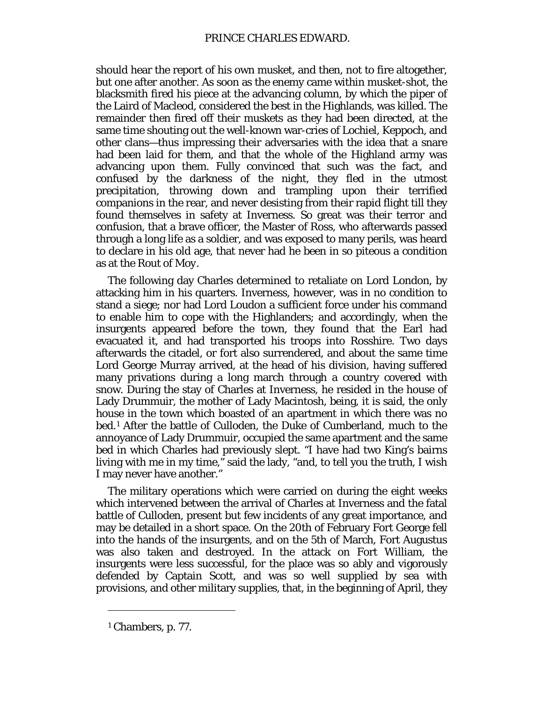should hear the report of his own musket, and then, not to fire altogether, but one after another. As soon as the enemy came within musket-shot, the blacksmith fired his piece at the advancing column, by which the piper of the Laird of Macleod, considered the best in the Highlands, was killed. The remainder then fired off their muskets as they had been directed, at the same time shouting out the well-known war-cries of Lochiel, Keppoch, and other clans—thus impressing their adversaries with the idea that a snare had been laid for them, and that the whole of the Highland army was advancing upon them. Fully convinced that such was the fact, and confused by the darkness of the night, they fled in the utmost precipitation, throwing down and trampling upon their terrified companions in the rear, and never desisting from their rapid flight till they found themselves in safety at Inverness. So great was their terror and confusion, that a brave officer, the Master of Ross, who afterwards passed through a long life as a soldier, and was exposed to many perils, was heard to declare in his old age, that never had he been in so piteous a condition as at the *Rout of Moy.*

The following day Charles determined to retaliate on Lord London, by attacking him in his quarters. Inverness, however, was in no condition to stand a siege; nor had Lord Loudon a sufficient force under his command to enable him to cope with the Highlanders; and accordingly, when the insurgents appeared before the town, they found that the Earl had evacuated it, and had transported his troops into Rosshire. Two days afterwards the citadel, or fort also surrendered, and about the same time Lord George Murray arrived, at the head of his division, having suffered many privations during a long march through a country covered with snow. During the stay of Charles at Inverness, he resided in the house of Lady Drummuir, the mother of Lady Macintosh, being, it is said, the only house in the town which boasted of an apartment in which there was no bed.[1](#page-9-0) After the battle of Culloden, the Duke of Cumberland, much to the annoyance of Lady Drummuir, occupied the same apartment and the same bed in which Charles had previously slept. "I have had two King's bairns living with me in my time," said the lady, "and, to tell you the truth, I wish I may never have another."

The military operations which were carried on during the eight weeks which intervened between the arrival of Charles at Inverness and the fatal battle of Culloden, present but few incidents of any great importance, and may be detailed in a short space. On the 20th of February Fort George fell into the hands of the insurgents, and on the 5th of March, Fort Augustus was also taken and destroyed. In the attack on Fort William, the insurgents were less successful, for the place was so ably and vigorously defended by Captain Scott, and was so well supplied by sea with provisions, and other military supplies, that, in the beginning of April, they

<span id="page-9-0"></span><sup>1</sup> Chambers, p. 77.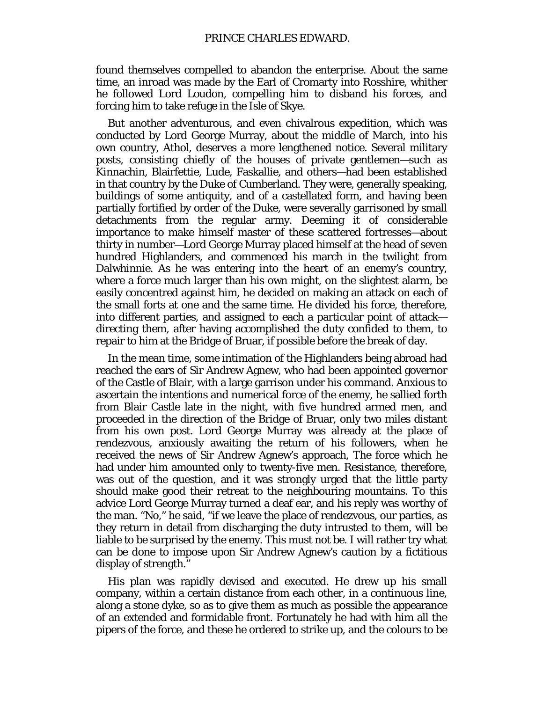found themselves compelled to abandon the enterprise. About the same time, an inroad was made by the Earl of Cromarty into Rosshire, whither he followed Lord Loudon, compelling him to disband his forces, and forcing him to take refuge in the Isle of Skye.

But another adventurous, and even chivalrous expedition, which was conducted by Lord George Murray, about the middle of March, into his own country, Athol, deserves a more lengthened notice. Several military posts, consisting chiefly of the houses of private gentlemen—such as Kinnachin, Blairfettie, Lude, Faskallie, and others—had been established in that country by the Duke of Cumberland. They were, generally speaking, buildings of some antiquity, and of a castellated form, and having been partially fortified by order of the Duke, were severally garrisoned by small detachments from the regular army. Deeming it of considerable importance to make himself master of these scattered fortresses—about thirty in number—Lord George Murray placed himself at the head of seven hundred Highlanders, and commenced his march in the twilight from Dalwhinnie. As he was entering into the heart of an enemy's country, where a force much larger than his own might, on the slightest alarm, be easily concentred against him, he decided on making an attack on each of the small forts at one and the same time. He divided his force, therefore, into different parties, and assigned to each a particular point of attack directing them, after having accomplished the duty confided to them, to repair to him at the Bridge of Bruar, if possible before the break of day.

In the mean time, some intimation of the Highlanders being abroad had reached the ears of Sir Andrew Agnew, who had been appointed governor of the Castle of Blair, with a large garrison under his command. Anxious to ascertain the intentions and numerical force of the enemy, he sallied forth from Blair Castle late in the night, with five hundred armed men, and proceeded in the direction of the Bridge of Bruar, only two miles distant from his own post. Lord George Murray was already at the place of rendezvous, anxiously awaiting the return of his followers, when he received the news of Sir Andrew Agnew's approach, The force which he had under him amounted only to twenty-five men. Resistance, therefore, was out of the question, and it was strongly urged that the little party should make good their retreat to the neighbouring mountains. To this advice Lord George Murray turned a deaf ear, and his reply was worthy of the man. "No," he said, "if we leave the place of rendezvous, our parties, as they return in detail from discharging the duty intrusted to them, will be liable to be surprised by the enemy. This must not be. I will rather try what can be done to impose upon Sir Andrew Agnew's caution by a fictitious display of strength."

His plan was rapidly devised and executed. He drew up his small company, within a certain distance from each other, in a continuous line, along a stone dyke, so as to give them as much as possible the appearance of an extended and formidable front. Fortunately he had with him all the pipers of the force, and these he ordered to strike up, and the colours to be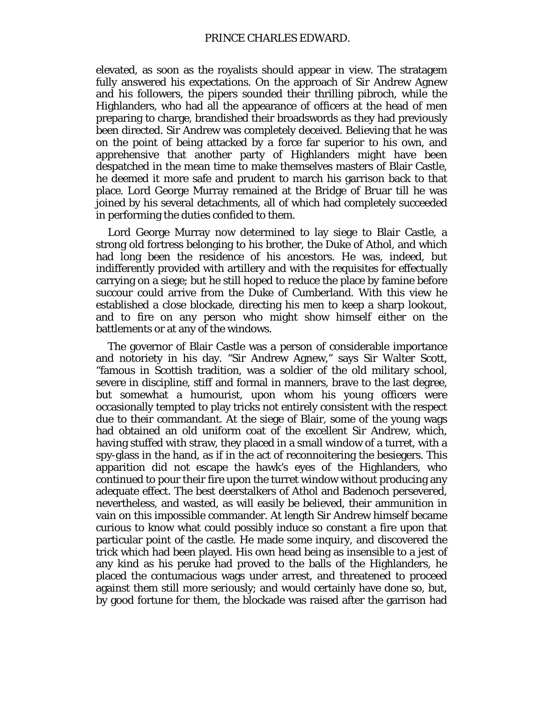elevated, as soon as the royalists should appear in view. The stratagem fully answered his expectations. On the approach of Sir Andrew Agnew and his followers, the pipers sounded their thrilling pibroch, while the Highlanders, who had all the appearance of officers at the head of men preparing to charge, brandished their broadswords as they had previously been directed. Sir Andrew was completely deceived. Believing that he was on the point of being attacked by a force far superior to his own, and apprehensive that another party of Highlanders might have been despatched in the mean time to make themselves masters of Blair Castle, he deemed it more safe and prudent to march his garrison back to that place. Lord George Murray remained at the Bridge of Bruar till he was joined by his several detachments, all of which had completely succeeded in performing the duties confided to them.

Lord George Murray now determined to lay siege to Blair Castle, a strong old fortress belonging to his brother, the Duke of Athol, and which had long been the residence of his ancestors. He was, indeed, but indifferently provided with artillery and with the requisites for effectually carrying on a siege; but he still hoped to reduce the place by famine before succour could arrive from the Duke of Cumberland. With this view he established a close blockade, directing his men to keep a sharp lookout, and to fire on any person who might show himself either on the battlements or at any of the windows.

The governor of Blair Castle was a person of considerable importance and notoriety in his day. "Sir Andrew Agnew," says Sir Walter Scott, "famous in Scottish tradition, was a soldier of the old military school, severe in discipline, stiff and formal in manners, brave to the last degree, but somewhat a humourist, upon whom his young officers were occasionally tempted to play tricks not entirely consistent with the respect due to their commandant. At the siege of Blair, some of the young wags had obtained an old uniform coat of the excellent Sir Andrew, which, having stuffed with straw, they placed in a small window of a turret, with a spy-glass in the hand, as if in the act of reconnoitering the besiegers. This apparition did not escape the hawk's eyes of the Highlanders, who continued to pour their fire upon the turret window without producing any adequate effect. The best deerstalkers of Athol and Badenoch persevered, nevertheless, and wasted, as will easily be believed, their ammunition in vain on this impossible commander. At length Sir Andrew himself became curious to know what could possibly induce so constant a fire upon that particular point of the castle. He made some inquiry, and discovered the trick which had been played. His own head being as insensible to a jest of any kind as his peruke had proved to the balls of the Highlanders, he placed the contumacious wags under arrest, and threatened to proceed against them still more seriously; and would certainly have done so, but, by good fortune for them, the blockade was raised after the garrison had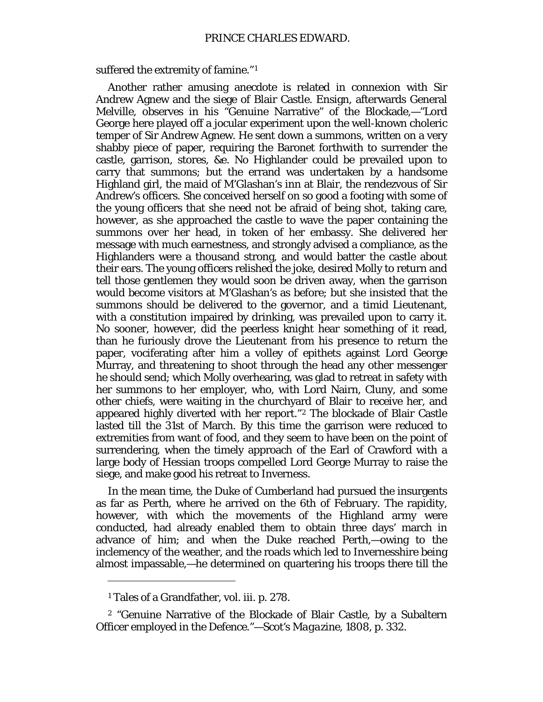suffered the extremity of famine."[1](#page-12-0)

Another rather amusing anecdote is related in connexion with Sir Andrew Agnew and the siege of Blair Castle. Ensign, afterwards General Melville, observes in his "Genuine Narrative" of the Blockade,—"Lord George here played off a jocular experiment upon the well-known choleric temper of Sir Andrew Agnew. He sent down a summons, written on a very shabby piece of paper, requiring the Baronet forthwith to surrender the castle, garrison, stores, &e. No Highlander could be prevailed upon to carry that summons; but the errand was undertaken by a handsome Highland girl, the maid of M'Glashan's inn at Blair, the rendezvous of Sir Andrew's officers. She conceived herself on so good a footing with some of the young officers that she need not be afraid of being shot, taking care, however, as she approached the castle to wave the paper containing the summons over her head, in token of her embassy. She delivered her message with much earnestness, and strongly advised a compliance, as the Highlanders were a thousand strong, and would batter the castle about their ears. The young officers relished the joke, desired Molly to return and tell *those* gentlemen they would soon be driven away, when the garrison would become visitors at M'Glashan's as before; but she insisted that the summons should be delivered to the governor, and a timid Lieutenant, with a constitution impaired by drinking, was prevailed upon to carry it. No sooner, however, did the peerless knight hear something of it read, than he furiously drove the Lieutenant from his presence to return the paper, vociferating after him a volley of epithets against Lord George Murray, and threatening to shoot through the head any other messenger he should send; which Molly overhearing, was glad to retreat in safety with her summons to her employer, who, with Lord Nairn, Cluny, and some other chiefs, were waiting in the churchyard of Blair to receive her, and appeared highly diverted with her report."[2](#page-12-1) The blockade of Blair Castle lasted till the 31st of March. By this time the garrison were reduced to extremities from want of food, and they seem to have been on the point of surrendering, when the timely approach of the Earl of Crawford with a large body of Hessian troops compelled Lord George Murray to raise the siege, and make good his retreat to Inverness.

In the mean time, the Duke of Cumberland had pursued the insurgents as far as Perth, where he arrived on the 6th of February. The rapidity, however, with which the movements of the Highland army were conducted, had already enabled them to obtain three days' march in advance of him; and when the Duke reached Perth,—owing to the inclemency of the weather, and the roads which led to Invernesshire being almost impassable,—he determined on quartering his troops there till the

 $\overline{a}$ 

<sup>1</sup> Tales of a Grandfather, vol. iii. p. 278.

<span id="page-12-1"></span><span id="page-12-0"></span><sup>2</sup> "Genuine Narrative of the Blockade of Blair Castle, by a Subaltern Officer employed in the Defence."—*Scot's Magazine,* 1808, p. 332.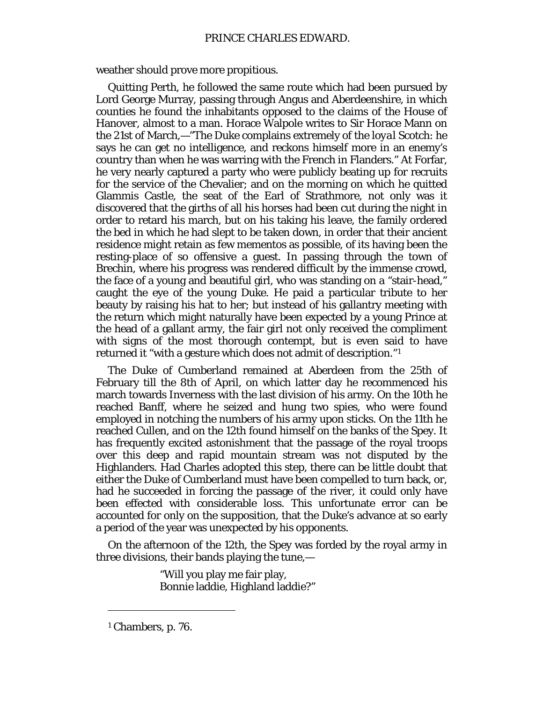weather should prove more propitious.

Quitting Perth, he followed the same route which had been pursued by Lord George Murray, passing through Angus and Aberdeenshire, in which counties he found the inhabitants opposed to the claims of the House of Hanover, almost to a man. Horace Walpole writes to Sir Horace Mann on the 21st of March,—"The Duke complains extremely of the *loyal* Scotch: he says he can get no intelligence, and reckons himself more in an enemy's country than when he was warring with the French in Flanders." At Forfar, he very nearly captured a party who were publicly beating up for recruits for the service of the Chevalier; and on the morning on which he quitted Glammis Castle, the seat of the Earl of Strathmore, not only was it discovered that the girths of all his horses had been cut during the night in order to retard his march, but on his taking his leave, the family ordered the bed in which he had slept to be taken down, in order that their ancient residence might retain as few mementos as possible, of its having been the resting-place of so offensive a guest. In passing through the town of Brechin, where his progress was rendered difficult by the immense crowd, the face of a young and beautiful girl, who was standing on a "stair-head," caught the eye of the young Duke. He paid a particular tribute to her beauty by raising his hat to her; but instead of his gallantry meeting with the return which might naturally have been expected by a young Prince at the head of a gallant army, the fair girl not only received the compliment with signs of the most thorough contempt, but is even said to have returned it "with a gesture which does not admit of description."[1](#page-13-0)

The Duke of Cumberland remained at Aberdeen from the 25th of February till the 8th of April, on which latter day he recommenced his march towards Inverness with the last division of his army. On the 10th he reached Banff, where he seized and hung two spies, who were found employed in notching the numbers of his army upon sticks. On the 11th he reached Cullen, and on the 12th found himself on the banks of the Spey. It has frequently excited astonishment that the passage of the royal troops over this deep and rapid mountain stream was not disputed by the Highlanders. Had Charles adopted this step, there can be little doubt that either the Duke of Cumberland must have been compelled to turn back, or, had he succeeded in forcing the passage of the river, it could only have been effected with considerable loss. This unfortunate error can be accounted for only on the supposition, that the Duke's advance at so early a period of the year was unexpected by his opponents.

On the afternoon of the 12th, the Spey was forded by the royal army in three divisions, their bands playing the tune,—

> "Will you play me fair play, Bonnie laddie, Highland laddie?"

<span id="page-13-0"></span><sup>1</sup> Chambers, p. 76.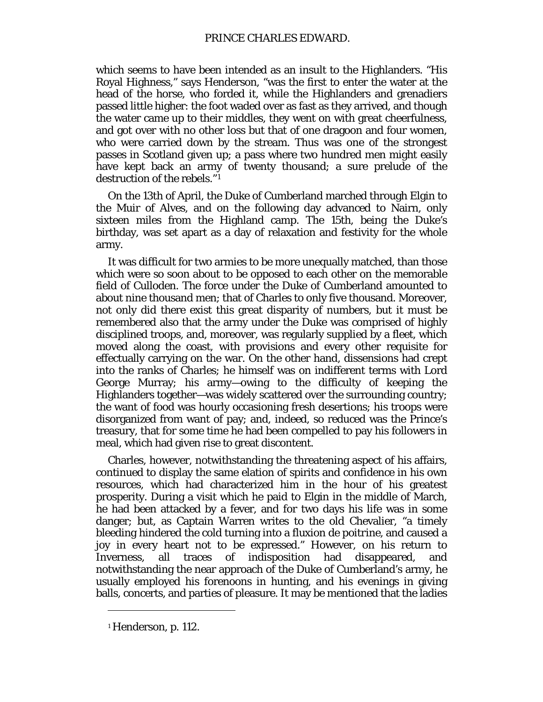which seems to have been intended as an insult to the Highlanders. "His Royal Highness," says Henderson, "was the first to enter the water at the head of the horse, who forded it, while the Highlanders and grenadiers passed little higher: the foot waded over as fast as they arrived, and though the water came up to their middles, they went on with great cheerfulness, and got over with no other loss but that of one dragoon and four women, who were carried down by the stream. Thus was one of the strongest passes in Scotland given up; a pass where two hundred men might easily have kept back an army of twenty thousand; a sure prelude of the destruction of the rebels."[1](#page-14-0)

On the 13th of April, the Duke of Cumberland marched through Elgin to the Muir of Alves, and on the following day advanced to Nairn, only sixteen miles from the Highland camp. The 15th, being the Duke's birthday, was set apart as a day of relaxation and festivity for the whole army.

It was difficult for two armies to be more unequally matched, than those which were so soon about to be opposed to each other on the memorable field of Culloden. The force under the Duke of Cumberland amounted to about nine thousand men; that of Charles to only five thousand. Moreover, not only did there exist this great disparity of numbers, but it must be remembered also that the army under the Duke was comprised of highly disciplined troops, and, moreover, was regularly supplied by a fleet, which moved along the coast, with provisions and every other requisite for effectually carrying on the war. On the other hand, dissensions had crept into the ranks of Charles; he himself was on indifferent terms with Lord George Murray; his army—owing to the difficulty of keeping the Highlanders together—was widely scattered over the surrounding country; the want of food was hourly occasioning fresh desertions; his troops were disorganized from want of pay; and, indeed, so reduced was the Prince's treasury, that for some time he had been compelled to pay his followers in meal, which had given rise to great discontent.

Charles, however, notwithstanding the threatening aspect of his affairs, continued to display the same elation of spirits and confidence in his own resources, which had characterized him in the hour of his greatest prosperity. During a visit which he paid to Elgin in the middle of March, he had been attacked by a fever, and for two days his life was in some danger; but, as Captain Warren writes to the old Chevalier, "a timely bleeding hindered the cold turning into a fluxion *de poitrine,* and caused a joy in every heart not to be expressed." However, on his return to Inverness, all traces of indisposition had disappeared, and notwithstanding the near approach of the Duke of Cumberland's army, he usually employed his forenoons in hunting, and his evenings in giving balls, concerts, and parties of pleasure. It may be mentioned that the ladies

<span id="page-14-0"></span><sup>1</sup> Henderson, p. 112.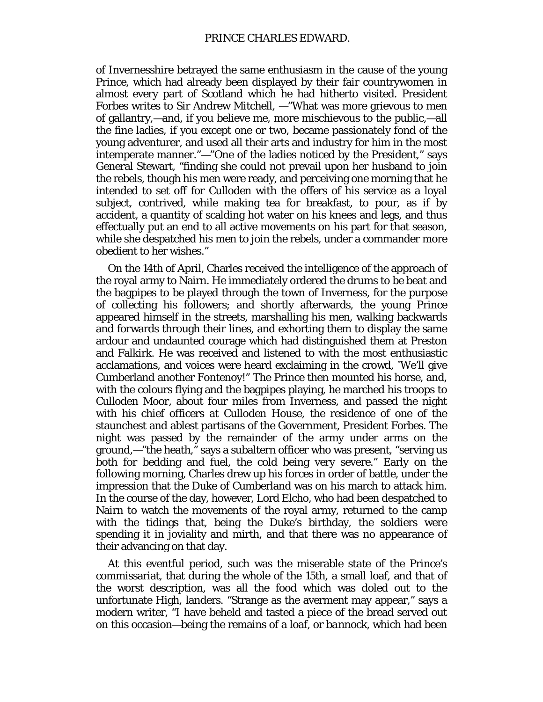of Invernesshire betrayed the same enthusiasm in the cause of the young Prince, which had already been displayed by their fair countrywomen in almost every part of Scotland which he had hitherto visited. President Forbes writes to Sir Andrew Mitchell, —"What was more grievous to men of gallantry,—and, if you believe me, more mischievous to the public,—all the fine ladies, if you except one or two, became passionately fond of the young adventurer, and used all their arts and industry for him in the most intemperate manner."—"One of the ladies noticed by the President," says General Stewart, "finding she could not prevail upon her husband to join the rebels, though his men were ready, and perceiving one morning that he intended to set off for Culloden with the offers of his service as a loyal subject, contrived, while making tea for breakfast, to pour, as if by accident, a quantity of scalding hot water on his knees and legs, and thus effectually put an end to all active movements on his part for that season, while she despatched his men to join the rebels, under a commander more obedient to her wishes."

On the 14th of April, Charles received the intelligence of the approach of the royal army to Nairn. He immediately ordered the drums to be beat and the bagpipes to be played through the town of Inverness, for the purpose of collecting his followers; and shortly afterwards, the young Prince appeared himself in the streets, marshalling his men, walking backwards and forwards through their lines, and exhorting them to display the same ardour and undaunted courage which had distinguished them at Preston and Falkirk. He was received and listened to with the most enthusiastic acclamations, and voices were heard exclaiming in the crowd, "We'll give Cumberland another Fontenoy!" The Prince then mounted his horse, and, with the colours flying and the bagpipes playing, he marched his troops to Culloden Moor, about four miles from Inverness, and passed the night with his chief officers at Culloden House, the residence of one of the staunchest and ablest partisans of the Government, President Forbes. The night was passed by the remainder of the army under arms on the ground,—"the heath," says a subaltern officer who was present, "serving us both for bedding and fuel, the cold being very severe." Early on the following morning, Charles drew up his forces in order of battle, under the impression that the Duke of Cumberland was on his march to attack him. In the course of the day, however, Lord Elcho, who had been despatched to Nairn to watch the movements of the royal army, returned to the camp with the tidings that, being the Duke's birthday, the soldiers were spending it in joviality and mirth, and that there was no appearance of their advancing on that day.

At this eventful period, such was the miserable state of the Prince's commissariat, that during the whole of the 15th, a small loaf, and that of the worst description, was all the food which was doled out to the unfortunate High, landers. "Strange as the averment may appear," says a modern writer, "I have beheld and tasted a piece of the bread served out on this occasion—being the remains of a loaf, or *bannock,* which had been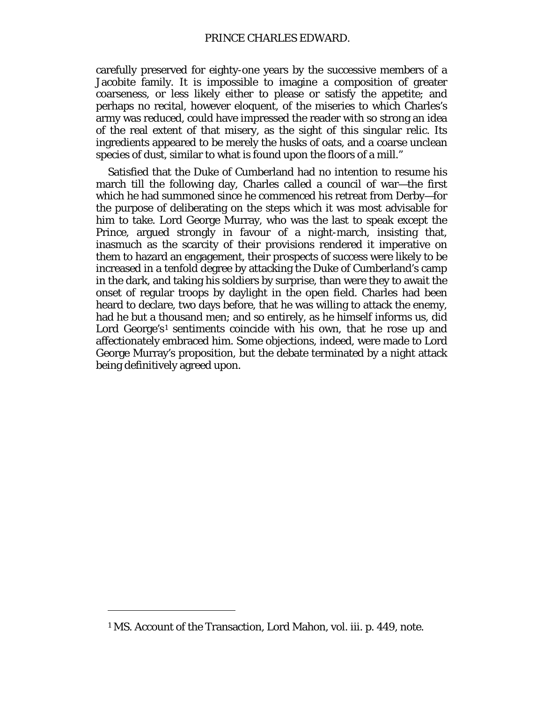carefully preserved for eighty-one years by the successive members of a Jacobite family. It is impossible to imagine a composition of greater coarseness, or less likely either to please or satisfy the appetite; and perhaps no recital, however eloquent, of the miseries to which Charles's army was reduced, could have impressed the reader with so strong an idea of the real extent of that misery, as the sight of this singular relic. Its ingredients appeared to be merely the husks of oats, and a coarse unclean species of dust, similar to what is found upon the floors of a mill."

Satisfied that the Duke of Cumberland had no intention to resume his march till the following day, Charles called a council of war—the first which he had summoned since he commenced his retreat from Derby—for the purpose of deliberating on the steps which it was most advisable for him to take. Lord George Murray, who was the last to speak except the Prince, argued strongly in favour of a night-march, insisting that, inasmuch as the scarcity of their provisions rendered it imperative on them to hazard an engagement, their prospects of success were likely to be increased in a tenfold degree by attacking the Duke of Cumberland's camp in the dark, and taking his soldiers by surprise, than were they to await the onset of regular troops by daylight in the open field. Charles had been heard to declare, two days before, that he was willing to attack the enemy, had he but a thousand men; and so entirely, as he himself informs us, did Lord George's<sup>[1](#page-16-0)</sup> sentiments coincide with his own, that he rose up and affectionately embraced him. Some objections, indeed, were made to Lord George Murray's proposition, but the debate terminated by a night attack being definitively agreed upon.

<span id="page-16-0"></span><sup>1</sup> MS. Account of the Transaction, Lord Mahon, vol. iii. p. 449, note.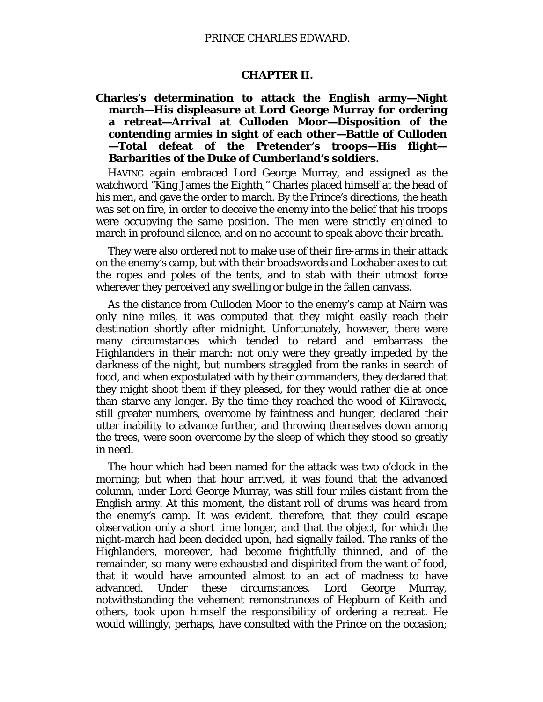#### **CHAPTER II.**

<span id="page-17-1"></span><span id="page-17-0"></span>**Charles's determination to attack the English army—Night march—His displeasure at Lord George Murray for ordering a retreat—Arrival at Culloden Moor—Disposition of the contending armies in sight of each other—Battle of Culloden —Total defeat of the Pretender's troops—His flight— Barbarities of the Duke of Cumberland's soldiers.**

HAVING again embraced Lord George Murray, and assigned as the watchword "King James the Eighth," Charles placed himself at the head of his men, and gave the order to march. By the Prince's directions, the heath was set on fire, in order to deceive the enemy into the belief that his troops were occupying the same position. The men were strictly enjoined to march in profound silence, and on no account to speak above their breath.

They were also ordered not to make use of their fire-arms in their attack on the enemy's camp, but with their broadswords and Lochaber axes to cut the ropes and poles of the tents, and to stab with their utmost force wherever they perceived any swelling or bulge in the fallen canvass.

As the distance from Culloden Moor to the enemy's camp at Nairn was only nine miles, it was computed that they might easily reach their destination shortly after midnight. Unfortunately, however, there were many circumstances which tended to retard and embarrass the Highlanders in their march: not only were they greatly impeded by the darkness of the night, but numbers straggled from the ranks in search of food, and when expostulated with by their commanders, they declared that they might shoot them if they pleased, for they would rather die at once than starve any longer. By the time they reached the wood of Kilravock, still greater numbers, overcome by faintness and hunger, declared their utter inability to advance further, and throwing themselves down among the trees, were soon overcome by the sleep of which they stood so greatly in need.

The hour which had been named for the attack was two o'clock in the morning; but when that hour arrived, it was found that the advanced column, under Lord George Murray, was still four miles distant from the English army. At this moment, the distant roll of drums was heard from the enemy's camp. It was evident, therefore, that they could escape observation only a short time longer, and that the object, for which the night-march had been decided upon, had signally failed. The ranks of the Highlanders, moreover, had become frightfully thinned, and of the remainder, so many were exhausted and dispirited from the want of food, that it would have amounted almost to an act of madness to have advanced. Under these circumstances, Lord George Murray, notwithstanding the vehement remonstrances of Hepburn of Keith and others, took upon himself the responsibility of ordering a retreat. He would willingly, perhaps, have consulted with the Prince on the occasion;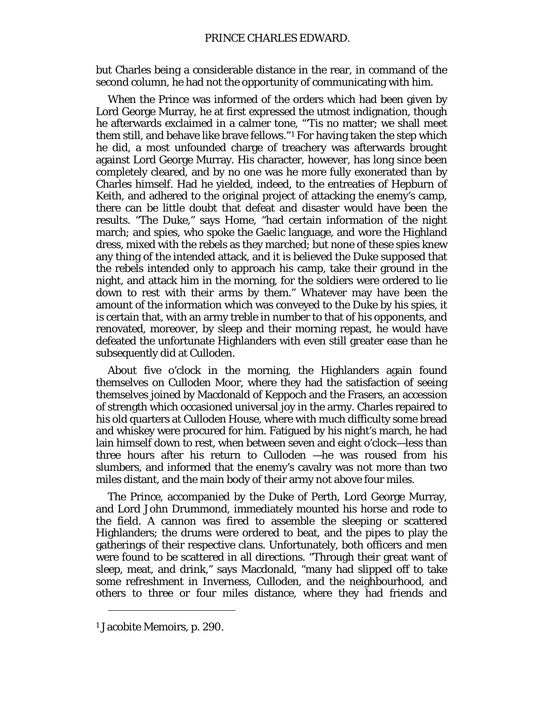but Charles being a considerable distance in the rear, in command of the second column, he had not the opportunity of communicating with him.

When the Prince was informed of the orders which had been given by Lord George Murray, he at first expressed the utmost indignation, though he afterwards exclaimed in a calmer tone, "'Tis no matter; we shall meet them still, and behave like brave fellows."[1](#page-18-0) For having taken the step which he did, a most unfounded charge of treachery was afterwards brought against Lord George Murray. His character, however, has long since been completely cleared, and by no one was he more fully exonerated than by Charles himself. Had he yielded, indeed, to the entreaties of Hepburn of Keith, and adhered to the original project of attacking the enemy's camp, there can be little doubt that defeat and disaster would have been the results. "The Duke," says Home, "had certain information of the night march; and spies, who spoke the Gaelic language, and wore the Highland dress, mixed with the rebels as they marched; but none of these spies knew any thing of the intended attack, and it is believed the Duke supposed that the rebels intended only to approach his camp, take their ground in the night, and attack him in the morning, for the soldiers were ordered to lie down to rest with their arms by them." Whatever may have been the amount of the information which was conveyed to the Duke by his spies, it is certain that, with an army treble in number to that of his opponents, and renovated, moreover, by sleep and their morning repast, he would have defeated the unfortunate Highlanders with even still greater ease than he subsequently did at Culloden.

About five o'clock in the morning, the Highlanders again found themselves on Culloden Moor, where they had the satisfaction of seeing themselves joined by Macdonald of Keppoch and the Frasers, an accession of strength which occasioned universal joy in the army. Charles repaired to his old quarters at Culloden House, where with much difficulty some bread and whiskey were procured for him. Fatigued by his night's march, he had lain himself down to rest, when between seven and eight o'clock—less than three hours after his return to Culloden —he was roused from his slumbers, and informed that the enemy's cavalry was not more than two miles distant, and the main body of their army not above four miles.

The Prince, accompanied by the Duke of Perth, Lord George Murray, and Lord John Drummond, immediately mounted his horse and rode to the field. A cannon was fired to assemble the sleeping or scattered Highlanders; the drums were ordered to beat, and the pipes to play the gatherings of their respective clans. Unfortunately, both officers and men were found to be scattered in all directions. "Through their great want of sleep, meat, and drink," says Macdonald, "many had slipped off to take some refreshment in Inverness, Culloden, and the neighbourhood, and others to three or four miles distance, where they had friends and

<span id="page-18-0"></span><sup>1</sup> Jacobite Memoirs, p. 290.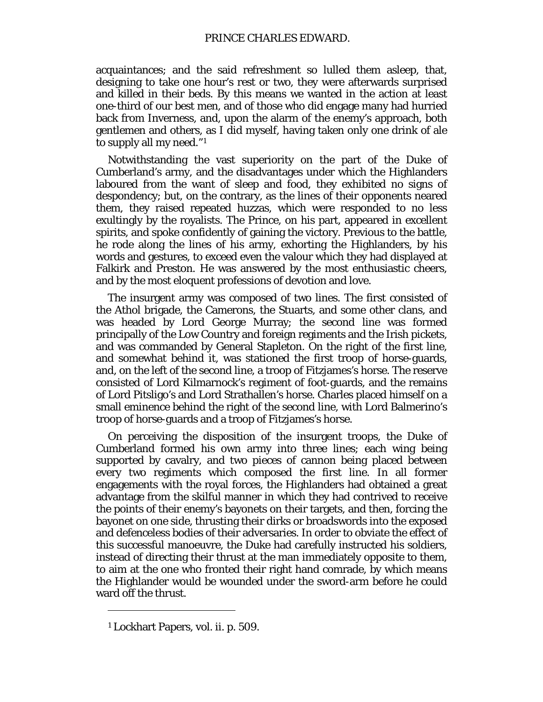acquaintances; and the said refreshment so lulled them asleep, that, designing to take one hour's rest or two, they were afterwards surprised and killed in their beds. By this means we wanted in the action at least one-third of our best men, and of those who did engage many had hurried back from Inverness, and, upon the alarm of the enemy's approach, both gentlemen and others, as I did myself, having taken only one drink of ale to supply all my need."[1](#page-19-0)

Notwithstanding the vast superiority on the part of the Duke of Cumberland's army, and the disadvantages under which the Highlanders laboured from the want of sleep and food, they exhibited no signs of despondency; but, on the contrary, as the lines of their opponents neared them, they raised repeated huzzas, which were responded to no less exultingly by the royalists. The Prince, on his part, appeared in excellent spirits, and spoke confidently of gaining the victory. Previous to the battle, he rode along the lines of his army, exhorting the Highlanders, by his words and gestures, to exceed even the valour which they had displayed at Falkirk and Preston. He was answered by the most enthusiastic cheers, and by the most eloquent professions of devotion and love.

The insurgent army was composed of two lines. The first consisted of the Athol brigade, the Camerons, the Stuarts, and some other clans, and was headed by Lord George Murray; the second line was formed principally of the Low Country and foreign regiments and the Irish pickets, and was commanded by General Stapleton. On the right of the first line, and somewhat behind it, was stationed the first troop of horse-guards, and, on the left of the second line, a troop of Fitzjames's horse. The reserve consisted of Lord Kilmarnock's regiment of foot-guards, and the remains of Lord Pitsligo's and Lord Strathallen's horse. Charles placed himself on a small eminence behind the right of the second line, with Lord Balmerino's troop of horse-guards and a troop of Fitzjames's horse.

On perceiving the disposition of the insurgent troops, the Duke of Cumberland formed his own army into three lines; each wing being supported by cavalry, and two pieces of cannon being placed between every two regiments which composed the first line. In all former engagements with the royal forces, the Highlanders had obtained a great advantage from the skilful manner in which they had contrived to receive the points of their enemy's bayonets on their targets, and then, forcing the bayonet on one side, thrusting their dirks or broadswords into the exposed and defenceless bodies of their adversaries. In order to obviate the effect of this successful manoeuvre, the Duke had carefully instructed his soldiers, instead of directing their thrust at the man immediately opposite to them, to aim at the one who fronted their right hand comrade, by which means the Highlander would be wounded under the sword-arm before he could ward off the thrust.

<span id="page-19-0"></span><sup>1</sup> Lockhart Papers, vol. ii. p. 509.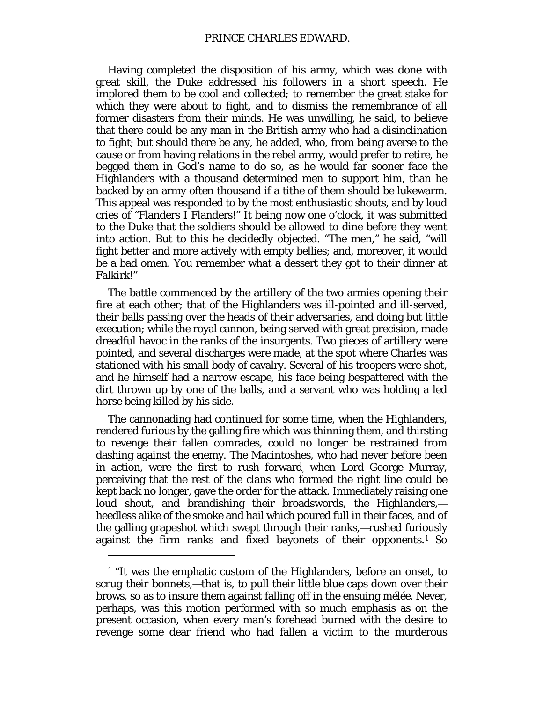Having completed the disposition of his army, which was done with great skill, the Duke addressed his followers in a short speech. He implored them to be cool and collected; to remember the great stake for which they were about to fight, and to dismiss the remembrance of all former disasters from their minds. He was unwilling, he said, to believe that there could be any man in the British army who had a disinclination to fight; but should there be any, he added, who, from being averse to the cause or from having relations in the rebel army, would prefer to retire, he begged them in God's name to do so, as he would far sooner face the Highlanders with a thousand determined men to support him, than he backed by an army often thousand if a tithe of them should be lukewarm. This appeal was responded to by the most enthusiastic shouts, and by loud cries of "Flanders I Flanders!" It being now one o'clock, it was submitted to the Duke that the soldiers should be allowed to dine before they went into action. But to this he decidedly objected. "The men," he said, "will fight better and more actively with empty bellies; and, moreover, it would be a bad omen. You remember what a dessert they got to their dinner at Falkirk!"

The battle commenced by the artillery of the two armies opening their fire at each other; that of the Highlanders was ill-pointed and ill-served, their balls passing over the heads of their adversaries, and doing but little execution; while the royal cannon, being served with great precision, made dreadful havoc in the ranks of the insurgents. Two pieces of artillery were pointed, and several discharges were made, at the spot where Charles was stationed with his small body of cavalry. Several of his troopers were shot, and he himself had a narrow escape, his face being bespattered with the dirt thrown up by one of the balls, and a servant who was holding a led horse being killed by his side.

The cannonading had continued for some time, when the Highlanders, rendered furious by the galling fire which was thinning them, and thirsting to revenge their fallen comrades, could no longer be restrained from dashing against the enemy. The Macintoshes, who had never before been in action, were the first to rush forward, when Lord George Murray, perceiving that the rest of the clans who formed the right line could be kept back no longer, gave the order for the attack. Immediately raising one loud shout, and brandishing their broadswords, the Highlanders, heedless alike of the smoke and hail which poured full in their faces, and of the galling grapeshot which swept through their ranks,—rushed furiously against the firm ranks and fixed bayonets of their opponents.[1](#page-20-0) So

<span id="page-20-0"></span><sup>&</sup>lt;sup>1</sup> "It was the emphatic custom of the Highlanders, before an onset, to *scrug their bonnets,*—that is, to pull their little blue caps down over their brows, so as to insure them against falling off in the ensuing *mélée.* Never, perhaps, was this motion performed with so much emphasis as on the present occasion, when every man's forehead burned with the desire to revenge some dear friend who had fallen a victim to the murderous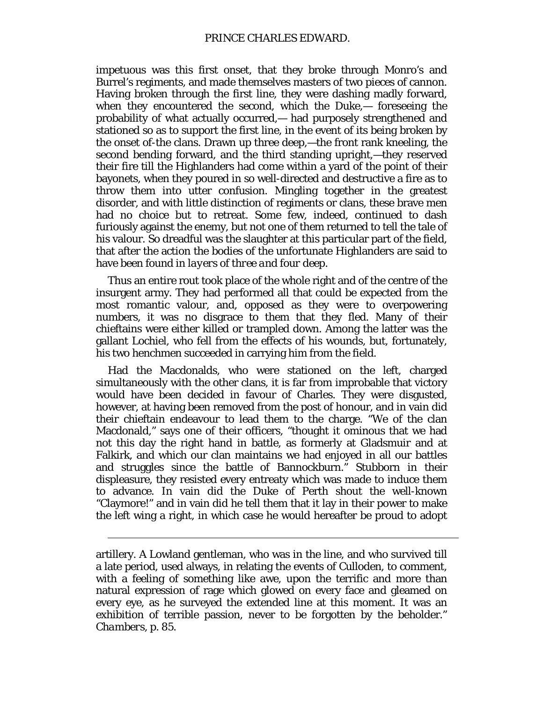impetuous was this first onset, that they broke through Monro's and Burrel's regiments, and made themselves masters of two pieces of cannon. Having broken through the first line, they were dashing madly forward, when they encountered the second, which the Duke,— foreseeing the probability of what actually occurred,— had purposely strengthened and stationed so as to support the first line, in the event of its being broken by the onset of-the clans. Drawn up three deep,—the front rank kneeling, the second bending forward, and the third standing upright,—they reserved their fire till the Highlanders had come within a yard of the point of their bayonets, when they poured in so well-directed and destructive a fire as to throw them into utter confusion. Mingling together in the greatest disorder, and with little distinction of regiments or clans, these brave men had no choice but to retreat. Some few, indeed, continued to dash furiously against the enemy, but not one of them returned to tell the tale of his valour. So dreadful was the slaughter at this particular part of the field, that after the action the bodies of the unfortunate Highlanders are said to have been found in *layers of three and four deep.*

Thus an entire rout took place of the whole right and of the centre of the insurgent army. They had performed all that could be expected from the most romantic valour, and, opposed as they were to overpowering numbers, it was no disgrace to them that they fled. Many of their chieftains were either killed or trampled down. Among the latter was the gallant Lochiel, who fell from the effects of his wounds, but, fortunately, his two henchmen succeeded in carrying him from the field.

Had the Macdonalds, who were stationed on the left, charged simultaneously with the other clans, it is far from improbable that victory would have been decided in favour of Charles. They were disgusted, however, at having been removed from the post of honour, and in vain did their chieftain endeavour to lead them to the charge. "We of the clan Macdonald," says one of their officers, "thought it ominous that we had not this day the right hand in battle, as formerly at Gladsmuir and at Falkirk, and which our clan maintains we had enjoyed in all our battles and struggles since the battle of Bannockburn." Stubborn in their displeasure, they resisted every entreaty which was made to induce them to advance. In vain did the Duke of Perth shout the well-known "Claymore!" and in vain did he tell them that it lay in their power to make the left wing a right, in which case he would hereafter be proud to adopt

artillery. A Lowland gentleman, who was in the line, and who survived till a late period, used always, in relating the events of Culloden, to comment, with a feeling of something like awe, upon the terrific and more than natural expression of rage which glowed on every face and gleamed on every eye, as he surveyed the extended line at this moment. It was an exhibition of terrible passion, never to be forgotten by the beholder." *Chambers,* p. 85.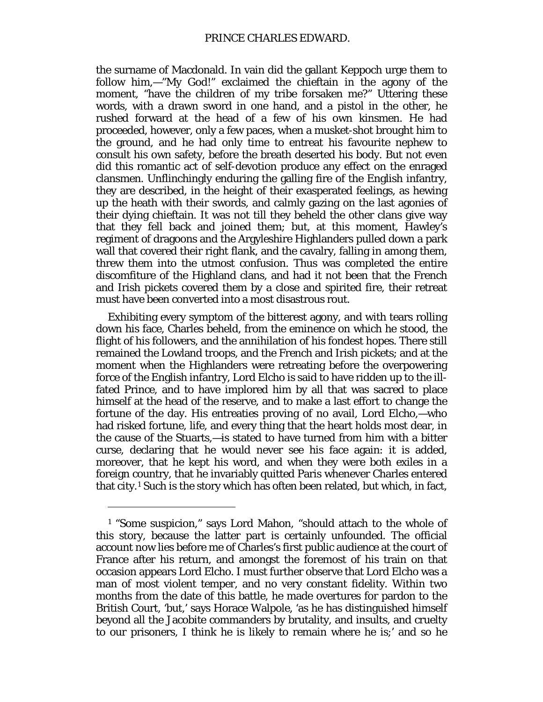the surname of Macdonald. In vain did the gallant Keppoch urge them to follow him,—"My God!" exclaimed the chieftain in the agony of the moment, "have the children of my tribe forsaken me?" Uttering these words, with a drawn sword in one hand, and a pistol in the other, he rushed forward at the head of a few of his own kinsmen. He had proceeded, however, only a few paces, when a musket-shot brought him to the ground, and he had only time to entreat his favourite nephew to consult his own safety, before the breath deserted his body. But not even did this romantic act of self-devotion produce any effect on the enraged clansmen. Unflinchingly enduring the galling fire of the English infantry, they are described, in the height of their exasperated feelings, as hewing up the heath with their swords, and calmly gazing on the last agonies of their dying chieftain. It was not till they beheld the other clans give way that they fell back and joined them; but, at this moment, Hawley's regiment of dragoons and the Argyleshire Highlanders pulled down a park wall that covered their right flank, and the cavalry, falling in among them, threw them into the utmost confusion. Thus was completed the entire discomfiture of the Highland clans, and had it not been that the French and Irish pickets covered them by a close and spirited fire, their retreat must have been converted into a most disastrous rout.

Exhibiting every symptom of the bitterest agony, and with tears rolling down his face, Charles beheld, from the eminence on which he stood, the flight of his followers, and the annihilation of his fondest hopes. There still remained the Lowland troops, and the French and Irish pickets; and at the moment when the Highlanders were retreating before the overpowering force of the English infantry, Lord Elcho is said to have ridden up to the illfated Prince, and to have implored him by all that was sacred to place himself at the head of the reserve, and to make a last effort to change the fortune of the day. His entreaties proving of no avail, Lord Elcho,—who had risked fortune, life, and every thing that the heart holds most dear, in the cause of the Stuarts,—is stated to have turned from him with a bitter curse, declaring that he would never see his face again: it is added, moreover, that he kept his word, and when they were both exiles in a foreign country, that he invariably quitted Paris whenever Charles entered that city.[1](#page-22-0) Such is the story which has often been related, but which, in fact,

<span id="page-22-0"></span><sup>1</sup> "Some suspicion," says Lord Mahon, "should attach to the whole of this story, because the latter part is certainly unfounded. The official account now lies before me of Charles's first public audience at the court of France after his return, and amongst the foremost of his train on that occasion appears Lord Elcho. I must further observe that Lord Elcho was a man of most violent temper, and no very constant fidelity. Within two months from the date of this battle, he made overtures for pardon to the British Court, 'but,' says Horace Walpole, 'as he has distinguished himself beyond all the Jacobite commanders by brutality, and insults, and cruelty to our prisoners, I think he is likely to remain where he is;' and so he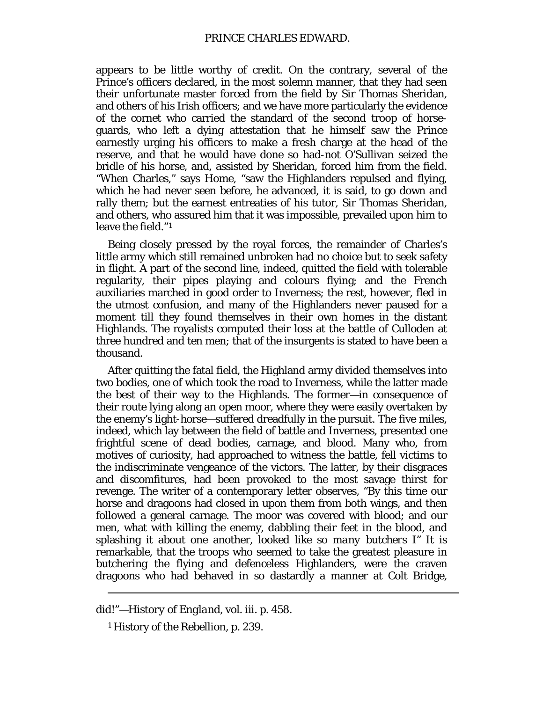appears to be little worthy of credit. On the contrary, several of the Prince's officers declared, in the most solemn manner, that they had seen their unfortunate master forced from the field by Sir Thomas Sheridan, and others of his Irish officers; and we have more particularly the evidence of the cornet who carried the standard of the second troop of horseguards, who left a dying attestation that he himself saw the Prince earnestly urging his officers to make a fresh charge at the head of the reserve, and that he would have done so had-not O'Sullivan seized the bridle of his horse, and, assisted by Sheridan, forced him from the field. "When Charles," says Home, "saw the Highlanders repulsed and flying, which he had never seen before, he advanced, it is said, to go down and rally them; but the earnest entreaties of his tutor, Sir Thomas Sheridan, and others, who assured him that it was impossible, prevailed upon him to leave the field."[1](#page-23-0)

Being closely pressed by the royal forces, the remainder of Charles's little army which still remained unbroken had no choice but to seek safety in flight. A part of the second line, indeed, quitted the field with tolerable regularity, their pipes playing and colours flying; and the French auxiliaries marched in good order to Inverness; the rest, however, fled in the utmost confusion, and many of the Highlanders never paused for a moment till they found themselves in their own homes in the distant Highlands. The royalists computed their loss at the battle of Culloden at three hundred and ten men; that of the insurgents is stated to have been a thousand.

After quitting the fatal field, the Highland army divided themselves into two bodies, one of which took the road to Inverness, while the latter made the best of their way to the Highlands. The former—in consequence of their route lying along an open moor, where they were easily overtaken by the enemy's light-horse—suffered dreadfully in the pursuit. The five miles, indeed, which lay between the field of battle and Inverness, presented one frightful scene of dead bodies, carnage, and blood. Many who, from motives of curiosity, had approached to witness the battle, fell victims to the indiscriminate vengeance of the victors. The latter, by their disgraces and discomfitures, had been provoked to the most savage thirst for revenge. The writer of a contemporary letter observes, "By this time our horse and dragoons had closed in upon them from both wings, and then followed a general carnage. The moor was covered with blood; and our men, what with killing the enemy, dabbling their feet in the blood, and splashing it about one another, *looked like so many butchers I"* It is remarkable, that the troops who seemed to take the greatest pleasure in butchering the flying and defenceless Highlanders, were the craven dragoons who had behaved in so dastardly a manner at Colt Bridge,

<span id="page-23-0"></span>did!"—*History of England,* vol. iii. p. 458.

<sup>1</sup> History of the Rebellion, p. 239.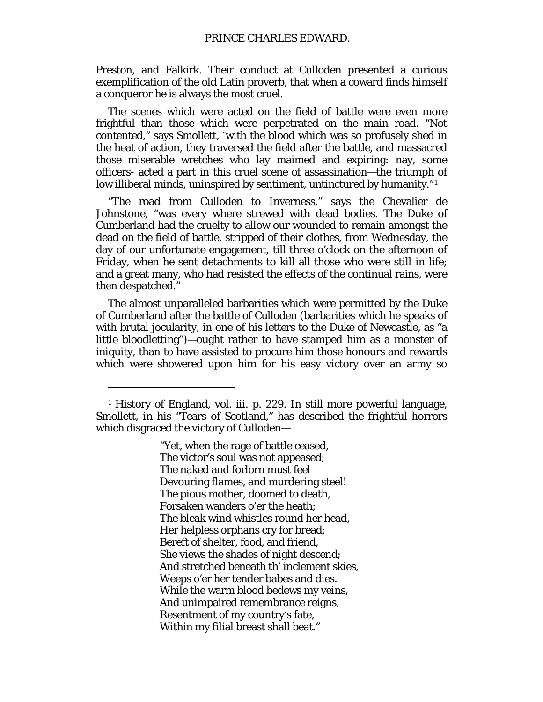Preston, and Falkirk. Their conduct at Culloden presented a curious exemplification of the old Latin proverb, that when a coward finds himself a conqueror he is always the most cruel.

The scenes which were acted on the field of battle were even more frightful than those which were perpetrated on the main road. "Not contented," says Smollett, "with the blood which was so profusely shed in the heat of action, they traversed the field after the battle, and massacred those miserable wretches who lay maimed and expiring: nay, some officers- acted a part in this cruel scene of assassination—the triumph of low illiberal minds, uninspired by sentiment, untinctured by humanity."[1](#page-24-0)

"The road from Culloden to Inverness," says the Chevalier de Johnstone, "was every where strewed with dead bodies. The Duke of Cumberland had the cruelty to allow our wounded to remain amongst the dead on the field of battle, stripped of their clothes, from Wednesday, the day of our unfortunate engagement, till three o'clock on the afternoon of Friday, when he sent detachments to kill all those who were still in life; and a great many, who had resisted the effects of the continual rains, were then despatched."

The almost unparalleled barbarities which were permitted by the Duke of Cumberland after the battle of Culloden (barbarities which he speaks of with brutal jocularity, in one of his letters to the Duke of Newcastle, as "a little bloodletting")—ought rather to have stamped him as a monster of iniquity, than to have assisted to procure him those honours and rewards which were showered upon him for his easy victory over an army so

 $\overline{a}$ 

"Yet, when the rage of battle ceased, The victor's soul was not appeased; The naked and forlorn must feel Devouring flames, and murdering steel! The pious mother, doomed to death, Forsaken wanders o'er the heath; The bleak wind whistles round her head, Her helpless orphans cry for bread; Bereft of shelter, food, and friend, She views the shades of night descend; And stretched beneath th' inclement skies, Weeps o'er her tender babes and dies. While the warm blood bedews my veins, And unimpaired remembrance reigns, Resentment of my country's fate, Within my filial breast shall beat."

<span id="page-24-0"></span><sup>1</sup> History of England, vol. iii. p. 229. In still more powerful language, Smollett, in his "Tears of Scotland," has described the frightful horrors which disgraced the victory of Culloden—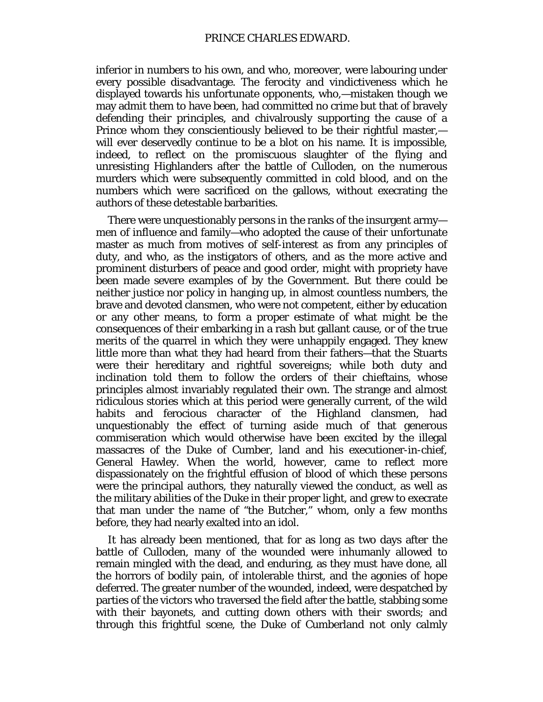inferior in numbers to his own, and who, moreover, were labouring under every possible disadvantage. The ferocity and vindictiveness which he displayed towards his unfortunate opponents, who,—mistaken though we may admit them to have been, had committed no crime but that of bravely defending their principles, and chivalrously supporting the cause of a Prince whom they conscientiously believed to be their rightful master, will ever deservedly continue to be a blot on his name. It is impossible, indeed, to reflect on the promiscuous slaughter of the flying and unresisting Highlanders after the battle of Culloden, on the numerous murders which were subsequently committed in cold blood, and on the numbers which were sacrificed on the gallows, without execrating the authors of these detestable barbarities.

There were unquestionably persons in the ranks of the insurgent army men of influence and family—who adopted the cause of their unfortunate master as much from motives of self-interest as from any principles of duty, and who, as the instigators of others, and as the more active and prominent disturbers of peace and good order, might with propriety have been made severe examples of by the Government. But there could be neither justice nor policy in hanging up, in almost countless numbers, the brave and devoted clansmen, who were not competent, either by education or any other means, to form a proper estimate of what might be the consequences of their embarking in a rash but gallant cause, or of the true merits of the quarrel in which they were unhappily engaged. They knew little more than what they had heard from their fathers—that the Stuarts were their hereditary and rightful sovereigns; while both duty and inclination told them to follow the orders of their chieftains, whose principles almost invariably regulated their own. The strange and almost ridiculous stories which at this period were generally current, of the wild habits and ferocious character of the Highland clansmen, had unquestionably the effect of turning aside much of that generous commiseration which would otherwise have been excited by the illegal massacres of the Duke of Cumber, land and his executioner-in-chief, General Hawley. When the world, however, came to reflect more dispassionately on the frightful effusion of blood of which these persons were the principal authors, they naturally viewed the conduct, as well as the military abilities of the Duke in their proper light, and grew to execrate that man under the name of "the Butcher," whom, only a few months before, they had nearly exalted into an idol.

It has already been mentioned, that for as long as two days after the battle of Culloden, many of the wounded were inhumanly allowed to remain mingled with the dead, and enduring, as they must have done, all the horrors of bodily pain, of intolerable thirst, and the agonies of hope deferred. The greater number of the wounded, indeed, were despatched by parties of the victors who traversed the field after the battle, stabbing some with their bayonets, and cutting down others with their swords; and through this frightful scene, the Duke of Cumberland not only calmly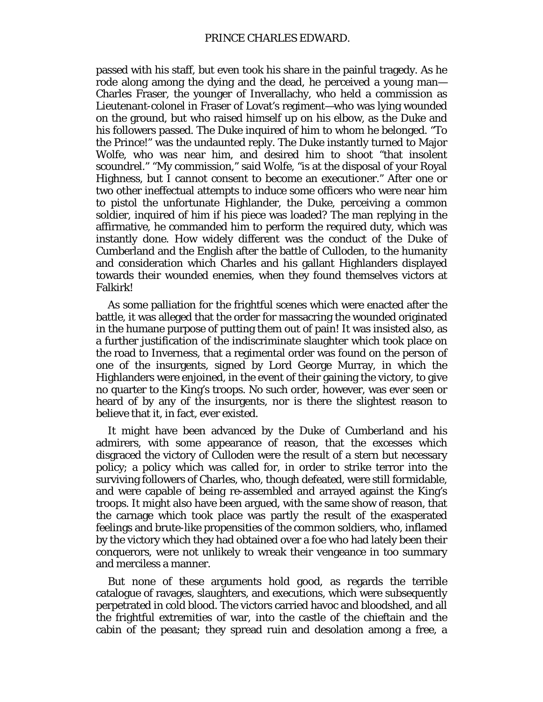passed with his staff, but even took his share in the painful tragedy. As he rode along among the dying and the dead, he perceived a young man— Charles Fraser, the younger of Inverallachy, who held a commission as Lieutenant-colonel in Fraser of Lovat's regiment—who was lying wounded on the ground, but who raised himself up on his elbow, as the Duke and his followers passed. The Duke inquired of him to whom he belonged. "To the Prince!" was the undaunted reply. The Duke instantly turned to Major Wolfe, who was near him, and desired him to shoot "that insolent scoundrel." "My commission," said Wolfe, "is at the disposal of your Royal Highness, but I cannot consent to become an executioner." After one or two other ineffectual attempts to induce some officers who were near him to pistol the unfortunate Highlander, the Duke, perceiving a common soldier, inquired of him if his piece was loaded? The man replying in the affirmative, he commanded him to perform the required duty, which was instantly done. How widely different was the conduct of the Duke of Cumberland and the English after the battle of Culloden, to the humanity and consideration which Charles and his gallant Highlanders displayed towards their wounded enemies, when they found themselves victors at Falkirk!

As some palliation for the frightful scenes which were enacted after the battle, it was alleged that the order for massacring the wounded originated in the humane purpose of putting them out of pain! It was insisted also, as a further justification of the indiscriminate slaughter which took place on the road to Inverness, that a regimental order was found on the person of one of the insurgents, signed by Lord George Murray, in which the Highlanders were enjoined, in the event of their gaining the victory, to give no quarter to the King's troops. No such order, however, was ever seen or heard of by any of the insurgents, nor is there the slightest reason to believe that it, in fact, ever existed.

It might have been advanced by the Duke of Cumberland and his admirers, with some appearance of reason, that the excesses which disgraced the victory of Culloden were the result of a stern but necessary policy; a policy which was called for, in order to strike terror into the surviving followers of Charles, who, though defeated, were still formidable, and were capable of being re-assembled and arrayed against the King's troops. It might also have been argued, with the same show of reason, that the carnage which took place was partly the result of the exasperated feelings and brute-like propensities of the common soldiers, who, inflamed by the victory which they had obtained over a foe who had lately been their conquerors, were not unlikely to wreak their vengeance in too summary and merciless a manner.

But none of these arguments hold good, as regards the terrible catalogue of ravages, slaughters, and executions, which were subsequently perpetrated in cold blood. The victors carried havoc and bloodshed, and all the frightful extremities of war, into the castle of the chieftain and the cabin of the peasant; they spread ruin and desolation among a free, a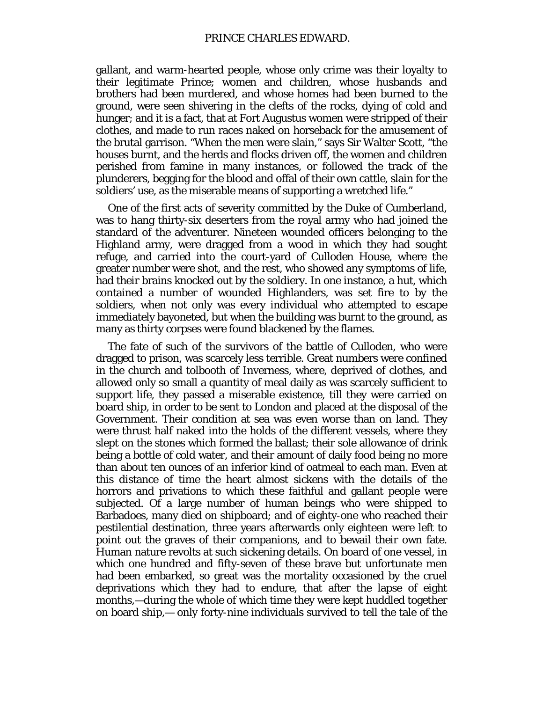gallant, and warm-hearted people, whose only crime was their loyalty to their legitimate Prince; women and children, whose husbands and brothers had been murdered, and whose homes had been burned to the ground, were seen shivering in the clefts of the rocks, dying of cold and hunger; and it is a fact, that at Fort Augustus women were stripped of their clothes, and made to run races naked on horseback for the amusement of the brutal garrison. "When the men were slain," says Sir Walter Scott, "the houses burnt, and the herds and flocks driven off, the women and children perished from famine in many instances, or followed the track of the plunderers, begging for the blood and offal of their own cattle, slain for the soldiers' use, as the miserable means of supporting a wretched life."

One of the first acts of severity committed by the Duke of Cumberland, was to hang thirty-six deserters from the royal army who had joined the standard of the adventurer. Nineteen wounded officers belonging to the Highland army, were dragged from a wood in which they had sought refuge, and carried into the court-yard of Culloden House, where the greater number were shot, and the rest, who showed any symptoms of life, had their brains knocked out by the soldiery. In one instance, a hut, which contained a number of wounded Highlanders, was set fire to by the soldiers, when not only was every individual who attempted to escape immediately bayoneted, but when the building was burnt to the ground, as many as thirty corpses were found blackened by the flames.

The fate of such of the survivors of the battle of Culloden, who were dragged to prison, was scarcely less terrible. Great numbers were confined in the church and tolbooth of Inverness, where, deprived of clothes, and allowed only so small a quantity of meal daily as was scarcely sufficient to support life, they passed a miserable existence, till they were carried on board ship, in order to be sent to London and placed at the disposal of the Government. Their condition at sea was even worse than on land. They were thrust half naked into the holds of the different vessels, where they slept on the stones which formed the ballast; their sole allowance of drink being a bottle of cold water, and their amount of daily food being no more than about ten ounces of an inferior kind of oatmeal to each man. Even at this distance of time the heart almost sickens with the details of the horrors and privations to which these faithful and gallant people were subjected. Of a large number of human beings who were shipped to Barbadoes, many died on shipboard; and of eighty-one who reached their pestilential destination, three years afterwards only eighteen were left to point out the graves of their companions, and to bewail their own fate. Human nature revolts at such sickening details. On board of one vessel, in which one hundred and fifty-seven of these brave but unfortunate men had been embarked, so great was the mortality occasioned by the cruel deprivations which they had to endure, that after the lapse of eight months,—during the whole of which time they were kept huddled together on board ship,— only forty-nine individuals survived to tell the tale of the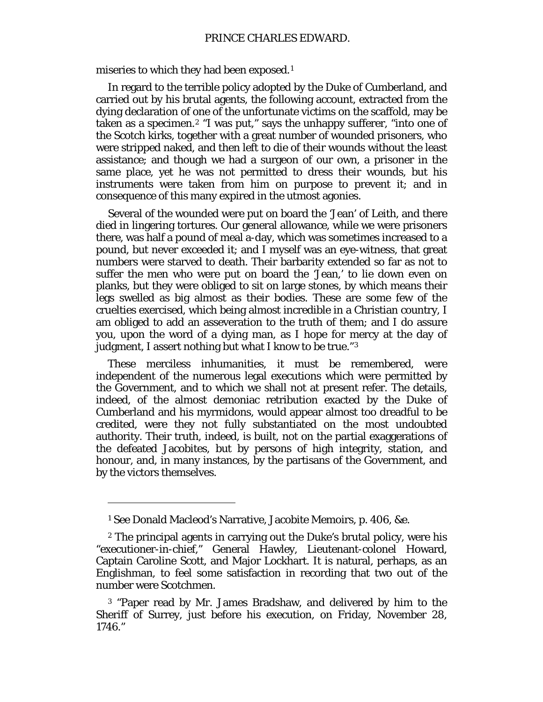miseries to which they had been exposed.<sup>[1](#page-28-0)</sup>

In regard to the terrible policy adopted by the Duke of Cumberland, and carried out by his brutal agents, the following account, extracted from the dying declaration of one of the unfortunate victims on the scaffold, may be taken as a specimen.[2](#page-28-1) "I was put," says the unhappy sufferer, "into one of the Scotch kirks, together with a great number of wounded prisoners, who were stripped naked, and then left to die of their wounds without the least assistance; and though we had a surgeon of our own, a prisoner in the same place, yet he was not permitted to dress their wounds, but his instruments were taken from him on purpose to prevent it; and in consequence of this many expired in the utmost agonies.

Several of the wounded were put on board the 'Jean' of Leith, and there died in lingering tortures. Our general allowance, while we were prisoners there, was half a pound of meal a-day, which was sometimes increased to a pound, but never exceeded it; and I myself was an eye-witness, that great numbers were starved to death. Their barbarity extended so far as not to suffer the men who were put on board the 'Jean,' to lie down even on planks, but they were obliged to sit on large stones, by which means their legs swelled as big almost as their bodies. These are some few of the cruelties exercised, which being almost incredible in a Christian country, I am obliged to add an asseveration to the truth of them; and I do assure you, upon the word of a dying man, as I hope for mercy at the day of judgment, I assert nothing but what I know to be true."[3](#page-28-2)

These merciless inhumanities, it must be remembered, were independent of the numerous legal executions which were permitted by the Government, and to which we shall not at present refer. The details, indeed, of the almost demoniac retribution exacted by the Duke of Cumberland and his myrmidons, would appear almost too dreadful to be credited, were they not fully substantiated on the most undoubted authority. Their truth, indeed, is built, not on the partial exaggerations of the defeated Jacobites, but by persons of high integrity, station, and honour, and, in many instances, by the partisans of the Government, and by the victors themselves.

<sup>1</sup> See Donald Macleod's Narrative, Jacobite Memoirs, p. 406, &e.

<span id="page-28-1"></span><span id="page-28-0"></span><sup>2</sup> The principal agents in carrying out the Duke's brutal policy, were his "executioner-in-chief," General Hawley, Lieutenant-colonel Howard, Captain Caroline Scott, and Major Lockhart. It is natural, perhaps, as an Englishman, to feel some satisfaction in recording that two out of the number were Scotchmen.

<span id="page-28-2"></span><sup>3</sup> "Paper read by Mr. James Bradshaw, and delivered by him to the Sheriff of Surrey, just before his execution, on Friday, November 28, 1746."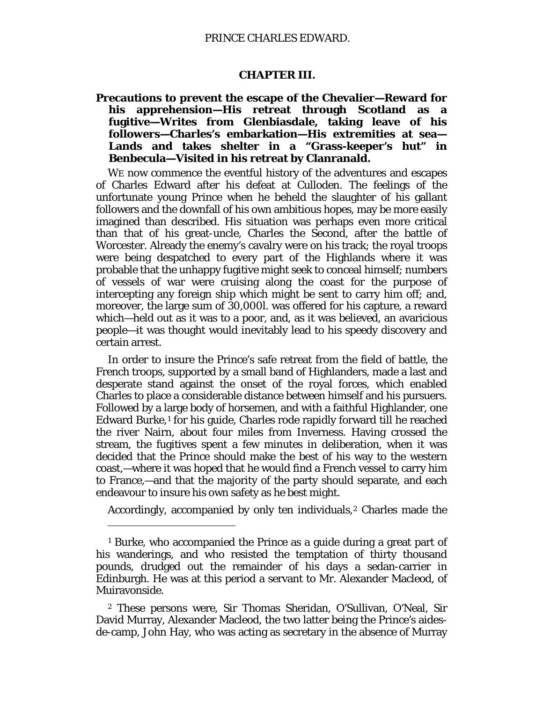#### **CHAPTER III.**

<span id="page-29-1"></span><span id="page-29-0"></span>**Precautions to prevent the escape of the Chevalier—Reward for his apprehension—His retreat through Scotland as a fugitive—Writes from Glenbiasdale, taking leave of his followers—Charles's embarkation—His extremities at sea— Lands and takes shelter in a "Grass-keeper's hut" in Benbecula—Visited in his retreat by Clanranald.**

WE now commence the eventful history of the adventures and escapes of Charles Edward after his defeat at Culloden. The feelings of the unfortunate young Prince when he beheld the slaughter of his gallant followers and the downfall of his own ambitious hopes, may be more easily imagined than described. His situation was perhaps even more critical than that of his great-uncle, Charles the Second, after the battle of Worcester. Already the enemy's cavalry were on his track; the royal troops were being despatched to every part of the Highlands where it was probable that the unhappy fugitive might seek to conceal himself; numbers of vessels of war were cruising along the coast for the purpose of intercepting any foreign ship which might be sent to carry him off; and, moreover, the large sum of 30,000*l*. was offered for his capture, a reward which—held out as it was to a poor, and, as it was believed, an avaricious people—it was thought would inevitably lead to his speedy discovery and certain arrest.

In order to insure the Prince's safe retreat from the field of battle, the French troops, supported by a small band of Highlanders, made a last and desperate stand against the onset of the royal forces, which enabled Charles to place a considerable distance between himself and his pursuers. Followed by a large body of horsemen, and with a faithful Highlander, one Edward Burke,<sup>[1](#page-29-2)</sup> for his guide, Charles rode rapidly forward till he reached the river Nairn, about four miles from Inverness. Having crossed the stream, the fugitives spent a few minutes in deliberation, when it was decided that the Prince should make the best of his way to the western coast,—where it was hoped that he would find a French vessel to carry him to France,—and that the majority of the party should separate, and each endeavour to insure his own safety as he best might.

Accordingly, accompanied by only ten individuals,<sup>[2](#page-29-3)</sup> Charles made the

 $\overline{a}$ 

<span id="page-29-2"></span><sup>1</sup> Burke, who accompanied the Prince as a guide during a great part of his wanderings, and who resisted the temptation of thirty thousand pounds, drudged out the remainder of his days a sedan-carrier in Edinburgh. He was at this period a servant to Mr. Alexander Macleod, of Muiravonside.

<span id="page-29-3"></span><sup>2</sup> These persons were, Sir Thomas Sheridan, O'Sullivan, O'Neal, Sir David Murray, Alexander Macleod, the two latter being the Prince's aidesde-camp, John Hay, who was acting as secretary in the absence of Murray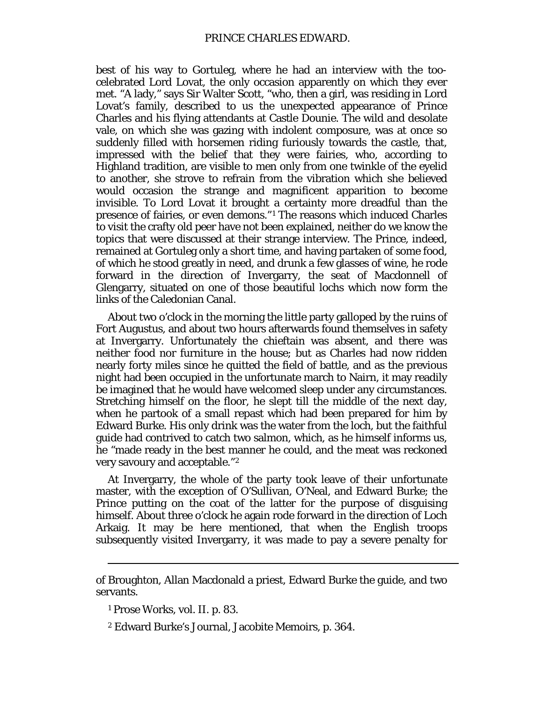best of his way to Gortuleg, where he had an interview with the toocelebrated Lord Lovat, the only occasion apparently on which they ever met. "A lady," says Sir Walter Scott, "who, then a girl, was residing in Lord Lovat's family, described to us the unexpected appearance of Prince Charles and his flying attendants at Castle Dounie. The wild and desolate vale, on which she was gazing with indolent composure, was at once so suddenly filled with horsemen riding furiously towards the castle, that, impressed with the belief that they were fairies, who, according to Highland tradition, are visible to men only from one twinkle of the eyelid to another, she strove to refrain from the vibration which she believed would occasion the strange and magnificent apparition to become invisible. To Lord Lovat it brought a certainty more dreadful than the presence of fairies, or even demons."[1](#page-30-0) The reasons which induced Charles to visit the crafty old peer have not been explained, neither do we know the topics that were discussed at their strange interview. The Prince, indeed, remained at Gortuleg only a short time, and having partaken of some food, of which he stood greatly in need, and drunk a few glasses of wine, he rode forward in the direction of Invergarry, the seat of Macdonnell of Glengarry, situated on one of those beautiful lochs which now form the links of the Caledonian Canal.

About two o'clock in the morning the little party galloped by the ruins of Fort Augustus, and about two hours afterwards found themselves in safety at Invergarry. Unfortunately the chieftain was absent, and there was neither food nor furniture in the house; but as Charles had now ridden nearly forty miles since he quitted the field of battle, and as the previous night had been occupied in the unfortunate march to Nairn, it may readily be imagined that he would have welcomed sleep under any circumstances. Stretching himself on the floor, he slept till the middle of the next day, when he partook of a small repast which had been prepared for him by Edward Burke. His only drink was the water from the loch, but the faithful guide had contrived to catch two salmon, which, as he himself informs us, he "made ready in the best manner he could, and the meat was reckoned very savoury and acceptable."[2](#page-30-1)

At Invergarry, the whole of the party took leave of their unfortunate master, with the exception of O'Sullivan, O'Neal, and Edward Burke; the Prince putting on the coat of the latter for the purpose of disguising himself. About three o'clock he again rode forward in the direction of Loch Arkaig. It may be here mentioned, that when the English troops subsequently visited Invergarry, it was made to pay a severe penalty for

<span id="page-30-1"></span><span id="page-30-0"></span>of Broughton, Allan Macdonald a priest, Edward Burke the guide, and two servants.

<sup>1</sup> Prose Works, vol. II. p. 83.

<sup>2</sup> Edward Burke's Journal, Jacobite Memoirs, p. 364.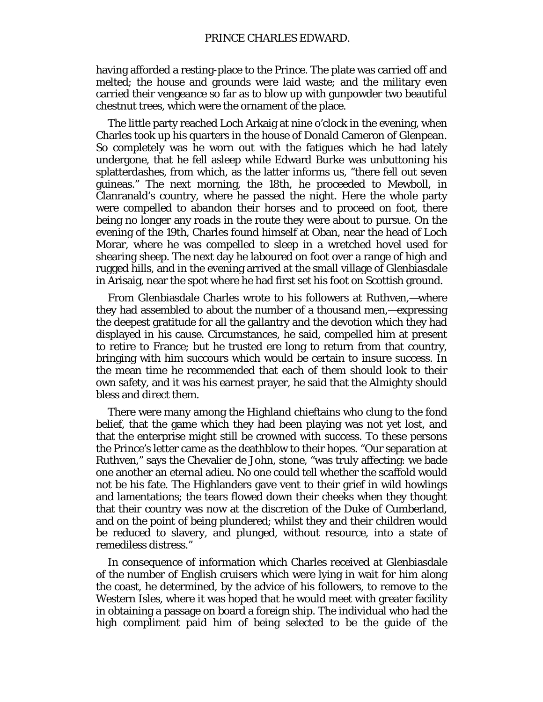having afforded a resting-place to the Prince. The plate was carried off and melted; the house and grounds were laid waste; and the military even carried their vengeance so far as to blow up with gunpowder two beautiful chestnut trees, which were the ornament of the place.

The little party reached Loch Arkaig at nine o'clock in the evening, when Charles took up his quarters in the house of Donald Cameron of Glenpean. So completely was he worn out with the fatigues which he had lately undergone, that he fell asleep while Edward Burke was unbuttoning his splatterdashes, from which, as the latter informs us, "there fell out seven guineas." The next morning, the 18th, he proceeded to Mewboll, in Clanranald's country, where he passed the night. Here the whole party were compelled to abandon their horses and to proceed on foot, there being no longer any roads in the route they were about to pursue. On the evening of the 19th, Charles found himself at Oban, near the head of Loch Morar, where he was compelled to sleep in a wretched hovel used for shearing sheep. The next day he laboured on foot over a range of high and rugged hills, and in the evening arrived at the small village of Glenbiasdale in Arisaig, near the spot where he had first set his foot on Scottish ground.

From Glenbiasdale Charles wrote to his followers at Ruthven,—where they had assembled to about the number of a thousand men,—expressing the deepest gratitude for all the gallantry and the devotion which they had displayed in his cause. Circumstances, he said, compelled him at present to retire to France; but he trusted ere long to return from that country, bringing with him succours which would be certain to insure success. In the mean time he recommended that each of them should look to their own safety, and it was his earnest prayer, he said that the Almighty should bless and direct them.

There were many among the Highland chieftains who clung to the fond belief, that the game which they had been playing was not yet lost, and that the enterprise might still be crowned with success. To these persons the Prince's letter came as the deathblow to their hopes. "Our separation at Ruthven," says the Chevalier de John, stone, "was truly affecting: we bade one another an eternal adieu. No one could tell whether the scaffold would not be his fate. The Highlanders gave vent to their grief in wild howlings and lamentations; the tears flowed down their cheeks when they thought that their country was now at the discretion of the Duke of Cumberland, and on the point of being plundered; whilst they and their children would be reduced to slavery, and plunged, without resource, into a state of remediless distress."

In consequence of information which Charles received at Glenbiasdale of the number of English cruisers which were lying in wait for him along the coast, he determined, by the advice of his followers, to remove to the Western Isles, where it was hoped that he would meet with greater facility in obtaining a passage on board a foreign ship. The individual who had the high compliment paid him of being selected to be the guide of the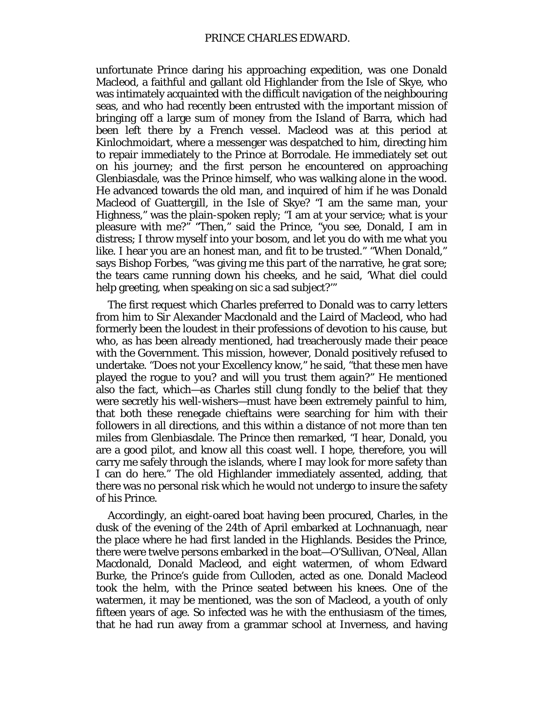unfortunate Prince daring his approaching expedition, was one Donald Macleod, a faithful and gallant old Highlander from the Isle of Skye, who was intimately acquainted with the difficult navigation of the neighbouring seas, and who had recently been entrusted with the important mission of bringing off a large sum of money from the Island of Barra, which had been left there by a French vessel. Macleod was at this period at Kinlochmoidart, where a messenger was despatched to him, directing him to repair immediately to the Prince at Borrodale. He immediately set out on his journey; and the first person he encountered on approaching Glenbiasdale, was the Prince himself, who was walking alone in the wood. He advanced towards the old man, and inquired of him if he was Donald Macleod of Guattergill, in the Isle of Skye? "I am the same man, your Highness," was the plain-spoken reply; "I am at your service; what is your pleasure with me?" "Then," said the Prince, "you see, Donald, I am in distress; I throw myself into your bosom, and let you do with me what you like. I hear you are an honest man, and fit to be trusted." "When Donald," says Bishop Forbes, "was giving me this part of the narrative, he grat sore; the tears came running down his cheeks, and he said, 'What diel could help greeting, when speaking on sic a sad subject?'"

The first request which Charles preferred to Donald was to carry letters from him to Sir Alexander Macdonald and the Laird of Macleod, who had formerly been the loudest in their professions of devotion to his cause, but who, as has been already mentioned, had treacherously made their peace with the Government. This mission, however, Donald positively refused to undertake. "Does not your Excellency know," he said, "that these men have played the rogue to you? and will you trust them again?" He mentioned also the fact, which—as Charles still clung fondly to the belief that they were secretly his well-wishers—must have been extremely painful to him, that both these renegade chieftains were searching for him with their followers in all directions, and this within a distance of not more than ten miles from Glenbiasdale. The Prince then remarked, "I hear, Donald, you are a good pilot, and know all this coast well. I hope, therefore, you will carry me safely through the islands, where I may look for more safety than I can do here." The old Highlander immediately assented, adding, that there was no personal risk which he would not undergo to insure the safety of his Prince.

Accordingly, an eight-oared boat having been procured, Charles, in the dusk of the evening of the 24th of April embarked at Lochnanuagh, near the place where he had first landed in the Highlands. Besides the Prince, there were twelve persons embarked in the boat—O'Sullivan, O'Neal, Allan Macdonald, Donald Macleod, and eight watermen, of whom Edward Burke, the Prince's guide from Culloden, acted as one. Donald Macleod took the helm, with the Prince seated between his knees. One of the watermen, it may be mentioned, was the son of Macleod, a youth of only fifteen years of age. So infected was he with the enthusiasm of the times, that he had run away from a grammar school at Inverness, and having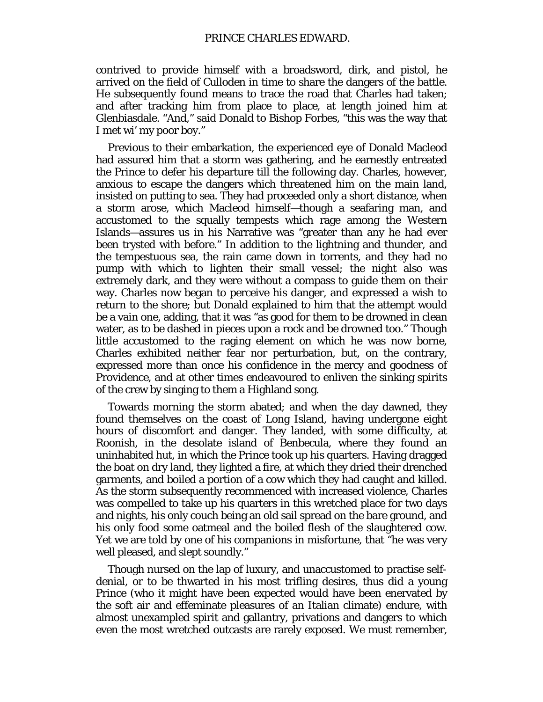contrived to provide himself with a broadsword, dirk, and pistol, he arrived on the field of Culloden in time to share the dangers of the battle. He subsequently found means to trace the road that Charles had taken; and after tracking him from place to place, at length joined him at Glenbiasdale. "And," said Donald to Bishop Forbes, "this was the way that I met wi' my poor boy."

Previous to their embarkation, the experienced eye of Donald Macleod had assured him that a storm was gathering, and he earnestly entreated the Prince to defer his departure till the following day. Charles, however, anxious to escape the dangers which threatened him on the main land, insisted on putting to sea. They had proceeded only a short distance, when a storm arose, which Macleod himself—though a seafaring man, and accustomed to the squally tempests which rage among the Western Islands—assures us in his Narrative was "greater than any he had ever been trysted with before." In addition to the lightning and thunder, and the tempestuous sea, the rain came down in torrents, and they had no pump with which to lighten their small vessel; the night also was extremely dark, and they were without a compass to guide them on their way. Charles now began to perceive his danger, and expressed a wish to return to the shore; but Donald explained to him that the attempt would be a vain one, adding, that it was "as good for them to be drowned in clean water, as to be dashed in pieces upon a rock and be drowned too." Though little accustomed to the raging element on which he was now borne, Charles exhibited neither fear nor perturbation, but, on the contrary, expressed more than once his confidence in the mercy and goodness of Providence, and at other times endeavoured to enliven the sinking spirits of the crew by singing to them a Highland song.

Towards morning the storm abated; and when the day dawned, they found themselves on the coast of Long Island, having undergone eight hours of discomfort and danger. They landed, with some difficulty, at Roonish, in the desolate island of Benbecula, where they found an uninhabited hut, in which the Prince took up his quarters. Having dragged the boat on dry land, they lighted a fire, at which they dried their drenched garments, and boiled a portion of a cow which they had caught and killed. As the storm subsequently recommenced with increased violence, Charles was compelled to take up his quarters in this wretched place for two days and nights, his only couch being an old sail spread on the bare ground, and his only food some oatmeal and the boiled flesh of the slaughtered cow. Yet we are told by one of his companions in misfortune, that "he was very well pleased, and slept soundly."

Though nursed on the lap of luxury, and unaccustomed to practise selfdenial, or to be thwarted in his most trifling desires, thus did a young Prince (who it might have been expected would have been enervated by the soft air and effeminate pleasures of an Italian climate) endure, with almost unexampled spirit and gallantry, privations and dangers to which even the most wretched outcasts are rarely exposed. We must remember,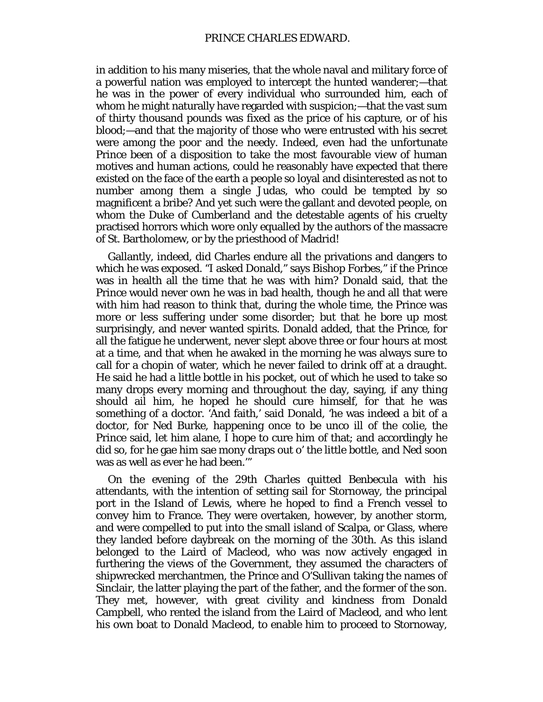in addition to his many miseries, that the whole naval and military force of a powerful nation was employed to intercept the hunted wanderer;—that he was in the power of every individual who surrounded him, each of whom he might naturally have regarded with suspicion;—that the vast sum of thirty thousand pounds was fixed as the price of his capture, or of his blood;—and that the majority of those who were entrusted with his secret were among the poor and the needy. Indeed, even had the unfortunate Prince been of a disposition to take the most favourable view of human motives and human actions, could he reasonably have expected that there existed on the face of the earth a people so loyal and disinterested as not to number among them a single Judas, who could be tempted by so magnificent a bribe? And yet such were the gallant and devoted people, on whom the Duke of Cumberland and the detestable agents of his cruelty practised horrors which wore only equalled by the authors of the massacre of St. Bartholomew, or by the priesthood of Madrid!

Gallantly, indeed, did Charles endure all the privations and dangers to which he was exposed. "I asked Donald," says Bishop Forbes," if the Prince was in health all the time that he was with him? Donald said, that the Prince would never own he was in bad health, though he and all that were with him had reason to think that, during the whole time, the Prince was more or less suffering under some disorder; but that he bore up most surprisingly, and never wanted spirits. Donald added, that the Prince, for all the fatigue he underwent, never slept above three or four hours at most at a time, and that when he awaked in the morning he was always sure to call for a *chopin* of water, which he never failed to drink off at a draught. He said he had a little bottle in his pocket, out of which he used to take so many drops every morning and throughout the day, saying, if any thing should ail him, he hoped he should cure himself, for that he was something of a doctor. 'And faith,' said Donald, 'he was indeed a bit of a doctor, for Ned Burke, happening once to be unco ill of the colie, the Prince said, let him alane, I hope to cure him of that; and accordingly he did so, for he gae him sae mony draps out o' the little bottle, and Ned soon was as well as ever he had been.'"

On the evening of the 29th Charles quitted Benbecula with his attendants, with the intention of setting sail for Stornoway, the principal port in the Island of Lewis, where he hoped to find a French vessel to convey him to France. They were overtaken, however, by another storm, and were compelled to put into the small island of Scalpa, or Glass, where they landed before daybreak on the morning of the 30th. As this island belonged to the Laird of Macleod, who was now actively engaged in furthering the views of the Government, they assumed the characters of shipwrecked merchantmen, the Prince and O'Sullivan taking the names of Sinclair, the latter playing the part of the father, and the former of the son. They met, however, with great civility and kindness from Donald Campbell, who rented the island from the Laird of Macleod, and who lent his own boat to Donald Macleod, to enable him to proceed to Stornoway,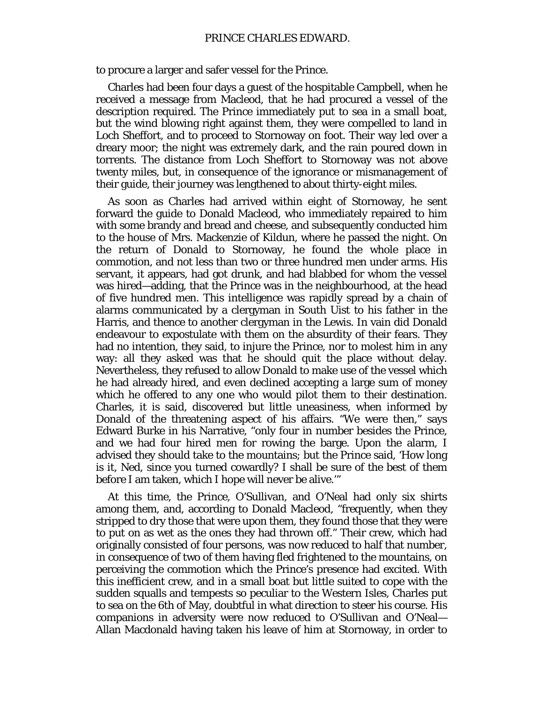to procure a larger and safer vessel for the Prince.

Charles had been four days a guest of the hospitable Campbell, when he received a message from Macleod, that he had procured a vessel of the description required. The Prince immediately put to sea in a small boat, but the wind blowing right against them, they were compelled to land in Loch Sheffort, and to proceed to Stornoway on foot. Their way led over a dreary moor; the night was extremely dark, and the rain poured down in torrents. The distance from Loch Sheffort to Stornoway was not above twenty miles, but, in consequence of the ignorance or mismanagement of their guide, their journey was lengthened to about thirty-eight miles.

As soon as Charles had arrived within eight of Stornoway, he sent forward the guide to Donald Macleod, who immediately repaired to him with some brandy and bread and cheese, and subsequently conducted him to the house of Mrs. Mackenzie of Kildun, where he passed the night. On the return of Donald to Stornoway, he found the whole place in commotion, and not less than two or three hundred men under arms. His servant, it appears, had got drunk, and had blabbed for whom the vessel was hired—adding, that the Prince was in the neighbourhood, at the head of five hundred men. This intelligence was rapidly spread by a chain of alarms communicated by a clergyman in South Uist to his father in the Harris, and thence to another clergyman in the Lewis. In vain did Donald endeavour to expostulate with them on the absurdity of their fears. They had no intention, they said, to injure the Prince, nor to molest him in any way: all they asked was that he should quit the place without delay. Nevertheless, they refused to allow Donald to make use of the vessel which he had already hired, and even declined accepting a large sum of money which he offered to any one who would pilot them to their destination. Charles, it is said, discovered but little uneasiness, when informed by Donald of the threatening aspect of his affairs. "We were then," says Edward Burke in his Narrative, "only four in number besides the Prince, and we had four hired men for rowing the barge. Upon the alarm, I advised they should take to the mountains; but the Prince said, 'How long is it, Ned, since you turned cowardly? I shall be sure of the best of them before I am taken, which I hope will never be alive.'"

At this time, the Prince, O'Sullivan, and O'Neal had only six shirts among them, and, according to Donald Macleod, "frequently, when they stripped to dry those that were upon them, they found those that they were to put on as wet as the ones they had thrown off." Their crew, which had originally consisted of four persons, was now reduced to half that number, in consequence of two of them having fled frightened to the mountains, on perceiving the commotion which the Prince's presence had excited. With this inefficient crew, and in a small boat but little suited to cope with the sudden squalls and tempests so peculiar to the Western Isles, Charles put to sea on the 6th of May, doubtful in what direction to steer his course. His companions in adversity were now reduced to O'Sullivan and O'Neal— Allan Macdonald having taken his leave of him at Stornoway, in order to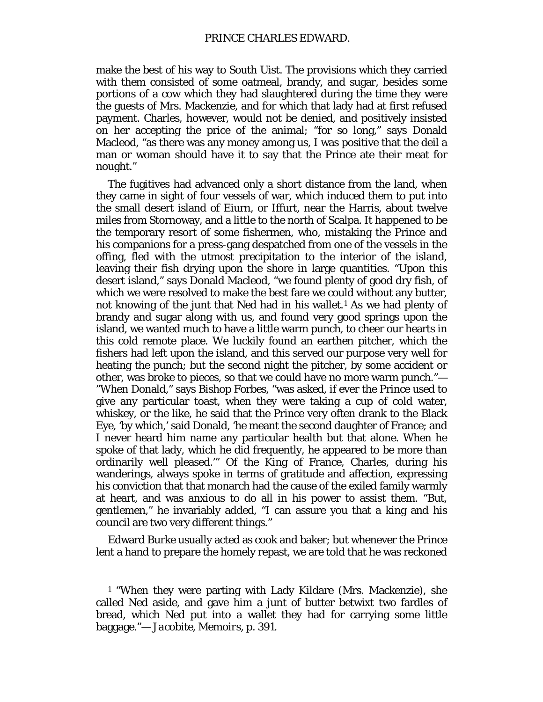make the best of his way to South Uist. The provisions which they carried with them consisted of some oatmeal, brandy, and sugar, besides some portions of a cow which they had slaughtered during the time they were the guests of Mrs. Mackenzie, and for which that lady had at first refused payment. Charles, however, would not be denied, and positively insisted on her accepting the price of the animal; "for so long," says Donald Macleod, "as there was any money among us, I was positive that the deil a man or woman should have it to say that the Prince ate their meat for nought."

The fugitives had advanced only a short distance from the land, when they came in sight of four vessels of war, which induced them to put into the small desert island of Eiurn, or Iffurt, near the Harris, about twelve miles from Stornoway, and a little to the north of Scalpa. It happened to be the temporary resort of some fishermen, who, mistaking the Prince and his companions for a press-gang despatched from one of the vessels in the offing, fled with the utmost precipitation to the interior of the island, leaving their fish drying upon the shore in large quantities. "Upon this desert island," says Donald Macleod, "we found plenty of good dry fish, of which we were resolved to make the best fare we could without any butter, not knowing of the junt that Ned had in his wallet.<sup>[1](#page-36-0)</sup> As we had plenty of brandy and sugar along with us, and found very good springs upon the island, we wanted much to have a little warm punch, to cheer our hearts in this cold remote place. We luckily found an earthen pitcher, which the fishers had left upon the island, and this served our purpose very well for heating the punch; but the second night the pitcher, by some accident or other, was broke to pieces, so that we could have no more warm punch."— "When Donald," says Bishop Forbes, "was asked, if ever the Prince used to give any particular toast, when they were taking a cup of cold water, whiskey, or the like, he said that the Prince very often drank to the Black Eye, 'by which,' said Donald, 'he meant the second daughter of France; and I never heard him name any particular health but that alone. When he spoke of that lady, which he did frequently, he appeared to be more than ordinarily well pleased.'" Of the King of France, Charles, during his wanderings, always spoke in terms of gratitude and affection, expressing his conviction that that monarch had the cause of the exiled family warmly at heart, and was anxious to do all in his power to assist them. "But, gentlemen," he invariably added, "I can assure you that a king and his council are two very different things."

Edward Burke usually acted as cook and baker; but whenever the Prince lent a hand to prepare the homely repast, we are told that he was reckoned

<span id="page-36-0"></span><sup>1</sup> "When they were parting with Lady Kildare (Mrs. Mackenzie), she called Ned aside, and gave him a junt of butter betwixt two fardles of bread, which Ned put into a wallet they had for carrying some little baggage."— *Jacobite, Memoirs,* p. 391.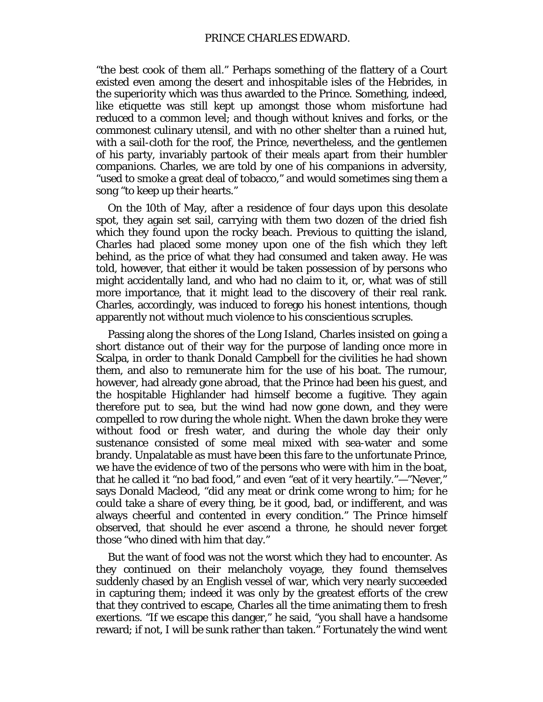#### PRINCE CHARLES EDWARD.

"the best cook of them all." Perhaps something of the flattery of a Court existed even among the desert and inhospitable isles of the Hebrides, in the superiority which was thus awarded to the Prince. Something, indeed, like etiquette was still kept up amongst those whom misfortune had reduced to a common level; and though without knives and forks, or the commonest culinary utensil, and with no other shelter than a ruined hut, with a sail-cloth for the roof, the Prince, nevertheless, and the gentlemen of his party, invariably partook of their meals apart from their humbler companions. Charles, we are told by one of his companions in adversity, "used to smoke a great deal of tobacco," and would sometimes sing them a song "to keep up their hearts."

On the 10th of May, after a residence of four days upon this desolate spot, they again set sail, carrying with them two dozen of the dried fish which they found upon the rocky beach. Previous to quitting the island, Charles had placed some money upon one of the fish which they left behind, as the price of what they had consumed and taken away. He was told, however, that either it would be taken possession of by persons who might accidentally land, and who had no claim to it, or, what was of still more importance, that it might lead to the discovery of their real rank. Charles, accordingly, was induced to forego his honest intentions, though apparently not without much violence to his conscientious scruples.

Passing along the shores of the Long Island, Charles insisted on going a short distance out of their way for the purpose of landing once more in Scalpa, in order to thank Donald Campbell for the civilities he had shown them, and also to remunerate him for the use of his boat. The rumour, however, had already gone abroad, that the Prince had been his guest, and the hospitable Highlander had himself become a fugitive. They again therefore put to sea, but the wind had now gone down, and they were compelled to row during the whole night. When the dawn broke they were without food or fresh water, and during the whole day their only sustenance consisted of some meal mixed with sea-water and some brandy. Unpalatable as must have been this fare to the unfortunate Prince, we have the evidence of two of the persons who were with him in the boat, that he called it "no bad food," and even "eat of it very heartily."—"Never," says Donald Macleod, "did any meat or drink come wrong to him; for he could take a share of every thing, be it good, bad, or indifferent, and was always cheerful and contented in every condition." The Prince himself observed, that should he ever ascend a throne, he should never forget those "who dined with him that day."

But the want of food was not the worst which they had to encounter. As they continued on their melancholy voyage, they found themselves suddenly chased by an English vessel of war, which very nearly succeeded in capturing them; indeed it was only by the greatest efforts of the crew that they contrived to escape, Charles all the time animating them to fresh exertions. "If we escape this danger," he said, "you shall have a handsome reward; if not, I will be sunk rather than taken." Fortunately the wind went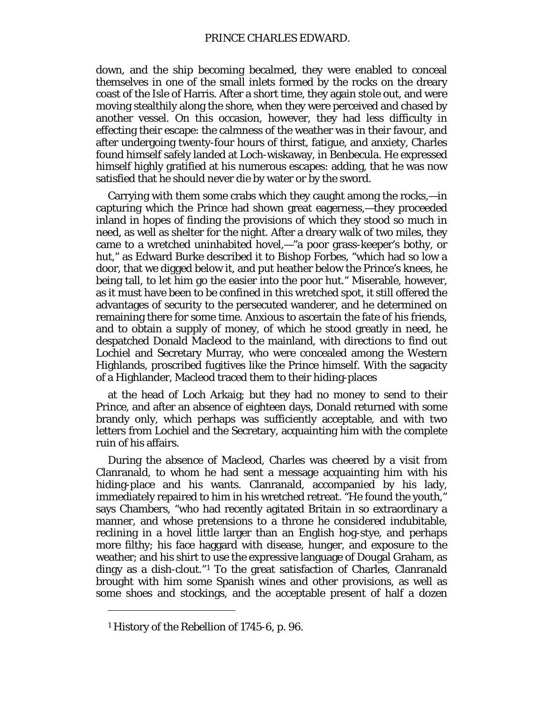down, and the ship becoming becalmed, they were enabled to conceal themselves in one of the small inlets formed by the rocks on the dreary coast of the Isle of Harris. After a short time, they again stole out, and were moving stealthily along the shore, when they were perceived and chased by another vessel. On this occasion, however, they had less difficulty in effecting their escape: the calmness of the weather was in their favour, and after undergoing twenty-four hours of thirst, fatigue, and anxiety, Charles found himself safely landed at Loch-wiskaway, in Benbecula. He expressed himself highly gratified at his numerous escapes: adding, that he was now satisfied that he should never die by water or by the sword.

Carrying with them some crabs which they caught among the rocks,—in capturing which the Prince had shown great eagerness,—they proceeded inland in hopes of finding the provisions of which they stood so much in need, as well as shelter for the night. After a dreary walk of two miles, they came to a wretched uninhabited hovel,—"a poor grass-keeper's bothy, or hut," as Edward Burke described it to Bishop Forbes, "which had so low a door, that we digged below it, and put heather below the Prince's knees, he being tall, to let him go the easier into the poor hut." Miserable, however, as it must have been to be confined in this wretched spot, it still offered the advantages of security to the persecuted wanderer, and he determined on remaining there for some time. Anxious to ascertain the fate of his friends, and to obtain a supply of money, of which he stood greatly in need, he despatched Donald Macleod to the mainland, with directions to find out Lochiel and Secretary Murray, who were concealed among the Western Highlands, proscribed fugitives like the Prince himself. With the sagacity of a Highlander, Macleod traced them to their hiding-places

at the head of Loch Arkaig; but they had no money to send to their Prince, and after an absence of eighteen days, Donald returned with some brandy only, which perhaps was sufficiently acceptable, and with two letters from Lochiel and the Secretary, acquainting him with the complete ruin of his affairs.

During the absence of Macleod, Charles was cheered by a visit from Clanranald, to whom he had sent a message acquainting him with his hiding-place and his wants. Clanranald, accompanied by his lady, immediately repaired to him in his wretched retreat. "He found the youth," says Chambers, "who had recently agitated Britain in so extraordinary a manner, and whose pretensions to a throne he considered indubitable, reclining in a hovel little larger than an English hog-stye, and perhaps more filthy; his face haggard with disease, hunger, and exposure to the weather; and his shirt to use the expressive language of Dougal Graham, as dingy as a dish-clout."[1](#page-38-0) To the great satisfaction of Charles, Clanranald brought with him some Spanish wines and other provisions, as well as some shoes and stockings, and the acceptable present of half a dozen

<span id="page-38-0"></span><sup>1</sup> History of the Rebellion of 1745-6, p. 96.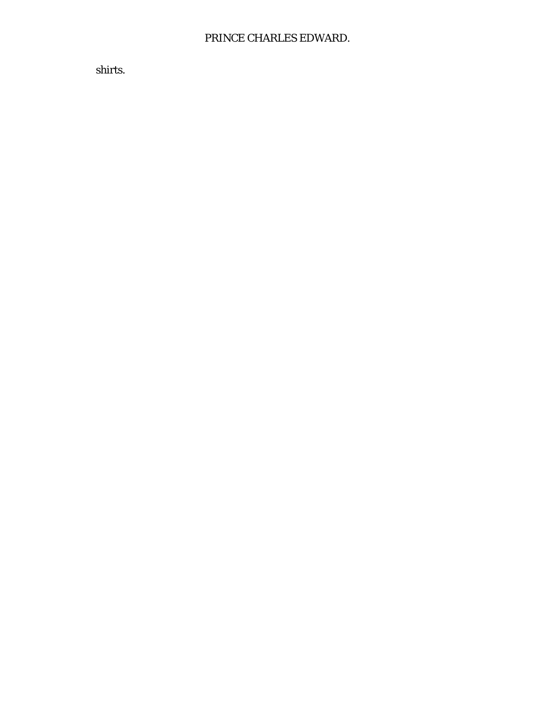# PRINCE CHARLES EDWARD.

shirts.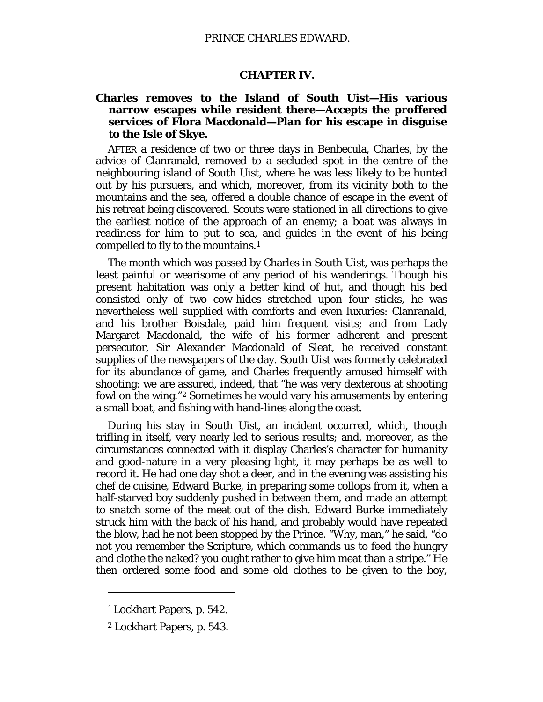#### **CHAPTER IV.**

# **Charles removes to the Island of South Uist—His various narrow escapes while resident there—Accepts the proffered services of Flora Macdonald—Plan for his escape in disguise to the Isle of Skye.**

AFTER a residence of two or three days in Benbecula, Charles, by the advice of Clanranald, removed to a secluded spot in the centre of the neighbouring island of South Uist, where he was less likely to be hunted out by his pursuers, and which, moreover, from its vicinity both to the mountains and the sea, offered a double chance of escape in the event of his retreat being discovered. Scouts were stationed in all directions to give the earliest notice of the approach of an enemy; a boat was always in readiness for him to put to sea, and guides in the event of his being compelled to fly to the mountains.[1](#page-40-0)

The month which was passed by Charles in South Uist, was perhaps the least painful or wearisome of any period of his wanderings. Though his present habitation was only a better kind of hut, and though his bed consisted only of two cow-hides stretched upon four sticks, he was nevertheless well supplied with comforts and even luxuries: Clanranald, and his brother Boisdale, paid him frequent visits; and from Lady Margaret Macdonald, the wife of his former adherent and present persecutor, Sir Alexander Macdonald of Sleat, he received constant supplies of the newspapers of the day. South Uist was formerly celebrated for its abundance of game, and Charles frequently amused himself with shooting: we are assured, indeed, that "he was very dexterous at shooting fowl on the wing."[2](#page-40-1) Sometimes he would vary his amusements by entering a small boat, and fishing with hand-lines along the coast.

During his stay in South Uist, an incident occurred, which, though trifling in itself, very nearly led to serious results; and, moreover, as the circumstances connected with it display Charles's character for humanity and good-nature in a very pleasing light, it may perhaps be as well to record it. He had one day shot a deer, and in the evening was assisting his *chef de cuisine,* Edward Burke, in preparing some collops from it, when a half-starved boy suddenly pushed in between them, and made an attempt to snatch some of the meat out of the dish. Edward Burke immediately struck him with the back of his hand, and probably would have repeated the blow, had he not been stopped by the Prince. "Why, man," he said, "do not you remember the Scripture, which commands us to feed the hungry and clothe the naked? you ought rather to give him meat than a stripe." He then ordered some food and some old clothes to be given to the boy,

<span id="page-40-0"></span><sup>1</sup> Lockhart Papers, p. 542.

<span id="page-40-1"></span><sup>2</sup> Lockhart Papers, p. 543.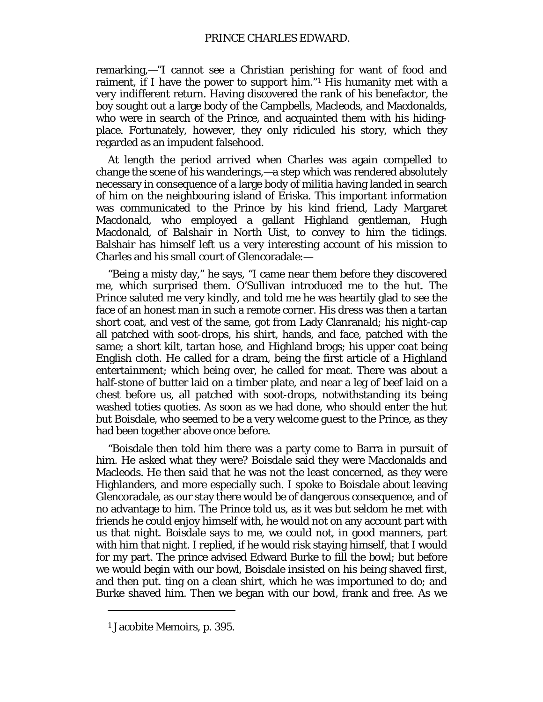remarking,—"I cannot see a Christian perishing for want of food and raiment, if I have the power to support him."[1](#page-41-0) His humanity met with a very indifferent return. Having discovered the rank of his benefactor, the boy sought out a large body of the Campbells, Macleods, and Macdonalds, who were in search of the Prince, and acquainted them with his hidingplace. Fortunately, however, they only ridiculed his story, which they regarded as an impudent falsehood.

At length the period arrived when Charles was again compelled to change the scene of his wanderings,—a step which was rendered absolutely necessary in consequence of a large body of militia having landed in search of him on the neighbouring island of Eriska. This important information was communicated to the Prince by his kind friend, Lady Margaret Macdonald, who employed a gallant Highland gentleman, Hugh Macdonald, of Balshair in North Uist, to convey to him the tidings. Balshair has himself left us a very interesting account of his mission to Charles and his small court of Glencoradale:—

"Being a misty day," he says, "I came near them before they discovered me, which surprised them. O'Sullivan introduced me to the hut. The Prince saluted me very kindly, and told me he was heartily glad to see the face of an honest man in such a remote corner. His dress was then a tartan short coat, and vest of the same, got from Lady Clanranald; his night-cap all patched with soot-drops, his shirt, hands, and face, patched with the same; a short kilt, tartan hose, and Highland brogs; his upper coat being English cloth. He called for a dram, being the first article of a Highland entertainment; which being over, he called for meat. There was about a half-stone of butter laid on a timber plate, and near a leg of beef laid on a chest before us, all patched with soot-drops, notwithstanding its being washed *toties quoties.* As soon as we had done, who should enter the hut but Boisdale, who seemed to be a very welcome guest to the Prince, as they had been together above once before.

"Boisdale then told him there was a party come to Barra in pursuit of him. He asked what they were? Boisdale said they were Macdonalds and Macleods. He then said that he was not the least concerned, as they were Highlanders, and more especially such. I spoke to Boisdale about leaving Glencoradale, as our stay there would be of dangerous consequence, and of no advantage to him. The Prince told us, as it was but seldom he met with friends he could enjoy himself with, he would not on any account part with us that night. Boisdale says to me, we could not, in good manners, part with him that night. I replied, if he would risk staying himself, that I would for my part. The prince advised Edward Burke to fill the bowl; but before we would begin with our bowl, Boisdale insisted on his being shaved first, and then put. ting on a clean shirt, which he was importuned to do; and Burke shaved him. Then we began with our bowl, frank and free. As we

<span id="page-41-0"></span><sup>1</sup> Jacobite Memoirs, p. 395.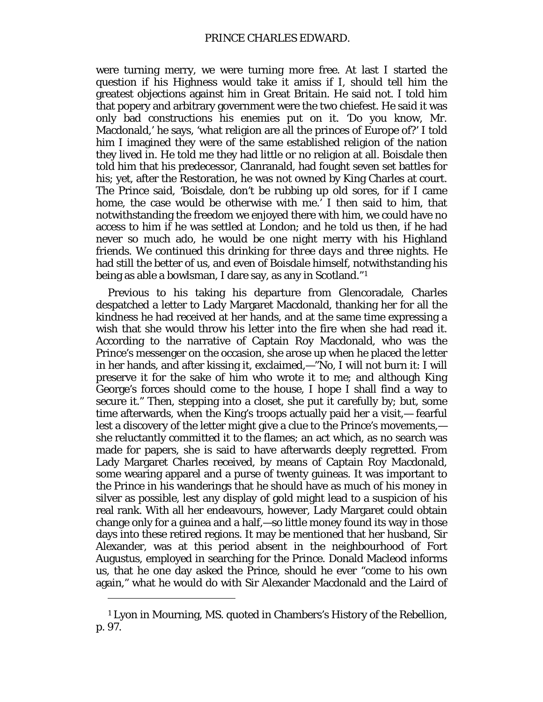were turning merry, we were turning more free. At last I started the question if his Highness would take it amiss if I, should tell him the greatest objections against him in Great Britain. He said not. I told him that popery and arbitrary government were the two chiefest. He said it was only bad constructions his enemies put on it. 'Do you know, Mr. Macdonald,' he says, 'what religion are all the princes of Europe of?' I told him I imagined they were of the same established religion of the nation they lived in. He told me they had little or no religion at all. Boisdale then told him that his predecessor, Clanranald, had fought seven set battles for his; yet, after the Restoration, he was not owned by King Charles at court. The Prince said, 'Boisdale, don't be rubbing up old sores, for if I came home, the case would be otherwise with me.' I then said to him, that notwithstanding the freedom we enjoyed there with him, we could have no access to him if he was settled at London; and he told us then, if he had never so much ado, he would be one night merry with his Highland friends. We continued this drinking for *three days and three nights.* He had still the better of us, and even of Boisdale himself, notwithstanding his being as able a bowlsman, I dare say, as any in Scotland."[1](#page-42-0)

Previous to his taking his departure from Glencoradale, Charles despatched a letter to Lady Margaret Macdonald, thanking her for all the kindness he had received at her hands, and at the same time expressing a wish that she would throw his letter into the fire when she had read it. According to the narrative of Captain Roy Macdonald, who was the Prince's messenger on the occasion, she arose up when he placed the letter in her hands, and after kissing it, exclaimed,—"No, I will not burn it: I will preserve it for the sake of him who wrote it to me; and although King George's forces should come to the house, I hope I shall find a way to secure it." Then, stepping into a closet, she put it carefully by; but, some time afterwards, when the King's troops actually paid her a visit,— fearful lest a discovery of the letter might give a clue to the Prince's movements, she reluctantly committed it to the flames; an act which, as no search was made for papers, she is said to have afterwards deeply regretted. From Lady Margaret Charles received, by means of Captain Roy Macdonald, some wearing apparel and a purse of twenty guineas. It was important to the Prince in his wanderings that he should have as much of his money in silver as possible, lest any display of gold might lead to a suspicion of his real rank. With all her endeavours, however, Lady Margaret could obtain change only for a guinea and a half,—so little money found its way in those days into these retired regions. It may be mentioned that her husband, Sir Alexander, was at this period absent in the neighbourhood of Fort Augustus, employed in searching for the Prince. Donald Macleod informs us, that he one day asked the Prince, should he ever "come to his own again," what he would do with Sir Alexander Macdonald and the Laird of

<span id="page-42-0"></span><sup>1</sup> Lyon in Mourning, MS. quoted in Chambers's History of the Rebellion, p. 97.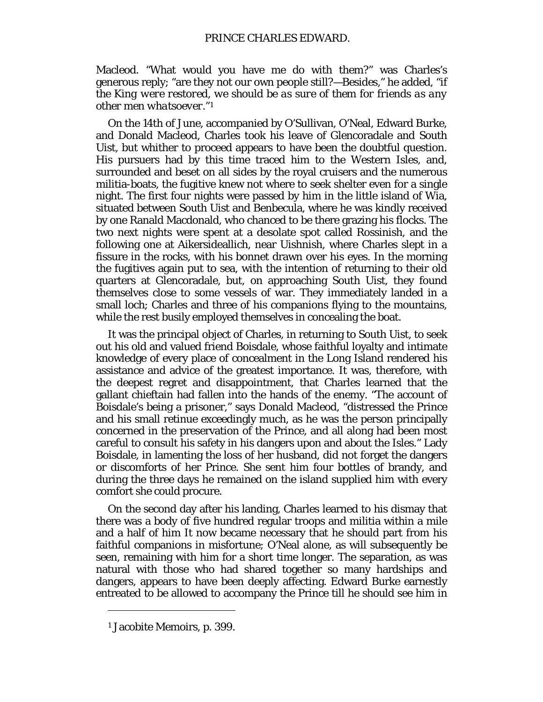Macleod. "What would you have me do with them?" was Charles's generous reply; "are they not our own people still?—*Besides,"* he added, "*if the King were restored, we should be as sure of them for friends as any other men whatsoever."[1](#page-43-0)*

On the 14th of June, accompanied by O'Sullivan, O'Neal, Edward Burke, and Donald Macleod, Charles took his leave of Glencoradale and South Uist, but whither to proceed appears to have been the doubtful question. His pursuers had by this time traced him to the Western Isles, and, surrounded and beset on all sides by the royal cruisers and the numerous militia-boats, the fugitive knew not where to seek shelter even for a single night. The first four nights were passed by him in the little island of Wia, situated between South Uist and Benbecula, where he was kindly received by one Ranald Macdonald, who chanced to be there grazing his flocks. The two next nights were spent at a desolate spot called Rossinish, and the following one at Aikersideallich, near Uishnish, where Charles slept in a fissure in the rocks, with his bonnet drawn over his eyes. In the morning the fugitives again put to sea, with the intention of returning to their old quarters at Glencoradale, but, on approaching South Uist, they found themselves close to some vessels of war. They immediately landed in a small loch; Charles and three of his companions flying to the mountains, while the rest busily employed themselves in concealing the boat.

It was the principal object of Charles, in returning to South Uist, to seek out his old and valued friend Boisdale, whose faithful loyalty and intimate knowledge of every place of concealment in the Long Island rendered his assistance and advice of the greatest importance. It was, therefore, with the deepest regret and disappointment, that Charles learned that the gallant chieftain had fallen into the hands of the enemy. "The account of Boisdale's being a prisoner," says Donald Macleod, "distressed the Prince and his small retinue exceedingly much, as he was the person principally concerned in the preservation of the Prince, and all along had been most careful to consult his safety in his dangers upon and about the Isles." Lady Boisdale, in lamenting the loss of her husband, did not forget the dangers or discomforts of her Prince. She sent him four bottles of brandy, and during the three days he remained on the island supplied him with every comfort she could procure.

On the second day after his landing, Charles learned to his dismay that there was a body of five hundred regular troops and militia within a mile and a half of him It now became necessary that he should part from his faithful companions in misfortune; O'Neal alone, as will subsequently be seen, remaining with him for a short time longer. The separation, as was natural with those who had shared together so many hardships and dangers, appears to have been deeply affecting. Edward Burke earnestly entreated to be allowed to accompany the Prince till he should see him in

<span id="page-43-0"></span><sup>1</sup> Jacobite Memoirs, p. 399.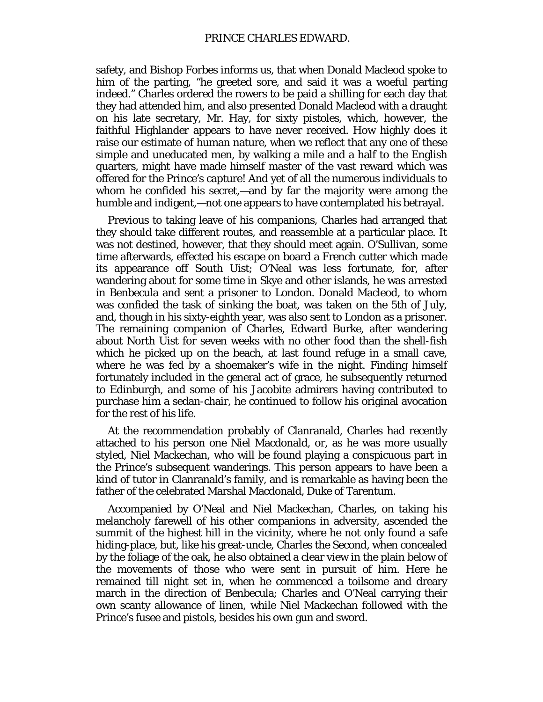safety, and Bishop Forbes informs us, that when Donald Macleod spoke to him of the parting, "he greeted sore, and said it was a woeful parting indeed." Charles ordered the rowers to be paid a shilling for each day that they had attended him, and also presented Donald Macleod with a draught on his late secretary, Mr. Hay, for sixty pistoles, which, however, the faithful Highlander appears to have never received. How highly does it raise our estimate of human nature, when we reflect that any one of these simple and uneducated men, by walking a mile and a half to the English quarters, might have made himself master of the vast reward which was offered for the Prince's capture! And yet of all the numerous individuals to whom he confided his secret,—and by far the majority were among the humble and indigent,—not one appears to have contemplated his betrayal.

Previous to taking leave of his companions, Charles had arranged that they should take different routes, and reassemble at a particular place. It was not destined, however, that they should meet again. O'Sullivan, some time afterwards, effected his escape on board a French cutter which made its appearance off South Uist; O'Neal was less fortunate, for, after wandering about for some time in Skye and other islands, he was arrested in Benbecula and sent a prisoner to London. Donald Macleod, to whom was confided the task of sinking the boat, was taken on the 5th of July, and, though in his sixty-eighth year, was also sent to London as a prisoner. The remaining companion of Charles, Edward Burke, after wandering about North Uist for seven weeks with no other food than the shell-fish which he picked up on the beach, at last found refuge in a small cave, where he was fed by a shoemaker's wife in the night. Finding himself fortunately included in the general act of grace, he subsequently returned to Edinburgh, and some of his Jacobite admirers having contributed to purchase him a sedan-chair, he continued to follow his original avocation for the rest of his life.

At the recommendation probably of Clanranald, Charles had recently attached to his person one Niel Macdonald, or, as he was more usually styled, Niel Mackechan, who will be found playing a conspicuous part in the Prince's subsequent wanderings. This person appears to have been a kind of tutor in Clanranald's family, and is remarkable as having been the father of the celebrated Marshal Macdonald, Duke of Tarentum.

Accompanied by O'Neal and Niel Mackechan, Charles, on taking his melancholy farewell of his other companions in adversity, ascended the summit of the highest hill in the vicinity, where he not only found a safe hiding-place, but, like his great-uncle, Charles the Second, when concealed by the foliage of the oak, he also obtained a clear view in the plain below of the movements of those who were sent in pursuit of him. Here he remained till night set in, when he commenced a toilsome and dreary march in the direction of Benbecula; Charles and O'Neal carrying their own scanty allowance of linen, while Niel Mackechan followed with the Prince's fusee and pistols, besides his own gun and sword.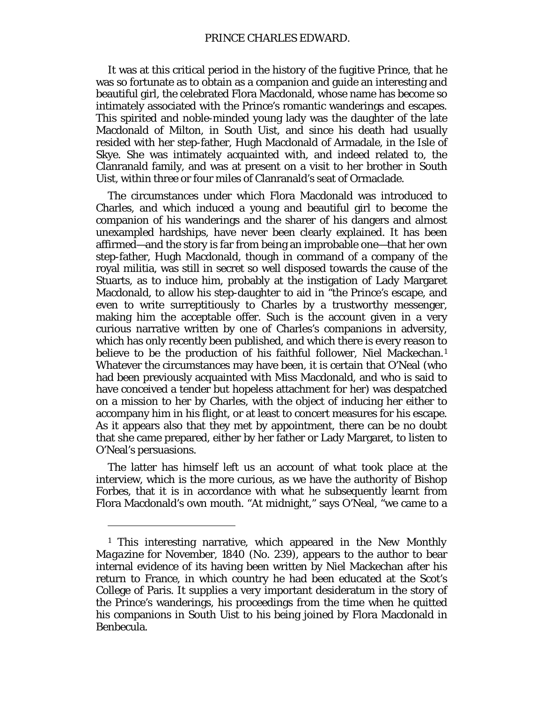It was at this critical period in the history of the fugitive Prince, that he was so fortunate as to obtain as a companion and guide an interesting and beautiful girl, the celebrated Flora Macdonald, whose name has become so intimately associated with the Prince's romantic wanderings and escapes. This spirited and noble-minded young lady was the daughter of the late Macdonald of Milton, in South Uist, and since his death had usually resided with her step-father, Hugh Macdonald of Armadale, in the Isle of Skye. She was intimately acquainted with, and indeed related to, the Clanranald family, and was at present on a visit to her brother in South Uist, within three or four miles of Clanranald's seat of Ormaclade.

The circumstances under which Flora Macdonald was introduced to Charles, and which induced a young and beautiful girl to become the companion of his wanderings and the sharer of his dangers and almost unexampled hardships, have never been clearly explained. It has been affirmed—and the story is far from being an improbable one—that her own step-father, Hugh Macdonald, though in command of a company of the royal militia, was still in secret so well disposed towards the cause of the Stuarts, as to induce him, probably at the instigation of Lady Margaret Macdonald, to allow his step-daughter to aid in "the Prince's escape, and even to write surreptitiously to Charles by a trustworthy messenger, making him the acceptable offer. Such is the account given in a very curious narrative written by one of Charles's companions in adversity, which has only recently been published, and which there is every reason to believe to be the production of his faithful follower, Niel Mackechan.<sup>[1](#page-45-0)</sup> Whatever the circumstances may have been, it is certain that O'Neal (who had been previously acquainted with Miss Macdonald, and who is said to have conceived a tender but hopeless attachment for her) was despatched on a mission to her by Charles, with the object of inducing her either to accompany him in his flight, or at least to concert measures for his escape. As it appears also that they met by appointment, there can be no doubt that she came prepared, either by her father or Lady Margaret, to listen to O'Neal's persuasions.

The latter has himself left us an account of what took place at the interview, which is the more curious, as we have the authority of Bishop Forbes, that it is in accordance with what he subsequently learnt from Flora Macdonald's own mouth. "At midnight," says O'Neal, "we came to a

 $\overline{a}$ 

<span id="page-45-0"></span><sup>1</sup> This interesting narrative, which appeared in the *New Monthly Magazine* for November, 1840 (No. 239), appears to the author to bear internal evidence of its having been written by Niel Mackechan after his return to France, in which country he had been educated at the Scot's College of Paris. It supplies a very important desideratum in the story of the Prince's wanderings, his proceedings from the time when he quitted his companions in South Uist to his being joined by Flora Macdonald in Benbecula.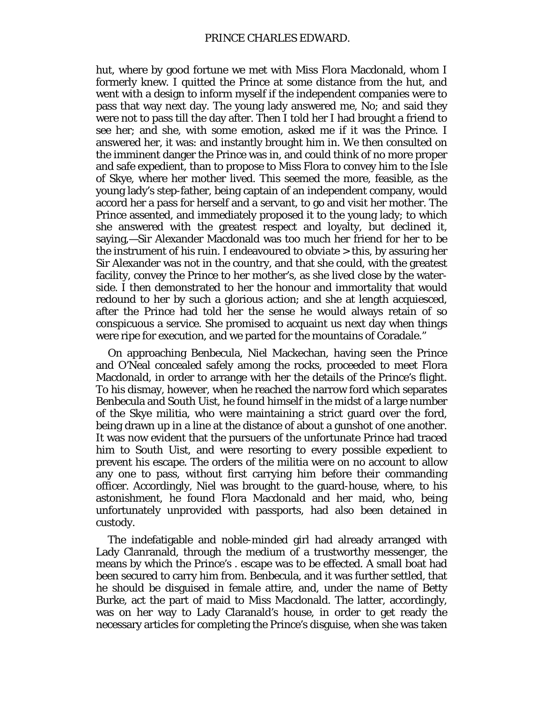hut, where by good fortune we met with Miss Flora Macdonald, whom I formerly knew. I quitted the Prince at some distance from the hut, and went with a design to inform myself if the independent companies were to pass that way next day. The young lady answered me, No; and said they were not to pass till the day after. Then I told her I had brought a friend to see her; and she, with some emotion, asked me if it was the Prince. I answered her, it was: and instantly brought him in. We then consulted on the imminent danger the Prince was in, and could think of no more proper and safe expedient, than to propose to Miss Flora to convey him to the Isle of Skye, where her mother lived. This seemed the more, feasible, as the young lady's step-father, being captain of an independent company, would accord her a pass for herself and a servant, to go and visit her mother. The Prince assented, and immediately proposed it to the young lady; to which she answered with the greatest respect and loyalty, but declined it, saying,—Sir Alexander Macdonald was too much her friend for her to be the instrument of his ruin. I endeavoured to obviate > this, by assuring her Sir Alexander was not in the country, and that she could, with the greatest facility, convey the Prince to her mother's, as she lived close by the waterside. I then demonstrated to her the honour and immortality that would redound to her by such a glorious action; and she at length acquiesced, after the Prince had told her the sense he would always retain of so conspicuous a service. She promised to acquaint us next day when things were ripe for execution, and we parted for the mountains of Coradale."

On approaching Benbecula, Niel Mackechan, having seen the Prince and O'Neal concealed safely among the rocks, proceeded to meet Flora Macdonald, in order to arrange with her the details of the Prince's flight. To his dismay, however, when he reached the narrow ford which separates Benbecula and South Uist, he found himself in the midst of a large number of the Skye militia, who were maintaining a strict guard over the ford, being drawn up in a line at the distance of about a gunshot of one another. It was now evident that the pursuers of the unfortunate Prince had traced him to South Uist, and were resorting to every possible expedient to prevent his escape. The orders of the militia were on no account to allow any one to pass, without first carrying him before their commanding officer. Accordingly, Niel was brought to the guard-house, where, to his astonishment, he found Flora Macdonald and her maid, who, being unfortunately unprovided with passports, had also been detained in custody.

The indefatigable and noble-minded girl had already arranged with Lady Clanranald, through the medium of a trustworthy messenger, the means by which the Prince's . escape was to be effected. A small boat had been secured to carry him from. Benbecula, and it was further settled, that he should be disguised in female attire, and, under the name of Betty Burke, act the part of maid to Miss Macdonald. The latter, accordingly, was on her way to Lady Claranald's house, in order to get ready the necessary articles for completing the Prince's disguise, when she was taken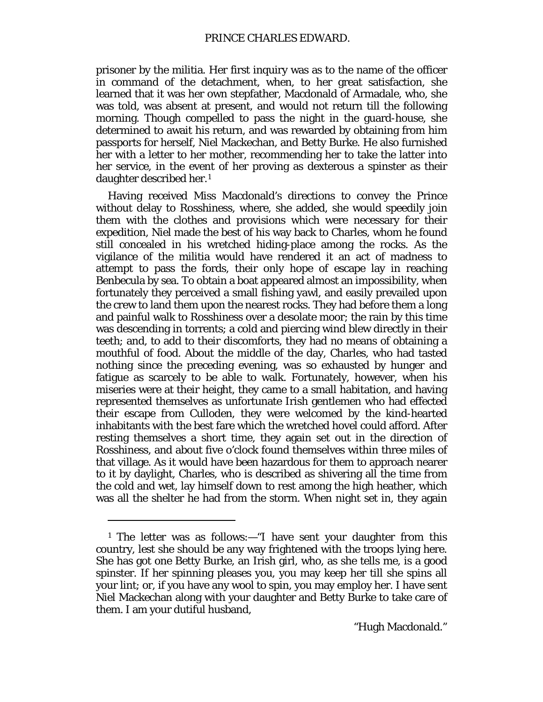prisoner by the militia. Her first inquiry was as to the name of the officer in command of the detachment, when, to her great satisfaction, she learned that it was her own stepfather, Macdonald of Armadale, who, she was told, was absent at present, and would not return till the following morning. Though compelled to pass the night in the guard-house, she determined to await his return, and was rewarded by obtaining from him passports for herself, Niel Mackechan, and Betty Burke. He also furnished her with a letter to her mother, recommending her to take the latter into her service, in the event of her proving as dexterous a spinster as their daughter described her.[1](#page-47-0)

Having received Miss Macdonald's directions to convey the Prince without delay to Rosshiness, where, she added, she would speedily join them with the clothes and provisions which were necessary for their expedition, Niel made the best of his way back to Charles, whom he found still concealed in his wretched hiding-place among the rocks. As the vigilance of the militia would have rendered it an act of madness to attempt to pass the fords, their only hope of escape lay in reaching Benbecula by sea. To obtain a boat appeared almost an impossibility, when fortunately they perceived a small fishing yawl, and easily prevailed upon the crew to land them upon the nearest rocks. They had before them a long and painful walk to Rosshiness over a desolate moor; the rain by this time was descending in torrents; a cold and piercing wind blew directly in their teeth; and, to add to their discomforts, they had no means of obtaining a mouthful of food. About the middle of the day, Charles, who had tasted nothing since the preceding evening, was so exhausted by hunger and fatigue as scarcely to be able to walk. Fortunately, however, when his miseries were at their height, they came to a small habitation, and having represented themselves as unfortunate Irish gentlemen who had effected their escape from Culloden, they were welcomed by the kind-hearted inhabitants with the best fare which the wretched hovel could afford. After resting themselves a short time, they again set out in the direction of Rosshiness, and about five o'clock found themselves within three miles of that village. As it would have been hazardous for them to approach nearer to it by daylight, Charles, who is described as shivering all the time from the cold and wet, lay himself down to rest among the high heather, which was all the shelter he had from the storm. When night set in, they again

 $\overline{a}$ 

<span id="page-47-0"></span><sup>1</sup> The letter was as follows:—"I have sent your daughter from this country, lest she should be any way frightened with the troops lying here. She has got one Betty Burke, an Irish girl, who, as she tells me, is a good spinster. If her spinning pleases you, you may keep her till she spins all your lint; or, if you have any wool to spin, you may employ her. I have sent Niel Mackechan along with your daughter and Betty Burke to take care of them. I am your dutiful husband,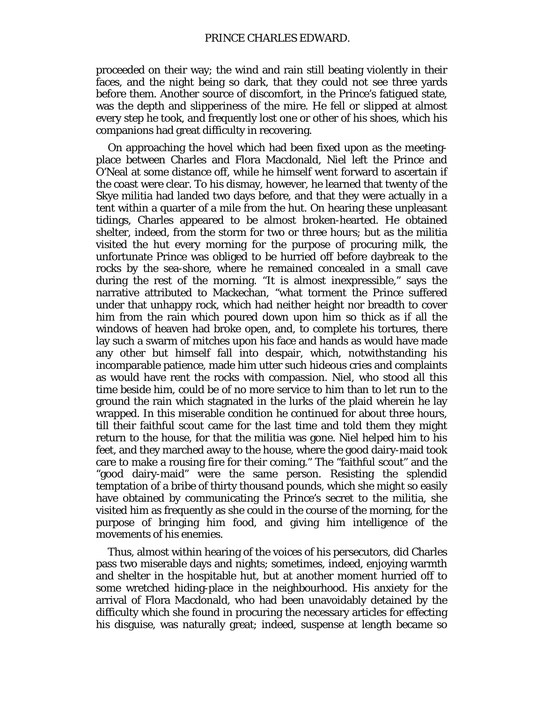proceeded on their way; the wind and rain still beating violently in their faces, and the night being so dark, that they could not see three yards before them. Another source of discomfort, in the Prince's fatigued state, was the depth and slipperiness of the mire. He fell or slipped at almost every step he took, and frequently lost one or other of his shoes, which his companions had great difficulty in recovering.

On approaching the hovel which had been fixed upon as the meetingplace between Charles and Flora Macdonald, Niel left the Prince and O'Neal at some distance off, while he himself went forward to ascertain if the coast were clear. To his dismay, however, he learned that twenty of the Skye militia had landed two days before, and that they were actually in a tent within a quarter of a mile from the hut. On hearing these unpleasant tidings, Charles appeared to be almost broken-hearted. He obtained shelter, indeed, from the storm for two or three hours; but as the militia visited the hut every morning for the purpose of procuring milk, the unfortunate Prince was obliged to be hurried off before daybreak to the rocks by the sea-shore, where he remained concealed in a small cave during the rest of the morning. "It is almost inexpressible," says the narrative attributed to Mackechan, "what torment the Prince suffered under that unhappy rock, which had neither height nor breadth to cover him from the rain which poured down upon him so thick as if all the windows of heaven had broke open, and, to complete his tortures, there lay such a swarm of mitches upon his face and hands as would have made any other but himself fall into despair, which, notwithstanding his incomparable patience, made him utter such hideous cries and complaints as would have rent the rocks with compassion. Niel, who stood all this time beside him, could be of no more service to him than to let run to the ground the rain which stagnated in the lurks of the plaid wherein he lay wrapped. In this miserable condition he continued for about three hours, till their faithful scout came for the last time and told them they might return to the house, for that the militia was gone. Niel helped him to his feet, and they marched away to the house, where the good dairy-maid took care to make a rousing fire for their coming." The "faithful scout" and the "good dairy-maid" were the same person. Resisting the splendid temptation of a bribe of thirty thousand pounds, which she might so easily have obtained by communicating the Prince's secret to the militia, she visited him as frequently as she could in the course of the morning, for the purpose of bringing him food, and giving him intelligence of the movements of his enemies.

Thus, almost within hearing of the voices of his persecutors, did Charles pass two miserable days and nights; sometimes, indeed, enjoying warmth and shelter in the hospitable hut, but at another moment hurried off to some wretched hiding-place in the neighbourhood. His anxiety for the arrival of Flora Macdonald, who had been unavoidably detained by the difficulty which she found in procuring the necessary articles for effecting his disguise, was naturally great; indeed, suspense at length became so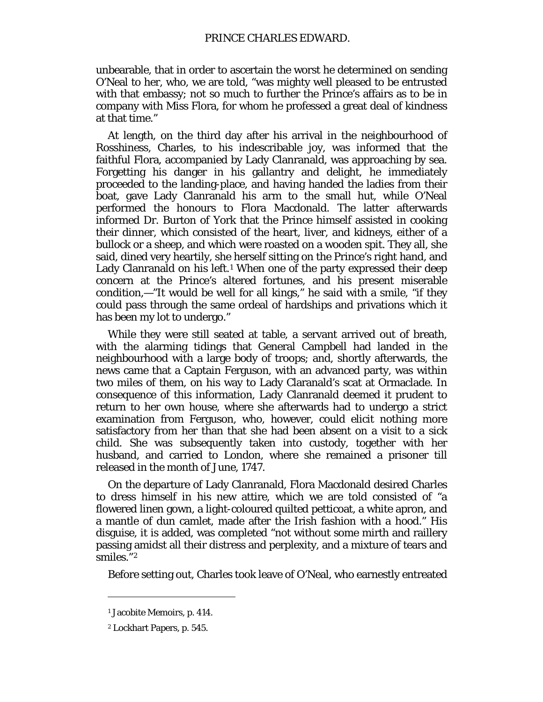unbearable, that in order to ascertain the worst he determined on sending O'Neal to her, who, we are told, "was mighty well pleased to be entrusted with that embassy; not so much to further the Prince's affairs as to be in company with Miss Flora, for whom he professed a great deal of kindness at that time."

At length, on the third day after his arrival in the neighbourhood of Rosshiness, Charles, to his indescribable joy, was informed that the faithful Flora, accompanied by Lady Clanranald, was approaching by sea. Forgetting his danger in his gallantry and delight, he immediately proceeded to the landing-place, and having handed the ladies from their boat, gave Lady Clanranald his arm to the small hut, while O'Neal performed the honours to Flora Macdonald. The latter afterwards informed Dr. Burton of York that the Prince himself assisted in cooking their dinner, which consisted of the heart, liver, and kidneys, either of a bullock or a sheep, and which were roasted on a wooden spit. They all, she said, dined very heartily, she herself sitting on the Prince's right hand, and Lady Clanranald on his left.<sup>[1](#page-49-0)</sup> When one of the party expressed their deep concern at the Prince's altered fortunes, and his present miserable condition,—"It would be well for all kings," he said with a smile, "if they could pass through the same ordeal of hardships and privations which it has been my lot to undergo."

While they were still seated at table, a servant arrived out of breath, with the alarming tidings that General Campbell had landed in the neighbourhood with a large body of troops; and, shortly afterwards, the news came that a Captain Ferguson, with an advanced party, was within two miles of them, on his way to Lady Claranald's scat at Ormaclade. In consequence of this information, Lady Clanranald deemed it prudent to return to her own house, where she afterwards had to undergo a strict examination from Ferguson, who, however, could elicit nothing more satisfactory from her than that she had been absent on a visit to a sick child. She was subsequently taken into custody, together with her husband, and carried to London, where she remained a prisoner till released in the month of June, 1747.

On the departure of Lady Clanranald, Flora Macdonald desired Charles to dress himself in his new attire, which we are told consisted of "a flowered linen gown, a light-coloured quilted petticoat, a white apron, and a mantle of dun camlet, made after the Irish fashion with a hood." His disguise, it is added, was completed "not without some mirth and raillery passing amidst all their distress and perplexity, and a mixture of tears and smiles."[2](#page-49-1)

Before setting out, Charles took leave of O'Neal, who earnestly entreated

<span id="page-49-0"></span><sup>1</sup> Jacobite Memoirs, p. 414.

<span id="page-49-1"></span><sup>2</sup> Lockhart Papers, p. 545.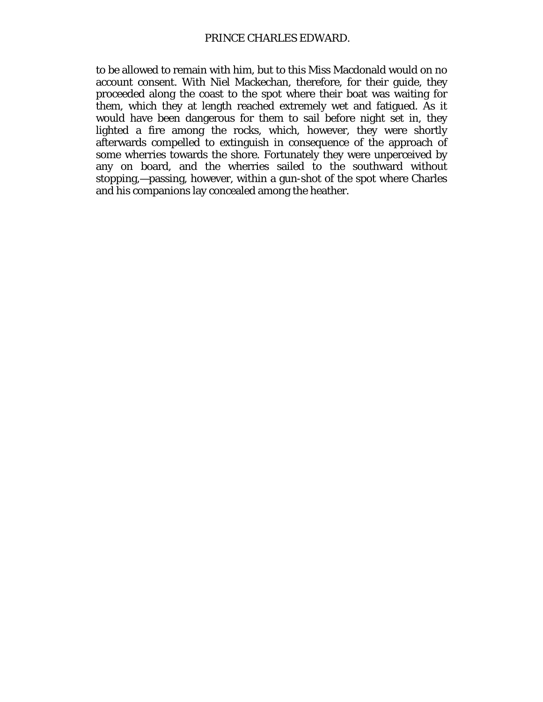to be allowed to remain with him, but to this Miss Macdonald would on no account consent. With Niel Mackechan, therefore, for their guide, they proceeded along the coast to the spot where their boat was waiting for them, which they at length reached extremely wet and fatigued. As it would have been dangerous for them to sail before night set in, they lighted a fire among the rocks, which, however, they were shortly afterwards compelled to extinguish in consequence of the approach of some wherries towards the shore. Fortunately they were unperceived by any on board, and the wherries sailed to the southward without stopping,—passing, however, within a gun-shot of the spot where Charles and his companions lay concealed among the heather.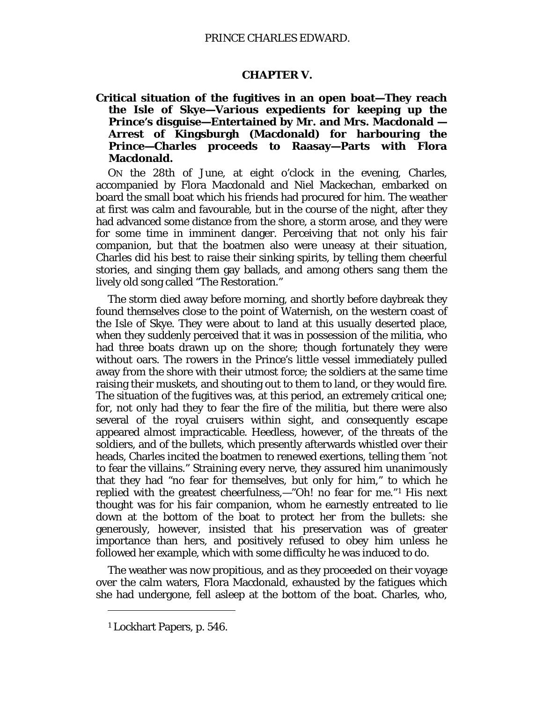## **CHAPTER** *V.*

**Critical situation of the fugitives in an open boat—They reach the Isle of Skye—Various expedients for keeping up the Prince's disguise—Entertained by Mr. and Mrs. Macdonald — Arrest of Kingsburgh (Macdonald) for harbouring the Prince—Charles proceeds to Raasay—Parts with Flora Macdonald.**

ON the 28th of June, at eight o'clock in the evening, Charles, accompanied by Flora Macdonald and Niel Mackechan, embarked on board the small boat which his friends had procured for him. The weather at first was calm and favourable, but in the course of the night, after they had advanced some distance from the shore, a storm arose, and they were for some time in imminent danger. Perceiving that not only his fair companion, but that the boatmen also were uneasy at their situation, Charles did his best to raise their sinking spirits, by telling them cheerful stories, and singing them gay ballads, and among others sang them the lively old song called "The Restoration."

The storm died away before morning, and shortly before daybreak they found themselves close to the point of Waternish, on the western coast of the Isle of Skye. They were about to land at this usually deserted place, when they suddenly perceived that it was in possession of the militia, who had three boats drawn up on the shore; though fortunately they were without oars. The rowers in the Prince's little vessel immediately pulled away from the shore with their utmost force; the soldiers at the same time raising their muskets, and shouting out to them to land, or they would fire. The situation of the fugitives was, at this period, an extremely critical one; for, not only had they to fear the fire of the militia, but there were also several of the royal cruisers within sight, and consequently escape appeared almost impracticable. Heedless, however, of the threats of the soldiers, and of the bullets, which presently afterwards whistled over their heads, Charles incited the boatmen to renewed exertions, telling them "not to fear the villains." Straining every nerve, they assured him unanimously that they had "no fear for themselves, but only for him," to which he replied with the greatest cheerfulness,—"Oh! no fear for me."[1](#page-51-0) His next thought was for his fair companion, whom he earnestly entreated to lie down at the bottom of the boat to protect her from the bullets: she generously, however, insisted that his preservation was of greater importance than hers, and positively refused to obey him unless he followed her example, which with some difficulty he was induced to do.

The weather was now propitious, and as they proceeded on their voyage over the calm waters, Flora Macdonald, exhausted by the fatigues which she had undergone, fell asleep at the bottom of the boat. Charles, who,

<span id="page-51-0"></span><sup>1</sup> Lockhart Papers, p. 546.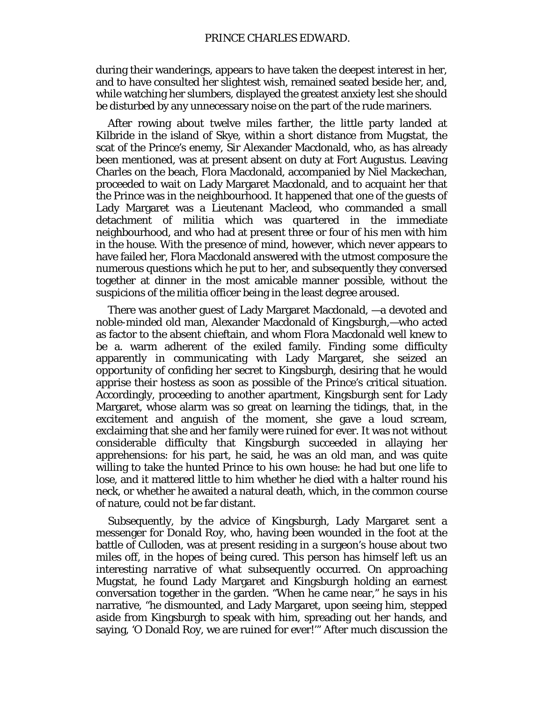during their wanderings, appears to have taken the deepest interest in her, and to have consulted her slightest wish, remained seated beside her, and, while watching her slumbers, displayed the greatest anxiety lest she should be disturbed by any unnecessary noise on the part of the rude mariners.

After rowing about twelve miles farther, the little party landed at Kilbride in the island of Skye, within a short distance from Mugstat, the scat of the Prince's enemy, Sir Alexander Macdonald, who, as has already been mentioned, was at present absent on duty at Fort Augustus. Leaving Charles on the beach, Flora Macdonald, accompanied by Niel Mackechan, proceeded to wait on Lady Margaret Macdonald, and to acquaint her that the Prince was in the neighbourhood. It happened that one of the guests of Lady Margaret was a Lieutenant Macleod, who commanded a small detachment of militia which was quartered in the immediate neighbourhood, and who had at present three or four of his men with him in the house. With the presence of mind, however, which never appears to have failed her, Flora Macdonald answered with the utmost composure the numerous questions which he put to her, and subsequently they conversed together at dinner in the most amicable manner possible, without the suspicions of the militia officer being in the least degree aroused.

There was another guest of Lady Margaret Macdonald, —a devoted and noble-minded old man, Alexander Macdonald of Kingsburgh,—who acted as factor to the absent chieftain, and whom Flora Macdonald well knew to be a. warm adherent of the exiled family. Finding some difficulty apparently in communicating with Lady Margaret, she seized an opportunity of confiding her secret to Kingsburgh, desiring that he would apprise their hostess as soon as possible of the Prince's critical situation. Accordingly, proceeding to another apartment, Kingsburgh sent for Lady Margaret, whose alarm was so great on learning the tidings, that, in the excitement and anguish of the moment, she gave a loud scream, exclaiming that she and her family were ruined for ever. It was not without considerable difficulty that Kingsburgh succeeded in allaying her apprehensions: for his part, he said, he was an old man, and was quite willing to take the hunted Prince to his own house: he had but one life to lose, and it mattered little to him whether he died with a halter round his neck, or whether he awaited a natural death, which, in the common course of nature, could not be far distant.

Subsequently, by the advice of Kingsburgh, Lady Margaret sent a messenger for Donald Roy, who, having been wounded in the foot at the battle of Culloden, was at present residing in a surgeon's house about two miles off, in the hopes of being cured. This person has himself left us an interesting narrative of what subsequently occurred. On approaching Mugstat, he found Lady Margaret and Kingsburgh holding an earnest conversation together in the garden. "When he came near," he says in his narrative, "he dismounted, and Lady Margaret, upon seeing him, stepped aside from Kingsburgh to speak with him, spreading out her hands, and saying, 'O Donald Roy, we are ruined for ever!'" After much discussion the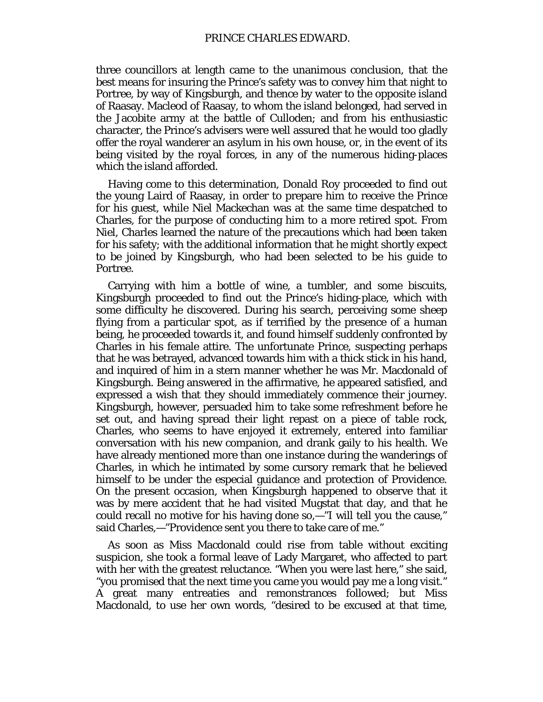three councillors at length came to the unanimous conclusion, that the best means for insuring the Prince's safety was to convey him that night to Portree, by way of Kingsburgh, and thence by water to the opposite island of Raasay. Macleod of Raasay, to whom the island belonged, had served in the Jacobite army at the battle of Culloden; and from his enthusiastic character, the Prince's advisers were well assured that he would too gladly offer the royal wanderer an asylum in his own house, or, in the event of its being visited by the royal forces, in any of the numerous hiding-places which the island afforded.

Having come to this determination, Donald Roy proceeded to find out the young Laird of Raasay, in order to prepare him to receive the Prince for his guest, while Niel Mackechan was at the same time despatched to Charles, for the purpose of conducting him to a more retired spot. From Niel, Charles learned the nature of the precautions which had been taken for his safety; with the additional information that he might shortly expect to be joined by Kingsburgh, who had been selected to be his guide to Portree.

Carrying with him a bottle of wine, a tumbler, and some biscuits, Kingsburgh proceeded to find out the Prince's hiding-place, which with some difficulty he discovered. During his search, perceiving some sheep flying from a particular spot, as if terrified by the presence of a human being, he proceeded towards it, and found himself suddenly confronted by Charles in his female attire. The unfortunate Prince, suspecting perhaps that he was betrayed, advanced towards him with a thick stick in his hand, and inquired of him in a stern manner whether he was Mr. Macdonald of Kingsburgh. Being answered in the affirmative, he appeared satisfied, and expressed a wish that they should immediately commence their journey. Kingsburgh, however, persuaded him to take some refreshment before he set out, and having spread their light repast on a piece of table rock, Charles, who seems to have enjoyed it extremely, entered into familiar conversation with his new companion, and drank gaily to his health. We have already mentioned more than one instance during the wanderings of Charles, in which he intimated by some cursory remark that he believed himself to be under the especial guidance and protection of Providence. On the present occasion, when Kingsburgh happened to observe that it was by mere accident that he had visited Mugstat that day, and that he could recall no motive for his having done so,—"I will tell you the cause," said Charles,—"Providence sent you there to take care of me."

As soon as Miss Macdonald could rise from table without exciting suspicion, she took a formal leave of Lady Margaret, who affected to part with her with the greatest reluctance. "When you were last here," she said, "you promised that the next time you came you would pay me a long visit." A great many entreaties and remonstrances followed; but Miss Macdonald, to use her own words, "desired to be excused at that time,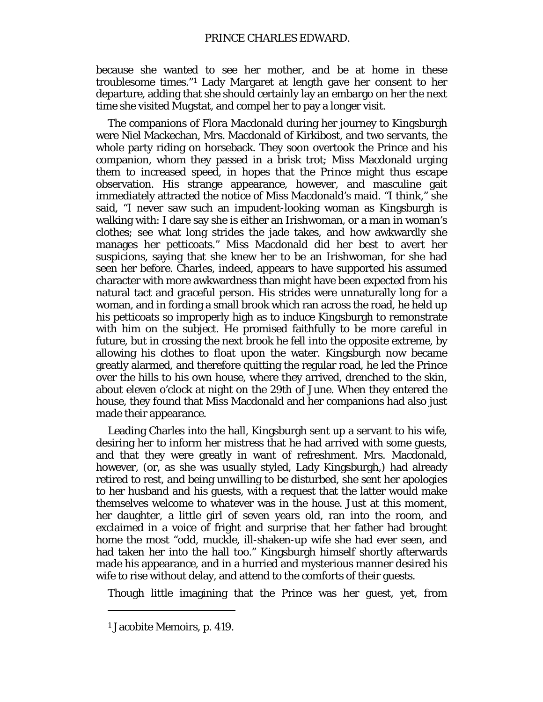because she wanted to see her mother, and be at home in these troublesome times."[1](#page-54-0) Lady Margaret at length gave her consent to her departure, adding that she should certainly lay an embargo on her the next time she visited Mugstat, and compel her to pay a longer visit.

The companions of Flora Macdonald during her journey to Kingsburgh were Niel Mackechan, Mrs. Macdonald of Kirkibost, and two servants, the whole party riding on horseback. They soon overtook the Prince and his companion, whom they passed in a brisk trot; Miss Macdonald urging them to increased speed, in hopes that the Prince might thus escape observation. His strange appearance, however, and masculine gait immediately attracted the notice of Miss Macdonald's maid. "I think," she said, "I never saw such an impudent-looking woman as Kingsburgh is walking with: I dare say she is either an Irishwoman, or a man in woman's clothes; see what long strides the jade takes, and how awkwardly she manages her petticoats." Miss Macdonald did her best to avert her suspicions, saying that she knew her to be an Irishwoman, for she had seen her before. Charles, indeed, appears to have supported his assumed character with more awkwardness than might have been expected from his natural tact and graceful person. His strides were unnaturally long for a woman, and in fording a small brook which ran across the road, he held up his petticoats so improperly high as to induce Kingsburgh to remonstrate with him on the subject. He promised faithfully to be more careful in future, but in crossing the next brook he fell into the opposite extreme, by allowing his clothes to float upon the water. Kingsburgh now became greatly alarmed, and therefore quitting the regular road, he led the Prince over the hills to his own house, where they arrived, drenched to the skin, about eleven o'clock at night on the 29th of June. When they entered the house, they found that Miss Macdonald and her companions had also just made their appearance.

Leading Charles into the hall, Kingsburgh sent up a servant to his wife, desiring her to inform her mistress that he had arrived with some guests, and that they were greatly in want of refreshment. Mrs. Macdonald, however, (or, as she was usually styled, Lady Kingsburgh,) had already retired to rest, and being unwilling to be disturbed, she sent her apologies to her husband and his guests, with a request that the latter would make themselves welcome to whatever was in the house. Just at this moment, her daughter, a little girl of seven years old, ran into the room, and exclaimed in a voice of fright and surprise that her father had brought home the most "odd, muckle, ill-shaken-up wife she had ever seen, and had taken her into the hall too." Kingsburgh himself shortly afterwards made his appearance, and in a hurried and mysterious manner desired his wife to rise without delay, and attend to the comforts of their guests.

Though little imagining that the Prince was her guest, yet, from

<span id="page-54-0"></span><sup>1</sup> Jacobite Memoirs, p. 419.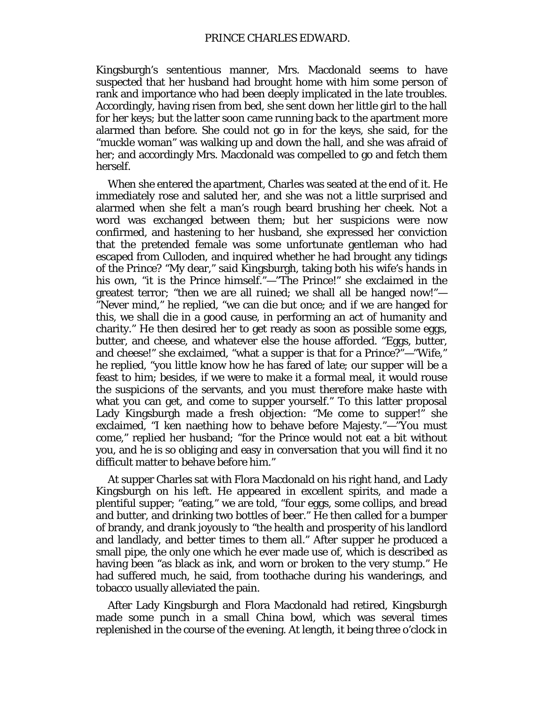Kingsburgh's sententious manner, Mrs. Macdonald seems to have suspected that her husband had brought home with him some person of rank and importance who had been deeply implicated in the late troubles. Accordingly, having risen from bed, she sent down her little girl to the hall for her keys; but the latter soon came running back to the apartment more alarmed than before. She could not go in for the keys, she said, for the "muckle woman" was walking up and down the hall, and she was afraid of her; and accordingly Mrs. Macdonald was compelled to go and fetch them herself.

When she entered the apartment, Charles was seated at the end of it. He immediately rose and saluted her, and she was not a little surprised and alarmed when she felt a man's rough beard brushing her cheek. Not a word was exchanged between them; but her suspicions were now confirmed, and hastening to her husband, she expressed her conviction that the pretended female was some unfortunate gentleman who had escaped from Culloden, and inquired whether he had brought any tidings of the Prince? "My dear," said Kingsburgh, taking both his wife's hands in his own, "it is the Prince himself."—"The Prince!" she exclaimed in the greatest terror; "then we are all ruined; we shall all be hanged now!"— "Never mind," he replied, "we can die but once; and if we are hanged for this, we shall die in a good cause, in performing an act of humanity and charity." He then desired her to get ready as soon as possible some eggs, butter, and cheese, and whatever else the house afforded. "Eggs, butter, and cheese!" she exclaimed, "what a supper is that for a Prince?"—"Wife," he replied, "you little know how he has fared of late; our supper will be a feast to him; besides, if we were to make it a formal meal, it would rouse the suspicions of the servants, and you must therefore make haste with what you can get, and come to supper yourself." To this latter proposal Lady Kingsburgh made a fresh objection: "*Me* come to supper!" she exclaimed, "I ken naething how to behave before Majesty."—"You must come," replied her husband; "for the Prince would not eat a bit without you, and he is so obliging and easy in conversation that you will find it no difficult matter to behave before him."

At supper Charles sat with Flora Macdonald on his right hand, and Lady Kingsburgh on his left. He appeared in excellent spirits, and made a plentiful supper; "eating," we are told, "four eggs, some collips, and bread and butter, and drinking two bottles of beer." He then called for a bumper of brandy, and drank joyously to "the health and prosperity of his landlord and landlady, and better times to them all." After supper he produced a small pipe, the only one which he ever made use of, which is described as having been "as black as ink, and worn or broken to the very stump." He had suffered much, he said, from toothache during his wanderings, and tobacco usually alleviated the pain.

After Lady Kingsburgh and Flora Macdonald had retired, Kingsburgh made some punch in a small China bowl, which was several times replenished in the course of the evening. At length, it being three o'clock in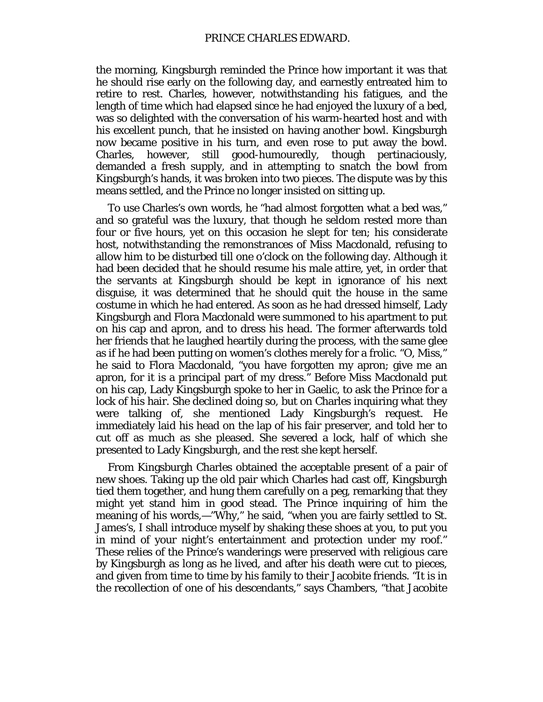the morning, Kingsburgh reminded the Prince how important it was that he should rise early on the following day, and earnestly entreated him to retire to rest. Charles, however, notwithstanding his fatigues, and the length of time which had elapsed since he had enjoyed the luxury of a bed, was so delighted with the conversation of his warm-hearted host and with his excellent punch, that he insisted on having another bowl. Kingsburgh now became positive in his turn, and even rose to put away the bowl. Charles, however, still good-humouredly, though pertinaciously, demanded a fresh supply, and in attempting to snatch the bowl from Kingsburgh's hands, it was broken into two pieces. The dispute was by this means settled, and the Prince no longer insisted on sitting up.

To use Charles's own words, he "had almost forgotten what a bed was," and so grateful was the luxury, that though he seldom rested more than four or five hours, yet on this occasion he slept for ten; his considerate host, notwithstanding the remonstrances of Miss Macdonald, refusing to allow him to be disturbed till one o'clock on the following day. Although it had been decided that he should resume his male attire, yet, in order that the servants at Kingsburgh should be kept in ignorance of his next disguise, it was determined that he should quit the house in the same costume in which he had entered. As soon as he had dressed himself, Lady Kingsburgh and Flora Macdonald were summoned to his apartment to put on his cap and apron, and to dress his head. The former afterwards told her friends that he laughed heartily during the process, with the same glee as if he had been putting on women's clothes merely for a frolic. "O, Miss," he said to Flora Macdonald, "you have forgotten my apron; give me an apron, for it is a principal part of my dress." Before Miss Macdonald put on his cap, Lady Kingsburgh spoke to her in Gaelic, to ask the Prince for a lock of his hair. She declined doing so, but on Charles inquiring what they were talking of, she mentioned Lady Kingsburgh's request. He immediately laid his head on the lap of his fair preserver, and told her to cut off as much as she pleased. She severed a lock, half of which she presented to Lady Kingsburgh, and the rest she kept herself.

From Kingsburgh Charles obtained the acceptable present of a pair of new shoes. Taking up the old pair which Charles had cast off, Kingsburgh tied them together, and hung them carefully on a peg, remarking that they might yet stand him in good stead. The Prince inquiring of him the meaning of his words,—"Why," he said, "when you are fairly settled to St. James's, I shall introduce myself by shaking these shoes at you, to put you in mind of your night's entertainment and protection under my roof." These relies of the Prince's wanderings were preserved with religious care by Kingsburgh as long as he lived, and after his death were cut to pieces, and given from time to time by his family to their Jacobite friends. "It is in the recollection of one of his descendants," says Chambers, "that Jacobite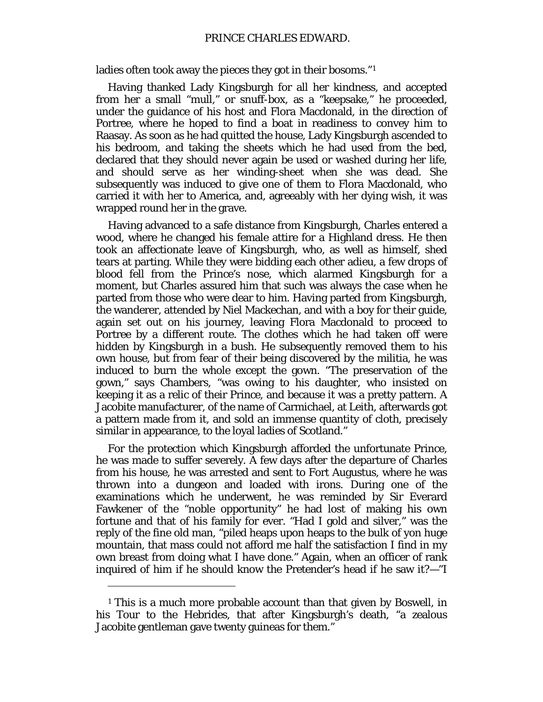ladies often took away the pieces they got in their bosoms."<sup>[1](#page-57-0)</sup>

Having thanked Lady Kingsburgh for all her kindness, and accepted from her a small "mull," or snuff-box, as a "keepsake," he proceeded, under the guidance of his host and Flora Macdonald, in the direction of Portree, where he hoped to find a boat in readiness to convey him to Raasay. As soon as he had quitted the house, Lady Kingsburgh ascended to his bedroom, and taking the sheets which he had used from the bed, declared that they should never again be used or washed during her life, and should serve as her winding-sheet when she was dead. She subsequently was induced to give one of them to Flora Macdonald, who carried it with her to America, and, agreeably with her dying wish, it was wrapped round her in the grave.

Having advanced to a safe distance from Kingsburgh, Charles entered a wood, where he changed his female attire for a Highland dress. He then took an affectionate leave of Kingsburgh, who, as well as himself, shed tears at parting. While they were bidding each other adieu, a few drops of blood fell from the Prince's nose, which alarmed Kingsburgh for a moment, but Charles assured him that such was always the case when he parted from those who were dear to him. Having parted from Kingsburgh, the wanderer, attended by Niel Mackechan, and with a boy for their guide, again set out on his journey, leaving Flora Macdonald to proceed to Portree by a different route. The clothes which he had taken off were hidden by Kingsburgh in a bush. He subsequently removed them to his own house, but from fear of their being discovered by the militia, he was induced to burn the whole except the gown. "The preservation of the gown," says Chambers, "was owing to his daughter, who insisted on keeping it as a relic of their Prince, and because it was a pretty pattern. A Jacobite manufacturer, of the name of Carmichael, at Leith, afterwards got a pattern made from it, and sold an immense quantity of cloth, precisely similar in appearance, to the loyal ladies of Scotland."

For the protection which Kingsburgh afforded the unfortunate Prince, he was made to suffer severely. A few days after the departure of Charles from his house, he was arrested and sent to Fort Augustus, where he was thrown into a dungeon and loaded with irons. During one of the examinations which he underwent, he was reminded by Sir Everard Fawkener of the "noble opportunity" he had lost of making his own fortune and that of his family for ever. "Had I gold and silver," was the reply of the fine old man, "piled heaps upon heaps to the bulk of yon huge mountain, that mass could not afford me half the satisfaction I find in my own breast from doing what I have done." Again, when an officer of rank inquired of him if he should know the Pretender's head if he saw it?—"I

 $\overline{a}$ 

<span id="page-57-0"></span><sup>1</sup> This is a much more probable account than that given by Boswell, in his Tour to the Hebrides, that after Kingsburgh's death, "a zealous Jacobite gentleman gave twenty guineas for them."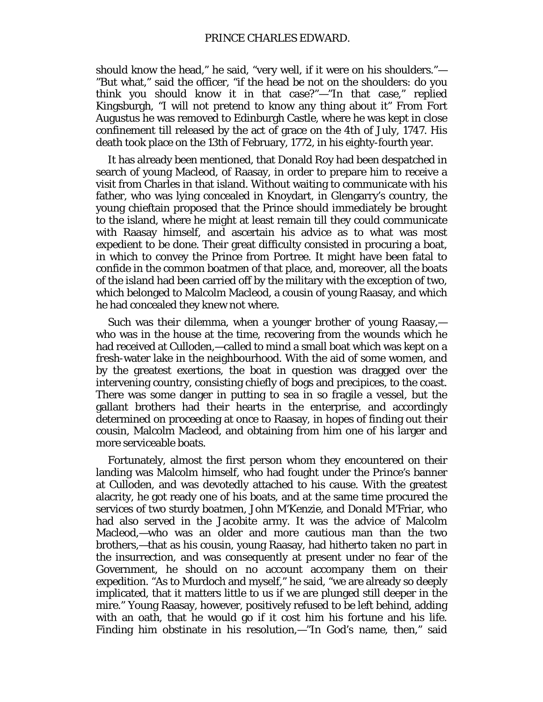should know the head," he said, "very well, if it were on his shoulders."— "But what," said the officer, "if the head be not on the shoulders: do you think you should know it in that case?"—"In that case," replied Kingsburgh, "I will not pretend to know any thing about it" From Fort Augustus he was removed to Edinburgh Castle, where he was kept in close confinement till released by the act of grace on the 4th of July, 1747. His death took place on the 13th of February, 1772, in his eighty-fourth year.

It has already been mentioned, that Donald Roy had been despatched in search of young Macleod, of Raasay, in order to prepare him to receive a visit from Charles in that island. Without waiting to communicate with his father, who was lying concealed in Knoydart, in Glengarry's country, the young chieftain proposed that the Prince should immediately be brought to the island, where he might at least remain till they could communicate with Raasay himself, and ascertain his advice as to what was most expedient to be done. Their great difficulty consisted in procuring a boat, in which to convey the Prince from Portree. It might have been fatal to confide in the common boatmen of that place, and, moreover, all the boats of the island had been carried off by the military with the exception of two, which belonged to Malcolm Macleod, a cousin of young Raasay, and which he had concealed they knew not where.

Such was their dilemma, when a younger brother of young Raasay, who was in the house at the time, recovering from the wounds which he had received at Culloden,—called to mind a small boat which was kept on a fresh-water lake in the neighbourhood. With the aid of some women, and by the greatest exertions, the boat in question was dragged over the intervening country, consisting chiefly of bogs and precipices, to the coast. There was some danger in putting to sea in so fragile a vessel, but the gallant brothers had their hearts in the enterprise, and accordingly determined on proceeding at once to Raasay, in hopes of finding out their cousin, Malcolm Macleod, and obtaining from him one of his larger and more serviceable boats.

Fortunately, almost the first person whom they encountered on their landing was Malcolm himself, who had fought under the Prince's banner at Culloden, and was devotedly attached to his cause. With the greatest alacrity, he got ready one of his boats, and at the same time procured the services of two sturdy boatmen, John M'Kenzie, and Donald M'Friar, who had also served in the Jacobite army. It was the advice of Malcolm Macleod,—who was an older and more cautious man than the two brothers,—that as his cousin, young Raasay, had hitherto taken no part in the insurrection, and was consequently at present under no fear of the Government, he should on no account accompany them on their expedition. "As to Murdoch and myself," he said, "we are already so deeply implicated, that it matters little to us if we are plunged still deeper in the mire." Young Raasay, however, positively refused to be left behind, adding with an oath, that he would go if it cost him his fortune and his life. Finding him obstinate in his resolution,—"In God's name, then," said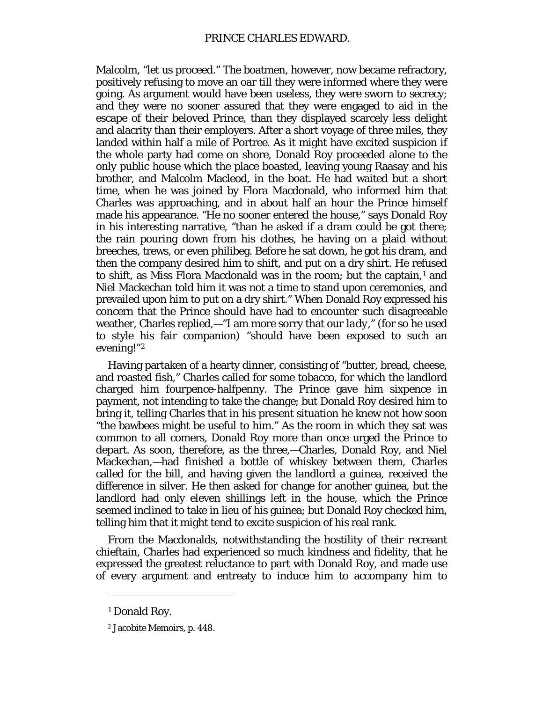Malcolm, "let us proceed." The boatmen, however, now became refractory, positively refusing to move an oar till they were informed where they were going. As argument would have been useless, they were sworn to secrecy; and they were no sooner assured that they were engaged to aid in the escape of their beloved Prince, than they displayed scarcely less delight and alacrity than their employers. After a short voyage of three miles, they landed within half a mile of Portree. As it might have excited suspicion if the whole party had come on shore, Donald Roy proceeded alone to the only public house which the place boasted, leaving young Raasay and his brother, and Malcolm Macleod, in the boat. He had waited but a short time, when he was joined by Flora Macdonald, who informed him that Charles was approaching, and in about half an hour the Prince himself made his appearance. "He no sooner entered the house," says Donald Roy in his interesting narrative, "than he asked if a dram could be got there; the rain pouring down from his clothes, he having on a plaid without breeches, trews, or even philibeg. Before he sat down, he got his dram, and then the company desired him to shift, and put on a dry shirt. He refused to shift, as Miss Flora Macdonald was in the room; but the captain, $<sup>1</sup>$  $<sup>1</sup>$  $<sup>1</sup>$  and</sup> Niel Mackechan told him it was not a time to stand upon ceremonies, and prevailed upon him to put on a dry shirt." When Donald Roy expressed his concern that the Prince should have had to encounter such disagreeable weather, Charles replied,—"I am more sorry that *our lady*," (for so he used to style his fair companion) "should have been exposed to such an evening!"[2](#page-59-1)

Having partaken of a hearty dinner, consisting of "butter, bread, cheese, and roasted fish," Charles called for some tobacco, for which the landlord charged him fourpence-halfpenny. The Prince gave him sixpence in payment, not intending to take the change; but Donald Roy desired him to bring it, telling Charles that in his present situation he knew not how soon "the bawbees might be useful to him." As the room in which they sat was common to all comers, Donald Roy more than once urged the Prince to depart. As soon, therefore, as the three,—Charles, Donald Roy, and Niel Mackechan,—had finished a bottle of whiskey between them, Charles called for the bill, and having given the landlord a guinea, received the difference in silver. He then asked for change for another guinea, but the landlord had only eleven shillings left in the house, which the Prince seemed inclined to take in lieu of his guinea; but Donald Roy checked him, telling him that it might tend to excite suspicion of his real rank.

From the Macdonalds, notwithstanding the hostility of their recreant chieftain, Charles had experienced so much kindness and fidelity, that he expressed the greatest reluctance to part with Donald Roy, and made use of every argument and entreaty to induce him to accompany him to

<span id="page-59-0"></span><sup>1</sup> Donald Roy.

<span id="page-59-1"></span><sup>2</sup> Jacobite Memoirs, p. 448.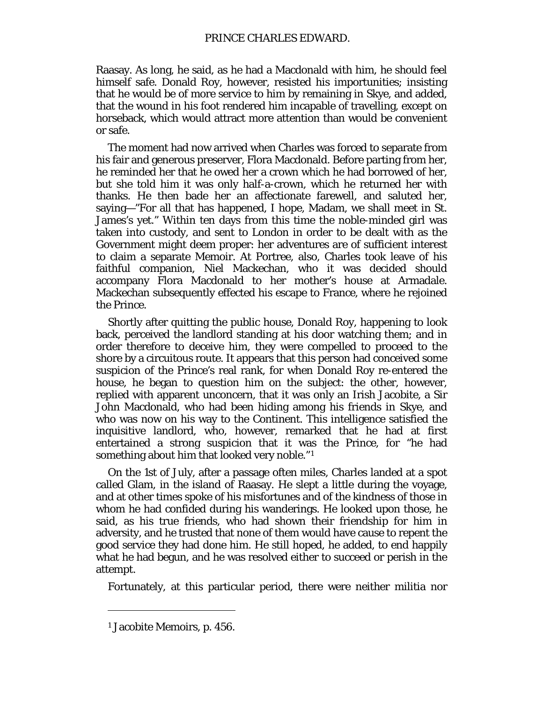Raasay. As long, he said, as he had a Macdonald with him, he should feel himself safe. Donald Roy, however, resisted his importunities; insisting that he would be of more service to him by remaining in Skye, and added, that the wound in his foot rendered him incapable of travelling, except on horseback, which would attract more attention than would be convenient or safe.

The moment had now arrived when Charles was forced to separate from his fair and generous preserver, Flora Macdonald. Before parting from her, he reminded her that he owed her a crown which he had borrowed of her, but she told him it was only half-a-crown, which he returned her with thanks. He then bade her an affectionate farewell, and saluted her, saying—"For all that has happened, I hope, Madam, we shall meet in St. James's yet." Within ten days from this time the noble-minded girl was taken into custody, and sent to London in order to be dealt with as the Government might deem proper: her adventures are of sufficient interest to claim a separate Memoir. At Portree, also, Charles took leave of his faithful companion, Niel Mackechan, who it was decided should accompany Flora Macdonald to her mother's house at Armadale. Mackechan subsequently effected his escape to France, where he rejoined the Prince.

Shortly after quitting the public house, Donald Roy, happening to look back, perceived the landlord standing at his door watching them; and in order therefore to deceive him, they were compelled to proceed to the shore by a circuitous route. It appears that this person had conceived some suspicion of the Prince's real rank, for when Donald Roy re-entered the house, he began to question him on the subject: the other, however, replied with apparent unconcern, that it was only an Irish Jacobite, a Sir John Macdonald, who had been hiding among his friends in Skye, and who was now on his way to the Continent. This intelligence satisfied the inquisitive landlord, who, however, remarked that he had at first entertained a strong suspicion that it was the Prince, for "he had something about him that looked very noble."[1](#page-60-0)

On the 1st of July, after a passage often miles, Charles landed at a spot called Glam, in the island of Raasay. He slept a little during the voyage, and at other times spoke of his misfortunes and of the kindness of those in whom he had confided during his wanderings. He looked upon those, he said, as his true friends, who had shown their friendship for him in adversity, and he trusted that none of them would have cause to repent the good service they had done him. He still hoped, he added, to end happily what he had begun, and he was resolved either to succeed or perish in the attempt.

Fortunately, at this particular period, there were neither militia nor

<span id="page-60-0"></span><sup>1</sup> Jacobite Memoirs, p. 456.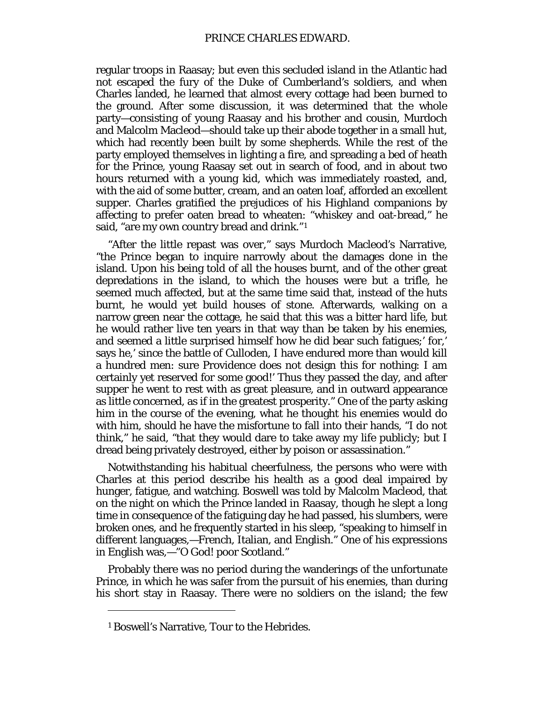regular troops in Raasay; but even this secluded island in the Atlantic had not escaped the fury of the Duke of Cumberland's soldiers, and when Charles landed, he learned that almost every cottage had been burned to the ground. After some discussion, it was determined that the whole party—consisting of young Raasay and his brother and cousin, Murdoch and Malcolm Macleod—should take up their abode together in a small hut, which had recently been built by some shepherds. While the rest of the party employed themselves in lighting a fire, and spreading a bed of heath for the Prince, young Raasay set out in search of food, and in about two hours returned with a young kid, which was immediately roasted, and, with the aid of some butter, cream, and an oaten loaf, afforded an excellent supper. Charles gratified the prejudices of his Highland companions by affecting to prefer oaten bread to wheaten: "whiskey and oat-bread," he said, "are my own country bread and drink."<sup>[1](#page-61-0)</sup>

"After the little repast was over," says Murdoch Macleod's Narrative, "the Prince began to inquire narrowly about the damages done in the island. Upon his being told of all the houses burnt, and of the other great depredations in the island, to which the houses were but a trifle, he seemed much affected, but at the same time said that, instead of the huts burnt, he would yet build houses of stone. Afterwards, walking on a narrow green near the cottage, he said that this was a bitter hard life, but he would rather live ten years in that way than be taken by his enemies, and seemed a little surprised himself how he did bear such fatigues;' for,' says he,' since the battle of Culloden, I have endured more than would kill a hundred men: sure Providence does not design this for nothing: I am certainly yet reserved for some good!' Thus they passed the day, and after supper he went to rest with as great pleasure, and in outward appearance as little concerned, as if in the greatest prosperity." One of the party asking him in the course of the evening, what he thought his enemies would do with him, should he have the misfortune to fall into their hands, "I do not think," he said, "that they would dare to take away my life publicly; but I dread being privately destroyed, either by poison or assassination."

Notwithstanding his habitual cheerfulness, the persons who were with Charles at this period describe his health as a good deal impaired by hunger, fatigue, and watching. Boswell was told by Malcolm Macleod, that on the night on which the Prince landed in Raasay, though he slept a long time in consequence of the fatiguing day he had passed, his slumbers, were broken ones, and he frequently started in his sleep, "speaking to himself in different languages,—French, Italian, and English." One of his expressions in English was,—"O God! poor Scotland."

Probably there was no period during the wanderings of the unfortunate Prince, in which he was safer from the pursuit of his enemies, than during his short stay in Raasay. There were no soldiers on the island; the few

<span id="page-61-0"></span><sup>1</sup> Boswell's Narrative, Tour to the Hebrides.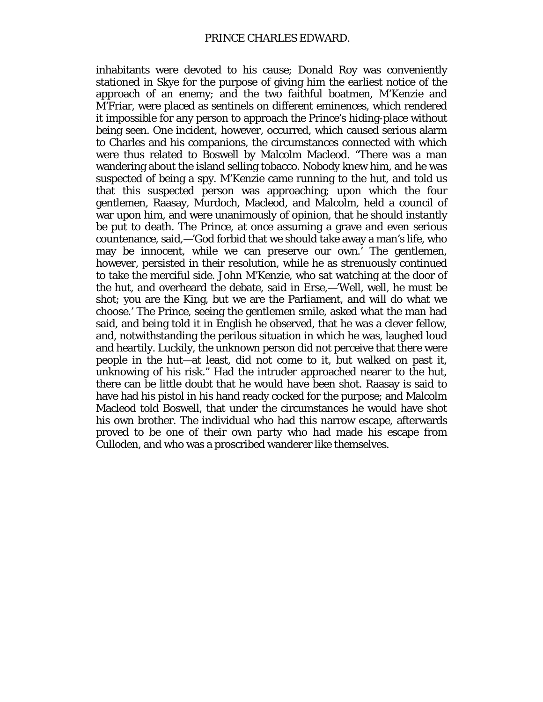inhabitants were devoted to his cause; Donald Roy was conveniently stationed in Skye for the purpose of giving him the earliest notice of the approach of an enemy; and the two faithful boatmen, M'Kenzie and M'Friar, were placed as sentinels on different eminences, which rendered it impossible for any person to approach the Prince's hiding-place without being seen. One incident, however, occurred, which caused serious alarm to Charles and his companions, the circumstances connected with which were thus related to Boswell by Malcolm Macleod. "There was a man wandering about the island selling tobacco. Nobody knew him, and he was suspected of being a spy. M'Kenzie came running to the hut, and told us that this suspected person was approaching; upon which the four gentlemen, Raasay, Murdoch, Macleod, and Malcolm, held a council of war upon him, and were unanimously of opinion, that he should instantly be put to death. The Prince, at once assuming a grave and even serious countenance, said,—'God forbid that we should take away a man's life, who may be innocent, while we can preserve our own.' The gentlemen, however, persisted in their resolution, while he as strenuously continued to take the merciful side. John M'Kenzie, who sat watching at the door of the hut, and overheard the debate, said in Erse,—'Well, well, he must be shot; you are the King, but we are the Parliament, and will do what we choose.' The Prince, seeing the gentlemen smile, asked what the man had said, and being told it in English he observed, that he was a clever fellow, and, notwithstanding the perilous situation in which he was, laughed loud and heartily. Luckily, the unknown person did not perceive that there were people in the hut—at least, did not come to it, but walked on past it, unknowing of his risk." Had the intruder approached nearer to the hut, there can be little doubt that he would have been shot. Raasay is said to have had his pistol in his hand ready cocked for the purpose; and Malcolm Macleod told Boswell, that under the circumstances he would have shot his own brother. The individual who had this narrow escape, afterwards proved to be one of their own party who had made his escape from Culloden, and who was a proscribed wanderer like themselves.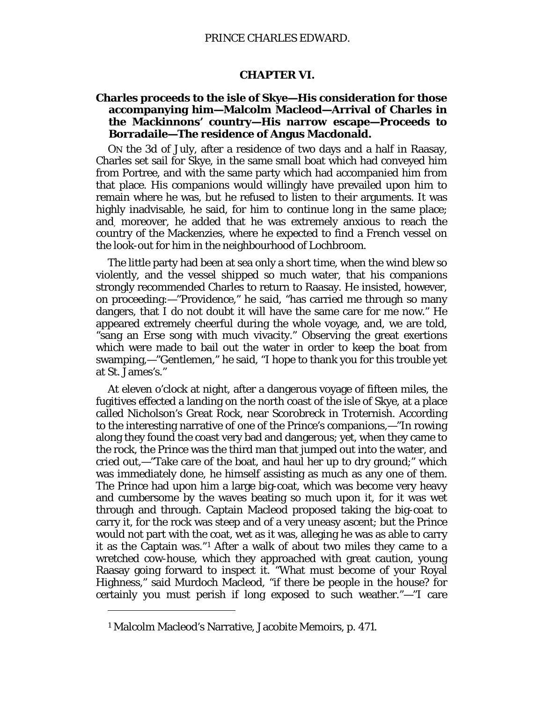#### **CHAPTER VI.**

## **Charles proceeds to the isle of Skye—His consideration for those accompanying him—Malcolm Macleod—Arrival of Charles in the Mackinnons' country—His narrow escape—Proceeds to Borradaile—The residence of Angus Macdonald.**

ON the 3d of July, after a residence of two days and a half in Raasay, Charles set sail for Skye, in the same small boat which had conveyed him from Portree, and with the same party which had accompanied him from that place. His companions would willingly have prevailed upon him to remain where he was, but he refused to listen to their arguments. It was highly inadvisable, he said, for him to continue long in the same place; and, moreover, he added that he was extremely anxious to reach the country of the Mackenzies, where he expected to find a French vessel on the look-out for him in the neighbourhood of Lochbroom.

The little party had been at sea only a short time, when the wind blew so violently, and the vessel shipped so much water, that his companions strongly recommended Charles to return to Raasay. He insisted, however, on proceeding:—"Providence," he said, "has carried me through so many dangers, that I do not doubt it will have the same care for me now." He appeared extremely cheerful during the whole voyage, and, we are told, "sang an Erse song with much vivacity." Observing the great exertions which were made to bail out the water in order to keep the boat from swamping,—"Gentlemen," he said, "I hope to thank you for this trouble yet at St. James's."

At eleven o'clock at night, after a dangerous voyage of fifteen miles, the fugitives effected a landing on the north coast of the isle of Skye, at a place called Nicholson's Great Rock, near Scorobreck in Troternish. According to the interesting narrative of one of the Prince's companions,—"In rowing along they found the coast very bad and dangerous; yet, when they came to the rock, the Prince was the third man that jumped out into the water, and cried out,—"Take care of the boat, and haul her up to dry ground;" which was immediately done, he himself assisting as much as any one of them. The Prince had upon him a large big-coat, which was become very heavy and cumbersome by the waves beating so much upon it, for it was wet through and through. Captain Macleod proposed taking the big-coat to carry it, for the rock was steep and of a very uneasy ascent; but the Prince would not part with the coat, wet as it was, alleging he was as able to carry it as the Captain was."[1](#page-63-0) After a walk of about two miles they came to a wretched cow-house, which they approached with great caution, young Raasay going forward to inspect it. "What must become of your Royal Highness," said Murdoch Macleod, "if there be people in the house? for certainly you must perish if long exposed to such weather."—"I care

<span id="page-63-0"></span><sup>1</sup> Malcolm Macleod's Narrative, Jacobite Memoirs, p. 471.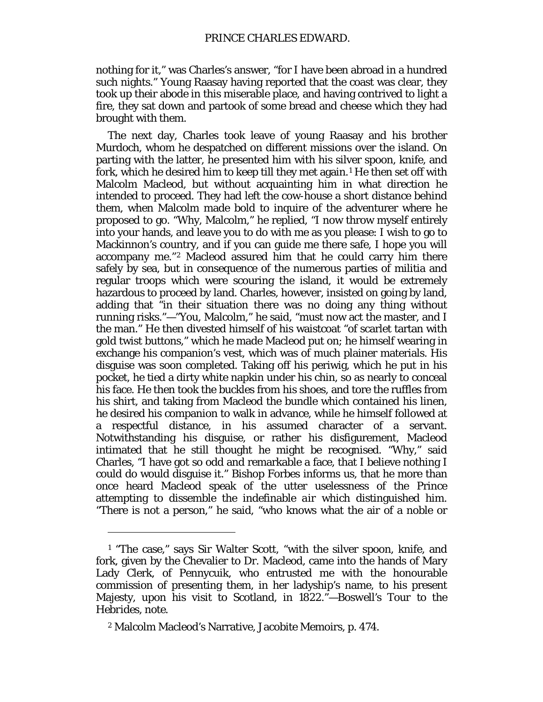nothing for it," was Charles's answer, "for I have been abroad in a hundred such nights." Young Raasay having reported that the coast was clear, they took up their abode in this miserable place, and having contrived to light a fire, they sat down and partook of some bread and cheese which they had brought with them.

The next day, Charles took leave of young Raasay and his brother Murdoch, whom he despatched on different missions over the island. On parting with the latter, he presented him with his silver spoon, knife, and fork, which he desired him to keep till they met again.<sup>[1](#page-64-0)</sup> He then set off with Malcolm Macleod, but without acquainting him in what direction he intended to proceed. They had left the cow-house a short distance behind them, when Malcolm made bold to inquire of the adventurer where he proposed to go. "Why, Malcolm," he replied, "I now throw myself entirely into your hands, and leave you to do with me as you please: I wish to go to Mackinnon's country, and if you can guide me there safe, I hope you will accompany me."[2](#page-64-1) Macleod assured him that he could carry him there safely by sea, but in consequence of the numerous parties of militia and regular troops which were scouring the island, it would be extremely hazardous to proceed by land. Charles, however, insisted on going by land, adding that "in their situation there was no doing any thing without running risks."—"You, Malcolm," he said, "must now act the master, and I the man." He then divested himself of his waistcoat "of scarlet tartan with gold twist buttons," which he made Macleod put on; he himself wearing in exchange his companion's vest, which was of much plainer materials. His disguise was soon completed. Taking off his periwig, which he put in his pocket, he tied a dirty white napkin under his chin, so as nearly to conceal his face. He then took the buckles from his shoes, and tore the ruffles from his shirt, and taking from Macleod the bundle which contained his linen, he desired his companion to walk in advance, while he himself followed at a respectful distance, in his assumed character of a servant. Notwithstanding his disguise, or rather his disfigurement, Macleod intimated that he still thought he might be recognised. "Why," said Charles, "I have got so odd and remarkable a face, that I believe nothing I could do would disguise it." Bishop Forbes informs us, that he more than once heard Macleod speak of the utter uselessness of the Prince attempting to dissemble the indefinable *air* which distinguished him. "There is not a person," he said, "who knows what the air of a noble or

<span id="page-64-0"></span><sup>1</sup> "The case," says Sir Walter Scott, "with the silver spoon, knife, and fork, given by the Chevalier to Dr. Macleod, came into the hands of Mary Lady Clerk, of Pennycuik, who entrusted me with the honourable commission of presenting them, in her ladyship's name, to his present Majesty, upon his visit to Scotland, in 1822."—*Boswell's Tour to the Hebrides, note.*

<span id="page-64-1"></span><sup>2</sup> Malcolm Macleod's Narrative, Jacobite Memoirs, p. 474.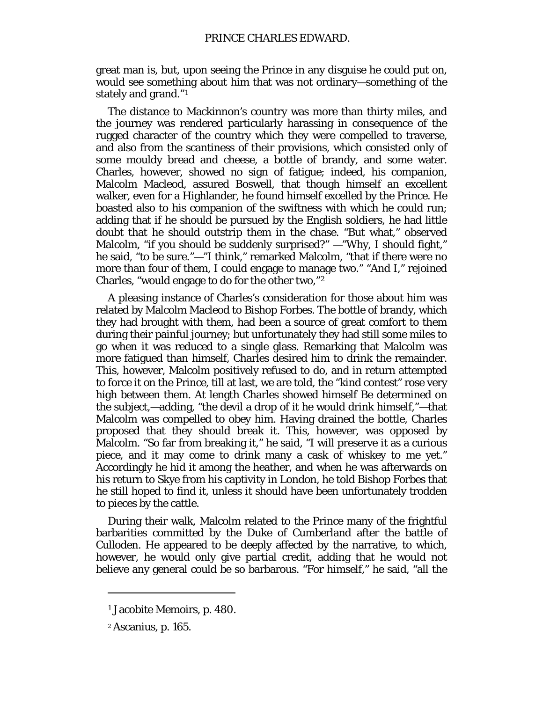great man is, but, upon seeing the Prince in any disguise he could put on, would see something about him that was not ordinary—something of the stately and grand."[1](#page-65-0)

The distance to Mackinnon's country was more than thirty miles, and the journey was rendered particularly harassing in consequence of the rugged character of the country which they were compelled to traverse, and also from the scantiness of their provisions, which consisted only of some mouldy bread and cheese, a bottle of brandy, and some water. Charles, however, showed no sign of fatigue; indeed, his companion, Malcolm Macleod, assured Boswell, that though himself an excellent walker, even for a Highlander, he found himself excelled by the Prince. He boasted also to his companion of the swiftness with which he could run; adding that if he should be pursued by the English soldiers, he had little doubt that he should outstrip them in the chase. "But what," observed Malcolm, "if you should be suddenly surprised?" —"Why, I should fight," he said, "to be sure."—"I think," remarked Malcolm, "that if there were no more than four of them, I could engage to manage two." "And I," rejoined Charles, "would engage to do for the other two,"[2](#page-65-1)

A pleasing instance of Charles's consideration for those about him was related by Malcolm Macleod to Bishop Forbes. The bottle of brandy, which they had brought with them, had been a source of great comfort to them during their painful journey; but unfortunately they had still some miles to go when it was reduced to a single glass. Remarking that Malcolm was more fatigued than himself, Charles desired him to drink the remainder. This, however, Malcolm positively refused to do, and in return attempted to force it on the Prince, till at last, we are told, the "kind contest" rose very high between them. At length Charles showed himself Be determined on the subject,—adding, "the devil a drop of it he would drink himself,"—that Malcolm was compelled to obey him. Having drained the bottle, Charles proposed that they should break it. This, however, was opposed by Malcolm. "So far from breaking it," he said, "I will preserve it as a curious piece, and it may come to drink many a cask of whiskey to me yet." Accordingly he hid it among the heather, and when he was afterwards on his return to Skye from his captivity in London, he told Bishop Forbes that he still hoped to find it, unless it should have been unfortunately trodden to pieces by the cattle.

During their walk, Malcolm related to the Prince many of the frightful barbarities committed by the Duke of Cumberland after the battle of Culloden. He appeared to be deeply affected by the narrative, to which, however, he would only give partial credit, adding that he would not believe any general could be so barbarous. "For himself," he said, "all the

<span id="page-65-0"></span><sup>1</sup> Jacobite Memoirs, p. 480.

<span id="page-65-1"></span><sup>2</sup> Ascanius, p. 165.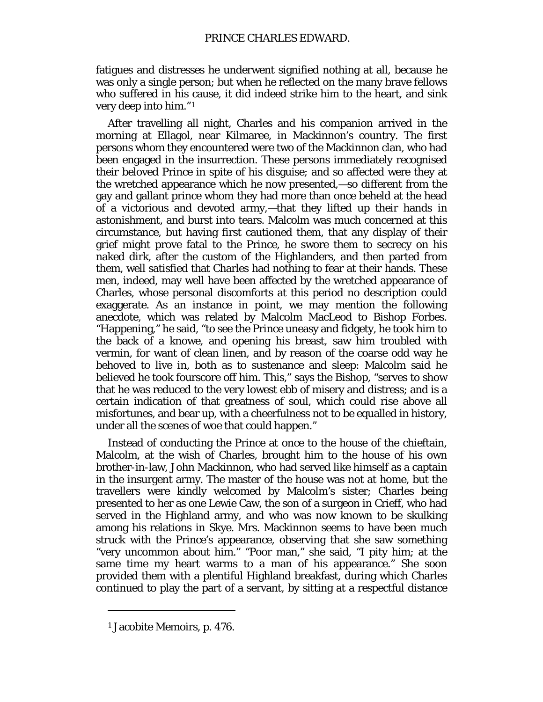fatigues and distresses he underwent signified nothing at all, because he was only a single person; but when he reflected on the many brave fellows who suffered in his cause, it did indeed strike him to the heart, and sink very deep into him."[1](#page-66-0)

After travelling all night, Charles and his companion arrived in the morning at Ellagol, near Kilmaree, in Mackinnon's country. The first persons whom they encountered were two of the Mackinnon clan, who had been engaged in the insurrection. These persons immediately recognised their beloved Prince in spite of his disguise; and so affected were they at the wretched appearance which he now presented,—so different from the gay and gallant prince whom they had more than once beheld at the head of a victorious and devoted army,—that they lifted up their hands in astonishment, and burst into tears. Malcolm was much concerned at this circumstance, but having first cautioned them, that any display of their grief might prove fatal to the Prince, he swore them to secrecy on his naked dirk, after the custom of the Highlanders, and then parted from them, well satisfied that Charles had nothing to fear at their hands. These men, indeed, may well have been affected by the wretched appearance of Charles, whose personal discomforts at this period no description could exaggerate. As an instance in point, we may mention the following anecdote, which was related by Malcolm MacLeod to Bishop Forbes. "Happening," he said, "to see the Prince uneasy and fidgety, he took him to the back of a knowe, and opening his breast, saw him troubled with vermin, for want of clean linen, and by reason of the coarse odd way he behoved to live in, both as to sustenance and sleep: Malcolm said he believed he took fourscore off him. This," says the Bishop, "serves to show that he was reduced to the very lowest ebb of misery and distress; and is a certain indication of that greatness of soul, which could rise above all misfortunes, and bear up, with a cheerfulness not to be equalled in history, under all the scenes of woe that could happen."

Instead of conducting the Prince at once to the house of the chieftain, Malcolm, at the wish of Charles, brought him to the house of his own brother-in-law, John Mackinnon, who had served like himself as a captain in the insurgent army. The master of the house was not at home, but the travellers were kindly welcomed by Malcolm's sister; Charles being presented to her as one Lewie Caw, the son of a surgeon in Crieff, who had served in the Highland army, and who was now known to be skulking among his relations in Skye. Mrs. Mackinnon seems to have been much struck with the Prince's appearance, observing that she saw something "very uncommon about him." "Poor man," she said, "I pity him; at the same time my heart warms to a man of his appearance." She soon provided them with a plentiful Highland breakfast, during which Charles continued to play the part of a servant, by sitting at a respectful distance

<span id="page-66-0"></span><sup>1</sup> Jacobite Memoirs, p. 476.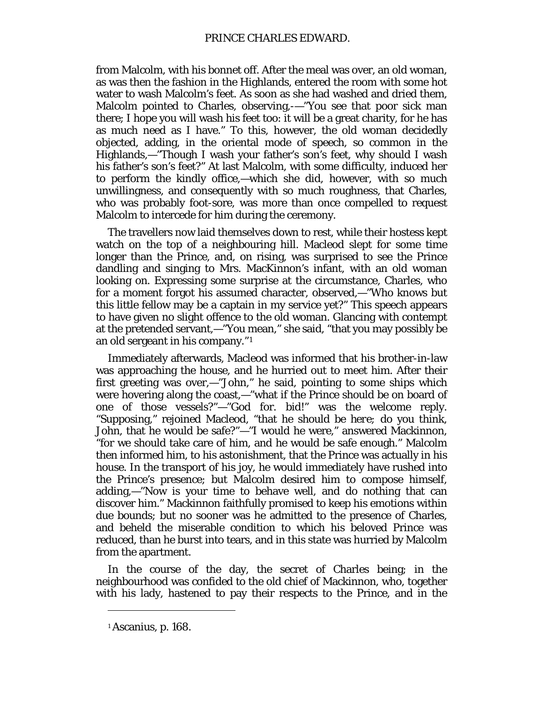from Malcolm, with his bonnet off. After the meal was over, an old woman, as was then the fashion in the Highlands, entered the room with some hot water to wash Malcolm's feet. As soon as she had washed and dried them, Malcolm pointed to Charles, observing,-—"You see that poor sick man there; I hope you will wash his feet too: it will be a great charity, for he has as much need as I have." To this, however, the old woman decidedly objected, adding, in the oriental mode of speech, so common in the Highlands,—"Though I wash your father's son's feet, why should I wash *his* father's son's feet?" At last Malcolm, with some difficulty, induced her to perform the kindly office,—which she did, however, with so much unwillingness, and consequently with so much roughness, that Charles, who was probably foot-sore, was more than once compelled to request Malcolm to intercede for him during the ceremony.

The travellers now laid themselves down to rest, while their hostess kept watch on the top of a neighbouring hill. Macleod slept for some time longer than the Prince, and, on rising, was surprised to see the Prince dandling and singing to Mrs. MacKinnon's infant, with an old woman looking on. Expressing some surprise at the circumstance, Charles, who for a moment forgot his assumed character, observed,—"Who knows but this little fellow may be a captain in my service yet?" This speech appears to have given no slight offence to the old woman. Glancing with contempt at the pretended servant,—"You mean," she said, "that you may possibly be an old sergeant in his company."[1](#page-67-0)

Immediately afterwards, Macleod was informed that his brother-in-law was approaching the house, and he hurried out to meet him. After their first greeting was over,—"John," he said, pointing to some ships which were hovering along the coast,—"what if the Prince should be on board of one of those vessels?"—"God for. bid!" was the welcome reply. "Supposing," rejoined Macleod, "that he should be *here;* do you think, John, that he would be safe?"—"I would he were," answered Mackinnon, "for we should take care of him, and he would be safe enough." Malcolm then informed him, to his astonishment, that the Prince was actually in his house. In the transport of his joy, he would immediately have rushed into the Prince's presence; but Malcolm desired him to compose himself, adding,—"Now is your time to behave well, and do nothing that can discover him." Mackinnon faithfully promised to keep his emotions within due bounds; but no sooner was he admitted to the presence of Charles, and beheld the miserable condition to which his beloved Prince was reduced, than he burst into tears, and in this state was hurried by Malcolm from the apartment.

In the course of the day, the secret of Charles being; in the neighbourhood was confided to the old chief of Mackinnon, who, together with his lady, hastened to pay their respects to the Prince, and in the

<span id="page-67-0"></span><sup>1</sup> Ascanius, p. 168.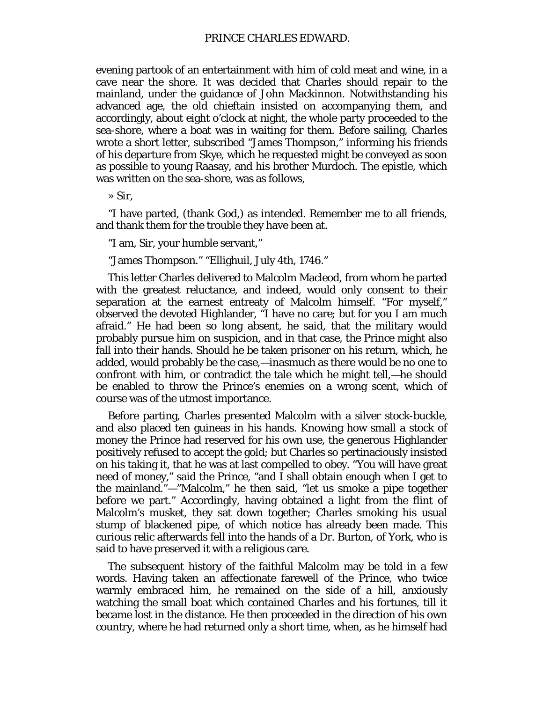evening partook of an entertainment with him of cold meat and wine, in a cave near the shore. It was decided that Charles should repair to the mainland, under the guidance of John Mackinnon. Notwithstanding his advanced age, the old chieftain insisted on accompanying them, and accordingly, about eight o'clock at night, the whole party proceeded to the sea-shore, where a boat was in waiting for them. Before sailing, Charles wrote a short letter, subscribed "James Thompson," informing his friends of his departure from Skye, which he requested might be conveyed as soon as possible to young Raasay, and his brother Murdoch. The epistle, which was written on the sea-shore, was as follows,

» Sir,

"I have parted, (thank God,) as intended. Remember me to all friends, and thank them for the trouble they have been at.

"I am, Sir, your humble servant,"

"James Thompson." "Ellighuil, July 4th, 1746."

This letter Charles delivered to Malcolm Macleod, from whom he parted with the greatest reluctance, and indeed, would only consent to their separation at the earnest entreaty of Malcolm himself. "For myself," observed the devoted Highlander, "I have no care; but for you I am much afraid." He had been so long absent, he said, that the military would probably pursue him on suspicion, and in that case, the Prince might also fall into their hands. Should he be taken prisoner on his return, which, he added, would probably be the case,—inasmuch as there would be no one to confront with him, or contradict the tale which he might tell,—he should be enabled to throw the Prince's enemies on a wrong scent, which of course was of the utmost importance.

Before parting, Charles presented Malcolm with a silver stock-buckle, and also placed ten guineas in his hands. Knowing how small a stock of money the Prince had reserved for his own use, the generous Highlander positively refused to accept the gold; but Charles so pertinaciously insisted on his taking it, that he was at last compelled to obey. "You will have great need of money," said the Prince, "and I shall obtain enough when I get to the mainland."—"Malcolm," he then said, "let us smoke a pipe together before we part." Accordingly, having obtained a light from the flint of Malcolm's musket, they sat down together; Charles smoking his usual stump of blackened pipe, of which notice has already been made. This curious relic afterwards fell into the hands of a Dr. Burton, of York, who is said to have preserved it with a religious care.

The subsequent history of the faithful Malcolm may be told in a few words. Having taken an affectionate farewell of the Prince, who twice warmly embraced him, he remained on the side of a hill, anxiously watching the small boat which contained Charles and his fortunes, till it became lost in the distance. He then proceeded in the direction of his own country, where he had returned only a short time, when, as he himself had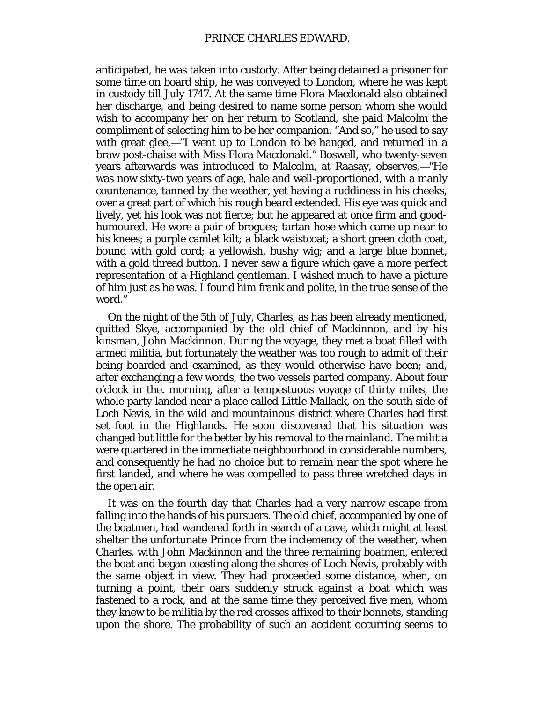anticipated, he was taken into custody. After being detained a prisoner for some time on board ship, he was conveyed to London, where he was kept in custody till July 1747. At the same time Flora Macdonald also obtained her discharge, and being desired to name some person whom she would wish to accompany her on her return to Scotland, she paid Malcolm the compliment of selecting him to be her companion. "And so," he used to say with great glee,—"I went up to London to be hanged, and returned in a braw post-chaise with Miss Flora Macdonald." Boswell, who twenty-seven years afterwards was introduced to Malcolm, at Raasay, observes,—"He was now sixty-two years of age, hale and well-proportioned, with a manly countenance, tanned by the weather, yet having a ruddiness in his cheeks, over a great part of which his rough beard extended. His eye was quick and lively, yet his look was not fierce; but he appeared at once firm and goodhumoured. He wore a pair of brogues; tartan hose which came up near to his knees; a purple camlet kilt; a black waistcoat; a short green cloth coat, bound with gold cord; a yellowish, bushy wig; and a large blue bonnet, with a gold thread button. I never saw a figure which gave a more perfect representation of a Highland gentleman. I wished much to have a picture of him just as he was. I found him frank and *polite,* in the true sense of the word."

On the night of the 5th of July, Charles, as has been already mentioned, quitted Skye, accompanied by the old chief of Mackinnon, and by his kinsman, John Mackinnon. During the voyage, they met a boat filled with armed militia, but fortunately the weather was too rough to admit of their being boarded and examined, as they would otherwise have been; and, after exchanging a few words, the two vessels parted company. About four o'clock in the. morning, after a tempestuous voyage of thirty miles, the whole party landed near a place called Little Mallack, on the south side of Loch Nevis, in the wild and mountainous district where Charles had first set foot in the Highlands. He soon discovered that his situation was changed but little for the better by his removal to the mainland. The militia were quartered in the immediate neighbourhood in considerable numbers, and consequently he had no choice but to remain near the spot where he first landed, and where he was compelled to pass three wretched days in the open air.

It was on the fourth day that Charles had a very narrow escape from falling into the hands of his pursuers. The old chief, accompanied by one of the boatmen, had wandered forth in search of a cave, which might at least shelter the unfortunate Prince from the inclemency of the weather, when Charles, with John Mackinnon and the three remaining boatmen, entered the boat and began coasting along the shores of Loch Nevis, probably with the same object in view. They had proceeded some distance, when, on turning a point, their oars suddenly struck against a boat which was fastened to a rock, and at the same time they perceived five men, whom they knew to be militia by the red crosses affixed to their bonnets, standing upon the shore. The probability of such an accident occurring seems to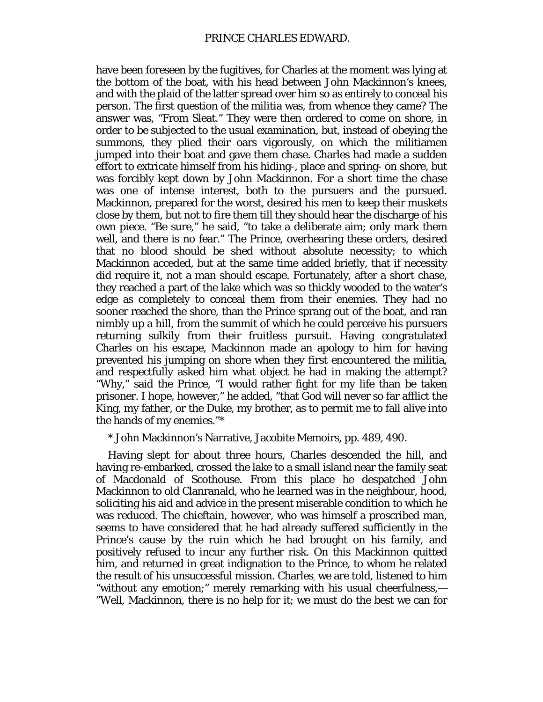have been foreseen by the fugitives, for Charles at the moment was lying at the bottom of the boat, with his head between John Mackinnon's knees, and with the plaid of the latter spread over him so as entirely to conceal his person. The first question of the militia was, from whence they came? The answer was, "From Sleat." They were then ordered to come on shore, in order to be subjected to the usual examination, but, instead of obeying the summons, they plied their oars vigorously, on which the militiamen jumped into their boat and gave them chase. Charles had made a sudden effort to extricate himself from his hiding-, place and spring- on shore, but was forcibly kept down by John Mackinnon. For a short time the chase was one of intense interest, both to the pursuers and the pursued. Mackinnon, prepared for the worst, desired his men to keep their muskets close by them, but not to fire them till they should hear the discharge of his own piece. "Be sure," he said, "to take a deliberate aim; only mark them well, and there is no fear." The Prince, overhearing these orders, desired that no blood should be shed without absolute necessity; to which Mackinnon acceded, but at the same time added briefly, that if necessity did require it, not a man should escape. Fortunately, after a short chase, they reached a part of the lake which was so thickly wooded to the water's edge as completely to conceal them from their enemies. They had no sooner reached the shore, than the Prince sprang out of the boat, and ran nimbly up a hill, from the summit of which he could perceive his pursuers returning sulkily from their fruitless pursuit. Having congratulated Charles on his escape, Mackinnon made an apology to him for having prevented his jumping on shore when they first encountered the militia, and respectfully asked him what object he had in making the attempt? "Why," said the Prince, "I would rather fight for my life than be taken prisoner. I hope, however," he added, "that God will never so far afflict the King, my father, or the Duke, my brother, as to permit me to fall alive into the hands of my enemies."\*

\* John Mackinnon's Narrative, Jacobite Memoirs, pp. 489, 490.

Having slept for about three hours, Charles descended the hill, and having re-embarked, crossed the lake to a small island near the family seat of Macdonald of Scothouse. From this place he despatched John Mackinnon to old Clanranald, who he learned was in the neighbour, hood, soliciting his aid and advice in the present miserable condition to which he was reduced. The chieftain, however, who was himself a proscribed man, seems to have considered that he had already suffered sufficiently in the Prince's cause by the ruin which he had brought on his family, and positively refused to incur any further risk. On this Mackinnon quitted him, and returned in great indignation to the Prince, to whom he related the result of his unsuccessful mission. Charles, we are told, listened to him "without any emotion;" merely remarking with his usual cheerfulness,— "Well, Mackinnon, there is no help for it; we must do the best we can for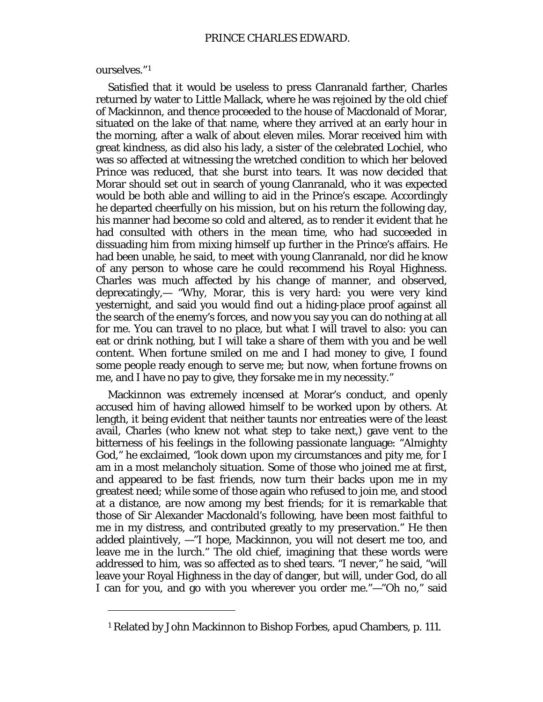## ourselves."[1](#page-71-0)

I

Satisfied that it would be useless to press Clanranald farther, Charles returned by water to Little Mallack, where he was rejoined by the old chief of Mackinnon, and thence proceeded to the house of Macdonald of Morar, situated on the lake of that name, where they arrived at an early hour in the morning, after a walk of about eleven miles. Morar received him with great kindness, as did also his lady, a sister of the celebrated Lochiel, who was so affected at witnessing the wretched condition to which her beloved Prince was reduced, that she burst into tears. It was now decided that Morar should set out in search of young Clanranald, who it was expected would be both able and willing to aid in the Prince's escape. Accordingly he departed cheerfully on his mission, but on his return the following day, his manner had become so cold and altered, as to render it evident that he had consulted with others in the mean time, who had succeeded in dissuading him from mixing himself up further in the Prince's affairs. He had been unable, he said, to meet with young Clanranald, nor did he know of any person to whose care he could recommend his Royal Highness. Charles was much affected by his change of manner, and observed, deprecatingly,— "Why, Morar, this is very hard: you were very kind yesternight, and said you would find out a hiding-place proof against all the search of the enemy's forces, and now you say you can do nothing at all for me. You can travel to no place, but what I will travel to also: you can eat or drink nothing, but I will take a share of them with you and be well content. When fortune smiled on me and I had money to give, I found some people ready enough to serve me; but now, when fortune frowns on me, and I have no pay to give, they forsake me in my necessity."

Mackinnon was extremely incensed at Morar's conduct, and openly accused him of having allowed himself to be worked upon by others. At length, it being evident that neither taunts nor entreaties were of the least avail, Charles (who knew not what step to take next,) gave vent to the bitterness of his feelings in the following passionate language: "Almighty God," he exclaimed, "look down upon my circumstances and pity me, for I am in a most melancholy situation. Some of those who joined me at first, and appeared to be fast friends, now turn their backs upon me in my greatest need; while some of those again who refused to join me, and stood at a distance, are now among my best friends; for it is remarkable that those of Sir Alexander Macdonald's following, have been most faithful to me in my distress, and contributed greatly to my preservation." He then added plaintively, —"I hope, Mackinnon, you will not desert me too, and leave me in the lurch." The old chief, imagining that these words were addressed to him, was so affected as to shed tears. "I never," he said, "will leave your Royal Highness in the day of danger, but will, under God, do all I can for you, and go with you wherever you order me."—"Oh no," said

<span id="page-71-0"></span><sup>1</sup> Related by John Mackinnon to Bishop Forbes, *apud* Chambers, p. 111.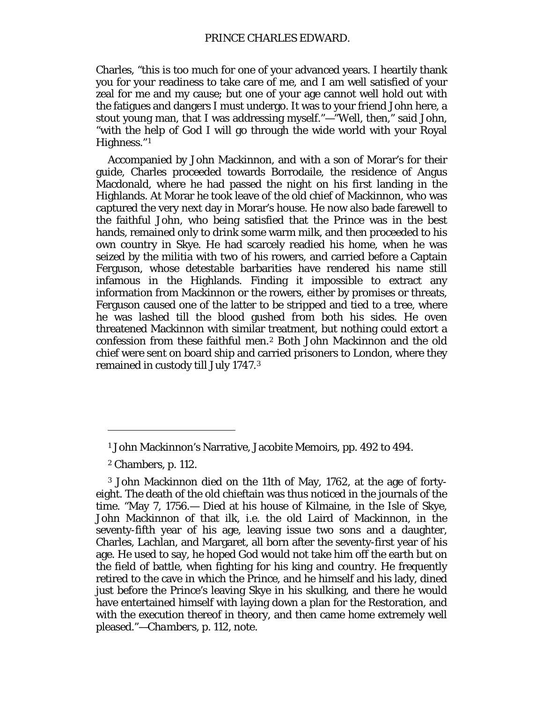Charles, "this is too much for one of your advanced years. I heartily thank you for your readiness to take care of me, and I am well satisfied of your zeal for me and my cause; but one of your age cannot well hold out with the fatigues and dangers I must undergo. It was to your friend John here, a stout young man, that I was addressing myself."—"Well, then," said John, "with the help of God I will go through the wide world with your Royal Highness."[1](#page-72-0)

Accompanied by John Mackinnon, and with a son of Morar's for their guide, Charles proceeded towards Borrodaile, the residence of Angus Macdonald, where he had passed the night on his first landing in the Highlands. At Morar he took leave of the old chief of Mackinnon, who was captured the very next day in Morar's house. He now also bade farewell to the faithful John, who being satisfied that the Prince was in the best hands, remained only to drink some warm milk, and then proceeded to his own country in Skye. He had scarcely readied his home, when he was seized by the militia with two of his rowers, and carried before a Captain Ferguson, whose detestable barbarities have rendered his name still infamous in the Highlands. Finding it impossible to extract any information from Mackinnon or the rowers, either by promises or threats, Ferguson caused one of the latter to be stripped and tied to a tree, where he was lashed till the blood gushed from both his sides. He oven threatened Mackinnon with similar treatment, but nothing could extort a confession from these faithful men.[2](#page-72-1) Both John Mackinnon and the old chief were sent on board ship and carried prisoners to London, where they remained in custody till July 1747.[3](#page-72-2)

<sup>1</sup> John Mackinnon's Narrative, Jacobite Memoirs, pp. 492 to 494.

<sup>2</sup> Chambers, p. 112.

<span id="page-72-2"></span><span id="page-72-1"></span><span id="page-72-0"></span><sup>3</sup> John Mackinnon died on the 11th of May, 1762, at the age of fortyeight. The death of the old chieftain was thus noticed in the journals of the time. "May 7, 1756.— Died at his house of Kilmaine, in the Isle of Skye, John Mackinnon of that ilk, i.e*.* the old Laird of Mackinnon, in the seventy-fifth year of his age, leaving issue two sons and a daughter, Charles, Lachlan, and Margaret, all born after the seventy-first year of his age. He used to say, he hoped God would not take him off the earth but on the field of battle, when fighting for his king and country. He frequently retired to the cave in which the Prince, and he himself and his lady, dined just before the Prince's leaving Skye in his skulking, and there he would have entertained himself with laying down a plan for the Restoration, and with the execution thereof in theory, and then came home extremely well pleased."—*Chambers,* p. 112, note.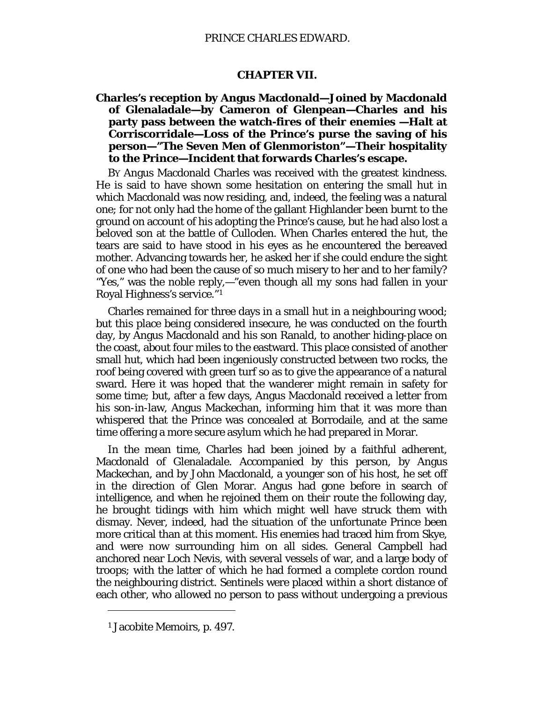## **CHAPTER VII.**

# **Charles's reception by Angus Macdonald—Joined by Macdonald of Glenaladale—by Cameron of Glenpean—Charles and his party pass between the watch-fires of their enemies —Halt at Corriscorridale—Loss of the Prince's purse the saving of his person—"The Seven Men of Glenmoriston"—Their hospitality to the Prince—Incident that forwards Charles's escape.**

BY Angus Macdonald Charles was received with the greatest kindness. He is said to have shown some hesitation on entering the small hut in which Macdonald was now residing, and, indeed, the feeling was a natural one; for not only had the home of the gallant Highlander been burnt to the ground on account of his adopting the Prince's cause, but he had also lost a beloved son at the battle of Culloden. When Charles entered the hut, the tears are said to have stood in his eyes as he encountered the bereaved mother. Advancing towards her, he asked her if she could endure the sight of one who had been the cause of so much misery to her and to her family? "Yes," was the noble reply,—"even though all my sons had fallen in your Royal Highness's service."[1](#page-73-0)

Charles remained for three days in a small hut in a neighbouring wood; but this place being considered insecure, he was conducted on the fourth day, by Angus Macdonald and his son Ranald, to another hiding-place on the coast, about four miles to the eastward. This place consisted of another small hut, which had been ingeniously constructed between two rocks, the roof being covered with green turf so as to give the appearance of a natural sward. Here it was hoped that the wanderer might remain in safety for some time; but, after a few days, Angus Macdonald received a letter from his son-in-law, Angus Mackechan, informing him that it was more than whispered that the Prince was concealed at Borrodaile, and at the same time offering a more secure asylum which he had prepared in Morar.

In the mean time, Charles had been joined by a faithful adherent, Macdonald of Glenaladale. Accompanied by this person, by Angus Mackechan, and by John Macdonald, a younger son of his host, he set off in the direction of Glen Morar. Angus had gone before in search of intelligence, and when he rejoined them on their route the following day, he brought tidings with him which might well have struck them with dismay. Never, indeed, had the situation of the unfortunate Prince been more critical than at this moment. His enemies had traced him from Skye, and were now surrounding him on all sides. General Campbell had anchored near Loch Nevis, with several vessels of war, and a large body of troops; with the latter of which he had formed a complete cordon round the neighbouring district. Sentinels were placed within a short distance of each other, who allowed no person to pass without undergoing a previous

<span id="page-73-0"></span><sup>1</sup> Jacobite Memoirs, p. 497.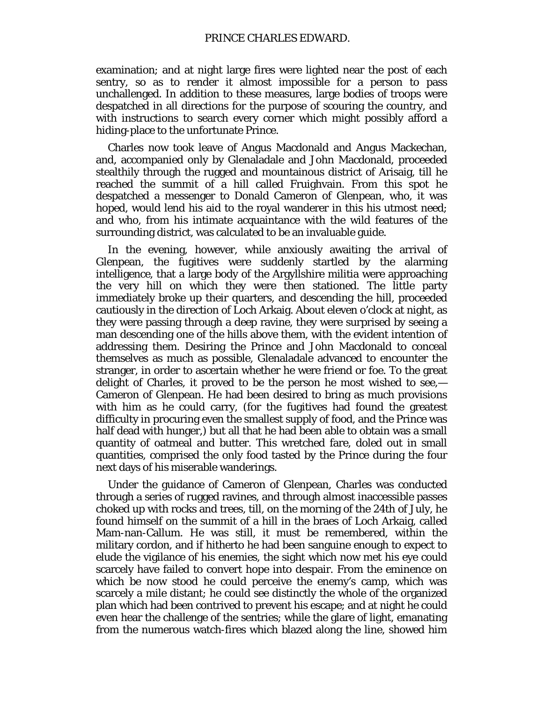examination; and at night large fires were lighted near the post of each sentry, so as to render it almost impossible for a person to pass unchallenged. In addition to these measures, large bodies of troops were despatched in all directions for the purpose of scouring the country, and with instructions to search every corner which might possibly afford a hiding-place to the unfortunate Prince.

Charles now took leave of Angus Macdonald and Angus Mackechan, and, accompanied only by Glenaladale and John Macdonald, proceeded stealthily through the rugged and mountainous district of Arisaig, till he reached the summit of a hill called Fruighvain. From this spot he despatched a messenger to Donald Cameron of Glenpean, who, it was hoped, would lend his aid to the royal wanderer in this his utmost need; and who, from his intimate acquaintance with the wild features of the surrounding district, was calculated to be an invaluable guide.

In the evening, however, while anxiously awaiting the arrival of Glenpean, the fugitives were suddenly startled by the alarming intelligence, that a large body of the Argyllshire militia were approaching the very hill on which they were then stationed. The little party immediately broke up their quarters, and descending the hill, proceeded cautiously in the direction of Loch Arkaig. About eleven o'clock at night, as they were passing through a deep ravine, they were surprised by seeing a man descending one of the hills above them, with the evident intention of addressing them. Desiring the Prince and John Macdonald to conceal themselves as much as possible, Glenaladale advanced to encounter the stranger, in order to ascertain whether he were friend or foe. To the great delight of Charles, it proved to be the person he most wished to see,— Cameron of Glenpean. He had been desired to bring as much provisions with him as he could carry, (for the fugitives had found the greatest difficulty in procuring even the smallest supply of food, and the Prince was half dead with hunger,) but all that he had been able to obtain was a small quantity of oatmeal and butter. This wretched fare, doled out in small quantities, comprised the only food tasted by the Prince during the four next days of his miserable wanderings.

Under the guidance of Cameron of Glenpean, Charles was conducted through a series of rugged ravines, and through almost inaccessible passes choked up with rocks and trees, till, on the morning of the 24th of July, he found himself on the summit of a hill in the braes of Loch Arkaig, called Mam-nan-Callum. He was still, it must be remembered, within the military cordon, and if hitherto he had been sanguine enough to expect to elude the vigilance of his enemies, the sight which now met his eye could scarcely have failed to convert hope into despair. From the eminence on which be now stood he could perceive the enemy's camp, which was scarcely a mile distant; he could see distinctly the whole of the organized plan which had been contrived to prevent his escape; and at night he could even hear the challenge of the sentries; while the glare of light, emanating from the numerous watch-fires which blazed along the line, showed him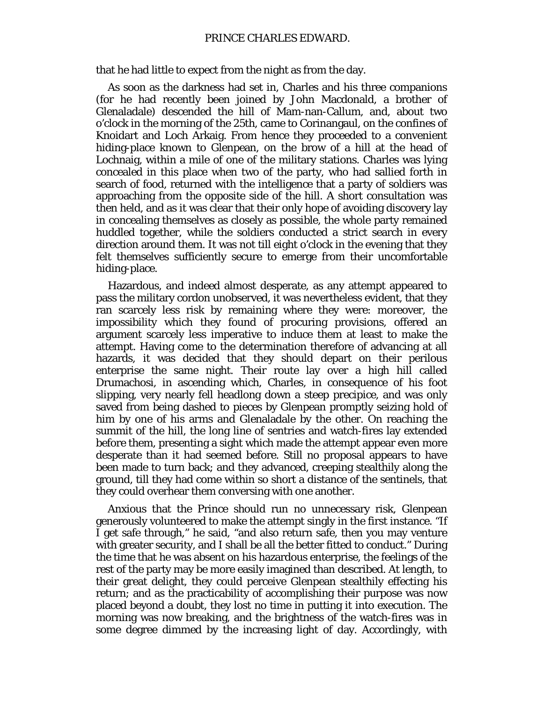## PRINCE CHARLES EDWARD.

that he had little to expect from the night as from the day.

As soon as the darkness had set in, Charles and his three companions (for he had recently been joined by John Macdonald, a brother of Glenaladale) descended the hill of Mam-nan-Callum, and, about two o'clock in the morning of the 25th, came to Corinangaul, on the confines of Knoidart and Loch Arkaig. From hence they proceeded to a convenient hiding-place known to Glenpean, on the brow of a hill at the head of Lochnaig, within a mile of one of the military stations. Charles was lying concealed in this place when two of the party, who had sallied forth in search of food, returned with the intelligence that a party of soldiers was approaching from the opposite side of the hill. A short consultation was then held, and as it was clear that their only hope of avoiding discovery lay in concealing themselves as closely as possible, the whole party remained huddled together, while the soldiers conducted a strict search in every direction around them. It was not till eight o'clock in the evening that they felt themselves sufficiently secure to emerge from their uncomfortable hiding-place.

Hazardous, and indeed almost desperate, as any attempt appeared to pass the military cordon unobserved, it was nevertheless evident, that they ran scarcely less risk by remaining where they were: moreover, the impossibility which they found of procuring provisions, offered an argument scarcely less imperative to induce them at least to make the attempt. Having come to the determination therefore of advancing at all hazards, it was decided that they should depart on their perilous enterprise the same night. Their route lay over a high hill called Drumachosi, in ascending which, Charles, in consequence of his foot slipping, very nearly fell headlong down a steep precipice, and was only saved from being dashed to pieces by Glenpean promptly seizing hold of him by one of his arms and Glenaladale by the other. On reaching the summit of the hill, the long line of sentries and watch-fires lay extended before them, presenting a sight which made the attempt appear even more desperate than it had seemed before. Still no proposal appears to have been made to turn back; and they advanced, creeping stealthily along the ground, till they had come within so short a distance of the sentinels, that they could overhear them conversing with one another.

Anxious that the Prince should run no unnecessary risk, Glenpean generously volunteered to make the attempt singly in the first instance. "If I get safe through," he said, "and also return safe, then you may venture with greater security, and I shall be all the better fitted to conduct." During the time that he was absent on his hazardous enterprise, the feelings of the rest of the party may be more easily imagined than described. At length, to their great delight, they could perceive Glenpean stealthily effecting his return; and as the practicability of accomplishing their purpose was now placed beyond a doubt, they lost no time in putting it into execution. The morning was now breaking, and the brightness of the watch-fires was in some degree dimmed by the increasing light of day. Accordingly, with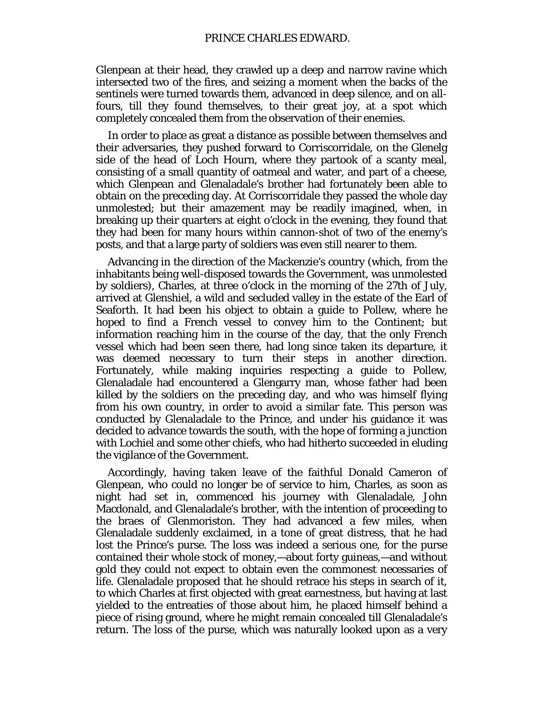Glenpean at their head, they crawled up a deep and narrow ravine which intersected two of the fires, and seizing a moment when the backs of the sentinels were turned towards them, advanced in deep silence, and on allfours, till they found themselves, to their great joy, at a spot which completely concealed them from the observation of their enemies.

In order to place as great a distance as possible between themselves and their adversaries, they pushed forward to Corriscorridale, on the Glenelg side of the head of Loch Hourn, where they partook of a scanty meal, consisting of a small quantity of oatmeal and water, and part of a cheese, which Glenpean and Glenaladale's brother had fortunately been able to obtain on the preceding day. At Corriscorridale they passed the whole day unmolested; but their amazement may be readily imagined, when, in breaking up their quarters at eight o'clock in the evening, they found that they had been for many hours within cannon-shot of two of the enemy's posts, and that a large party of soldiers was even still nearer to them.

Advancing in the direction of the Mackenzie's country (which, from the inhabitants being well-disposed towards the Government, was unmolested by soldiers), Charles, at three o'clock in the morning of the 27th of July, arrived at Glenshiel, a wild and secluded valley in the estate of the Earl of Seaforth. It had been his object to obtain a guide to Pollew, where he hoped to find a French vessel to convey him to the Continent; but information reaching him in the course of the day, that the only French vessel which had been seen there, had long since taken its departure, it was deemed necessary to turn their steps in another direction. Fortunately, while making inquiries respecting a guide to Pollew, Glenaladale had encountered a Glengarry man, whose father had been killed by the soldiers on the preceding day, and who was himself flying from his own country, in order to avoid a similar fate. This person was conducted by Glenaladale to the Prince, and under his guidance it was decided to advance towards the south, with the hope of forming a junction with Lochiel and some other chiefs, who had hitherto succeeded in eluding the vigilance of the Government.

Accordingly, having taken leave of the faithful Donald Cameron of Glenpean, who could no longer be of service to him, Charles, as soon as night had set in, commenced his journey with Glenaladale, John Macdonald, and Glenaladale's brother, with the intention of proceeding to the braes of Glenmoriston. They had advanced a few miles, when Glenaladale suddenly exclaimed, in a tone of great distress, that he had lost the Prince's purse. The loss was indeed a serious one, for the purse contained their whole stock of money,—about forty guineas,—and without gold they could not expect to obtain even the commonest necessaries of life. Glenaladale proposed that he should retrace his steps in search of it, to which Charles at first objected with great earnestness, but having at last yielded to the entreaties of those about him, he placed himself behind a piece of rising ground, where he might remain concealed till Glenaladale's return. The loss of the purse, which was naturally looked upon as a very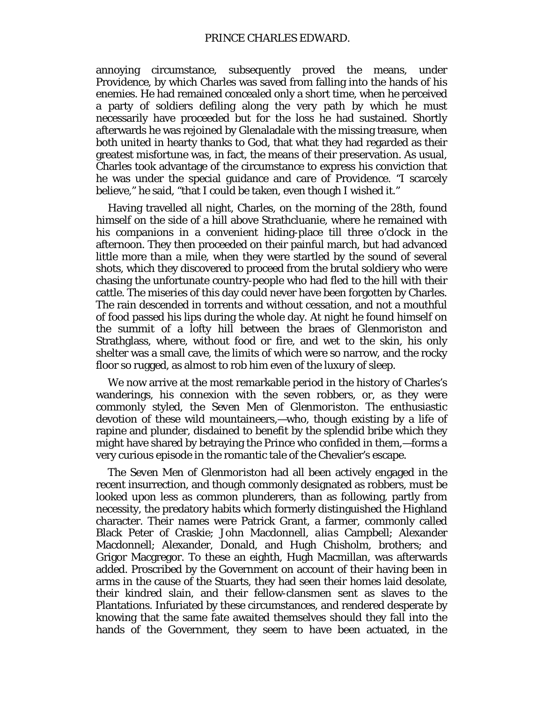annoying circumstance, subsequently proved the means, under Providence, by which Charles was saved from falling into the hands of his enemies. He had remained concealed only a short time, when he perceived a party of soldiers defiling along the very path by which he must necessarily have proceeded but for the loss he had sustained. Shortly afterwards he was rejoined by Glenaladale with the missing treasure, when both united in hearty thanks to God, that what they had regarded as their greatest misfortune was, in fact, the means of their preservation. As usual, Charles took advantage of the circumstance to express his conviction that he was under the special guidance and care of Providence. "I scarcely believe," he said, "that I could be taken, even though I wished it."

Having travelled all night, Charles, on the morning of the 28th, found himself on the side of a hill above Strathcluanie, where he remained with his companions in a convenient hiding-place till three o'clock in the afternoon. They then proceeded on their painful march, but had advanced little more than a mile, when they were startled by the sound of several shots, which they discovered to proceed from the brutal soldiery who were chasing the unfortunate country-people who had fled to the hill with their cattle. The miseries of this day could never have been forgotten by Charles. The rain descended in torrents and without cessation, and not a mouthful of food passed his lips during the whole day. At night he found himself on the summit of a lofty hill between the braes of Glenmoriston and Strathglass, where, without food or fire, and wet to the skin, his only shelter was a small cave, the limits of which were so narrow, and the rocky floor so rugged, as almost to rob him even of the luxury of sleep.

We now arrive at the most remarkable period in the history of Charles's wanderings, his connexion with the seven robbers, or, as they were commonly styled, the *Seven Men of Glenmoriston.* The enthusiastic devotion of these wild mountaineers,—who, though existing by a life of rapine and plunder, disdained to benefit by the splendid bribe which they might have shared by betraying the Prince who confided in them,—forms a very curious episode in the romantic tale of the Chevalier's escape.

The *Seven Men of Glenmoriston* had all been actively engaged in the recent insurrection, and though commonly designated as robbers, must be looked upon less as common plunderers, than as following, partly from necessity, the predatory habits which formerly distinguished the Highland character. Their names were Patrick Grant, a farmer, commonly called Black Peter of Craskie; John Macdonnell, *alias* Campbell; Alexander Macdonnell; Alexander, Donald, and Hugh Chisholm, brothers; and Grigor Macgregor. To these an eighth, Hugh Macmillan, was afterwards added. Proscribed by the Government on account of their having been in arms in the cause of the Stuarts, they had seen their homes laid desolate, their kindred slain, and their fellow-clansmen sent as slaves to the Plantations. Infuriated by these circumstances, and rendered desperate by knowing that the same fate awaited themselves should they fall into the hands of the Government, they seem to have been actuated, in the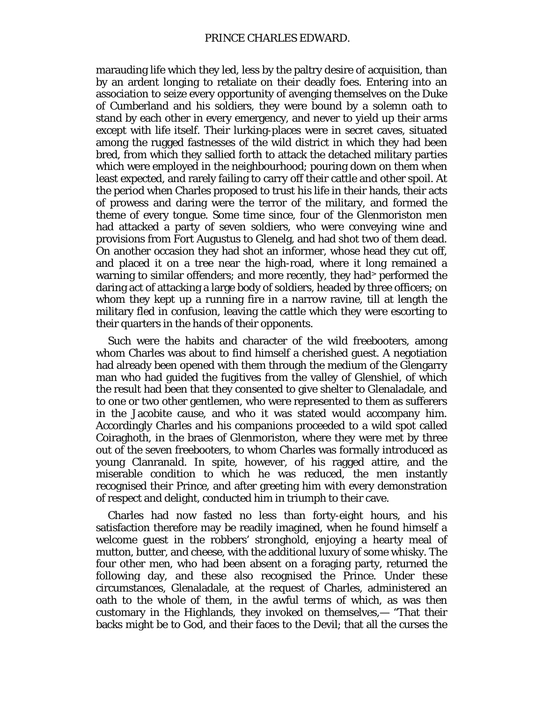marauding life which they led, less by the paltry desire of acquisition, than by an ardent longing to retaliate on their deadly foes. Entering into an association to seize every opportunity of avenging themselves on the Duke of Cumberland and his soldiers, they were bound by a solemn oath to stand by each other in every emergency, and never to yield up their arms except with life itself. Their lurking-places were in secret caves, situated among the rugged fastnesses of the wild district in which they had been bred, from which they sallied forth to attack the detached military parties which were employed in the neighbourhood; pouring down on them when least expected, and rarely failing to carry off their cattle and other spoil. At the period when Charles proposed to trust his life in their hands, their acts of prowess and daring were the terror of the military, and formed the theme of every tongue. Some time since, four of the Glenmoriston men had attacked a party of seven soldiers, who were conveying wine and provisions from Fort Augustus to Glenelg, and had shot two of them dead. On another occasion they had shot an informer, whose head they cut off, and placed it on a tree near the high-road, where it long remained a warning to similar offenders; and more recently, they had> performed the daring act of attacking a large body of soldiers, headed by three officers; on whom they kept up a running fire in a narrow ravine, till at length the military fled in confusion, leaving the cattle which they were escorting to their quarters in the hands of their opponents.

Such were the habits and character of the wild freebooters, among whom Charles was about to find himself a cherished guest. A negotiation had already been opened with them through the medium of the Glengarry man who had guided the fugitives from the valley of Glenshiel, of which the result had been that they consented to give shelter to Glenaladale, and to one or two other gentlemen, who were represented to them as sufferers in the Jacobite cause, and who it was stated would accompany him. Accordingly Charles and his companions proceeded to a wild spot called Coiraghoth, in the braes of Glenmoriston, where they were met by three out of the seven freebooters, to whom Charles was formally introduced as young Clanranald. In spite, however, of his ragged attire, and the miserable condition to which he was reduced, the men instantly recognised their Prince, and after greeting him with every demonstration of respect and delight, conducted him in triumph to their cave.

Charles had now fasted no less than forty-eight hours, and his satisfaction therefore may be readily imagined, when he found himself a welcome guest in the robbers' stronghold, enjoying a hearty meal of mutton, butter, and cheese, with the additional luxury of some whisky. The four other men, who had been absent on a foraging party, returned the following day, and these also recognised the Prince. Under these circumstances, Glenaladale, at the request of Charles, administered an oath to the whole of them, in the awful terms of which, as was then customary in the Highlands, they invoked on themselves,— "That their backs might be to God, and their faces to the Devil; that all the curses the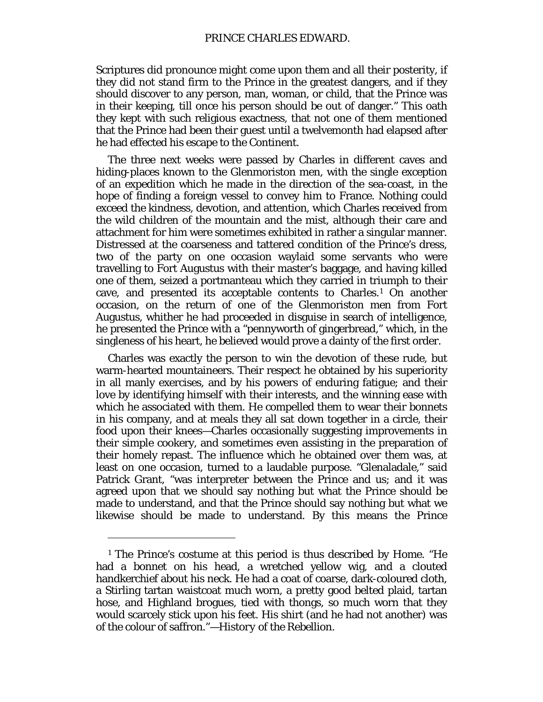Scriptures did pronounce might come upon them and all their posterity, if they did not stand firm to the Prince in the greatest dangers, and if they should discover to any person, man, woman, or child, that the Prince was in their keeping, till once his person should be out of danger." This oath they kept with such religious exactness, that not one of them mentioned that the Prince had been their guest until a twelvemonth had elapsed after he had effected his escape to the Continent.

The three next weeks were passed by Charles in different caves and hiding-places known to the Glenmoriston men, with the single exception of an expedition which he made in the direction of the sea-coast, in the hope of finding a foreign vessel to convey him to France. Nothing could exceed the kindness, devotion, and attention, which Charles received from the wild children of the mountain and the mist, although their care and attachment for him were sometimes exhibited in rather a singular manner. Distressed at the coarseness and tattered condition of the Prince's dress, two of the party on one occasion waylaid some servants who were travelling to Fort Augustus with their master's baggage, and having killed one of them, seized a portmanteau which they carried in triumph to their cave, and presented its acceptable contents to Charles.[1](#page-79-0) On another occasion, on the return of one of the Glenmoriston men from Fort Augustus, whither he had proceeded in disguise in search of intelligence, he presented the Prince with a "pennyworth of gingerbread," which, in the singleness of his heart, he believed would prove a dainty of the first order.

Charles was exactly the person to win the devotion of these rude, but warm-hearted mountaineers. Their respect he obtained by his superiority in all manly exercises, and by his powers of enduring fatigue; and their love by identifying himself with their interests, and the winning ease with which he associated with them. He compelled them to wear their bonnets in his company, and at meals they all sat down together in a circle, their food upon their knees—Charles occasionally suggesting improvements in their simple cookery, and sometimes even assisting in the preparation of their homely repast. The influence which he obtained over them was, at least on one occasion, turned to a laudable purpose. "Glenaladale," said Patrick Grant, "was interpreter between the Prince and us; and it was agreed upon that we should say nothing but what the Prince should be made to understand, and that the Prince should say nothing but what we likewise should be made to understand. By this means the Prince

<span id="page-79-0"></span><sup>1</sup> The Prince's costume at this period is thus described by Home. "He had a bonnet on his head, a wretched yellow wig, and a clouted handkerchief about his neck. He had a coat of coarse, dark-coloured cloth, a Stirling tartan waistcoat much worn, a pretty good belted plaid, tartan hose, and Highland brogues, tied with thongs, so much worn that they would scarcely stick upon his feet. His shirt (and he had not another) was of the colour of saffron."—*History of the Rebellion.*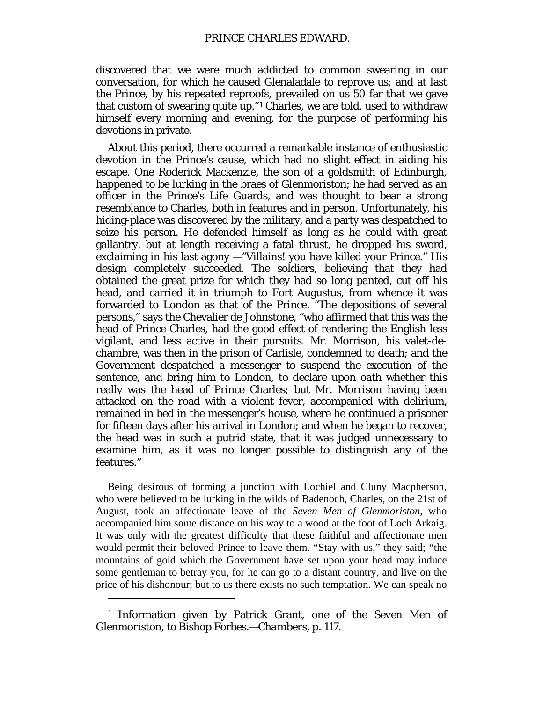discovered that we were much addicted to common swearing in our conversation, for which he caused Glenaladale to reprove us; and at last the Prince, by his repeated reproofs, prevailed on us 50 far that we gave that custom of swearing quite up."[1](#page-80-0) Charles, we are told, used to withdraw himself every morning and evening, for the purpose of performing his devotions in private.

About this period, there occurred a remarkable instance of enthusiastic devotion in the Prince's cause, which had no slight effect in aiding his escape. One Roderick Mackenzie, the son of a goldsmith of Edinburgh, happened to be lurking in the braes of Glenmoriston; he had served as an officer in the Prince's Life Guards, and was thought to bear a strong resemblance to Charles, both in features and in person. Unfortunately, his hiding-place was discovered by the military, and a party was despatched to seize his person. He defended himself as long as he could with great gallantry, but at length receiving a fatal thrust, he dropped his sword, exclaiming in his last agony —"Villains! you have killed your Prince." His design completely succeeded. The soldiers, believing that they had obtained the great prize for which they had so long panted, cut off his head, and carried it in triumph to Fort Augustus, from whence it was forwarded to London as that of the Prince. "The depositions of several persons," says the Chevalier de Johnstone, "who affirmed that this was the head of Prince Charles, had the good effect of rendering the English less vigilant, and less active in their pursuits. Mr. Morrison, his valet-dechambre, was then in the prison of Carlisle, condemned to death; and the Government despatched a messenger to suspend the execution of the sentence, and bring him to London, to declare upon oath whether this really was the head of Prince Charles; but Mr. Morrison having been attacked on the road with a violent fever, accompanied with delirium, remained in bed in the messenger's house, where he continued a prisoner for fifteen days after his arrival in London; and when he began to recover, the head was in such a putrid state, that it was judged unnecessary to examine him, as it was no longer possible to distinguish any of the features."

Being desirous of forming a junction with Lochiel and Cluny Macpherson, who were believed to be lurking in the wilds of Badenoch, Charles, on the 21st of August, took an affectionate leave of the *Seven Men of Glenmoriston,* who accompanied him some distance on his way to a wood at the foot of Loch Arkaig. It was only with the greatest difficulty that these faithful and affectionate men would permit their beloved Prince to leave them. "Stay with us," they said; "the mountains of gold which the Government have set upon your head may induce some gentleman to betray you, for he can go to a distant country, and live on the price of his dishonour; but to us there exists no such temptation. We can speak no

<span id="page-80-0"></span><sup>1</sup> Information given by Patrick Grant, *one of the Seven Men of Glenmoriston,* to Bishop Forbes.—*Chambers, p.* 117.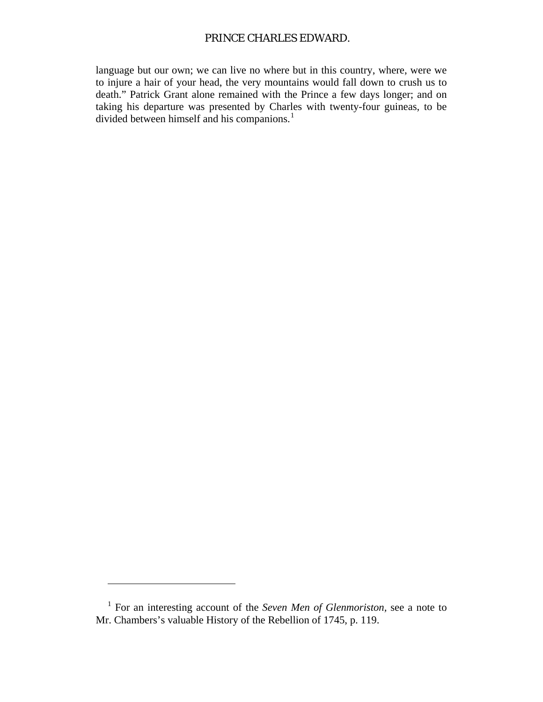# PRINCE CHARLES EDWARD.

language but our own; we can live no where but in this country, where, were we to injure a hair of your head, the very mountains would fall down to crush us to death." Patrick Grant alone remained with the Prince a few days longer; and on taking his departure was presented by Charles with twenty-four guineas, to be divided between himself and his companions.<sup>[1](#page-81-0)</sup>

<span id="page-81-0"></span><sup>1</sup> For an interesting account of the *Seven Men of Glenmoriston,* see a note to Mr. Chambers's valuable History of the Rebellion of 1745, p. 119.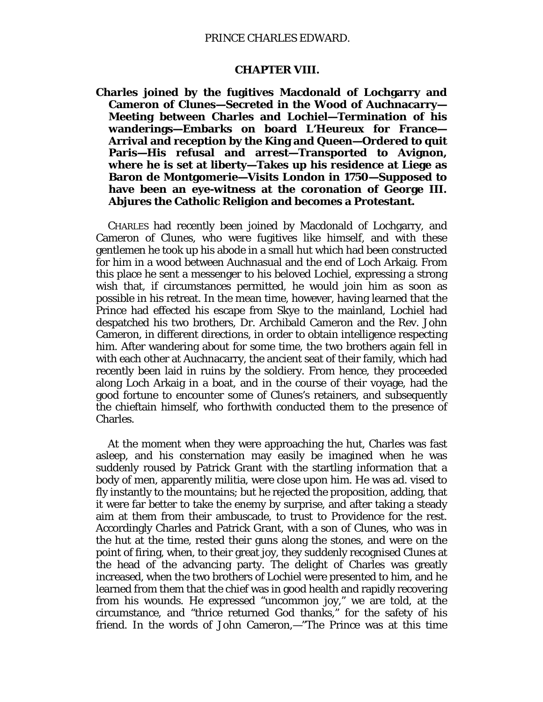### PRINCE CHARLES EDWARD.

#### **CHAPTER VIII.**

**Charles joined by the fugitives Macdonald of Lochgarry and Cameron of Clunes—Secreted in the Wood of Auchnacarry— Meeting between Charles and Lochiel—Termination of his wanderings—Embarks on board L'Heureux for France— Arrival and reception by the King and Queen—Ordered to quit Paris—His refusal and arrest—Transported to Avignon, where he is set at liberty—Takes up his residence at Liege as Baron de Montgomerie—Visits London in 1750—Supposed to have been an eye-witness at the coronation of George III. Abjures the Catholic Religion and becomes a Protestant.**

CHARLES had recently been joined by Macdonald of Lochgarry, and Cameron of Clunes, who were fugitives like himself, and with these gentlemen he took up his abode in a small hut which had been constructed for him in a wood between Auchnasual and the end of Loch Arkaig. From this place he sent a messenger to his beloved Lochiel, expressing a strong wish that, if circumstances permitted, he would join him as soon as possible in his retreat. In the mean time, however, having learned that the Prince had effected his escape from Skye to the mainland, Lochiel had despatched his two brothers, Dr. Archibald Cameron and the Rev. John Cameron, in different directions, in order to obtain intelligence respecting him. After wandering about for some time, the two brothers again fell in with each other at Auchnacarry, the ancient seat of their family, which had recently been laid in ruins by the soldiery. From hence, they proceeded along Loch Arkaig in a boat, and in the course of their voyage, had the good fortune to encounter some of Clunes's retainers, and subsequently the chieftain himself, who forthwith conducted them to the presence of Charles.

At the moment when they were approaching the hut, Charles was fast asleep, and his consternation may easily be imagined when he was suddenly roused by Patrick Grant with the startling information that a body of men, apparently militia, were close upon him. He was ad. vised to fly instantly to the mountains; but he rejected the proposition, adding, that it were far better to take the enemy by surprise, and after taking a steady aim at them from their ambuscade, to trust to Providence for the rest. Accordingly Charles and Patrick Grant, with a son of Clunes, who was in the hut at the time, rested their guns along the stones, and were on the point of firing, when, to their great joy, they suddenly recognised Clunes at the head of the advancing party. The delight of Charles was greatly increased, when the two brothers of Lochiel were presented to him, and he learned from them that the chief was in good health and rapidly recovering from his wounds. He expressed "uncommon joy," we are told, at the circumstance, and "thrice returned God thanks," for the safety of his friend. In the words of John Cameron,—"The Prince was at this time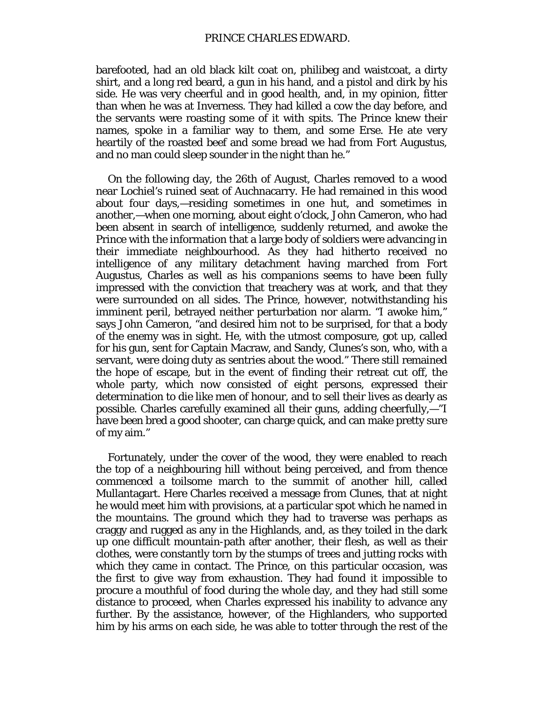barefooted, had an old black kilt coat on, philibeg and waistcoat, a dirty shirt, and a long red beard, a gun in his hand, and a pistol and dirk by his side. He was very cheerful and in good health, and, in my opinion, fitter than when he was at Inverness. They had killed a cow the day before, and the servants were roasting some of it with spits. The Prince knew their names, spoke in a familiar way to them, and some Erse. He ate very heartily of the roasted beef and some bread we had from Fort Augustus, and no man could sleep sounder in the night than he."

On the following day, the 26th of August, Charles removed to a wood near Lochiel's ruined seat of Auchnacarry. He had remained in this wood about four days,—residing sometimes in one hut, and sometimes in another,—when one morning, about eight o'clock, John Cameron, who had been absent in search of intelligence, suddenly returned, and awoke the Prince with the information that a large body of soldiers were advancing in their immediate neighbourhood. As they had hitherto received no intelligence of any military detachment having marched from Fort Augustus, Charles as well as his companions seems to have been fully impressed with the conviction that treachery was at work, and that they were surrounded on all sides. The Prince, however, notwithstanding his imminent peril, betrayed neither perturbation nor alarm. "I awoke him," says John Cameron, "and desired him not to be surprised, for that a body of the enemy was in sight. He, with the utmost composure, got up, called for his gun, sent for Captain Macraw, and Sandy, Clunes's son, who, with a servant, were doing duty as sentries about the wood." There still remained the hope of escape, but in the event of finding their retreat cut off, the whole party, which now consisted of eight persons, expressed their determination to die like men of honour, and to sell their lives as dearly as possible. Charles carefully examined all their guns, adding cheerfully,—"I have been bred a good shooter, can charge quick, and can make pretty sure of my aim."

Fortunately, under the cover of the wood, they were enabled to reach the top of a neighbouring hill without being perceived, and from thence commenced a toilsome march to the summit of another hill, called Mullantagart. Here Charles received a message from Clunes, that at night he would meet him with provisions, at a particular spot which he named in the mountains. The ground which they had to traverse was perhaps as craggy and rugged as any in the Highlands, and, as they toiled in the dark up one difficult mountain-path after another, their flesh, as well as their clothes, were constantly torn by the stumps of trees and jutting rocks with which they came in contact. The Prince, on this particular occasion, was the first to give way from exhaustion. They had found it impossible to procure a mouthful of food during the whole day, and they had still some distance to proceed, when Charles expressed his inability to advance any further. By the assistance, however, of the Highlanders, who supported him by his arms on each side, he was able to totter through the rest of the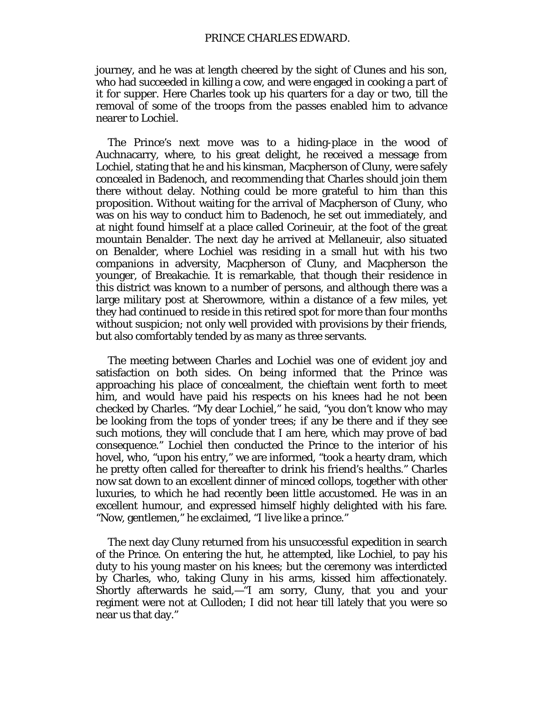journey, and he was at length cheered by the sight of Clunes and his son, who had succeeded in killing a cow, and were engaged in cooking a part of it for supper. Here Charles took up his quarters for a day or two, till the removal of some of the troops from the passes enabled him to advance nearer to Lochiel.

The Prince's next move was to a hiding-place in the wood of Auchnacarry, where, to his great delight, he received a message from Lochiel, stating that he and his kinsman, Macpherson of Cluny, were safely concealed in Badenoch, and recommending that Charles should join them there without delay. Nothing could be more grateful to him than this proposition. Without waiting for the arrival of Macpherson of Cluny, who was on his way to conduct him to Badenoch, he set out immediately, and at night found himself at a place called Corineuir, at the foot of the great mountain Benalder. The next day he arrived at Mellaneuir, also situated on Benalder, where Lochiel was residing in a small hut with his two companions in adversity, Macpherson of Cluny, and Macpherson the younger, of Breakachie. It is remarkable, that though their residence in this district was known to a number of persons, and although there was a large military post at Sherowmore, within a distance of a few miles, yet they had continued to reside in this retired spot for more than four months without suspicion; not only well provided with provisions by their friends, but also comfortably tended by as many as three servants.

The meeting between Charles and Lochiel was one of evident joy and satisfaction on both sides. On being informed that the Prince was approaching his place of concealment, the chieftain went forth to meet him, and would have paid his respects on his knees had he not been checked by Charles. "My dear Lochiel," he said, "you don't know who may be looking from the tops of yonder trees; if any be there and if they see such motions, they will conclude that I am here, which may prove of bad consequence." Lochiel then conducted the Prince to the interior of his hovel, who, "upon his entry," we are informed, "took a hearty dram, which he pretty often called for thereafter to drink his friend's healths." Charles now sat down to an excellent dinner of minced collops, together with other luxuries, to which he had recently been little accustomed. He was in an excellent humour, and expressed himself highly delighted with his fare. "Now, gentlemen," he exclaimed, "I live like a prince."

The next day Cluny returned from his unsuccessful expedition in search of the Prince. On entering the hut, he attempted, like Lochiel, to pay his duty to his young master on his knees; but the ceremony was interdicted by Charles, who, taking Cluny in his arms, kissed him affectionately. Shortly afterwards he said,—"I am sorry, Cluny, that you and your regiment were not at Culloden; I did not hear till lately that you were so near us that day."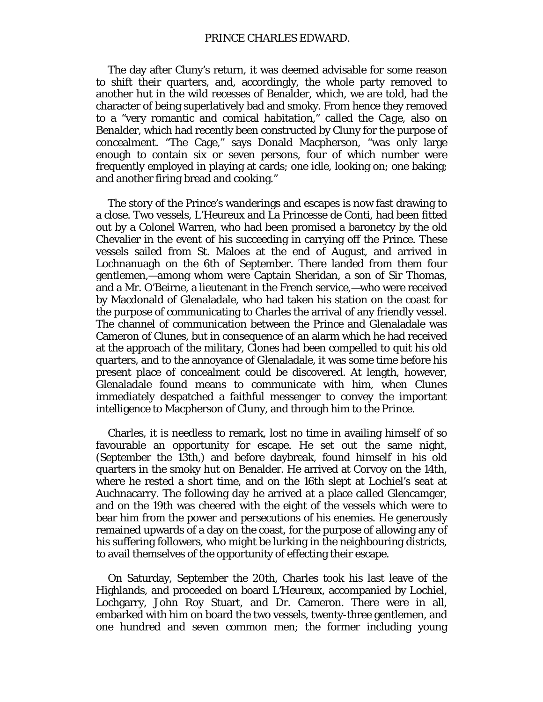The day after Cluny's return, it was deemed advisable for some reason to shift their quarters, and, accordingly, the whole party removed to another hut in the wild recesses of Benalder, which, we are told, had the character of being superlatively bad and smoky. From hence they removed to a "very romantic and comical habitation," called the *Cage,* also on Benalder, which had recently been constructed by Cluny for the purpose of concealment. "The Cage," says Donald Macpherson, "was only large enough to contain six or seven persons, four of which number were frequently employed in playing at cards; one idle, looking on; one baking; and another firing bread and cooking."

The story of the Prince's wanderings and escapes is now fast drawing to a close. Two vessels, L'Heureux and La Princesse de Conti, had been fitted out by a Colonel Warren, who had been promised a baronetcy by the old Chevalier in the event of his succeeding in carrying off the Prince. These vessels sailed from St. Maloes at the end of August, and arrived in Lochnanuagh on the 6th of September. There landed from them four gentlemen,—among whom were Captain Sheridan, a son of Sir Thomas, and a Mr. O'Beirne, a lieutenant in the French service,—who were received by Macdonald of Glenaladale, who had taken his station on the coast for the purpose of communicating to Charles the arrival of any friendly vessel. The channel of communication between the Prince and Glenaladale was Cameron of Clunes, but in consequence of an alarm which he had received at the approach of the military, Clones had been compelled to quit his old quarters, and to the annoyance of Glenaladale, it was some time before his present place of concealment could be discovered. At length, however, Glenaladale found means to communicate with him, when Clunes immediately despatched a faithful messenger to convey the important intelligence to Macpherson of Cluny, and through him to the Prince.

Charles, it is needless to remark, lost no time in availing himself of so favourable an opportunity for escape. He set out the same night, (September the 13th,) and before daybreak, found himself in his old quarters in the smoky hut on Benalder. He arrived at Corvoy on the 14th, where he rested a short time, and on the 16th slept at Lochiel's seat at Auchnacarry. The following day he arrived at a place called Glencamger, and on the 19th was cheered with the eight of the vessels which were to bear him from the power and persecutions of his enemies. He generously remained upwards of a day on the coast, for the purpose of allowing any of his suffering followers, who might be lurking in the neighbouring districts, to avail themselves of the opportunity of effecting their escape.

On Saturday, September the 20th, Charles took his last leave of the Highlands, and proceeded on board *L'Heureux*, accompanied by Lochiel, Lochgarry, John Roy Stuart, and Dr. Cameron. There were in all, embarked with him on board the two vessels, twenty-three gentlemen, and one hundred and seven common men; the former including young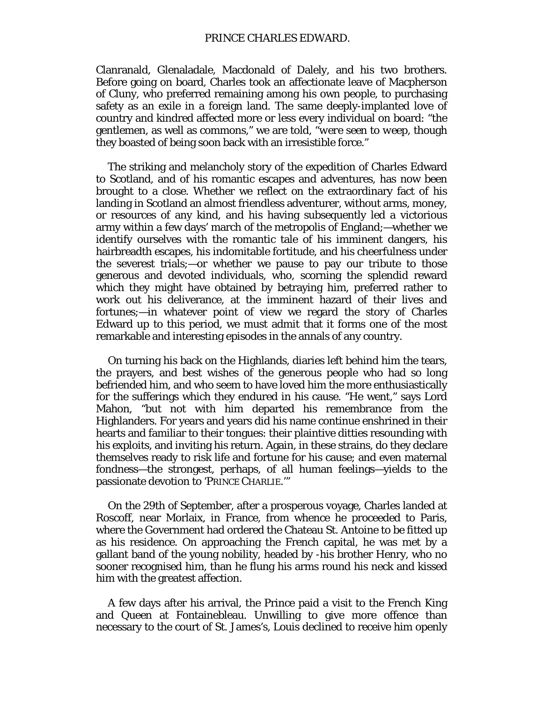Clanranald, Glenaladale, Macdonald of Dalely, and his two brothers. Before going on board, Charles took an affectionate leave of Macpherson of Cluny, who preferred remaining among his own people, to purchasing safety as an exile in a foreign land. The same deeply-implanted love of country and kindred affected more or less every individual on board: "the gentlemen, as well as commons," we are told, "*were seen to weep,* though they boasted of being soon back with an irresistible force."

The striking and melancholy story of the expedition of Charles Edward to Scotland, and of his romantic escapes and adventures, has now been brought to a close. Whether we reflect on the extraordinary fact of his landing in Scotland an almost friendless adventurer, without arms, money, or resources of any kind, and his having subsequently led a victorious army within a few days' march of the metropolis of England;—whether we identify ourselves with the romantic tale of his imminent dangers, his hairbreadth escapes, his indomitable fortitude, and his cheerfulness under the severest trials;—or whether we pause to pay our tribute to those generous and devoted individuals, who, scorning the splendid reward which they might have obtained by betraying him, preferred rather to work out his deliverance, at the imminent hazard of their lives and fortunes;—in whatever point of view we regard the story of Charles Edward up to this period, we must admit that it forms one of the most remarkable and interesting episodes in the annals of any country.

On turning his back on the Highlands, diaries left behind him the tears, the prayers, and best wishes of the generous people who had so long befriended him, and who seem to have loved him the more enthusiastically for the sufferings which they endured in his cause. "He went," says Lord Mahon, "but not with him departed his remembrance from the Highlanders. For years and years did his name continue enshrined in their hearts and familiar to their tongues: their plaintive ditties resounding with his exploits, and inviting his return. Again, in these strains, do they declare themselves ready to risk life and fortune for his cause; and even maternal fondness—the strongest, perhaps, of all human feelings—yields to the passionate devotion to 'PRINCE CHARLIE.'"

On the 29th of September, after a prosperous voyage, Charles landed at Roscoff, near Morlaix, in France, from whence he proceeded to Paris, where the Government had ordered the Chateau St. Antoine to be fitted up as his residence. On approaching the French capital, he was met by a gallant band of the young nobility, headed by -his brother Henry, who no sooner recognised him, than he flung his arms round his neck and kissed him with the greatest affection.

A few days after his arrival, the Prince paid a visit to the French King and Queen at Fontainebleau. Unwilling to give more offence than necessary to the court of St. James's, Louis declined to receive him openly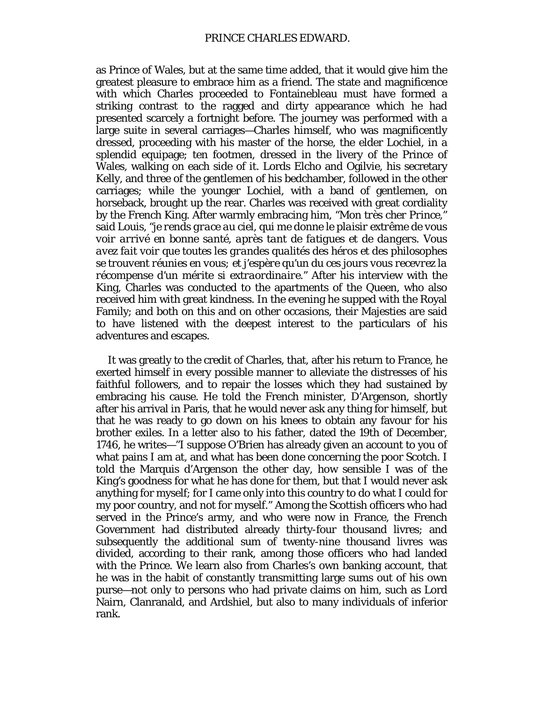as Prince of Wales, but at the same time added, that it would give him the greatest pleasure to embrace him as a friend. The state and magnificence with which Charles proceeded to Fontainebleau must have formed a striking contrast to the ragged and dirty appearance which he had presented scarcely a fortnight before. The journey was performed with a large suite in several carriages—Charles himself, who was magnificently dressed, proceeding with his master of the horse, the elder Lochiel, in a splendid equipage; ten footmen, dressed in the livery of the Prince of Wales, walking on each side of it. Lords Elcho and Ogilvie, his secretary Kelly, and three of the gentlemen of his bedchamber, followed in the other carriages; while the younger Lochiel, with a band of gentlemen, on horseback, brought up the rear. Charles was received with great cordiality by the French King. After warmly embracing him, "*Mon très cher Prince,"* said Louis, *"je rends grace au ciel, qui me donne le plaisir extrême de vous voir arrivé en bonne santé, après tant de fatigues et de dangers. Vous avez fait voir que toutes les grandes qualités des héros et des philosophes se trouvent réunies en vous; et j'espère qu'un du ces jours vous recevrez la récompense d'un mérite si extraordinaire."* After his interview with the King, Charles was conducted to the apartments of the Queen, who also received him with great kindness. In the evening he supped with the Royal Family; and both on this and on other occasions, their Majesties are said to have listened with the deepest interest to the particulars of his adventures and escapes.

It was greatly to the credit of Charles, that, after his return to France, he exerted himself in every possible manner to alleviate the distresses of his faithful followers, and to repair the losses which they had sustained by embracing his cause. He told the French minister, D'Argenson, shortly after his arrival in Paris, that he would never ask any thing for himself, but that he was ready to go down on his knees to obtain any favour for his brother exiles. In a letter also to his father, dated the 19th of December, 1746, he writes—"I suppose O'Brien has already given an account to you of what pains I am at, and what has been done concerning the poor Scotch. I told the Marquis d'Argenson the other day, how sensible I was of the King's goodness for what he has done for them, but that I would never ask anything for myself; for I came only into this country to do what I could for my poor country, and not for myself." Among the Scottish officers who had served in the Prince's army, and who were now in France, the French Government had distributed already thirty-four thousand livres; and subsequently the additional sum of twenty-nine thousand livres was divided, according to their rank, among those officers who had landed with the Prince. We learn also from Charles's own banking account, that he was in the habit of constantly transmitting large sums out of his own purse—not only to persons who had private claims on him, such as Lord Nairn, Clanranald, and Ardshiel, but also to many individuals of inferior rank.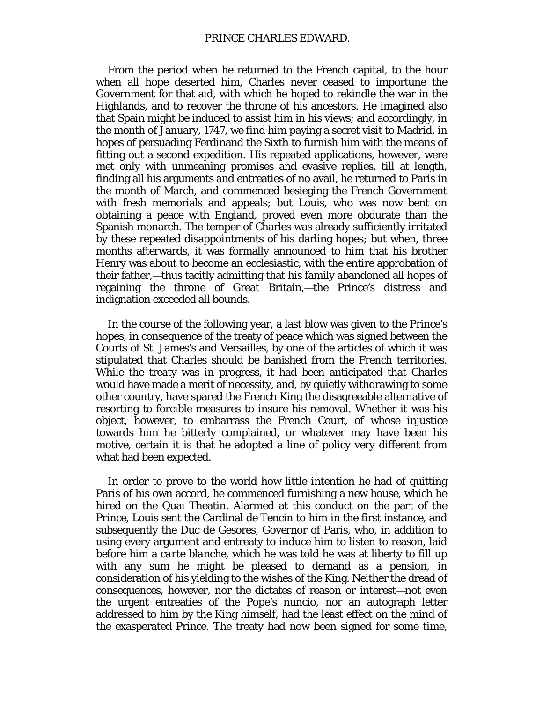From the period when he returned to the French capital, to the hour when all hope deserted him, Charles never ceased to importune the Government for that aid, with which he hoped to rekindle the war in the Highlands, and to recover the throne of his ancestors. He imagined also that Spain might be induced to assist him in his views; and accordingly, in the month of January, 1747, we find him paying a secret visit to Madrid, in hopes of persuading Ferdinand the Sixth to furnish him with the means of fitting out a second expedition. His repeated applications, however, were met only with unmeaning promises and evasive replies, till at length, finding all his arguments and entreaties of no avail, he returned to Paris in the month of March, and commenced besieging the French Government with fresh memorials and appeals; but Louis, who was now bent on obtaining a peace with England, proved even more obdurate than the Spanish monarch. The temper of Charles was already sufficiently irritated by these repeated disappointments of his darling hopes; but when, three months afterwards, it was formally announced to him that his brother Henry was about to become an ecclesiastic, with the entire approbation of their father,—thus tacitly admitting that his family abandoned all hopes of regaining the throne of Great Britain,—the Prince's distress and indignation exceeded all bounds.

In the course of the following year, a last blow was given to the Prince's hopes, in consequence of the treaty of peace which was signed between the Courts of St. James's and Versailles, by one of the articles of which it was stipulated that Charles should be banished from the French territories. While the treaty was in progress, it had been anticipated that Charles would have made a merit of necessity, and, by quietly withdrawing to some other country, have spared the French King the disagreeable alternative of resorting to forcible measures to insure his removal. Whether it was his object, however, to embarrass the French Court, of whose injustice towards him he bitterly complained, or whatever may have been his motive, certain it is that he adopted a line of policy very different from what had been expected.

In order to prove to the world how little intention he had of quitting Paris of his own accord, he commenced furnishing a new house, which he hired on the Quai Theatin. Alarmed at this conduct on the part of the Prince, Louis sent the Cardinal de Tencin to him in the first instance, and subsequently the Duc de Gesores, Governor of Paris, who, in addition to using every argument and entreaty to induce him to listen to reason, laid before him a *carte blanche,* which he was told he was at liberty to fill up with any sum he might be pleased to demand as a pension, in consideration of his yielding to the wishes of the King. Neither the dread of consequences, however, nor the dictates of reason or interest—not even the urgent entreaties of the Pope's nuncio, nor an autograph letter addressed to him by the King himself, had the least effect on the mind of the exasperated Prince. The treaty had now been signed for some time,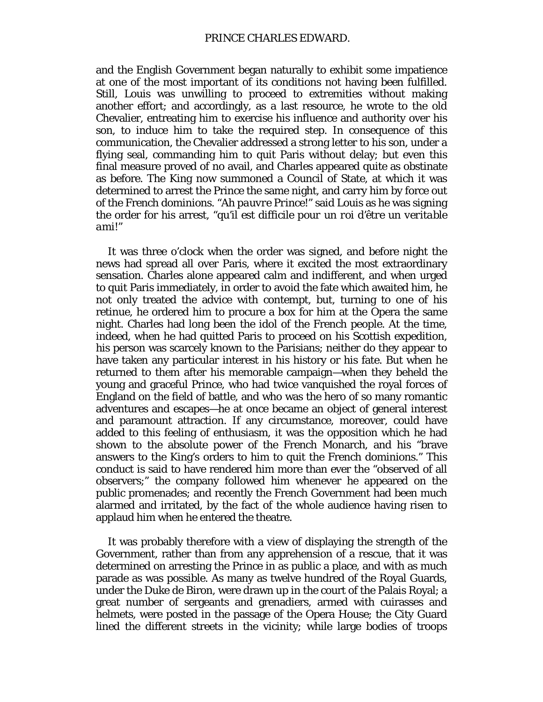and the English Government began naturally to exhibit some impatience at one of the most important of its conditions not having been fulfilled. Still, Louis was unwilling to proceed to extremities without making another effort; and accordingly, as a last resource, he wrote to the old Chevalier, entreating him to exercise his influence and authority over his son, to induce him to take the required step. In consequence of this communication, the Chevalier addressed a strong letter to his son, under a flying seal, commanding him to quit Paris without delay; but even this final measure proved of no avail, and Charles appeared quite as obstinate as before. The King now summoned a Council of State, at which it was determined to arrest the Prince the same night, and carry him by force out of the French dominions. "*Ah pauvre Prince!*" said Louis as he was signing the order for his arrest, "*qu'il est difficile pour un roi d'être un veritable ami!*"

It was three o'clock when the order was signed, and before night the news had spread all over Paris, where it excited the most extraordinary sensation. Charles alone appeared calm and indifferent, and when urged to quit Paris immediately, in order to avoid the fate which awaited him, he not only treated the advice with contempt, but, turning to one of his retinue, he ordered him to procure a box for him at the Opera the same night. Charles had long been the idol of the French people. At the time, indeed, when he had quitted Paris to proceed on *his* Scottish expedition, his person was scarcely known to the Parisians; neither do they appear to have taken any particular interest in his history or his fate. But when he returned to them after his memorable campaign—when they beheld the young and graceful Prince, who had twice vanquished the royal forces of England on the field of battle, and who was the hero of so many romantic adventures and escapes—he at once became an object of general interest and paramount attraction. If any circumstance, moreover, could have added to this feeling of enthusiasm, it was the opposition which he had shown to the absolute power of the French Monarch, and his "brave answers to the King's orders to him to quit the French dominions." This conduct is said to have rendered him more than ever the "observed of all observers;" the company followed him whenever he appeared on the public promenades; and recently the French Government had been much alarmed and irritated, by the fact of the whole audience having risen to applaud him when he entered the theatre.

It was probably therefore with a view of displaying the strength of the Government, rather than from any apprehension of a rescue, that it was determined on arresting the Prince in as public a place, and with as much parade as was possible. As many as twelve hundred of the Royal Guards, under the Duke de Biron, were drawn up in the court of the Palais Royal; a great number of sergeants and grenadiers, armed with cuirasses and helmets, were posted in the passage of the Opera House; the City Guard lined the different streets in the vicinity; while large bodies of troops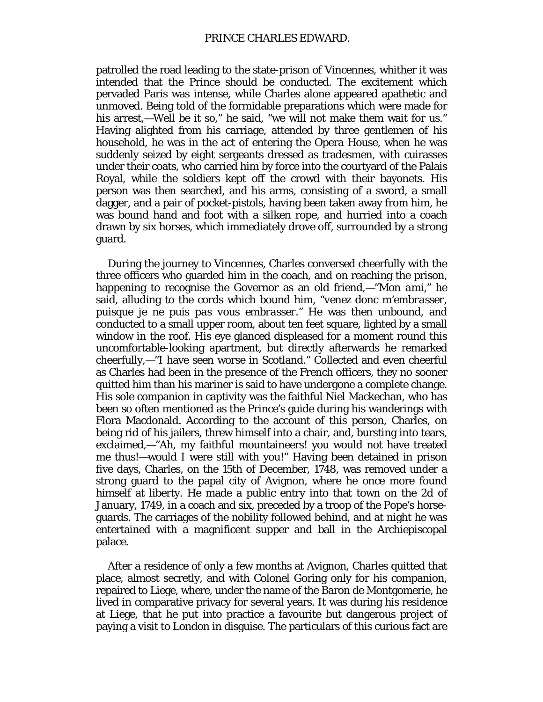patrolled the road leading to the state-prison of Vincennes, whither it was intended that the Prince should be conducted. The excitement which pervaded Paris was intense, while Charles alone appeared apathetic and unmoved. Being told of the formidable preparations which were made for his arrest,—Well be it so," he said, "we will not make them wait for us." Having alighted from his carriage, attended by three gentlemen of his household, he was in the act of entering the Opera House, when he was suddenly seized by eight sergeants dressed as tradesmen, with cuirasses under their coats, who carried him by force into the courtyard of the Palais Royal, while the soldiers kept off the crowd with their bayonets. His person was then searched, and his arms, consisting of a sword, a small dagger, and a pair of pocket-pistols, having been taken away from him, he was bound hand and foot with a silken rope, and hurried into a coach drawn by six horses, which immediately drove off, surrounded by a strong guard.

During the journey to Vincennes, Charles conversed cheerfully with the three officers who guarded him in the coach, and on reaching the prison, happening to recognise the Governor as an old friend,—"*Mon ami,"* he said, alluding to the cords which bound him, "*venez donc m'embrasser, puisque je ne puis pas vous embrasser."* He was then unbound, and conducted to a small upper room, about ten feet square, lighted by a small window in the roof. His eye glanced displeased for a moment round this uncomfortable-looking apartment, but directly afterwards he remarked cheerfully,—"I have seen worse in Scotland." Collected and even cheerful as Charles had been in the presence of the French officers, they no sooner quitted him than his mariner is said to have undergone a complete change. His sole companion in captivity was the faithful Niel Mackechan, who has been so often mentioned as the Prince's guide during his wanderings with Flora Macdonald. According to the account of this person, Charles, on being rid of his jailers, threw himself into a chair, and, bursting into tears, exclaimed,—"Ah, my faithful mountaineers! you would not have treated me thus!—would I were still with you!" Having been detained in prison five days, Charles, on the 15th of December, 1748, was removed under a strong guard to the papal city of Avignon, where he once more found himself at liberty. He made a public entry into that town on the 2d of January, 1749, in a coach and six, preceded by a troop of the Pope's horseguards. The carriages of the nobility followed behind, and at night he was entertained with a magnificent supper and ball in the Archiepiscopal palace.

After a residence of only a few months at Avignon, Charles quitted that place, almost secretly, and with Colonel Goring only for his companion, repaired to Liege, where, under the name of the Baron de Montgomerie, he lived in comparative privacy for several years. It was during his residence at Liege, that he put into practice a favourite but dangerous project of paying a visit to London in disguise. The particulars of this curious fact are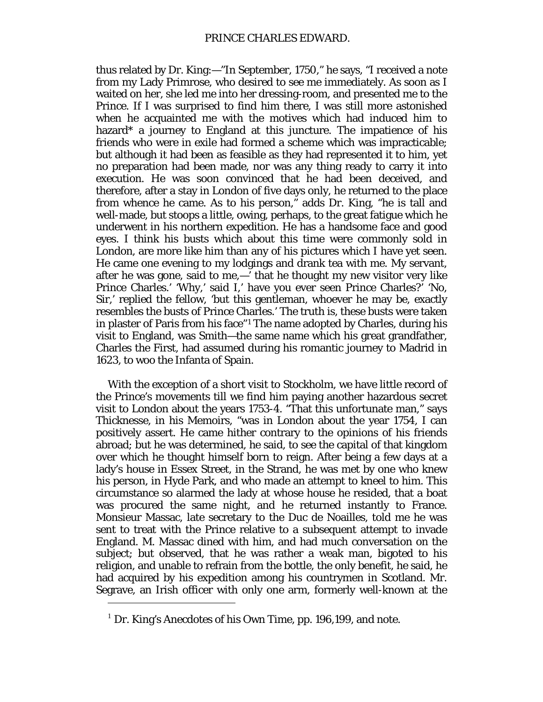thus related by Dr. King:—"In September, 1750," he says, "I received a note from my Lady Primrose, who desired to see me immediately. As soon as I waited on her, she led me into her dressing-room, and presented me to the Prince. If I was surprised to find him there, I was still more astonished when he acquainted me with the motives which had induced him to hazard\* a journey to England at this juncture. The impatience of his friends who were in exile had formed a scheme which was impracticable; but although it had been as feasible as they had represented it to him, yet no preparation had been made, nor was any thing ready to carry it into execution. He was soon convinced that he had been deceived, and therefore, after a stay in London of five days only, he returned to the place from whence he came. As to his person," adds Dr. King, "he is tall and well-made, but stoops a little, owing, perhaps, to the great fatigue which he underwent in his northern expedition. He has a handsome face and good eyes. I think his busts which about this time were commonly sold in London, are more like him than any of his pictures which I have yet seen. He came one evening to my lodgings and drank tea with me. My servant, after he was gone, said to me,—' that he thought my new visitor very like Prince Charles.' 'Why,' said I,' have you ever seen Prince Charles?' 'No, Sir,' replied the fellow, 'but this gentleman, whoever he may be, exactly resembles the busts of Prince Charles.' The truth is, these busts were taken in plaster of Paris from his face"[1](#page-91-0) The name adopted by Charles, during his visit to England, was Smith—the same name which his great grandfather, Charles the First, had assumed during his romantic journey to Madrid in 1623, to woo the Infanta of Spain.

With the exception of a short visit to Stockholm, we have little record of the Prince's movements till we find him paying another hazardous secret visit to London about the years 1753-4. "That this unfortunate man," says Thicknesse, in his Memoirs, "was in London about the year 1754, I can positively assert. He came hither contrary to the opinions of his friends abroad; but he was determined, he said, to see the capital of that kingdom over which he thought himself born to reign. After being a few days at a lady's house in Essex Street, in the Strand, he was met by one who knew his person, in Hyde Park, and who made an attempt to kneel to him. This circumstance so alarmed the lady at whose house he resided, that a boat was procured the same night, and he returned instantly to France. Monsieur Massac, late secretary to the Duc de Noailles, told me he was sent to treat with the Prince relative to a subsequent attempt to invade England. M. Massac dined with him, and had much conversation on the subject; but observed, that he was rather a weak man, bigoted to his religion, and unable to refrain from the bottle, the only benefit, he said, he had acquired by his expedition among his countrymen in Scotland. Mr. Segrave, an Irish officer with only one arm, formerly well-known at the

<span id="page-91-0"></span> $1$  Dr. King's Anecdotes of his Own Time, pp. 196,199, and note.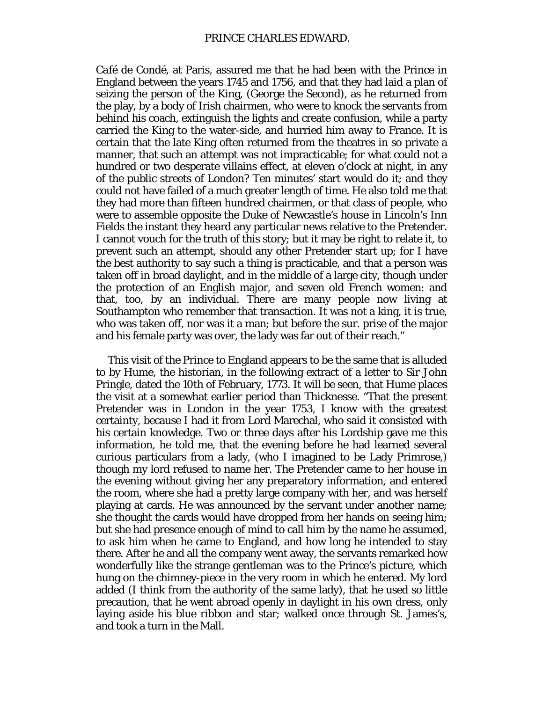*Café de Condé,* at Paris, assured me that he had been with the Prince in England between the years 1745 and 1756, and that they had laid a plan of seizing the person of the King, (George the Second), as he returned from the play, by a body of Irish chairmen, who were to knock the servants from behind his coach, extinguish the lights and create confusion, while a party carried the King to the water-side, and hurried him away to France. It is certain that the late King often returned from the theatres in so private a manner, that such an attempt was not impracticable; for what could not a hundred or two desperate villains effect, at eleven o'clock at night, in any of the public streets of London? Ten minutes' start would do it; and they could not have failed of a much greater length of time. He also told me that they had more than fifteen hundred chairmen, or that class of people, who were to assemble opposite the Duke of Newcastle's house in Lincoln's Inn Fields the instant they heard any particular news relative to the Pretender. I cannot vouch for the truth of this story; but it may be right to relate it, to prevent such an attempt, should any other Pretender start up; for I have the best authority to say such a thing is practicable, and that a person was taken off in broad daylight, and in the middle of a large city, though under the protection of an English major, and seven old French women: and that, too, by an individual. There are many people now living at Southampton who remember that transaction. It was not a king, it is true, who was taken off, nor was it a man; but before the sur. prise of the major and his female party was over, the lady was far out of their reach."

This visit of the Prince to England appears to be the same that is alluded to by Hume, the historian, in the following extract of a letter to Sir John Pringle, dated the 10th of February, 1773. It will be seen, that Hume places the visit at a somewhat earlier period than Thicknesse. "That the present Pretender was in London in the year 1753, I know with the greatest certainty, because I had it from Lord Marechal, who said it consisted with his certain knowledge. Two or three days after his Lordship gave me this information, he told me, that the evening before he had learned several curious particulars from a lady, (who I imagined to be Lady Primrose,) though my lord refused to name her. The Pretender came to her house in the evening without giving her any preparatory information, and entered the room, where she had a pretty large company with her, and was herself playing at cards. He was announced by the servant under another name; she thought the cards would have dropped from her hands on seeing him; but she had presence enough of mind to call him by the name he assumed, to ask him when he came to England, and how long he intended to stay there. After he and all the company went away, the servants remarked how wonderfully like the strange gentleman was to the Prince's picture, which hung on the chimney-piece in the very room in which he entered. My lord added (I think from the authority of the same lady), that he used so little precaution, that he went abroad openly in daylight in his own dress, only laying aside his blue ribbon and star; walked once through St. James's, and took a turn in the Mall.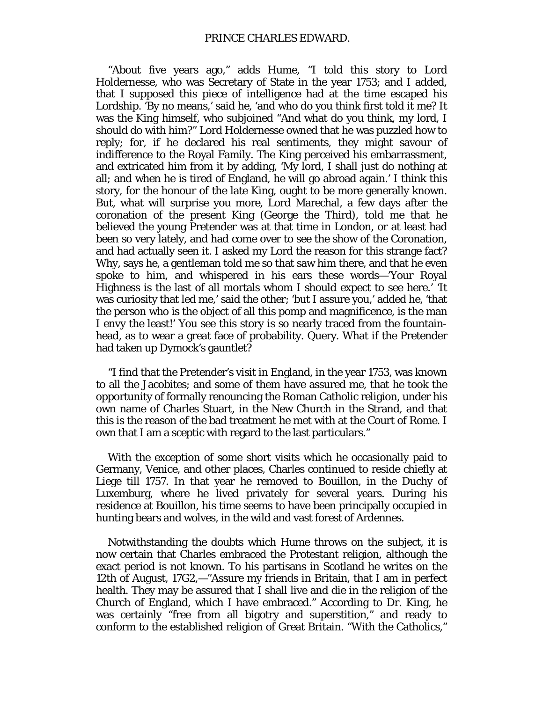"About five years ago," adds Hume, "I told this story to Lord Holdernesse, who was Secretary of State in the year 1753; and I added, that I supposed this piece of intelligence had at the time escaped his Lordship. 'By no means,' said he, 'and who do you think first told it me? It was the King himself, who subjoined "And what do you think, my lord, I should do with him?" Lord Holdernesse owned that he was puzzled how to reply; for, if he declared his real sentiments, they might savour of indifference to the Royal Family. The King perceived his embarrassment, and extricated him from it by adding, 'My lord, I shall just do nothing at all; and when he is tired of England, he will go abroad again.' I think this story, for the honour of the late King, ought to be more generally known. But, what will surprise you more, Lord Marechal, a few days after the coronation of the present King (George the Third), told me that he believed the young Pretender was at that time in London, or at least had been so very lately, and had come over to see the show of the Coronation, and had actually seen it. I asked my Lord the reason for this strange fact? Why, says he, a gentleman told me so that saw him there, and that he even spoke to him, and whispered in his ears these words—'Your Royal Highness is the last of all mortals whom I should expect to see here.' 'It was curiosity that led me,' said the other; 'but I assure you,' added he, 'that the person who is the object of all this pomp and magnificence, is the man I envy the least!' You see this story is so nearly traced from the fountainhead, as to wear a great face of probability. Query. What if the Pretender had taken up Dymock's gauntlet?

"I find that the Pretender's visit in England, in the year 1753, was known to all the Jacobites; and some of them have assured me, that he took the opportunity of formally renouncing the Roman Catholic religion, under his own name of Charles Stuart, in the New Church in the Strand, and that this is the reason of the bad treatment he met with at the Court of Rome. I own that I am a sceptic with regard to the last particulars."

With the exception of some short visits which he occasionally paid to Germany, Venice, and other places, Charles continued to reside chiefly at Liege till 1757. In that year he removed to Bouillon, in the Duchy of Luxemburg, where he lived privately for several years. During his residence at Bouillon, his time seems to have been principally occupied in hunting bears and wolves, in the wild and vast forest of Ardennes.

Notwithstanding the doubts which Hume throws on the subject, it is now certain that Charles embraced the Protestant religion, although the exact period is not known. To his partisans in Scotland he writes on the 12th of August, 17G2,—"Assure my friends in Britain, that I am in perfect health. They may be assured that I shall live and die in the religion of the Church of England, which I have embraced." According to Dr. King, he was certainly "free from all bigotry and superstition," and ready to conform to the established religion of Great Britain. "With the Catholics,"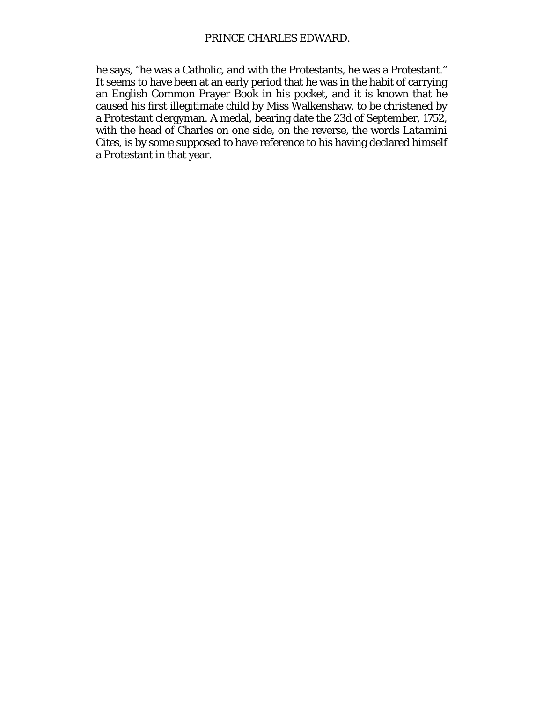he says, "he was a Catholic, and with the Protestants, he was a Protestant." It seems to have been at an early period that he was in the habit of carrying an English Common Prayer Book in his pocket, and it is known that he caused his first illegitimate child by Miss Walkenshaw, to be christened by a Protestant clergyman. A medal, bearing date the 23d of September, 1752, with the head of Charles on one side, on the reverse, the words *Latamini Cites,* is by some supposed to have reference to his having declared himself a Protestant in that year.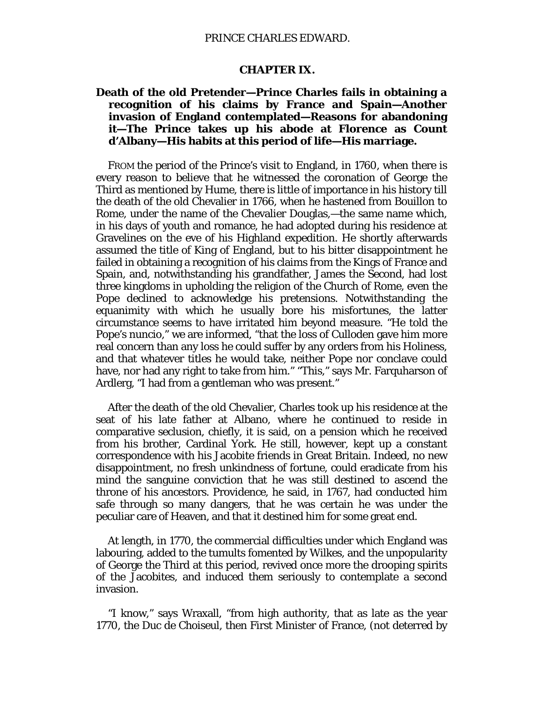### **CHAPTER IX.**

# **Death of the old Pretender—Prince Charles fails in obtaining a recognition of his claims by France and Spain—Another invasion of England contemplated—Reasons for abandoning it—The Prince takes up his abode at Florence as Count d'Albany—His habits at this period of life—His marriage.**

FROM the period of the Prince's visit to England, in 1760, when there is every reason to believe that he witnessed the coronation of George the Third as mentioned by Hume, there is little of importance in his history till the death of the old Chevalier in 1766, when he hastened from Bouillon to Rome, under the name of the Chevalier Douglas,—the same name which, in his days of youth and romance, he had adopted during his residence at Gravelines on the eve of his Highland expedition. He shortly afterwards assumed the title of King of England, but to his bitter disappointment he failed in obtaining a recognition of his claims from the Kings of France and Spain, and, notwithstanding his grandfather, James the Second, had lost three kingdoms in upholding the religion of the Church of Rome, even the Pope declined to acknowledge his pretensions. Notwithstanding the equanimity with which he usually bore his misfortunes, the latter circumstance seems to have irritated him beyond measure. "He told the Pope's nuncio," we are informed, "that the loss of Culloden gave him more real concern than any loss he could suffer by any orders from his Holiness, and that whatever titles he would take, neither Pope nor conclave could have, nor had any right to take from him." "This," says Mr. Farquharson of Ardlerg, "I had from a gentleman who was present."

After the death of the old Chevalier, Charles took up his residence at the seat of his late father at Albano, where he continued to reside in comparative seclusion, chiefly, it is said, on a pension which he received from his brother, Cardinal York. He still, however, kept up a constant correspondence with his Jacobite friends in Great Britain. Indeed, no new disappointment, no fresh unkindness of fortune, could eradicate from his mind the sanguine conviction that he was still destined to ascend the throne of his ancestors. Providence, he said, in 1767, had conducted him safe through so many dangers, that he was certain he was under the peculiar care of Heaven, and that it destined him for some great end.

At length, in 1770, the commercial difficulties under which England was labouring, added to the tumults fomented by Wilkes, and the unpopularity of George the Third at this period, revived once more the drooping spirits of the Jacobites, and induced them seriously to contemplate a second invasion.

"I know," says Wraxall, "from high authority, that as late as the year 1770, the Duc de Choiseul, then First Minister of France, (not deterred by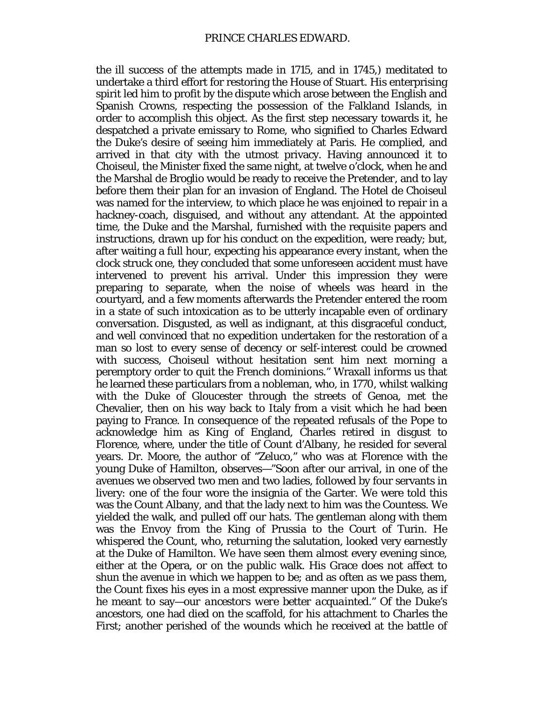the ill success of the attempts made in 1715, and in 1745,) meditated to undertake a third effort for restoring the House of Stuart. His enterprising spirit led him to profit by the dispute which arose between the English and Spanish Crowns, respecting the possession of the Falkland Islands, in order to accomplish this object. As the first step necessary towards it, he despatched a private emissary to Rome, who signified to Charles Edward the Duke's desire of seeing him immediately at Paris. He complied, and arrived in that city with the utmost privacy. Having announced it to Choiseul, the Minister fixed the same night, at twelve o'clock, when he and the Marshal de Broglio would be ready to receive the *Pretender,* and to lay before them their plan for an invasion of England. The Hotel de Choiseul was named for the interview, to which place he was enjoined to repair in a hackney-coach, disguised, and without any attendant. At the appointed time, the Duke and the Marshal, furnished with the requisite papers and instructions, drawn up for his conduct on the expedition, were ready; but, after waiting a full hour, expecting his appearance every instant, when the clock struck one, they concluded that some unforeseen accident must have intervened to prevent his arrival. Under this impression they were preparing to separate, when the noise of wheels was heard in the courtyard, and a few moments afterwards the Pretender entered the room in a state of such intoxication as to be utterly incapable even of ordinary conversation. Disgusted, as well as indignant, at this disgraceful conduct, and well convinced that no expedition undertaken for the restoration of a man so lost to every sense of decency or self-interest could be crowned with success, Choiseul without hesitation sent him next morning a peremptory order to quit the French dominions." Wraxall informs us that he learned these particulars from a nobleman, who, in 1770, whilst walking with the Duke of Gloucester through the streets of Genoa, met the Chevalier, then on his way back to Italy from a visit which he had been paying to France. In consequence of the repeated refusals of the Pope to acknowledge him as King of England, Charles retired in disgust to Florence, where, under the title of Count d'Albany, he resided for several years. Dr. Moore, the author of "Zeluco," who was at Florence with the young Duke of Hamilton, observes—"Soon after our arrival, in one of the avenues we observed two men and two ladies, followed by four servants in livery: one of the four wore the insignia of the Garter. We were told this was the Count Albany, and that the lady next to him was the Countess. We yielded the walk, and pulled off our hats. The gentleman along with them was the Envoy from the King of Prussia to the Court of Turin. He whispered the Count, who, returning the salutation, looked very earnestly at the Duke of Hamilton. We have seen them almost every evening since, either at the Opera, or on the public walk. His Grace does not affect to shun the avenue in which we happen to be; and as often as we pass them, the Count fixes his eyes in a most expressive manner upon the Duke, as if he meant to say—*our ancestors were better acquainted."* Of the Duke's ancestors, one had died on the scaffold, for his attachment to Charles the First; another perished of the wounds which he received at the battle of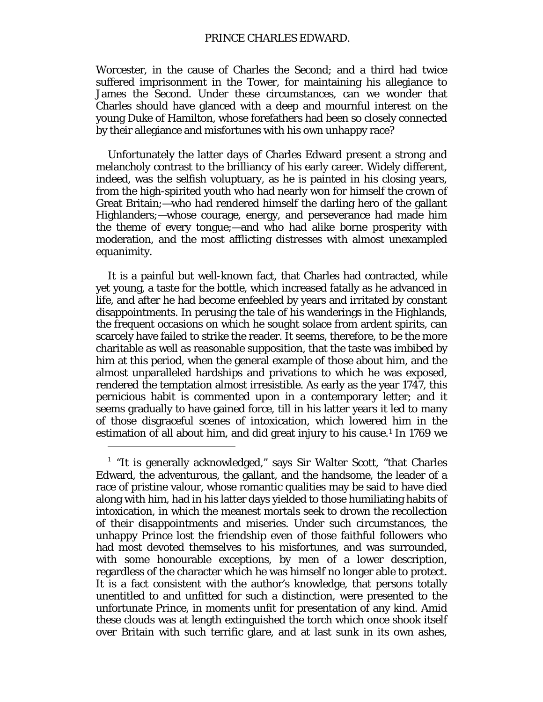Worcester, in the cause of Charles the Second; and a third had twice suffered imprisonment in the Tower, for maintaining his allegiance to James the Second. Under these circumstances, can we wonder that Charles should have glanced with a deep and mournful interest on the young Duke of Hamilton, whose forefathers had been so closely connected by their allegiance and misfortunes with his own unhappy race?

Unfortunately the latter days of Charles Edward present a strong and melancholy contrast to the brilliancy of his early career. Widely different, indeed, was the selfish voluptuary, as he is painted in his closing years, from the high-spirited youth who had nearly won for himself the crown of Great Britain;—who had rendered himself the darling hero of the gallant Highlanders;—whose courage, energy, and perseverance had made him the theme of every tongue;—and who had alike borne prosperity with moderation, and the most afflicting distresses with almost unexampled equanimity.

It is a painful but well-known fact, that Charles had contracted, while yet young, a taste for the bottle, which increased fatally as he advanced in life, and after he had become enfeebled by years and irritated by constant disappointments. In perusing the tale of his wanderings in the Highlands, the frequent occasions on which he sought solace from ardent spirits, can scarcely have failed to strike the reader. It seems, therefore, to be the more charitable as well as reasonable supposition, that the taste was imbibed by him at this period, when the general example of those about him, and the almost unparalleled hardships and privations to which he was exposed, rendered the temptation almost irresistible. As early as the year 1747, this pernicious habit is commented upon in a contemporary letter; and it seems gradually to have gained force, till in his latter years it led to many of those disgraceful scenes of intoxication, which lowered him in the estimation of all about him, and did great injury to his cause.<sup>[1](#page-97-0)</sup> In 1769 we

 $\overline{a}$ 

<span id="page-97-0"></span> $1$  "It is generally acknowledged," says Sir Walter Scott, "that Charles Edward, the adventurous, the gallant, and the handsome, the leader of a race of pristine valour, whose romantic qualities may be said to have died along with him, had in his latter days yielded to those humiliating habits of intoxication, in which the meanest mortals seek to drown the recollection of their disappointments and miseries. Under such circumstances, the unhappy Prince lost the friendship even of those faithful followers who had most devoted themselves to his misfortunes, and was surrounded, with some honourable exceptions, by men of a lower description, regardless of the character which he was himself no longer able to protect. It is a fact consistent with the author's knowledge, that persons totally unentitled to and unfitted for such a distinction, were presented to the unfortunate Prince, in moments unfit for presentation of any kind. Amid these clouds was at length extinguished the torch which once shook itself over Britain with such terrific glare, and at last sunk in its own ashes,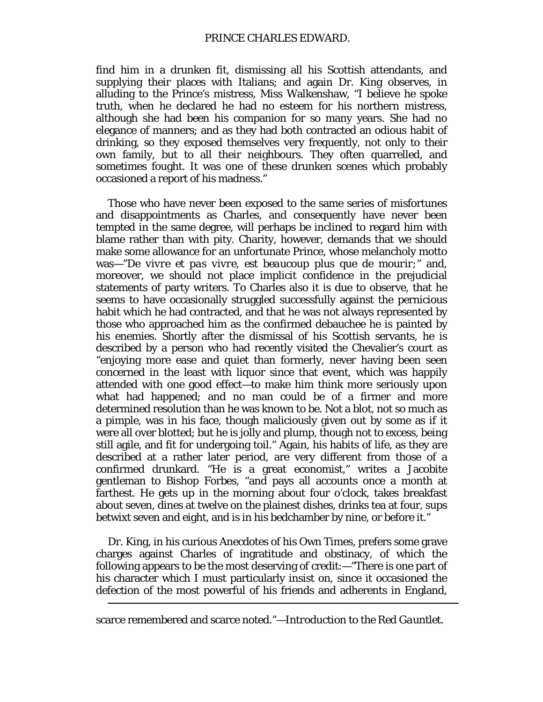## PRINCE CHARLES EDWARD.

find him in a drunken fit, dismissing all his Scottish attendants, and supplying their places with Italians; and again Dr. King observes, in alluding to the Prince's mistress, Miss Walkenshaw, "I believe he spoke truth, when he declared he had no esteem for his northern mistress, although she had been his companion for so many years. She had no elegance of manners; and as they had both contracted an odious habit of drinking, so they exposed themselves very frequently, not only to their own family, but to all their neighbours. They often quarrelled, and sometimes fought. It was one of these drunken scenes which probably occasioned a report of his madness."

Those who have never been exposed to the same series of misfortunes and disappointments as Charles, and consequently have never been tempted in the same degree, will perhaps be inclined to regard him with blame rather than with pity. Charity, however, demands that we should make some allowance for an unfortunate Prince, whose melancholy motto was—"*De vivre et pas vivre, est beaucoup plus que de mourir;"* and, moreover, we should not place implicit confidence in the prejudicial statements of party writers. To Charles also it is due to observe, that he seems to have occasionally struggled successfully against the pernicious habit which he had contracted, and that he was not always represented by those who approached him as the confirmed debauchee he is painted by his enemies. Shortly after the dismissal of his Scottish servants, he is described by a person who had recently visited the Chevalier's court as "enjoying more ease and quiet than formerly, never having been seen concerned in the least with liquor since that event, which was happily attended with one good effect—to make him think more seriously upon what had happened; and no man could be of a firmer and more determined resolution than he was known to be. Not a blot, not so much as a pimple, was in his face, though maliciously given out by some as if it were all over blotted; but he is jolly and plump, though not to excess, being still agile, and fit for undergoing toil." Again, his habits of life, as they are described at a rather later period, are very different from those of a confirmed drunkard. "He is a great economist," writes a Jacobite gentleman to Bishop Forbes, "and pays all accounts once a month at farthest. He gets up in the morning about four o'clock, takes breakfast about seven, dines at twelve on the plainest dishes, drinks tea at four, sups betwixt seven and eight, and is in his bedchamber by nine, or before it."

Dr. King, in his curious Anecdotes of his Own Times, prefers some grave charges against Charles of ingratitude and obstinacy, of which the following appears to be the most deserving of credit:—"There is one part of his character which I must particularly insist on, since it occasioned the defection of the most powerful of his friends and adherents in England,

scarce remembered and scarce noted."—*Introduction to the Red Gauntlet.*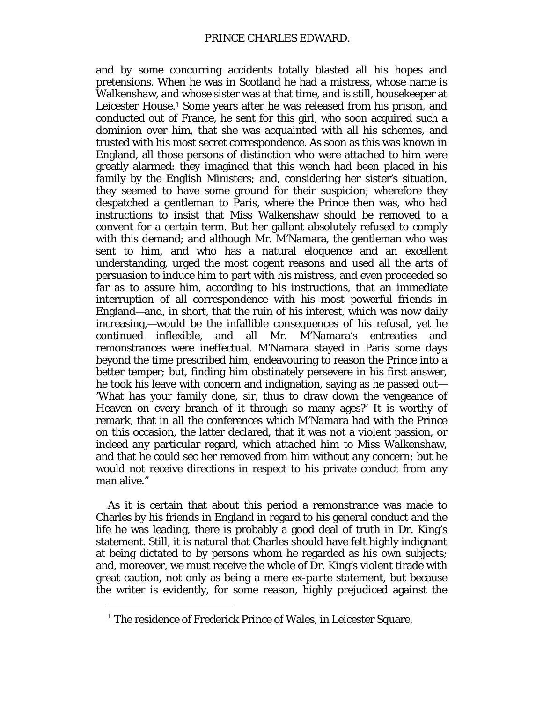and by some concurring accidents totally blasted all his hopes and pretensions. When he was in Scotland he had a mistress, whose name is Walkenshaw, and whose sister was at that time, and is still, housekeeper at Leicester House.<sup>[1](#page-99-0)</sup> Some years after he was released from his prison, and conducted out of France, he sent for this girl, who soon acquired such a dominion over him, that she was acquainted with all his schemes, and trusted with his most secret correspondence. As soon as this was known in England, all those persons of distinction who were attached to him were greatly alarmed: they imagined that this wench had been placed in his family by the English Ministers; and, considering her sister's situation, they seemed to have some ground for their suspicion; wherefore they despatched a gentleman to Paris, where the Prince then was, who had instructions to insist that Miss Walkenshaw should be removed to a convent for a certain term. But her gallant absolutely refused to comply with this demand; and although Mr. M'Namara, the gentleman who was sent to him, and who has a natural eloquence and an excellent understanding, urged the most cogent reasons and used all the arts of persuasion to induce him to part with his mistress, and even proceeded so far as to assure him, according to his instructions, that an immediate interruption of all correspondence with his most powerful friends in England—and, in short, that the ruin of his interest, which was now daily increasing,—would be the infallible consequences of his refusal, yet he continued inflexible, and all Mr. M'Namara's entreaties and remonstrances were ineffectual. M'Namara stayed in Paris some days beyond the time prescribed him, endeavouring to reason the Prince into a better temper; but, finding him obstinately persevere in his first answer, he took his leave with concern and indignation, saying as he passed out— 'What has your family done, sir, thus to draw down the vengeance of Heaven on every branch of it through so many ages?' It is worthy of remark, that in all the conferences which M'Namara had with the Prince on this occasion, the latter declared, that it was not a violent passion, or indeed any particular regard, which attached him to Miss Walkenshaw, and that he could sec her removed from him without any concern; but he would not receive directions in respect to his private conduct from any man alive."

As it is certain that about this period a remonstrance was made to Charles by his friends in England in regard to his general conduct and the life he was leading, there is probably a good deal of truth in Dr. King's statement. Still, it is natural that Charles should have felt highly indignant at being dictated to by persons whom he regarded as his own subjects; and, moreover, we must receive the whole of Dr. King's violent tirade with great caution, not only as being a mere *ex-parte* statement, but because the writer is evidently, for some reason, highly prejudiced against the

<span id="page-99-0"></span> $1$  The residence of Frederick Prince of Wales, in Leicester Square.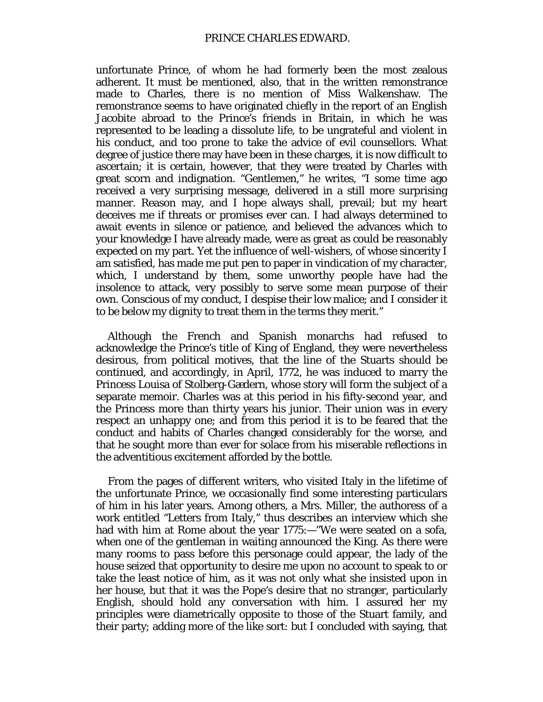unfortunate Prince, of whom he had formerly been the most zealous adherent. It must be mentioned, also, that in the written remonstrance made to Charles, there is no mention of Miss Walkenshaw. The remonstrance seems to have originated chiefly in the report of an English Jacobite abroad to the Prince's friends in Britain, in which he was represented to be leading a dissolute life, to be ungrateful and violent in his conduct, and too prone to take the advice of evil counsellors. What degree of justice there may have been in these charges, it is now difficult to ascertain; it is certain, however, that they were treated by Charles with great scorn and indignation. "Gentlemen," he writes, "I some time ago received a very surprising message, delivered in a still more surprising manner. Reason may, and I hope always shall, prevail; but my heart deceives me if threats or promises ever can. I had always determined to await events in silence or patience, and believed the advances which to your knowledge I have already made, were as great as could be reasonably expected on my part. Yet the influence of well-wishers, of whose sincerity I am satisfied, has made me put pen to paper in vindication of my character, which, I understand by them, some unworthy people have had the insolence to attack, very possibly to serve some mean purpose of their own. Conscious of my conduct, I despise their low malice; and I consider it to be below my dignity to treat them in the terms they merit."

Although the French and Spanish monarchs had refused to acknowledge the Prince's title of King of England, they were nevertheless desirous, from political motives, that the line of the Stuarts should be continued, and accordingly, in April, 1772, he was induced to marry the Princess Louisa of Stolberg-Gædern, whose story will form the subject of a separate memoir. Charles was at this period in his fifty-second year, and the Princess more than thirty years his junior. Their union was in every respect an unhappy one; and from this period it is to be feared that the conduct and habits of Charles changed considerably for the worse, and that he sought more than ever for solace from his miserable reflections in the adventitious excitement afforded by the bottle.

From the pages of different writers, who visited Italy in the lifetime of the unfortunate Prince, we occasionally find some interesting particulars of him in his later years. Among others, a Mrs. Miller, the authoress of a work entitled "Letters from Italy," thus describes an interview which she had with him at Rome about the year 1775:—"We were seated on a sofa, when one of the gentleman in waiting announced the King. As there were many rooms to pass before this personage could appear, the lady of the house seized that opportunity to desire me upon no account to speak to or take the least notice of him, as it was not only what she insisted upon in her house, but that it was the Pope's desire that no stranger, particularly English, should hold any conversation with him. I assured her my principles were diametrically opposite to those of the Stuart family, and their party; adding more of the like sort: but I concluded with saying, that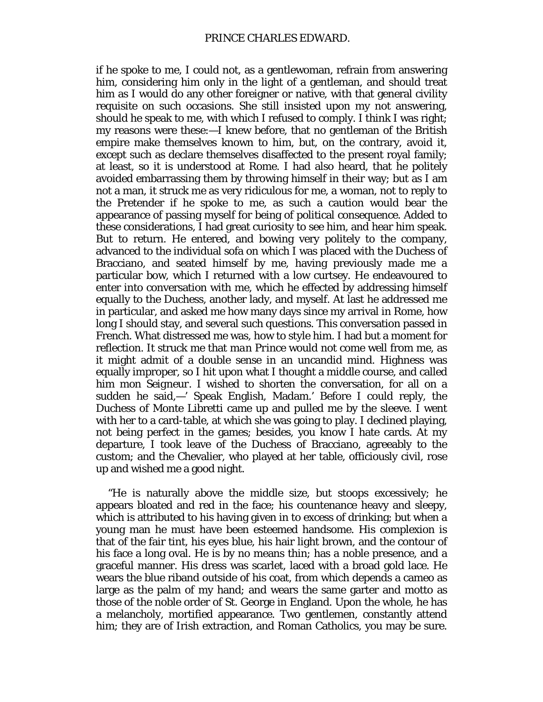if he spoke to me, I could not, as a gentlewoman, refrain from answering him, considering him only in the light of a gentleman, and should treat him as I would do any other foreigner or native, with that general civility requisite on such occasions. She still insisted upon my not answering, should he speak to me, with which I refused to comply. I think I was right; my reasons were these:—I knew before, that no gentleman of the British empire make themselves known to him, but, on the contrary, avoid it, except such as declare themselves disaffected to the present royal family; at least, so it is understood at Rome. I had also heard, that he politely avoided embarrassing them by throwing himself in their way; but as I am not a man, it struck me as very ridiculous for me, a woman, not to reply to the Pretender if he spoke to me, as such a caution would bear the appearance of passing myself for being of political consequence. Added to these considerations, I had great curiosity to see him, and hear him speak. But to return. He entered, and bowing very politely to the company, advanced to the individual sofa on which I was placed with the Duchess of Bracciano, and seated himself by me, having previously made me a particular bow, which I returned with a low curtsey. He endeavoured to enter into conversation with me, which he effected by addressing himself equally to the Duchess, another lady, and myself. At last he addressed me in particular, and asked me how many days since my arrival in Rome, how long I should stay, and several such questions. This conversation passed in French. What distressed me was, how to style him. I had but a moment for reflection. It struck me that *man Prince* would not come well from me, as it might admit of a double sense in an uncandid mind. Highness was equally improper, so I hit upon what I thought a middle course, and called him *mon Seigneur.* I wished to shorten the conversation, for all on a sudden he said,—' Speak English, Madam.' Before I could reply, the Duchess of Monte Libretti came up and pulled me by the sleeve. I went with her to a card-table, at which she was going to play. I declined playing, not being perfect in the games; besides, you know I hate cards. At my departure, I took leave of the Duchess of Bracciano, agreeably to the custom; and the Chevalier, who played at her table, officiously civil, rose up and wished me a good night.

"He is naturally above the middle size, but stoops excessively; he appears bloated and red in the face; his countenance heavy and sleepy, which is attributed to his having given in to excess of drinking; but when a young man he must have been esteemed handsome. His complexion is that of the fair tint, his eyes blue, his hair light brown, and the contour of his face a long oval. He is by no means thin; has a noble presence, and a graceful manner. His dress was scarlet, laced with a broad gold lace. He wears the blue riband outside of his coat, from which depends a cameo as large as the palm of my hand; and wears the same garter and motto as those of the noble order of St. George in England. Upon the whole, he has a melancholy, mortified appearance. Two gentlemen, constantly attend him; they are of Irish extraction, and Roman Catholics, you may be sure.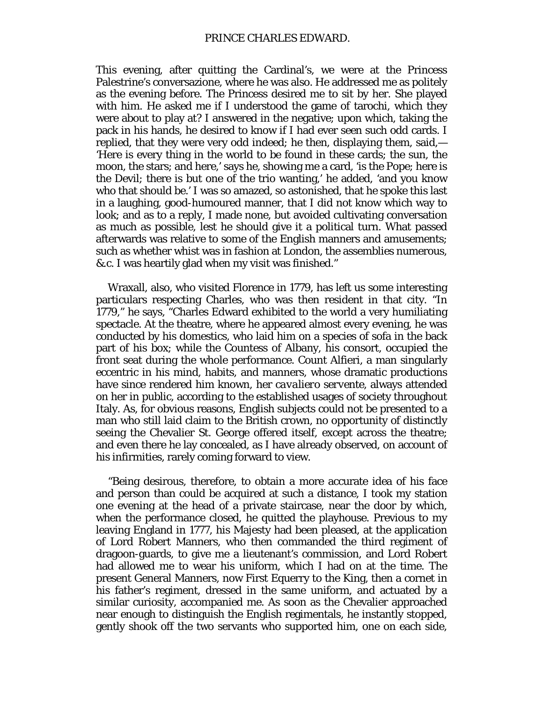This evening, after quitting the Cardinal's, we were at the Princess Palestrine's conversazione, where he was also. He addressed me as politely as the evening before. The Princess desired me to sit by her. She played with him. He asked me if I understood the game of tarochi, which they were about to play at? I answered in the negative; upon which, taking the pack in his hands, he desired to know if I had ever seen such odd cards. I replied, that they were very odd indeed; he then, displaying them, said,— 'Here is every thing in the world to be found in these cards; the sun, the moon, the stars; and here,' says he, showing me a card, 'is the Pope; here is the Devil; there is but one of the trio wanting,' he added, 'and you know who that should be.' I was so amazed, so astonished, that he spoke this last in a laughing, good-humoured manner, that I did not know which way to look; and as to a reply, I made none, but avoided cultivating conversation as much as possible, lest he should give it a political turn. What passed afterwards was relative to some of the English manners and amusements; such as whether whist was in fashion at London, the assemblies numerous, &.c. I was heartily glad when my visit was finished."

Wraxall, also, who visited Florence in 1779, has left us some interesting particulars respecting Charles, who was then resident in that city. "In 1779," he says, "Charles Edward exhibited to the world a very humiliating spectacle. At the theatre, where he appeared almost every evening, he was conducted by his domestics, who laid him on a species of sofa in the back part of his box; while the Countess of Albany, his consort, occupied the front seat during the whole performance. Count Alfieri, a man singularly eccentric in his mind, habits, and manners, whose dramatic productions have since rendered him known, her *cavaliero servente,* always attended on her in public, according to the established usages of society throughout Italy. As, for obvious reasons, English subjects could not be presented to a man who still laid claim to the British crown, no opportunity of distinctly seeing the Chevalier St. George offered itself, except across the theatre; and even there he lay concealed, as I have already observed, on account of his infirmities, rarely coming forward to view.

"Being desirous, therefore, to obtain a more accurate idea of his face and person than could be acquired at such a distance, I took my station one evening at the head of a private staircase, near the door by which, when the performance closed, he quitted the playhouse. Previous to my leaving England in 1777, his Majesty had been pleased, at the application of Lord Robert Manners, who then commanded the third regiment of dragoon-guards, to give me a lieutenant's commission, and Lord Robert had allowed me to wear his uniform, which I had on at the time. The present General Manners, now First Equerry to the King, then a cornet in his father's regiment, dressed in the same uniform, and actuated by a similar curiosity, accompanied me. As soon as the Chevalier approached near enough to distinguish the English regimentals, he instantly stopped, gently shook off the two servants who supported him, one on each side,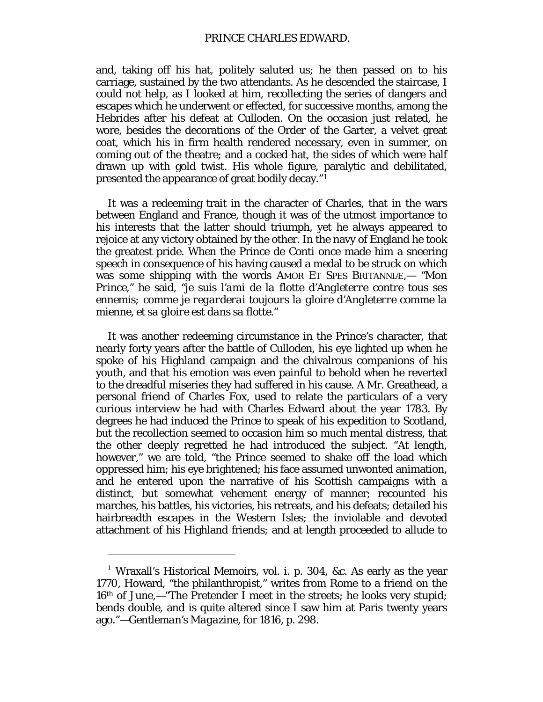### PRINCE CHARLES EDWARD.

and, taking off his hat, politely saluted us; he then passed on to his carriage, sustained by the two attendants. As he descended the staircase, I could not help, as I looked at him, recollecting the series of dangers and escapes which he underwent or effected, for successive months, among the Hebrides after his defeat at Culloden. On the occasion just related, he wore, besides the decorations of the Order of the Garter, a velvet great coat, which his in firm health rendered necessary, even in summer, on coming out of the theatre; and a cocked hat, the sides of which were half drawn up with gold twist. His whole figure, paralytic and debilitated, presented the appearance of great bodily decay."[1](#page-103-0)

It was a redeeming trait in the character of Charles, that in the wars between England and France, though it was of the utmost importance to his interests that the latter should triumph, yet he always appeared to rejoice at any victory obtained by the other. In the navy of England he took the greatest pride. When the Prince de Conti once made him a sneering speech in consequence of his having caused a medal to be struck on which was some shipping with the words AMOR ET SPES BRITANNIÆ,— *"Mon Prince,"* he said, *"je suis l'ami de la flotte d'Angleterre contre tous ses ennemis; comme je regarderai toujours la gloire d'Angleterre comme la mienne, et sa gloire est dans sa flotte."*

It was another redeeming circumstance in the Prince's character, that nearly forty years after the battle of Culloden, his eye lighted up when he spoke of his Highland campaign and the chivalrous companions of his youth, and that his emotion was even painful to behold when he reverted to the dreadful miseries they had suffered in his cause. A Mr. Greathead, a personal friend of Charles Fox, used to relate the particulars of a very curious interview he had with Charles Edward about the year 1783. By degrees he had induced the Prince to speak of his expedition to Scotland, but the recollection seemed to occasion him so much mental distress, that the other deeply regretted he had introduced the subject. "At length, however," we are told, "the Prince seemed to shake off the load which oppressed him; his eye brightened; his face assumed unwonted animation, and he entered upon the narrative of his Scottish campaigns with a distinct, but somewhat vehement energy of manner; recounted his marches, his battles, his victories, his retreats, and his defeats; detailed his hairbreadth escapes in the Western Isles; the inviolable and devoted attachment of his Highland friends; and at length proceeded to allude to

<span id="page-103-0"></span><sup>&</sup>lt;sup>1</sup> Wraxall's Historical Memoirs, vol. i. p. 304, &c. As early as the year 1770, Howard, "the philanthropist," writes from Rome to a friend on the 16th of June,—"The Pretender I meet in the streets; he looks very stupid; bends double, and is quite altered since I saw him at Paris twenty years ago."—*Gentleman's Magazine,* for 1816, p. 298.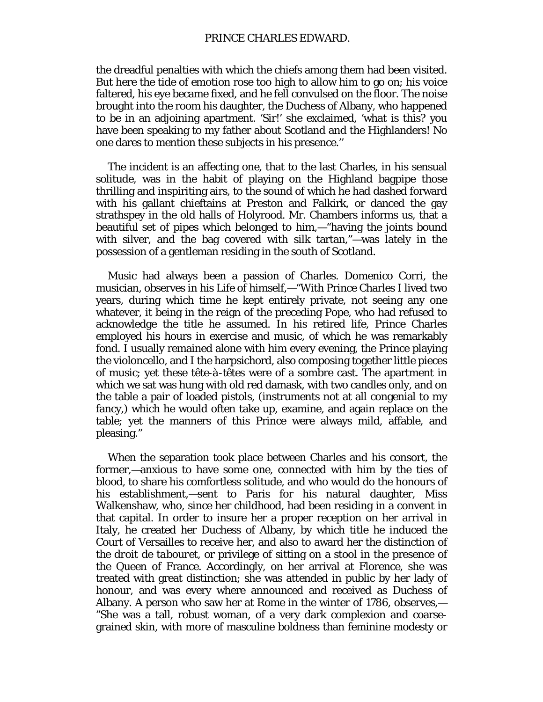the dreadful penalties with which the chiefs among them had been visited. But here the tide of emotion rose too high to allow him to go on; his voice faltered, his eye became fixed, and he fell convulsed on the floor. The noise brought into the room his daughter, the Duchess of Albany, who happened to be in an adjoining apartment. 'Sir!' she exclaimed, 'what is this? you have been speaking to my father about Scotland and the Highlanders! No one dares to mention these subjects in his presence.''

The incident is an affecting one, that to the last Charles, in his sensual solitude, was in the habit of playing on the Highland bagpipe those thrilling and inspiriting airs, to the sound of which he had dashed forward with his gallant chieftains at Preston and Falkirk, or danced the gay strathspey in the old halls of Holyrood. Mr. Chambers informs us, that a beautiful set of pipes which belonged to him,—"having the joints bound with silver, and the bag covered with silk tartan,"—was lately in the possession of a gentleman residing in the south of Scotland.

Music had always been a passion of Charles. Domenico Corri, the musician, observes in his Life of himself,—"With Prince Charles I lived two years, during which time he kept entirely private, not seeing any one whatever, it being in the reign of the preceding Pope, who had refused to acknowledge the title he assumed. In his retired life, Prince Charles employed his hours in exercise and music, of which he was remarkably fond. I usually remained alone with him every evening, the Prince playing the violoncello, and I the harpsichord, also composing together little pieces of music; yet these *tête-à-têtes* were of a sombre cast. The apartment in which we sat was hung with old red damask, with two candles only, and on the table a pair of loaded pistols, (instruments not at all congenial to my fancy,) which he would often take up, examine, and again replace on the table; yet the manners of this Prince were always mild, affable, and pleasing."

When the separation took place between Charles and his consort, the former,—anxious to have some one, connected with him by the ties of blood, to share his comfortless solitude, and who would do the honours of his establishment,—sent to Paris for his natural daughter, Miss Walkenshaw, who, since her childhood, had been residing in a convent in that capital. In order to insure her a proper reception on her arrival in Italy, he created her Duchess of Albany, by which title he induced the Court of Versailles to receive her, and also to award her the distinction of *the droit de tabouret,* or privilege of sitting on a stool in the presence of the Queen of France. Accordingly, on her arrival at Florence, she was treated with great distinction; she was attended in public by her lady of honour, and was every where announced and received as Duchess of Albany. A person who saw her at Rome in the winter of 1786, observes,— "She was a tall, robust woman, of a very dark complexion and coarsegrained skin, with more of masculine boldness than feminine modesty or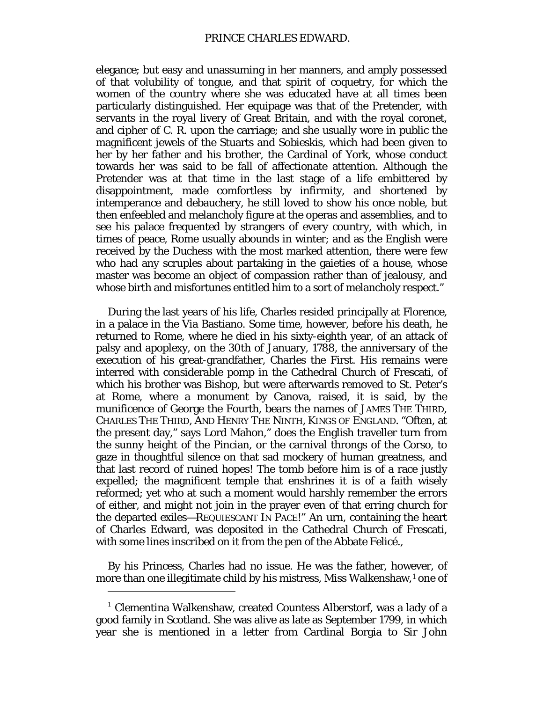elegance; but easy and unassuming in her manners, and amply possessed of that volubility of tongue, and that spirit of coquetry, for which the women of the country where she was educated have at all times been particularly distinguished. Her equipage was that of the Pretender, with servants in the royal livery of Great Britain, and with the royal coronet, and cipher of C. R. upon the carriage; and she usually wore in public the magnificent jewels of the Stuarts and Sobieskis, which had been given to her by her father and his brother, the Cardinal of York, whose conduct towards her was said to be fall of affectionate attention. Although the Pretender was at that time in the last stage of a life embittered by disappointment, made comfortless by infirmity, and shortened by intemperance and debauchery, he still loved to show his once noble, but then enfeebled and melancholy figure at the operas and assemblies, and to see his palace frequented by strangers of every country, with which, in times of peace, Rome usually abounds in winter; and as the English were received by the Duchess with the most marked attention, there were few who had any scruples about partaking in the gaieties of a house, whose master was become an object of compassion rather than of jealousy, and whose birth and misfortunes entitled him to a sort of melancholy respect."

During the last years of his life, Charles resided principally at Florence, in a palace in the Via Bastiano. Some time, however, before his death, he returned to Rome, where he died in his sixty-eighth year, of an attack of palsy and apoplexy, on the 30th of January, 1788, the anniversary of the execution of his great-grandfather, Charles the First. His remains were interred with considerable pomp in the Cathedral Church of Frescati, of which his brother was Bishop, but were afterwards removed to St. Peter's at Rome, where a monument by Canova, raised, it is said, by the munificence of George the Fourth, bears the names of JAMES THE THIRD, CHARLES THE THIRD, AND HENRY THE NINTH, KINGS OF ENGLAND. "Often, at the present day," says Lord Mahon," does the English traveller turn from the sunny height of the Pincian, or the carnival throngs of the Corso, to gaze in thoughtful silence on that sad mockery of human greatness, and that last record of ruined hopes! The tomb before him is of a race justly expelled; the magnificent temple that enshrines it is of a faith wisely reformed; yet who at such a moment would harshly remember the errors of either, and might not join in the prayer even of that erring church for the departed exiles—REQUIESCANT IN PACE!" An urn, containing the heart of Charles Edward, was deposited in the Cathedral Church of Frescati, with some lines inscribed on it from the pen of the Abbate Felicé.,

By his Princess, Charles had no issue. He was the father, however, of more than one illegitimate child by his mistress, Miss Walkenshaw,<sup>[1](#page-105-0)</sup> one of

<span id="page-105-0"></span> $1$  Clementina Walkenshaw, created Countess Alberstorf, was a lady of a good family in Scotland. She was alive as late as September 1799, in which year she is mentioned in a letter from Cardinal Borgia to Sir John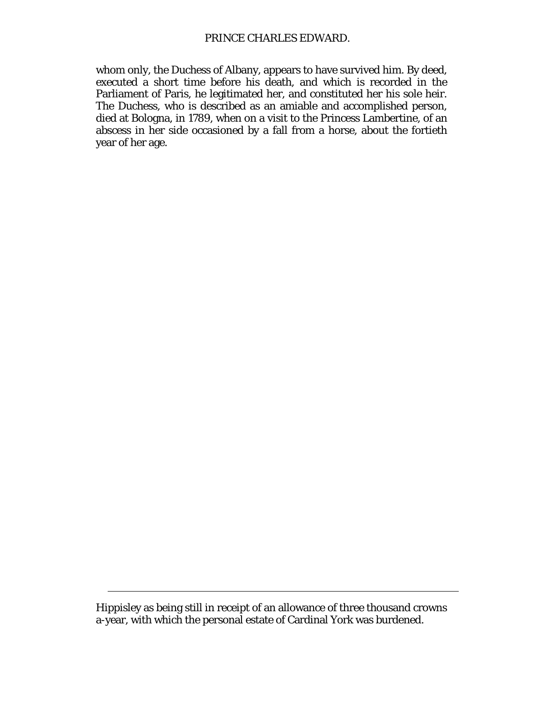whom only, the Duchess of Albany, appears to have survived him. By deed, executed a short time before his death, and which is recorded in the Parliament of Paris, he legitimated her, and constituted her his sole heir. The Duchess, who is described as an amiable and accomplished person, died at Bologna, in 1789, when on a visit to the Princess Lambertine, of an abscess in her side occasioned by a fall from a horse, about the fortieth year of her age.

Hippisley as being still in receipt of an allowance of three thousand crowns a-year, with which the personal estate of Cardinal York was burdened.

 $\overline{a}$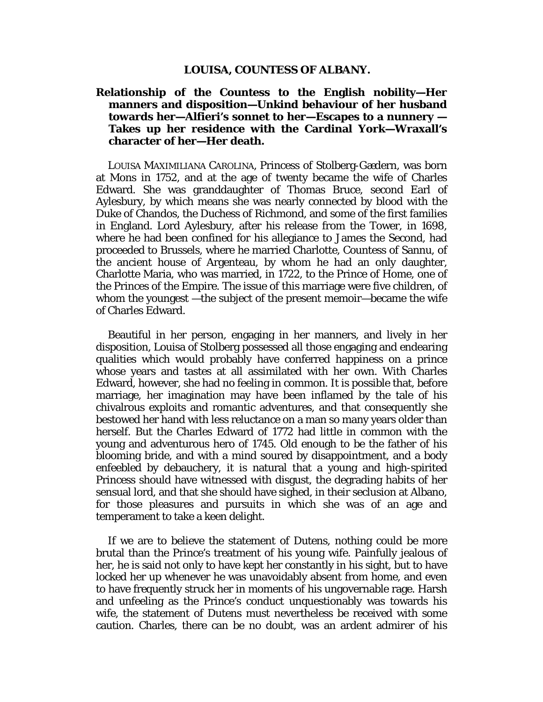#### **LOUISA, COUNTESS OF ALBANY.**

# **Relationship of the Countess to the English nobility—Her manners and disposition—Unkind behaviour of her husband towards her—Alfieri's sonnet to her—Escapes to a nunnery — Takes up her residence with the Cardinal York—Wraxall's character of her—Her death.**

LOUISA MAXIMILIANA CAROLINA, Princess of Stolberg-Gædern, was born at Mons in 1752, and at the age of twenty became the wife of Charles Edward. She was granddaughter of Thomas Bruce, second Earl of Aylesbury, by which means she was nearly connected by blood with the Duke of Chandos, the Duchess of Richmond, and some of the first families in England. Lord Aylesbury, after his release from the Tower, in 1698, where he had been confined for his allegiance to James the Second, had proceeded to Brussels, where he married Charlotte, Countess of Sannu, of the ancient house of Argenteau, by whom he had an only daughter, Charlotte Maria, who was married, in 1722, to the Prince of Home, one of the Princes of the Empire. The issue of this marriage were five children, of whom the youngest —the subject of the present memoir—became the wife of Charles Edward.

Beautiful in her person, engaging in her manners, and lively in her disposition, Louisa of Stolberg possessed all those engaging and endearing qualities which would probably have conferred happiness on a prince whose years and tastes at all assimilated with her own. With Charles Edward, however, she had no feeling in common. It is possible that, before marriage, her imagination may have been inflamed by the tale of his chivalrous exploits and romantic adventures, and that consequently she bestowed her hand with less reluctance on a man so many years older than herself. But the Charles Edward of 1772 had little in common with the young and adventurous hero of 1745. Old enough to be the father of his blooming bride, and with a mind soured by disappointment, and a body enfeebled by debauchery, it is natural that a young and high-spirited Princess should have witnessed with disgust, the degrading habits of her sensual lord, and that she should have sighed, in their seclusion at Albano, for those pleasures and pursuits in which she was of an age and temperament to take a keen delight.

If we are to believe the statement of Dutens, nothing could be more brutal than the Prince's treatment of his young wife. Painfully jealous of her, he is said not only to have kept her constantly in his sight, but to have locked her up whenever he was unavoidably absent from home, and even to have frequently struck her in moments of his ungovernable rage. Harsh and unfeeling as the Prince's conduct unquestionably was towards his wife, the statement of Dutens must nevertheless be received with some caution. Charles, there can be no doubt, was an ardent admirer of his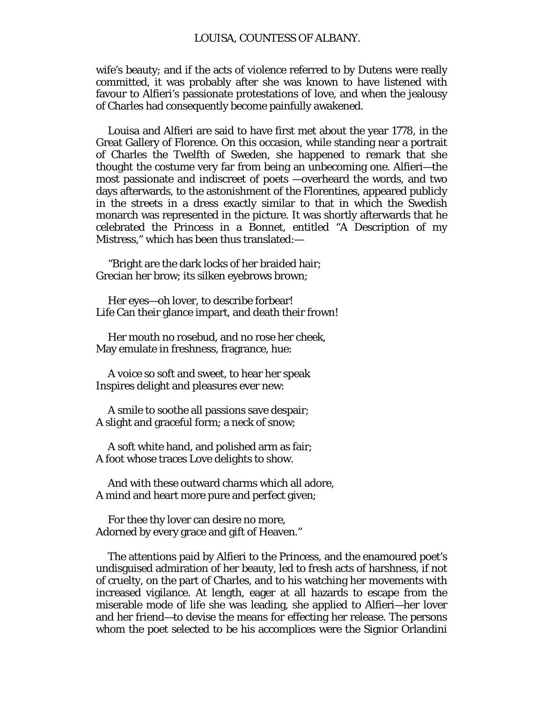wife's beauty; and if the acts of violence referred to by Dutens were really committed, it was probably after she was known to have listened with favour to Alfieri's passionate protestations of love, and when the jealousy of Charles had consequently become painfully awakened.

Louisa and Alfieri are said to have first met about the year 1778, in the Great Gallery of Florence. On this occasion, while standing near a portrait of Charles the Twelfth of Sweden, she happened to remark that she thought the costume very far from being an unbecoming one. Alfieri—the most passionate and indiscreet of poets —overheard the words, and two days afterwards, to the astonishment of the Florentines, appeared publicly in the streets in a dress exactly similar to that in which the Swedish monarch was represented in the picture. It was shortly afterwards that he celebrated the Princess in a Bonnet, entitled "A Description of my Mistress," which has been thus translated:—

"Bright are the dark locks of her braided hair; Grecian her brow; its silken eyebrows brown;

Her eyes—oh lover, to describe forbear! Life Can their glance impart, and death their frown!

Her mouth no rosebud, and no rose her cheek, May emulate in freshness, fragrance, hue:

A voice so soft and sweet, to hear her speak Inspires delight and pleasures ever new:

A smile to soothe all passions save despair; A slight and graceful form; a neck of snow;

A soft white hand, and polished arm as fair; A foot whose traces Love delights to show.

And with these outward charms which all adore, A mind and heart more pure and perfect given;

For thee thy lover can desire no more, Adorned by every grace and gift of Heaven."

The attentions paid by Alfieri to the Princess, and the enamoured poet's undisguised admiration of her beauty, led to fresh acts of harshness, if not of cruelty, on the part of Charles, and to his watching her movements with increased vigilance. At length, eager at all hazards to escape from the miserable mode of life she was leading, she applied to Alfieri—her lover and her friend—to devise the means for effecting her release. The persons whom the poet selected to be his accomplices were the Signior Orlandini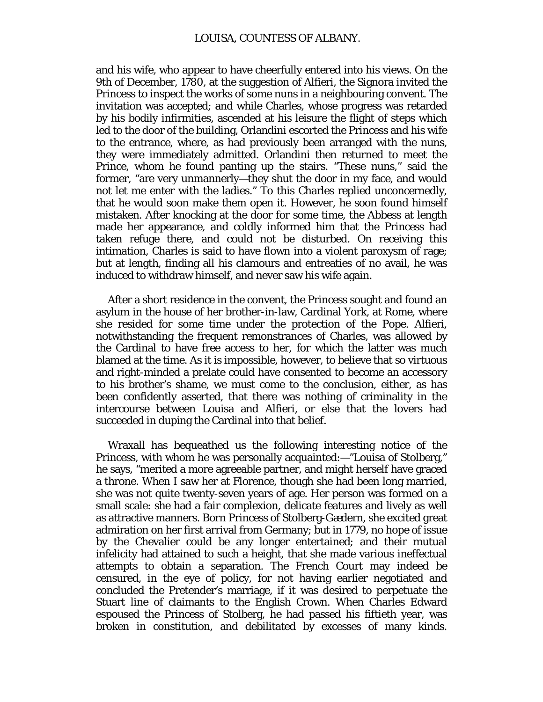and his wife, who appear to have cheerfully entered into his views. On the 9th of December, 1780, at the suggestion of Alfieri, the Signora invited the Princess to inspect the works of some nuns in a neighbouring convent. The invitation was accepted; and while Charles, whose progress was retarded by his bodily infirmities, ascended at his leisure the flight of steps which led to the door of the building, Orlandini escorted the Princess and his wife to the entrance, where, as had previously been arranged with the nuns, they were immediately admitted. Orlandini then returned to meet the Prince, whom he found panting up the stairs. "These nuns," said the former, "are very unmannerly—they shut the door in my face, and would not let me enter with the ladies." To this Charles replied unconcernedly, that he would soon make them open it. However, he soon found himself mistaken. After knocking at the door for some time, the Abbess at length made her appearance, and coldly informed him that the Princess had taken refuge there, and could not be disturbed. On receiving this intimation, Charles is said to have flown into a violent paroxysm of rage; but at length, finding all his clamours and entreaties of no avail, he was induced to withdraw himself, and never saw his wife again.

After a short residence in the convent, the Princess sought and found an asylum in the house of her brother-in-law, Cardinal York, at Rome, where she resided for some time under the protection of the Pope. Alfieri, notwithstanding the frequent remonstrances of Charles, was allowed by the Cardinal to have free access to her, for which the latter was much blamed at the time. As it is impossible, however, to believe that so virtuous and right-minded a prelate could have consented to become an accessory to his brother's shame, we must come to the conclusion, either, as has been confidently asserted, that there was nothing of criminality in the intercourse between Louisa and Alfieri, or else that the lovers had succeeded in duping the Cardinal into that belief.

Wraxall has bequeathed us the following interesting notice of the Princess, with whom he was personally acquainted:—"Louisa of Stolberg," he says, "merited a more agreeable partner, and might herself have graced a throne. When I saw her at Florence, though she had been long married, she was not quite twenty-seven years of age. Her person was formed on a small scale: she had a fair complexion, delicate features and lively as well as attractive manners. Born Princess of Stolberg-Gædern, she excited great admiration on her first arrival from Germany; but in 1779, no hope of issue by the Chevalier could be any longer entertained; and their mutual infelicity had attained to such a height, that she made various ineffectual attempts to obtain a separation. The French Court may indeed be censured, in the eye of policy, for not having earlier negotiated and concluded the Pretender's marriage, if it was desired to perpetuate the Stuart line of claimants to the English Crown. When Charles Edward espoused the Princess of Stolberg, he had passed his fiftieth year, was broken in constitution, and debilitated by excesses of many kinds.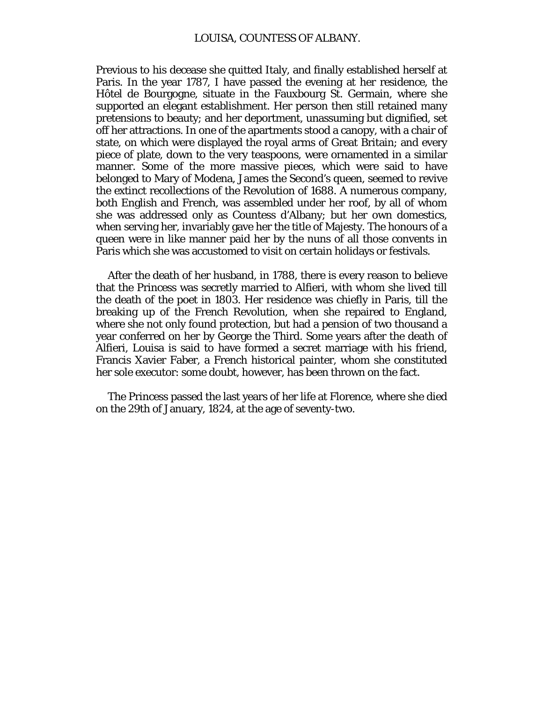Previous to his decease she quitted Italy, and finally established herself at Paris. In the year 1787, I have passed the evening at her residence, the Hôtel de Bourgogne, situate in the Fauxbourg St. Germain, where she supported an elegant establishment. Her person then still retained many pretensions to beauty; and her deportment, unassuming but dignified, set off her attractions. In one of the apartments stood a canopy, with a chair of state, on which were displayed the royal arms of Great Britain; and every piece of plate, down to the very teaspoons, were ornamented in a similar manner. Some of the more massive pieces, which were said to have belonged to Mary of Modena, James the Second's queen, seemed to revive the extinct recollections of the Revolution of 1688. A numerous company, both English and French, was assembled under her roof, by all of whom she was addressed only as Countess d'Albany; but her own domestics, when serving her, invariably gave her the title of Majesty. The honours of a queen were in like manner paid her by the nuns of all those convents in Paris which she was accustomed to visit on certain holidays or festivals.

After the death of her husband, in 1788, there is every reason to believe that the Princess was secretly married to Alfieri, with whom she lived till the death of the poet in 1803. Her residence was chiefly in Paris, till the breaking up of the French Revolution, when she repaired to England, where she not only found protection, but had a pension of two thousand a year conferred on her by George the Third. Some years after the death of Alfieri, Louisa is said to have formed a secret marriage with his friend, Francis Xavier Faber, a French historical painter, whom she constituted her sole executor: some doubt, however, has been thrown on the fact.

The Princess passed the last years of her life at Florence, where she died on the 29th of January, 1824, at the age of seventy-two.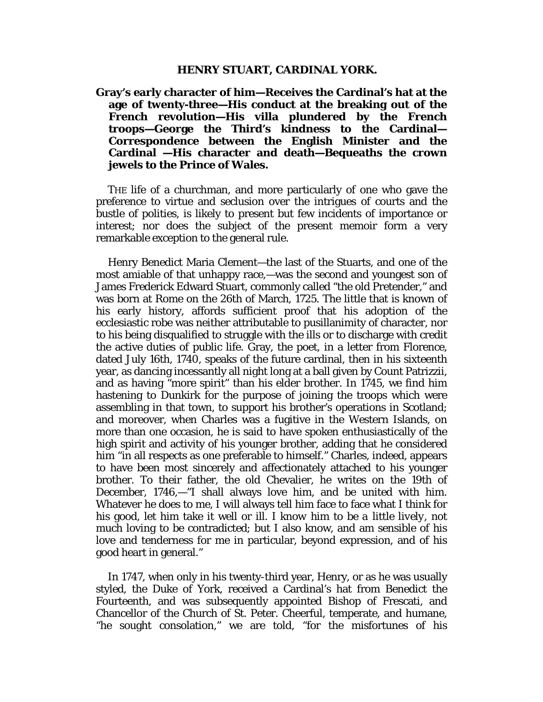**Gray's early character of him—Receives the Cardinal's hat at the age of twenty-three—His conduct at the breaking out of the French revolution—His villa plundered by the French troops—George the Third's kindness to the Cardinal— Correspondence between the English Minister and the Cardinal —His character and death—Bequeaths the crown jewels to the Prince of Wales.**

THE life of a churchman, and more particularly of one who gave the preference to virtue and seclusion over the intrigues of courts and the bustle of polities, is likely to present but few incidents of importance or interest; nor does the subject of the present memoir form a very remarkable exception to the general rule.

Henry Benedict Maria Clement—the last of the Stuarts, and one of the most amiable of that unhappy race,—was the second and youngest son of James Frederick Edward Stuart, commonly called "the old Pretender," and was born at Rome on the 26th of March, 1725. The little that is known of his early history, affords sufficient proof that his adoption of the ecclesiastic robe was neither attributable to pusillanimity of character, nor to his being disqualified to struggle with the ills or to discharge with credit the active duties of public life. Gray, the poet, in a letter from Florence, dated July 16th, 1740, speaks of the future cardinal, then in his sixteenth year, as dancing incessantly all night long at a ball given by Count Patrizzii, and as having "more spirit" than his elder brother. In 1745, we find him hastening to Dunkirk for the purpose of joining the troops which were assembling in that town, to support his brother's operations in Scotland; and moreover, when Charles was a fugitive in the Western Islands, on more than one occasion, he is said to have spoken enthusiastically of the high spirit and activity of his younger brother, adding that he considered him "in all respects as one preferable to himself." Charles, indeed, appears to have been most sincerely and affectionately attached to his younger brother. To their father, the old Chevalier, he writes on the 19th of December, 1746,—"I shall always love him, and be united with him. Whatever he does to me, I will always tell him face to face what I think for his good, let him take it well or ill. *I know him to be a little lively,* not much loving to be contradicted; but I also know, and am sensible of his love and tenderness for me in particular, beyond expression, and of his good heart in general."

In 1747, when only in his twenty-third year, Henry, or as he was usually styled, the Duke of York, received a Cardinal's hat from Benedict the Fourteenth, and was subsequently appointed Bishop of Frescati, and Chancellor of the Church of St. Peter. Cheerful, temperate, and humane, "he sought consolation," we are told, "for the misfortunes of his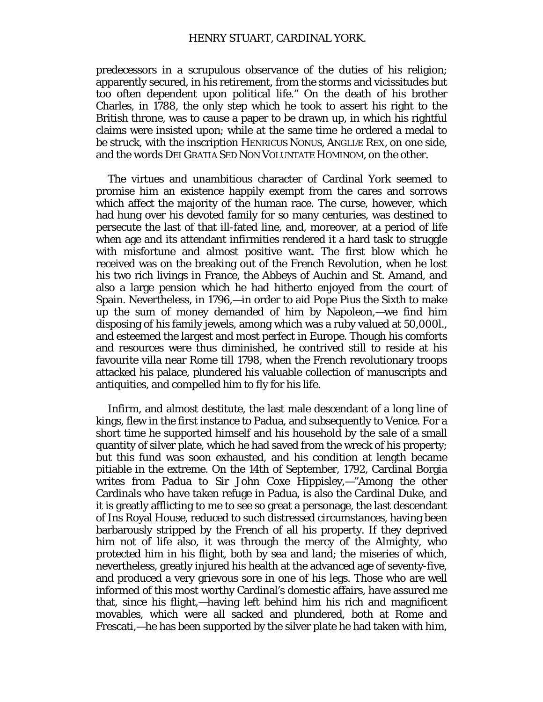predecessors in a scrupulous observance of the duties of his religion; apparently secured, in his retirement, from the storms and vicissitudes but too often dependent upon political life." On the death of his brother Charles, in 1788, the only step which he took to assert his right to the British throne, was to cause a paper to be drawn up, in which his rightful claims were insisted upon; while at the same time he ordered a medal to be struck, with the inscription HENRICUS NONUS, ANGLIÆ REX, on one side, and the words DEI GRATIA SED NON VOLUNTATE HOMINOM, on the other.

The virtues and unambitious character of Cardinal York seemed to promise him an existence happily exempt from the cares and sorrows which affect the majority of the human race. The curse, however, which had hung over his devoted family for so many centuries, was destined to persecute the last of that ill-fated line, and, moreover, at a period of life when age and its attendant infirmities rendered it a hard task to struggle with misfortune and almost positive want. The first blow which he received was on the breaking out of the French Revolution, when he lost his two rich livings in France, the Abbeys of Auchin and St. Amand, and also a large pension which he had hitherto enjoyed from the court of Spain. Nevertheless, in 1796,—in order to aid Pope Pius the Sixth to make up the sum of money demanded of him by Napoleon,—we find him disposing of his family jewels, among which was a ruby valued at 50,000*l*., and esteemed the largest and most perfect in Europe. Though his comforts and resources were thus diminished, he contrived still to reside at his favourite villa near Rome till 1798, when the French revolutionary troops attacked his palace, plundered his valuable collection of manuscripts and antiquities, and compelled him to fly for his life.

Infirm, and almost destitute, the last male descendant of a long line of kings, flew in the first instance to Padua, and subsequently to Venice. For a short time he supported himself and his household by the sale of a small quantity of silver plate, which he had saved from the wreck of his property; but this fund was soon exhausted, and his condition at length became pitiable in the extreme. On the 14th of September, 1792, Cardinal Borgia writes from Padua to Sir John Coxe Hippisley,—"Among the other Cardinals who have taken refuge in Padua, is also the Cardinal Duke, and it is greatly afflicting to me to see so great a personage, the last descendant of *Ins* Royal House, reduced to such distressed circumstances, having been barbarously stripped by the French of all his property. If they deprived him not of life also, it was through the mercy of the Almighty, who protected him in his flight, both by sea and land; the miseries of which, nevertheless, greatly injured his health at the advanced age of seventy-five, and produced a very grievous sore in one of his legs. Those who are well informed of this most worthy Cardinal's domestic affairs, have assured me that, since his flight,—having left behind him his rich and magnificent movables, which were all sacked and plundered, both at Rome and Frescati,—he has been supported by the silver plate he had taken with him,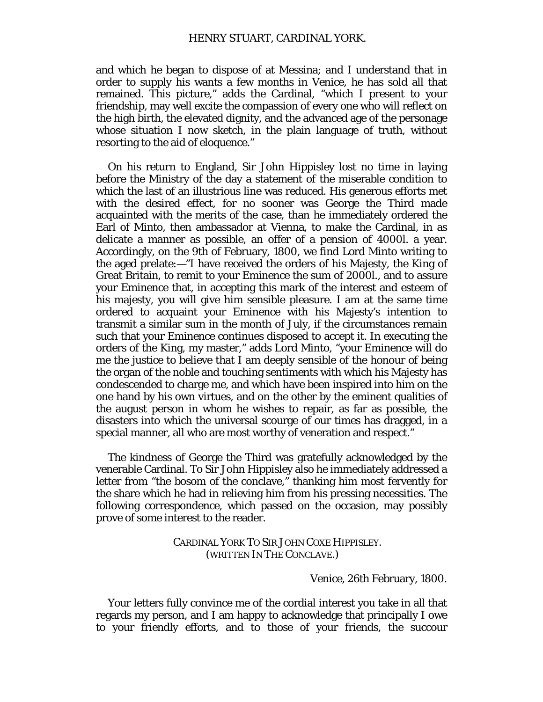and which he began to dispose of at Messina; and I understand that in order to supply his wants a few months in Venice, he has sold all that remained. This picture," adds the Cardinal, "which I present to your friendship, may well excite the compassion of every one who will reflect on the high birth, the elevated dignity, and the advanced age of the personage whose situation I now sketch, in the plain language of truth, without resorting to the aid of eloquence."

On his return to England, Sir John Hippisley lost no time in laying before the Ministry of the day a statement of the miserable condition to which the last of an illustrious line was reduced. His generous efforts met with the desired effect, for no sooner was George the Third made acquainted with the merits of the case, than he immediately ordered the Earl of Minto, then ambassador at Vienna, to make the Cardinal, in as delicate a manner as possible, an offer of a pension of 4000*l*. a year. Accordingly, on the 9th of February, 1800, we find Lord Minto writing to the aged prelate:—"I have received the orders of his Majesty, the King of Great Britain, to remit to your Eminence the sum of 2000*l*., and to assure your Eminence that, in accepting this mark of the interest and esteem of his majesty, you will give him sensible pleasure. I am at the same time ordered to acquaint your Eminence with his Majesty's intention to transmit a similar sum in the month of July, if the circumstances remain such that your Eminence continues disposed to accept it. In executing the orders of the King, my master," adds Lord Minto, "your Eminence will do me the justice to believe that I am deeply sensible of the honour of being the organ of the noble and touching sentiments with which his Majesty has condescended to charge me, and which have been inspired into him on the one hand by his own virtues, and on the other by the eminent qualities of the august person in whom he wishes to repair, as far as possible, the disasters into which the universal scourge of our times has dragged, in a special manner, all who are most worthy of veneration and respect."

The kindness of George the Third was gratefully acknowledged by the venerable Cardinal. To Sir John Hippisley also he immediately addressed a letter from "the bosom of the conclave," thanking him most fervently for the share which he had in relieving him from his pressing necessities. The following correspondence, which passed on the occasion, may possibly prove of some interest to the reader.

> CARDINAL YORK TO SIR JOHN COXE HIPPISLEY. (WRITTEN IN THE CONCLAVE.)

> > Venice, 26th February, 1800.

Your letters fully convince me of the cordial interest you take in all that regards my person, and I am happy to acknowledge that principally I owe to your friendly efforts, and to those of your friends, the succour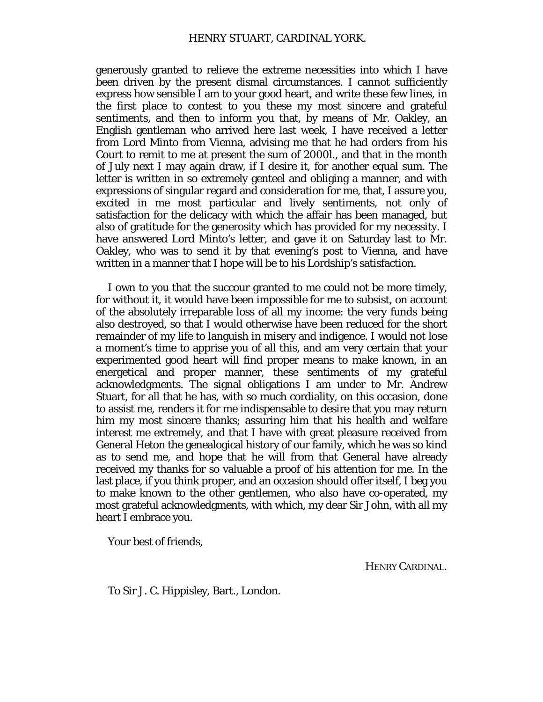generously granted to relieve the extreme necessities into which I have been driven by the present dismal circumstances. I cannot sufficiently express how sensible I am to your good heart, and write these few lines, in the first place to contest to you these my most sincere and grateful sentiments, and then to inform you that, by means of Mr. Oakley, an English gentleman who arrived here last week, I have received a letter from Lord Minto from Vienna, advising me that he had orders from his Court to remit to me at present the sum of *2000l.,* and that in the month of July next I may again draw, if I desire it, for another equal sum. The letter is written in so extremely genteel and obliging a manner, and with expressions of singular regard and consideration for me, that, I assure you, excited in me most particular and lively sentiments, not only of satisfaction for the delicacy with which the affair has been managed, but also of gratitude for the generosity which has provided for my necessity. I have answered Lord Minto's letter, and gave it on Saturday last to Mr. Oakley, who was to send it by that evening's post to Vienna, and have written in a manner that I hope will be to his Lordship's satisfaction.

I own to you that the succour granted to me could not be more timely, for without it, it would have been impossible for me to subsist, on account of the absolutely irreparable loss of all my income: the very funds being also destroyed, so that I would otherwise have been reduced for the short remainder of my life to languish in misery and indigence. I would not lose a moment's time to apprise you of all this, and am very certain that your experimented good heart will find proper means to make known, in an energetical and proper manner, these sentiments of my grateful acknowledgments. The signal obligations I am under to Mr. Andrew Stuart, for all that he has, with so much cordiality, on this occasion, done to assist me, renders it for me indispensable to desire that you may return him my most sincere thanks; assuring him that his health and welfare interest me extremely, and that I have with great pleasure received from General Heton the genealogical history of our family, which he was so kind as to send me, and hope that he will from that General have already received my thanks for so valuable a proof of his attention for me. In the last place, if you think proper, and an occasion should offer itself, I beg you to make known to the other gentlemen, who also have co-operated, my most grateful acknowledgments, with which, my dear Sir John, with all my heart I embrace you.

Your best of friends,

HENRY CARDINAL.

To Sir J. C. Hippisley, Bart., London.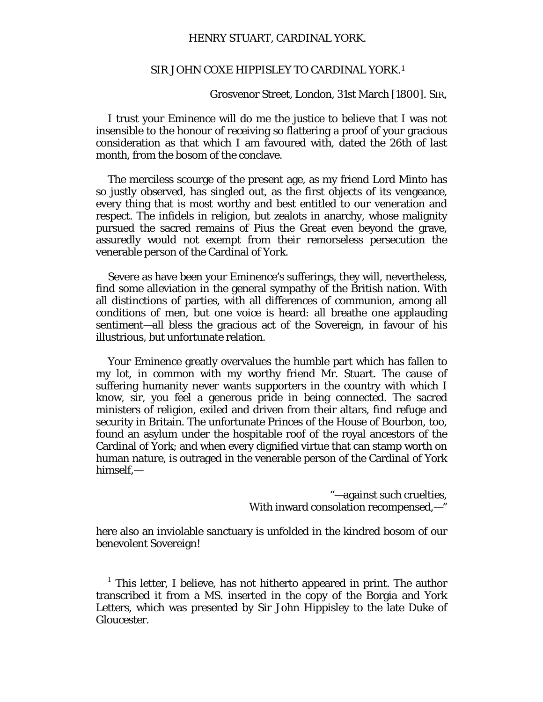## SIR JOHN COXE HIPPISLEY TO CARDINAL YORK.[1](#page-115-0)

Grosvenor Street, London, 31st March [1800]. SIR,

I trust your Eminence will do me the justice to believe that I was not insensible to the honour of receiving so flattering a proof of your gracious consideration as that which I am favoured with, dated the 26th of last month, from the bosom of the conclave.

The merciless scourge of the present age, as my friend Lord Minto has so justly observed, has singled out, as the first objects of its vengeance, every thing that is most worthy and best entitled to our veneration and respect. The infidels in religion, but zealots in anarchy, whose malignity pursued the sacred remains of Pius the Great even beyond the grave, assuredly would not exempt from their remorseless persecution the venerable person of the Cardinal of York.

Severe as have been your Eminence's sufferings, they will, nevertheless, find some alleviation in the general sympathy of the British nation. With all distinctions of parties, with all differences of communion, among all conditions of men, but one voice is heard: all breathe one applauding sentiment—all bless the gracious act of the Sovereign, in favour of his illustrious, but unfortunate relation.

Your Eminence greatly overvalues the humble part which has fallen to my lot, in common with my worthy friend Mr. Stuart. The cause of suffering humanity never wants supporters in the country with which I know, sir, you feel a generous pride in being connected. The sacred ministers of religion, exiled and driven from their altars, find refuge and security in Britain. The unfortunate Princes of the House of Bourbon, too, found an asylum under the hospitable roof of the royal ancestors of the Cardinal of York; and when every dignified virtue that can stamp worth on human nature, is outraged in the venerable person of the Cardinal of York himself,—

> "—against such cruelties, With inward consolation recompensed,—"

here also an inviolable sanctuary is unfolded in the kindred bosom of our benevolent Sovereign!

I

<span id="page-115-0"></span><sup>&</sup>lt;sup>1</sup> This letter, I believe, has not hitherto appeared in print. The author transcribed it from a MS. inserted in the copy of the Borgia and York Letters, which was presented by Sir John Hippisley to the late Duke of Gloucester.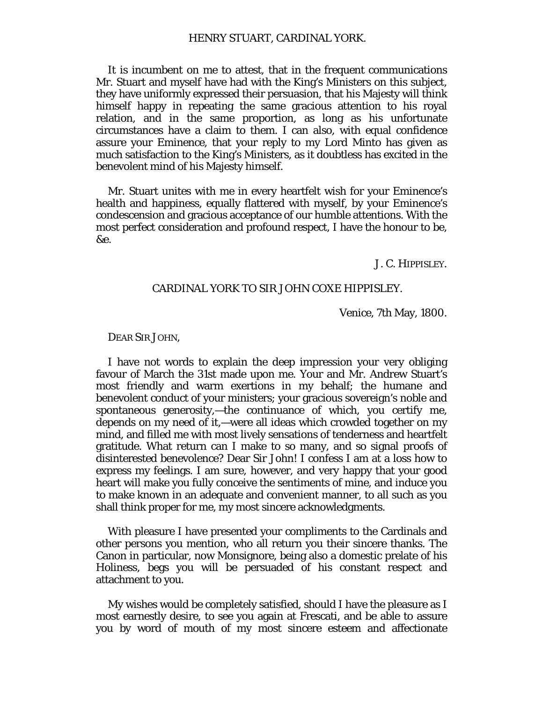It is incumbent on me to attest, that in the frequent communications Mr. Stuart and myself have had with the King's Ministers on this subject, they have uniformly expressed their persuasion, that his Majesty will think himself happy in repeating the same gracious attention to his royal relation, and in the same proportion, as long as his unfortunate circumstances have a claim to them. I can also, with equal confidence assure your Eminence, that your reply to my Lord Minto has given as much satisfaction to the King's Ministers, as it doubtless has excited in the benevolent mind of his Majesty himself.

Mr. Stuart unites with me in every heartfelt wish for your Eminence's health and happiness, equally flattered with myself, by your Eminence's condescension and gracious acceptance of our humble attentions. With the most perfect consideration and profound respect, I have the honour to be, &e.

J. C. HIPPISLEY.

# CARDINAL YORK TO SIR JOHN COXE HIPPISLEY.

Venice, 7th May, 1800.

DEAR SIR JOHN,

I have not words to explain the deep impression your very obliging favour of March the 31st made upon me. Your and Mr. Andrew Stuart's most friendly and warm exertions in my behalf; the humane and benevolent conduct of your ministers; your gracious sovereign's noble and spontaneous generosity,—the continuance of which, you certify me, depends on my need of it,—were all ideas which crowded together on my mind, and filled me with most lively sensations of tenderness and heartfelt gratitude. What return can I make to so many, and so signal proofs of disinterested benevolence? Dear Sir John! I confess I am at a loss how to express my feelings. I am sure, however, and very happy that your good heart will make you fully conceive the sentiments of mine, and induce you to make known in an adequate and convenient manner, to all such as you shall think proper for me, my most sincere acknowledgments.

With pleasure I have presented your compliments to the Cardinals and other persons you mention, who all return you their sincere thanks. The Canon in particular, now Monsignore, being also a domestic prelate of his Holiness, begs you will be persuaded of his constant respect and attachment to you.

My wishes would be completely satisfied, should I have the pleasure as I most earnestly desire, to see you again at Frescati, and be able to assure you by word of mouth of my most sincere esteem and affectionate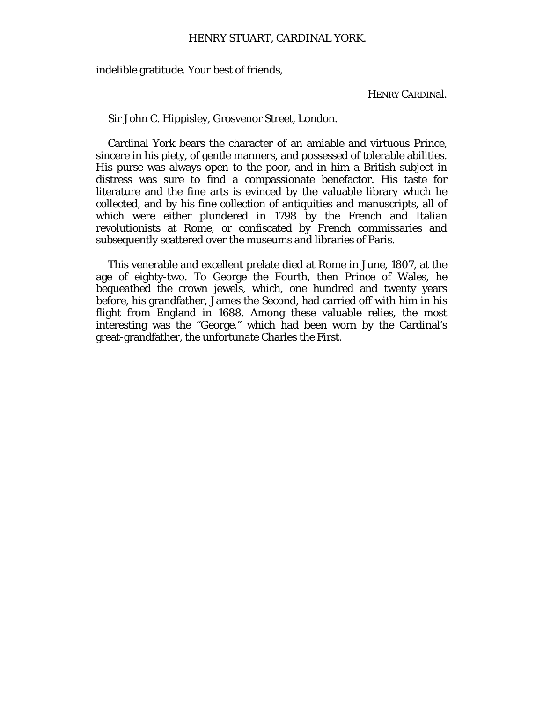indelible gratitude. Your best of friends,

HENRY CARDINal.

Sir John C. Hippisley, Grosvenor Street, London.

Cardinal York bears the character of an amiable and virtuous Prince, sincere in his piety, of gentle manners, and possessed of tolerable abilities. His purse was always open to the poor, and in him a British subject in distress was sure to find a compassionate benefactor. His taste for literature and the fine arts is evinced by the valuable library which he collected, and by his fine collection of antiquities and manuscripts, all of which were either plundered in 1798 by the French and Italian revolutionists at Rome, or confiscated by French commissaries and subsequently scattered over the museums and libraries of Paris.

This venerable and excellent prelate died at Rome in June, 1807, at the age of eighty-two. To George the Fourth, then Prince of Wales, he bequeathed the crown jewels, which, one hundred and twenty years before, his grandfather, James the Second, had carried off with him in his flight from England in 1688. Among these valuable relies, the most interesting was the "George," which had been worn by the Cardinal's great-grandfather, the unfortunate Charles the First.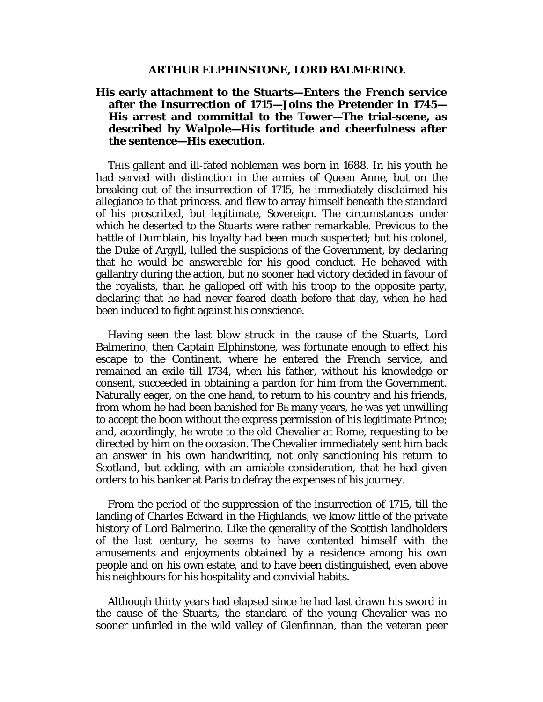#### **ARTHUR ELPHINSTONE, LORD BALMERINO.**

# **His early attachment to the Stuarts—Enters the French service after the Insurrection of 1715—Joins the Pretender in 1745— His arrest and committal to the Tower—The trial-scene, as described by Walpole—His fortitude and cheerfulness after the sentence—His execution.**

THIS gallant and ill-fated nobleman was born in 1688. In his youth he had served with distinction in the armies of Queen Anne, but on the breaking out of the insurrection of 1715, he immediately disclaimed his allegiance to that princess, and flew to array himself beneath the standard of his proscribed, but legitimate, Sovereign. The circumstances under which he deserted to the Stuarts were rather remarkable. Previous to the battle of Dumblain, his loyalty had been much suspected; but his colonel, the Duke of Argyll, lulled the suspicions of the Government, by declaring that he would be answerable for his good conduct. He behaved with gallantry during the action, but no sooner had victory decided in favour of the royalists, than he galloped off with his troop to the opposite party, declaring that he had never feared death before that day, when he had been induced to fight against his conscience.

Having seen the last blow struck in the cause of the Stuarts, Lord Balmerino, then Captain Elphinstone, was fortunate enough to effect his escape to the Continent, where he entered the French service, and remained an exile till 1734, when his father, without his knowledge or consent, succeeded in obtaining a pardon for him from the Government. Naturally eager, on the one hand, to return to his country and his friends, from whom he had been banished for BE many years, he was yet unwilling to accept the boon without the express permission of his legitimate Prince; and, accordingly, he wrote to the old Chevalier at Rome, requesting to be directed by him on the occasion. The Chevalier immediately sent him back an answer in his own handwriting, not only sanctioning his return to Scotland, but adding, with an amiable consideration, that he had given orders to his banker at Paris to defray the expenses of his journey.

From the period of the suppression of the insurrection of 1715, till the landing of Charles Edward in the Highlands, we know little of the private history of Lord Balmerino. Like the generality of the Scottish landholders of the last century, he seems to have contented himself with the amusements and enjoyments obtained by a residence among his own people and on his own estate, and to have been distinguished, even above his neighbours for his hospitality and convivial habits.

Although thirty years had elapsed since he had last drawn his sword in the cause of the Stuarts, the standard of the young Chevalier was no sooner unfurled in the wild valley of Glenfinnan, than the veteran peer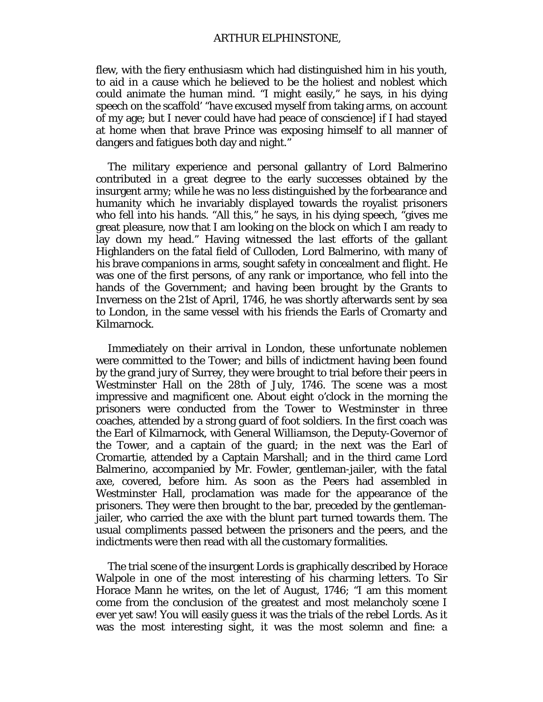flew, with the fiery enthusiasm which had distinguished him in his youth, to aid in a cause which he believed to be the holiest and noblest which could animate the human mind. "I might easily," he says, in his dying speech on the scaffold' "*have* excused myself from taking arms, on account of my age; but I never could have had peace of conscience] if I had stayed at home when that brave Prince was exposing himself to all manner of dangers and fatigues both day and night."

The military experience and personal gallantry of Lord Balmerino contributed in a great degree to the early successes obtained by the insurgent army; while he was no less distinguished by the forbearance and humanity which he invariably displayed towards the royalist prisoners who fell into his hands. "All this," he says, in his dying speech, "gives me great pleasure, now that I am looking on the block on which I am ready to lay down my head." Having witnessed the last efforts of the gallant Highlanders on the fatal field of Culloden, Lord Balmerino, with many of his brave companions in arms, sought safety in concealment and flight. He was one of the first persons, of any rank or importance, who fell into the hands of the Government; and having been brought by the Grants to Inverness on the 21st of April, 1746, he was shortly afterwards sent by sea to London, in the same vessel with his friends the Earls of Cromarty and Kilmarnock.

Immediately on their arrival in London, these unfortunate noblemen were committed to the Tower; and bills of indictment having been found by the grand jury of Surrey, they were brought to trial before their peers in Westminster Hall on the 28th of July, 1746. The scene was a most impressive and magnificent one. About eight o'clock in the morning the prisoners were conducted from the Tower to Westminster in three coaches, attended by a strong guard of foot soldiers. In the first coach was the Earl of Kilmarnock, with General Williamson, the Deputy-Governor of the Tower, and a captain of the guard; in the next was the Earl of Cromartie, attended by a Captain Marshall; and in the third came Lord Balmerino, accompanied by Mr. Fowler, gentleman-jailer, with the fatal axe, covered, before him. As soon as the Peers had assembled in Westminster Hall, proclamation was made for the appearance of the prisoners. They were then brought to the bar, preceded by the gentlemanjailer, who carried the axe with the blunt part turned towards them. The usual compliments passed between the prisoners and the peers, and the indictments were then read with all the customary formalities.

The trial scene of the insurgent Lords is graphically described by Horace Walpole in one of the most interesting of his charming letters. To Sir Horace Mann he writes, on the let of August, 1746; "I am this moment come from the conclusion of the greatest and most melancholy scene I ever yet saw! You will easily guess it was the trials of the rebel Lords. As it was the most interesting sight, it was the most solemn and fine: a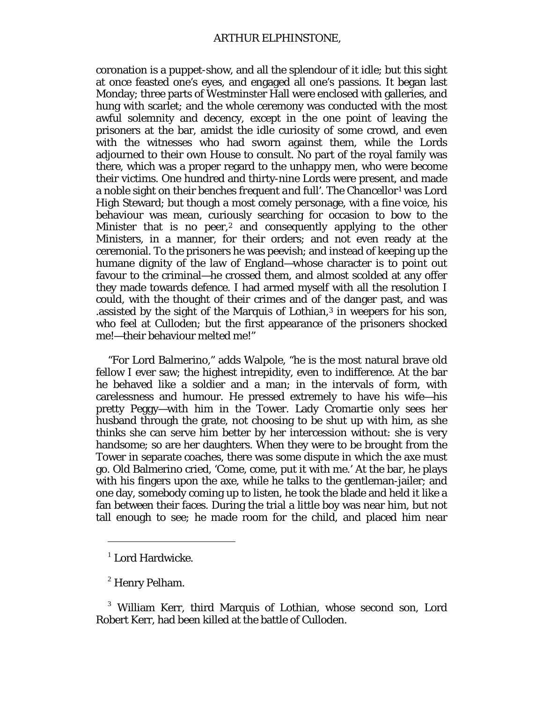coronation is a puppet-show, and all the splendour of it idle; but this sight at once feasted one's eyes, and engaged all one's passions. It began last Monday; three parts of Westminster Hall were enclosed with galleries, and hung with scarlet; and the whole ceremony was conducted with the most awful solemnity and decency, except in the one point of leaving the prisoners at the bar, amidst the idle curiosity of some crowd, and even with the witnesses who had sworn against them, while the Lords adjourned to their own House to consult. No part of the royal family was there, which was a proper regard to the unhappy men, who were become their victims. One hundred and thirty-nine Lords were present, and made a noble sight on their benches *frequent and full'*. The Chancellor<sup>[1](#page-120-0)</sup> was Lord High Steward; but though a most comely personage, with a fine voice, his behaviour was mean, curiously searching for occasion to bow to the Minister that is no peer, $2$  and consequently applying to the other Ministers, in a manner, for their orders; and not even ready at the ceremonial. To the prisoners he was peevish; and instead of keeping up the humane dignity of the law of England—whose character is to point out favour to the criminal—he crossed them, and almost scolded at any offer they made towards defence. I had armed myself with all the resolution I could, with the thought of their crimes and of the danger past, and was .assisted by the sight of the Marquis of Lothian,<sup>[3](#page-120-2)</sup> in weepers for his son, who feel at Culloden; but the first appearance of the prisoners shocked me!—their behaviour melted me!"

"For Lord Balmerino," adds Walpole, "he is the most natural brave old fellow I ever saw; the highest intrepidity, even to indifference. At the bar he behaved like a soldier and a man; in the intervals of form, with carelessness and humour. He pressed extremely to have his wife—his pretty Peggy—with him in the Tower. Lady Cromartie only sees her husband through the grate, not choosing to be shut up with him, as she thinks she can serve him better by her intercession without: she is very handsome; so are her daughters. When they were to be brought from the Tower in separate coaches, there was some dispute in which the axe must go. Old Balmerino cried, 'Come, come, put it with me.' At the bar, he plays with his fingers upon the axe, while he talks to the gentleman-jailer; and one day, somebody coming up to listen, he took the blade and held it like a fan between their faces. During the trial a little boy was near him, but not tall enough to see; he made room for the child, and placed him near

 $\overline{a}$ 

 $^1$  Lord Hardwicke.

<sup>2</sup> Henry Pelham.

<span id="page-120-2"></span><span id="page-120-1"></span><span id="page-120-0"></span><sup>3</sup> William Kerr, third Marquis of Lothian, whose second son, Lord Robert Kerr, had been killed at the battle of Culloden.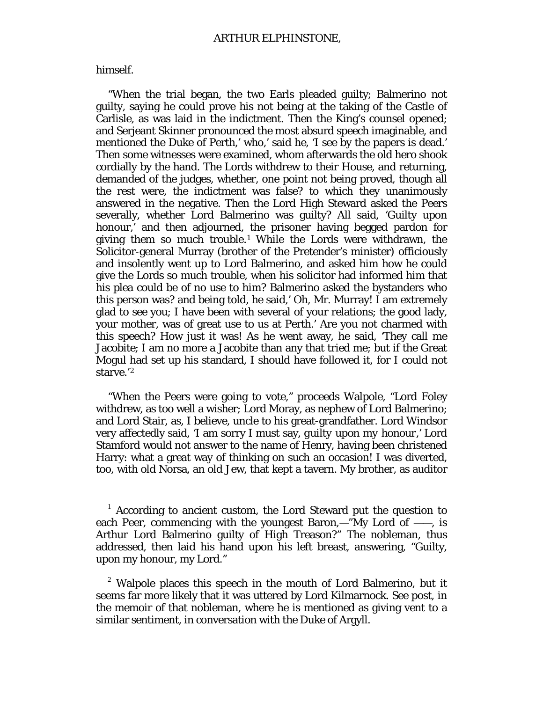## himself.

 $\overline{a}$ 

"When the trial began, the two Earls pleaded guilty; Balmerino not guilty, saying he could prove his not being at the taking of the Castle of Carlisle, as was laid in the indictment. Then the King's counsel opened; and Serjeant Skinner pronounced the most absurd speech imaginable, and mentioned the Duke of Perth,' who,' said he, 'I see by the papers is dead.' Then some witnesses were examined, whom afterwards the old hero shook cordially by the hand. The Lords withdrew to their House, and returning, demanded of the judges, whether, one point not being proved, though all the rest were, the indictment was false? to which they unanimously answered in the negative. Then the Lord High Steward asked the Peers severally, whether Lord Balmerino was guilty? All said, 'Guilty upon honour,' and then adjourned, the prisoner having begged pardon for giving them so much trouble.[1](#page-121-0) While the Lords were withdrawn, the Solicitor-general Murray (brother of the Pretender's minister) officiously and insolently went up to Lord Balmerino, and asked him how he could give the Lords so much trouble, when his solicitor had informed him that his plea could be of no use to him? Balmerino asked the bystanders who this person was? and being told, he said,' Oh, Mr. Murray! I am extremely glad to see you; I have been with several of your relations; the good lady, your mother, was of great use to us at Perth.' Are you not charmed with this speech? How just it was! As he went away, he said, 'They call me Jacobite; I am no more a Jacobite than any that tried me; but if the Great Mogul had set up his standard, I should have followed it, for I could not starve.'[2](#page-121-1)

"When the Peers were going to vote," proceeds Walpole, "Lord Foley withdrew, as too well a wisher; Lord Moray, as nephew of Lord Balmerino; and Lord Stair, as, I believe, uncle to his great-grandfather. Lord Windsor very affectedly said, 'I am sorry I must say, *guilty upon my honour,'* Lord Stamford would not answer to the name of Henry, having been christened Harry: what a great way of thinking on such an occasion! I was diverted, too, with old Norsa, an old Jew, that kept a tavern. My brother, as auditor

<span id="page-121-0"></span> $1$  According to ancient custom, the Lord Steward put the question to each Peer, commencing with the youngest Baron,—"My Lord of ——, is Arthur Lord Balmerino guilty of High Treason?" The nobleman, thus addressed, then laid his hand upon his left breast, answering, "Guilty, upon my honour, my Lord."

<span id="page-121-1"></span> $2^2$  Walpole places this speech in the mouth of Lord Balmerino, but it seems far more likely that it was uttered by Lord Kilmarnock. See *post,* in the memoir of that nobleman, where he is mentioned as giving vent to a similar sentiment, in conversation with the Duke of Argyll.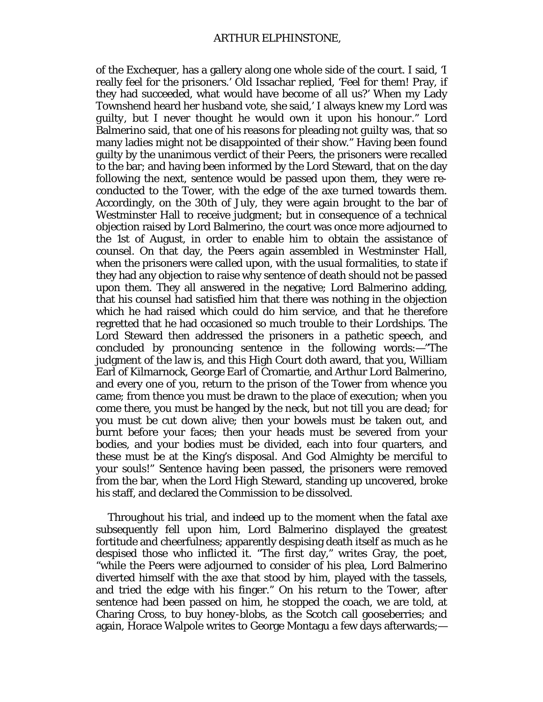of the Exchequer, has a gallery along one whole side of the court. I said, 'I really feel for the prisoners.' Old Issachar replied, 'Feel for them! Pray, if they had succeeded, what would have become of *all us?'* When my Lady Townshend heard her husband vote, she said,' I always knew *my* Lord was *guilty,* but I never thought he would own it *upon his honour*." Lord Balmerino said, that one of his reasons for pleading *not guilty* was, that so many ladies might not be disappointed of their show." Having been found guilty by the unanimous verdict of their Peers, the prisoners were recalled to the bar; and having been informed by the Lord Steward, that on the day following the next, sentence would be passed upon them, they were reconducted to the Tower, with the edge of the axe turned towards them. Accordingly, on the 30th of July, they were again brought to the bar of Westminster Hall to receive judgment; but in consequence of a technical objection raised by Lord Balmerino, the court was once more adjourned to the 1st of August, in order to enable him to obtain the assistance of counsel. On that day, the Peers again assembled in Westminster Hall, when the prisoners were called upon, with the usual formalities, to state if they had any objection to raise why sentence of death should not be passed upon them. They all answered in the negative; Lord Balmerino adding, that his counsel had satisfied him that there was nothing in the objection which he had raised which could do him service, and that he therefore regretted that he had occasioned so much trouble to their Lordships. The Lord Steward then addressed the prisoners in a pathetic speech, and concluded by pronouncing sentence in the following words:—"The judgment of the law is, and this High Court doth award, that you, William Earl of Kilmarnock, George Earl of Cromartie, and Arthur Lord Balmerino, and every one of you, return to the prison of the Tower from whence you came; from thence you must be drawn to the place of execution; when you come there, you must be hanged by the neck, but not till you are dead; for you must be cut down alive; then your bowels must be taken out, and burnt before your faces; then your heads must be severed from your bodies, and your bodies must be divided, each into four quarters, and these must be at the King's disposal. And God Almighty be merciful to your souls!" Sentence having been passed, the prisoners were removed from the bar, when the Lord High Steward, standing up uncovered, broke his staff, and declared the Commission to be dissolved.

Throughout his trial, and indeed up to the moment when the fatal axe subsequently fell upon him, Lord Balmerino displayed the greatest fortitude and cheerfulness; apparently despising death itself as much as he despised those who inflicted it. "The first day," writes Gray, the poet, "while the Peers were adjourned to consider of his plea, Lord Balmerino diverted himself with the axe that stood by him, played with the tassels, and tried the edge with his finger." On his return to the Tower, after sentence had been passed on him, he stopped the coach, we are told, at Charing Cross, to buy *honey-blobs,* as the Scotch call gooseberries; and again, Horace Walpole writes to George Montagu a few days afterwards;—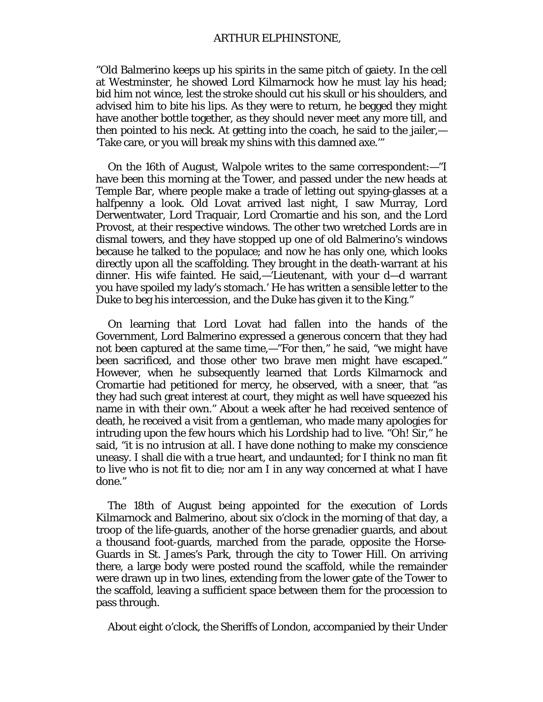"Old Balmerino keeps up his spirits in the same pitch of gaiety. In the cell at Westminster, he showed Lord Kilmarnock how he must lay his head; bid him not wince, lest the stroke should cut his skull or his shoulders, and advised him to bite his lips. As they were to return, he begged they might have another bottle together, as they should never meet any more till, and then pointed to his neck. At getting into the coach, he said to the jailer,— 'Take care, or you will break my shins with this damned axe.'"

On the 16th of August, Walpole writes to the same correspondent:—"I have been this morning at the Tower, and passed under the new heads at Temple Bar, where people make a trade of letting out spying-glasses at a halfpenny a look. Old Lovat arrived last night, I saw Murray, Lord Derwentwater, Lord Traquair, Lord Cromartie and his son, and the Lord Provost, at their respective windows. The other two wretched Lords are in dismal towers, and they have stopped up one of old Balmerino's windows because he talked to the populace; and now he has only one, which looks directly upon all the scaffolding. They brought in the death-warrant at his dinner. His wife fainted. He said,—'Lieutenant, with your d—d warrant you have spoiled my lady's stomach.' He has written a sensible letter to the Duke to beg his intercession, and the Duke has given it to the King."

On learning that Lord Lovat had fallen into the hands of the Government, Lord Balmerino expressed a generous concern that they had not been captured at the same time,—"For then," he said, "we might have been sacrificed, and those other two brave men might have escaped." However, when he subsequently learned that Lords Kilmarnock and Cromartie had petitioned for mercy, he observed, with a sneer, that "as they had such great interest at court, they might as well have squeezed his name in with their own." About a week after he had received sentence of death, he received a visit from a gentleman, who made many apologies for intruding upon the few hours which his Lordship had to live. "Oh! Sir," he said, "it is no intrusion at all. I have done nothing to make my conscience uneasy. I shall die with a true heart, and undaunted; for I think no man fit to live who is not fit to die; nor am I in any way concerned at what I have done."

The 18th of August being appointed for the execution of Lords Kilmarnock and Balmerino, about six o'clock in the morning of that day, a troop of the life-guards, another of the horse grenadier guards, and about a thousand foot-guards, marched from the parade, opposite the Horse-Guards in St. James's Park, through the city to Tower Hill. On arriving there, a large body were posted round the scaffold, while the remainder were drawn up in two lines, extending from the lower gate of the Tower to the scaffold, leaving a sufficient space between them for the procession to pass through.

About eight o'clock, the Sheriffs of London, accompanied by their Under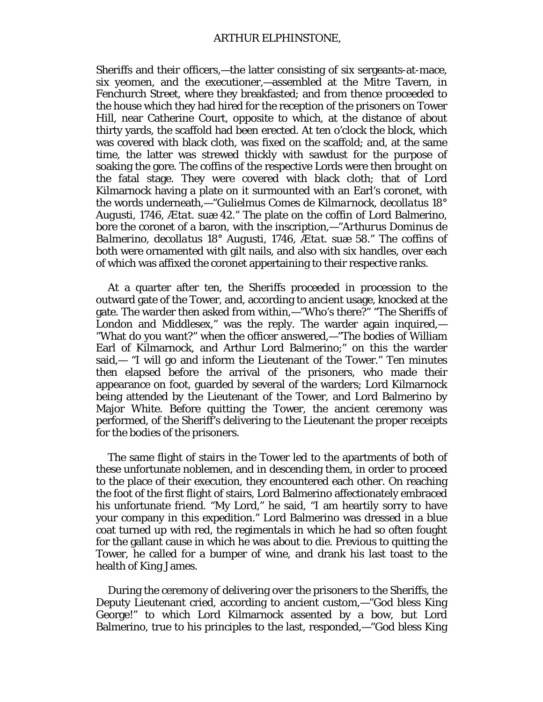Sheriffs and their officers,—the latter consisting of six sergeants-at-mace, six yeomen, and the executioner,—assembled at the Mitre Tavern, in Fenchurch Street, where they breakfasted; and from thence proceeded to the house which they had hired for the reception of the prisoners on Tower Hill, near Catherine Court, opposite to which, at the distance of about thirty yards, the scaffold had been erected. At ten o'clock the block, which was covered with black cloth, was fixed on the scaffold; and, at the same time, the latter was strewed thickly with sawdust for the purpose of soaking the gore. The coffins of the respective Lords were then brought on the fatal stage. They were covered with black cloth; that of Lord Kilmarnock having a plate on it surmounted with an Earl's coronet, with the words underneath,—"*Gulielmus Comes de Kilmarnock, decollatus* 18° *Augusti,* 1746, *Ætat. suæ* 42." The plate on the coffin of Lord Balmerino, bore the coronet of a baron, with the inscription,—"*Arthurus Dominus de Balmerino, decollatus* 18° *Augusti,* 1746, *Ætat. suæ* 58." The coffins of both were ornamented with gilt nails, and also with six handles, over each of which was affixed the coronet appertaining to their respective ranks.

At a quarter after ten, the Sheriffs proceeded in procession to the outward gate of the Tower, and, according to ancient usage, knocked at the gate. The warder then asked from within,—"Who's there?" "The Sheriffs of London and Middlesex," was the reply. The warder again inquired,— "What do you want?" when the officer answered,—"The bodies of William Earl of Kilmarnock, and Arthur Lord Balmerino;" on this the warder said,— "I will go and inform the Lieutenant of the Tower." Ten minutes then elapsed before the arrival of the prisoners, who made their appearance on foot, guarded by several of the warders; Lord Kilmarnock being attended by the Lieutenant of the Tower, and Lord Balmerino by Major White. Before quitting the Tower, the ancient ceremony was performed, of the Sheriff's delivering to the Lieutenant the proper receipts for the bodies of the prisoners.

The same flight of stairs in the Tower led to the apartments of both of these unfortunate noblemen, and in descending them, in order to proceed to the place of their execution, they encountered each other. On reaching the foot of the first flight of stairs, Lord Balmerino affectionately embraced his unfortunate friend. "My Lord," he said, "I am heartily sorry to have your company in this expedition." Lord Balmerino was dressed in a blue coat turned up with red, the regimentals in which he had so often fought for the gallant cause in which he was about to die. Previous to quitting the Tower, he called for a bumper of wine, and drank his last toast to the health of King James.

During the ceremony of delivering over the prisoners to the Sheriffs, the Deputy Lieutenant cried, according to ancient custom,—"God bless King George!" to which Lord Kilmarnock assented by a bow, but Lord Balmerino, true to his principles to the last, responded,—"God bless King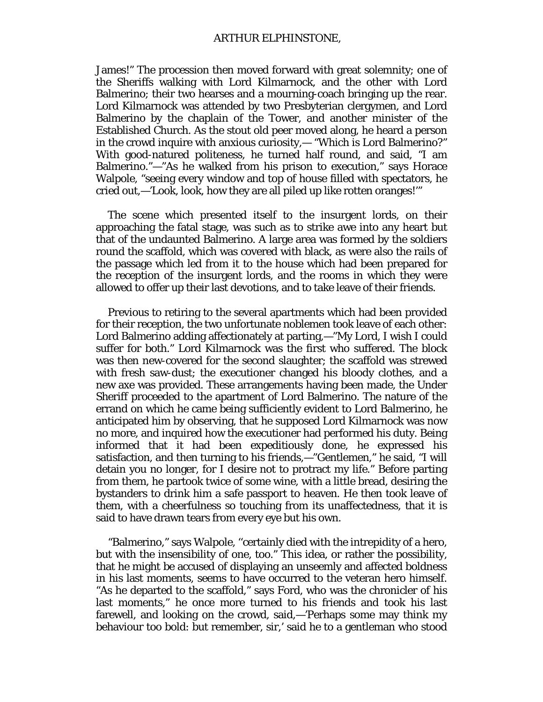### ARTHUR ELPHINSTONE,

James!" The procession then moved forward with great solemnity; one of the Sheriffs walking with Lord Kilmarnock, and the other with Lord Balmerino; their two hearses and a mourning-coach bringing up the rear. Lord Kilmarnock was attended by two Presbyterian clergymen, and Lord Balmerino by the chaplain of the Tower, and another minister of the Established Church. As the stout old peer moved along, he heard a person in the crowd inquire with anxious curiosity,— "Which is Lord Balmerino?" With good-natured politeness, he turned half round, and said, "I am Balmerino."—"As he walked from his prison to execution," says Horace Walpole, "seeing every window and top of house filled with spectators, he cried out,—'Look, look, how they are all piled up like rotten oranges!'"

The scene which presented itself to the insurgent lords, on their approaching the fatal stage, was such as to strike awe into any heart but that of the undaunted Balmerino. A large area was formed by the soldiers round the scaffold, which was covered with black, as were also the rails of the passage which led from it to the house which had been prepared for the reception of the insurgent lords, and the rooms in which they were allowed to offer up their last devotions, and to take leave of their friends.

Previous to retiring to the several apartments which had been provided for their reception, the two unfortunate noblemen took leave of each other: Lord Balmerino adding affectionately at parting,—"My Lord, I wish I could suffer for both." Lord Kilmarnock was the first who suffered. The block was then new-covered for the second slaughter; the scaffold was strewed with fresh saw-dust; the executioner changed his bloody clothes, and a new axe was provided. These arrangements having been made, the Under Sheriff proceeded to the apartment of Lord Balmerino. The nature of the errand on which he came being sufficiently evident to Lord Balmerino, he anticipated him by observing, that he supposed Lord Kilmarnock was now no more, and inquired how the executioner had performed his duty. Being informed that it had been expeditiously done, he expressed his satisfaction, and then turning to his friends,—"Gentlemen," he said, "I will detain you no longer, for I desire not to protract my life." Before parting from them, he partook twice of some wine, with a little bread, desiring the bystanders to drink him a safe passport to heaven. He then took leave of them, with a cheerfulness so touching from its unaffectedness, that it is said to have drawn tears from every eye but his own.

"Balmerino," says Walpole, ''certainly died with the intrepidity of a hero, but with the insensibility of one, too." This idea, or rather the possibility, that he might be accused of displaying an unseemly and affected boldness in his last moments, seems to have occurred to the veteran hero himself. "As he departed to the scaffold," says Ford, who was the chronicler of his last moments," he once more turned to his friends and took his last farewell, and looking on the crowd, said,—'Perhaps some may think my behaviour too bold: but remember, sir,' said he to a gentleman who stood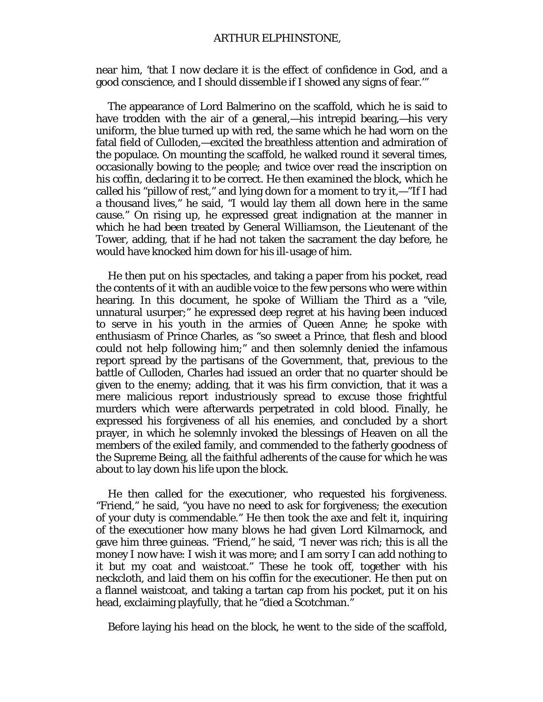near him, 'that I now declare it is the effect of confidence in God, and a good conscience, and I should dissemble if I showed any signs of fear.'"

The appearance of Lord Balmerino on the scaffold, which he is said to have trodden with the air of a general,—his intrepid bearing,—his very uniform, the blue turned up with red, the same which he had worn on the fatal field of Culloden,—excited the breathless attention and admiration of the populace. On mounting the scaffold, he walked round it several times, occasionally bowing to the people; and twice over read the inscription on his coffin, declaring it to be correct. He then examined the block, which he called his "pillow of rest," and lying down for a moment to try it,—"If I had a thousand lives," he said, "I would lay them all down here in the same cause." On rising up, he expressed great indignation at the manner in which he had been treated by General Williamson, the Lieutenant of the Tower, adding, that if he had not taken the sacrament the day before, he would have knocked him down for his ill-usage of him.

He then put on his spectacles, and taking a paper from his pocket, read the contents of it with an audible voice to the few persons who were within hearing. In this document, he spoke of William the Third as a "vile, unnatural usurper;" he expressed deep regret at his having been induced to serve in his youth in the armies of Queen Anne; he spoke with enthusiasm of Prince Charles, as "so sweet a Prince, that flesh and blood could not help following him;" and then solemnly denied the infamous report spread by the partisans of the Government, that, previous to the battle of Culloden, Charles had issued an order that no quarter should be given to the enemy; adding, that it was his firm conviction, that it was a mere malicious report industriously spread to excuse those frightful murders which were afterwards perpetrated in cold blood. Finally, he expressed his forgiveness of all his enemies, and concluded by a short prayer, in which he solemnly invoked the blessings of Heaven on all the members of the exiled family, and commended to the fatherly goodness of the Supreme Being, all the faithful adherents of the cause for which he was about to lay down his life upon the block.

He then called for the executioner, who requested his forgiveness. "Friend," he said, "you have no need to ask for forgiveness; the execution of your duty is commendable." He then took the axe and felt it, inquiring of the executioner how many blows he had given Lord Kilmarnock, and gave him three guineas. "Friend," he said, "I never was rich; this is all the money I now have: I wish it was more; and I am sorry I can add nothing to it but my coat and waistcoat." These he took off, together with his neckcloth, and laid them on his coffin for the executioner. He then put on a flannel waistcoat, and taking a tartan cap from his pocket, put it on his head, exclaiming playfully, that he "died a Scotchman."

Before laying his head on the block, he went to the side of the scaffold,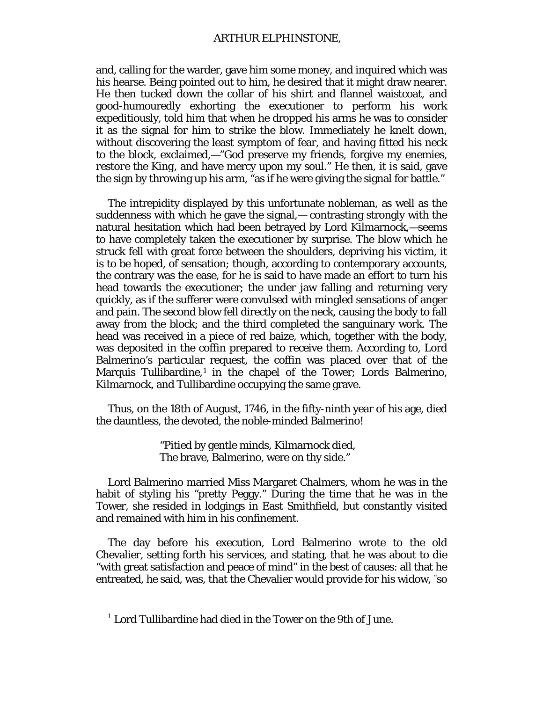## ARTHUR ELPHINSTONE,

and, calling for the warder, gave him some money, and inquired which was his hearse. Being pointed out to him, he desired that it might draw nearer. He then tucked down the collar of his shirt and flannel waistcoat, and good-humouredly exhorting the executioner to perform his work expeditiously, told him that when he dropped his arms he was to consider it as the signal for him to strike the blow. Immediately he knelt down, without discovering the least symptom of fear, and having fitted his neck to the block, exclaimed,—"God preserve my friends, forgive my enemies, *restore the King,* and have mercy upon my soul." He then, it is said, gave the sign by throwing up his arm, "as if he were giving the signal for battle."

The intrepidity displayed by this unfortunate nobleman, as well as the suddenness with which he gave the signal,— contrasting strongly with the natural hesitation which had been betrayed by Lord Kilmarnock,—seems to have completely taken the executioner by surprise. The blow which he struck fell with great force between the shoulders, depriving his victim, it is to be hoped, of sensation; though, according to contemporary accounts, the contrary was the ease, for he is said to have made an effort to turn his head towards the executioner; the under jaw falling and returning very quickly, as if the sufferer were convulsed with mingled sensations of anger and pain. The second blow fell directly on the neck, causing the body to fall away from the block; and the third completed the sanguinary work. The head was received in a piece of red baize, which, together with the body, was deposited in the coffin prepared to receive them. According to, Lord Balmerino's particular request, the coffin was placed over that of the Marquis Tullibardine,[1](#page-127-0) in the chapel of the Tower; Lords Balmerino, Kilmarnock, and Tullibardine occupying the same grave.

Thus, on the 18th of August, 1746, in the fifty-ninth year of his age, died the dauntless, the devoted, the noble-minded Balmerino!

> "Pitied by gentle minds, Kilmarnock died, The brave, Balmerino, were on thy side."

Lord Balmerino married Miss Margaret Chalmers, whom he was in the habit of styling his "pretty Peggy." During the time that he was in the Tower, she resided in lodgings in East Smithfield, but constantly visited and remained with him in his confinement.

The day before his execution, Lord Balmerino wrote to the old Chevalier, setting forth his services, and stating, that he was about to die "with great satisfaction and peace of mind" in the best of causes: all that he entreated, he said, was, that the Chevalier would provide for his widow, "so

I

<span id="page-127-0"></span> $1$  Lord Tullibardine had died in the Tower on the 9th of June.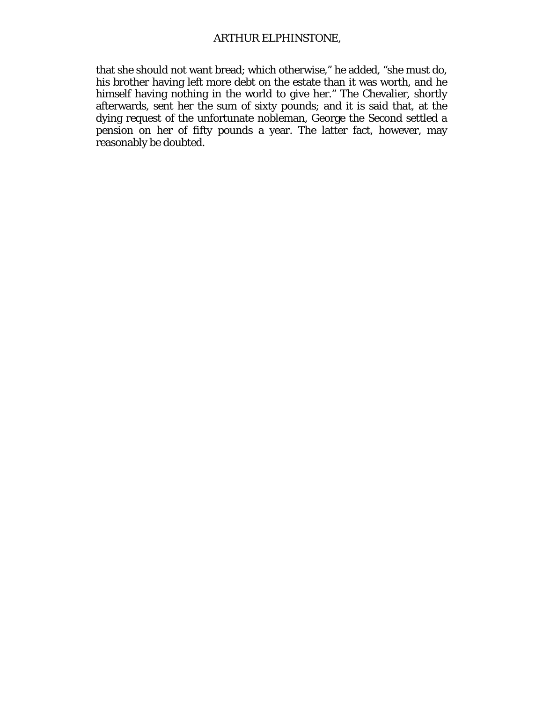that she should not want bread; which otherwise," he added, "she must do, his brother having left more debt on the estate than it was worth, and he himself having nothing in the world to give her." The Chevalier, shortly afterwards, sent her the sum of sixty pounds; and it is said that, at the dying request of the unfortunate nobleman, George the Second settled a pension on her of fifty pounds a year. The latter fact, however, may reasonably be doubted.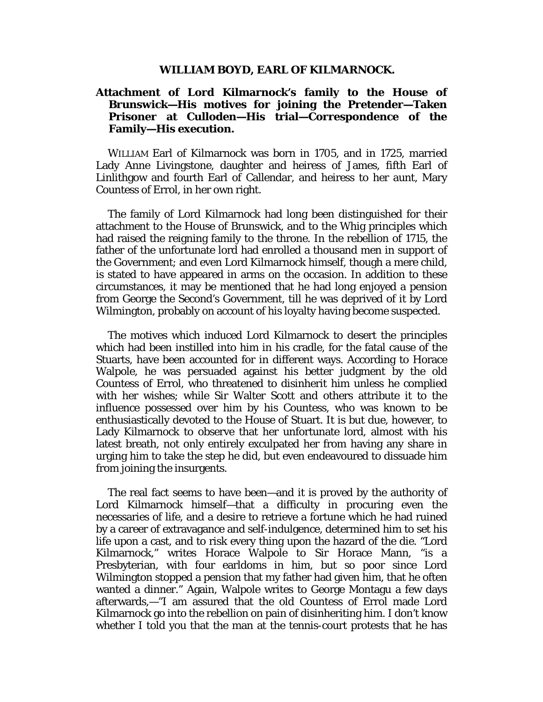#### **WILLIAM BOYD, EARL OF KILMARNOCK.**

# **Attachment of Lord Kilmarnock's family to the House of Brunswick—His motives for joining the Pretender—Taken Prisoner at Culloden—His trial—Correspondence of the Family—His execution.**

WILLIAM Earl of Kilmarnock was born in 1705, and in 1725, married Lady Anne Livingstone, daughter and heiress of James, fifth Earl of Linlithgow and fourth Earl of Callendar, and heiress to her aunt, Mary Countess of Errol, in her own right.

The family of Lord Kilmarnock had long been distinguished for their attachment to the House of Brunswick, and to the Whig principles which had raised the reigning family to the throne. In the rebellion of 1715, the father of the unfortunate lord had enrolled a thousand men in support of the Government; and even Lord Kilmarnock himself, though a mere child, is stated to have appeared in arms on the occasion. In addition to these circumstances, it may be mentioned that he had long enjoyed a pension from George the Second's Government, till he was deprived of it by Lord Wilmington, probably on account of his loyalty having become suspected.

The motives which induced Lord Kilmarnock to desert the principles which had been instilled into him in his cradle, for the fatal cause of the Stuarts, have been accounted for in different ways. According to Horace Walpole, he was persuaded against his better judgment by the old Countess of Errol, who threatened to disinherit him unless he complied with her wishes; while Sir Walter Scott and others attribute it to the influence possessed over him by his Countess, who was known to be enthusiastically devoted to the House of Stuart. It is but due, however, to Lady Kilmarnock to observe that her unfortunate lord, almost with his latest breath, not only entirely exculpated her from having any share in urging him to take the step he did, but even endeavoured to dissuade him from joining the insurgents.

The real fact seems to have been—and it is proved by the authority of Lord Kilmarnock himself—that a difficulty in procuring even the necessaries of life, and a desire to retrieve a fortune which he had ruined by a career of extravagance and self-indulgence, determined him to set his life upon a cast, and to risk every thing upon the hazard of the die. "Lord Kilmarnock," writes Horace Walpole to Sir Horace Mann, "is a Presbyterian, with four earldoms in him, but so poor since Lord Wilmington stopped a pension that my father had given him, that he often wanted a dinner." Again, Walpole writes to George Montagu a few days afterwards,—"I am assured that the old Countess of Errol made Lord Kilmarnock go into the rebellion on pain of disinheriting him. I don't know whether I told you that the man at the tennis-court protests that he has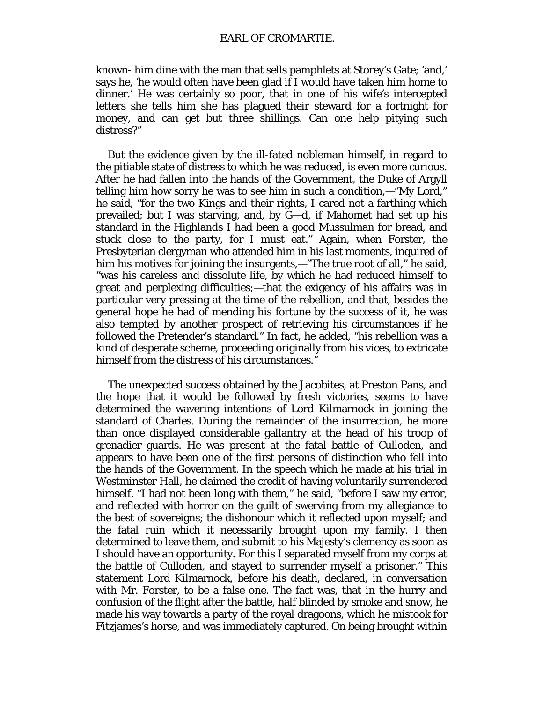known- him dine with the man that sells pamphlets at Storey's Gate; 'and,' says he, 'he would often have been glad if I would have taken him home to dinner.' He was certainly so poor, that in one of his wife's intercepted letters she tells him she has plagued their steward for a fortnight for money, and can get but three shillings. Can one help pitying such distress?"

But the evidence given by the ill-fated nobleman himself, in regard to the pitiable state of distress to which he was reduced, is even more curious. After he had fallen into the hands of the Government, the Duke of Argyll telling him how sorry he was to see him in such a condition,—"My Lord," he said, "for the two Kings and their rights, I cared not a farthing which prevailed; but I was starving, and, by G—d, if Mahomet had set up his standard in the Highlands I had been a good Mussulman for bread, and stuck close to the party, for I must eat." Again, when Forster, the Presbyterian clergyman who attended him in his last moments, inquired of him his motives for joining the insurgents,—"The true root of all," he said, "was his careless and dissolute life, by which he had reduced himself to great and perplexing difficulties;—that the exigency of his affairs was in particular very pressing at the time of the rebellion, and that, besides the general hope he had of mending his fortune by the success of it, he was also tempted by another prospect of retrieving his circumstances if he followed the Pretender's standard." In fact, he added, "his rebellion was a kind of desperate scheme, proceeding originally from his vices, to extricate himself from the distress of his circumstances."

The unexpected success obtained by the Jacobites, at Preston Pans, and the hope that it would be followed by fresh victories, seems to have determined the wavering intentions of Lord Kilmarnock in joining the standard of Charles. During the remainder of the insurrection, he more than once displayed considerable gallantry at the head of his troop of grenadier guards. He was present at the fatal battle of Culloden, and appears to have been one of the first persons of distinction who fell into the hands of the Government. In the speech which he made at his trial in Westminster Hall, he claimed the credit of having voluntarily surrendered himself. "I had not been long with them," he said, "before I saw my error, and reflected with horror on the guilt of swerving from my allegiance to the best of sovereigns; the dishonour which it reflected upon myself; and the fatal ruin which it necessarily brought upon my family. I then determined to leave them, and submit to his Majesty's clemency as soon as I should have an opportunity. For this I separated myself from my corps at the battle of Culloden, and stayed to surrender myself a prisoner." This statement Lord Kilmarnock, before his death, declared, in conversation with Mr. Forster, to be a false one. The fact was, that in the hurry and confusion of the flight after the battle, half blinded by smoke and snow, he made his way towards a party of the royal dragoons, which he mistook for Fitzjames's horse, and was immediately captured. On being brought within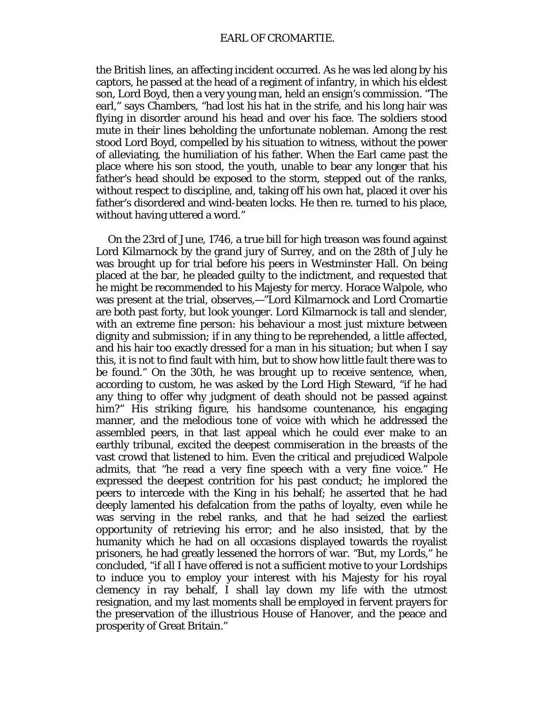the British lines, an affecting incident occurred. As he was led along by his captors, he passed at the head of a regiment of infantry, in which his eldest son, Lord Boyd, then a very young man, held an ensign's commission. "The earl," says Chambers, "had lost his hat in the strife, and his long hair was flying in disorder around his head and over his face. The soldiers stood mute in their lines beholding the unfortunate nobleman. Among the rest stood Lord Boyd, compelled by his situation to witness, without the power of alleviating, the humiliation of his father. When the Earl came past the place where his son stood, the youth, unable to bear any longer that his father's head should be exposed to the storm, stepped out of the ranks, without respect to discipline, and, taking off his own hat, placed it over his father's disordered and wind-beaten locks. He then re. turned to his place, without having uttered a word."

On the 23rd of June, 1746, a true bill for high treason was found against Lord Kilmarnock by the grand jury of Surrey, and on the 28th of July he was brought up for trial before his peers in Westminster Hall. On being placed at the bar, he pleaded guilty to the indictment, and requested that he might be recommended to his Majesty for mercy. Horace Walpole, who was present at the trial, observes,—"Lord Kilmarnock and Lord Cromartie are both past forty, but look younger. Lord Kilmarnock is tall and slender, with an extreme fine person: his behaviour a most just mixture between dignity and submission; if in any thing to be reprehended, a little affected, and his hair too exactly dressed for a man in his situation; but when I say this, it is not to find fault with him, but to show how little fault there was to be found." On the 30th, he was brought up to receive sentence, when, according to custom, he was asked by the Lord High Steward, "if he had any thing to offer why judgment of death should not be passed against him?" His striking figure, his handsome countenance, his engaging manner, and the melodious tone of voice with which he addressed the assembled peers, in that last appeal which he could ever make to an earthly tribunal, excited the deepest commiseration in the breasts of the vast crowd that listened to him. Even the critical and prejudiced Walpole admits, that "he read a very fine speech with a very fine voice." He expressed the deepest contrition for his past conduct; he implored the peers to intercede with the King in his behalf; he asserted that he had deeply lamented his defalcation from the paths of loyalty, even while he was serving in the rebel ranks, and that he had seized the earliest opportunity of retrieving his error; and he also insisted, that by the humanity which he had on all occasions displayed towards the royalist prisoners, he had greatly lessened the horrors of war. "But, my Lords," he concluded, "if all I have offered is not a sufficient motive to your Lordships to induce you to employ your interest with his Majesty for his royal clemency in ray behalf, I shall lay down my life with the utmost resignation, and my last moments shall be employed in fervent prayers for the preservation of the illustrious House of Hanover, and the peace and prosperity of Great Britain."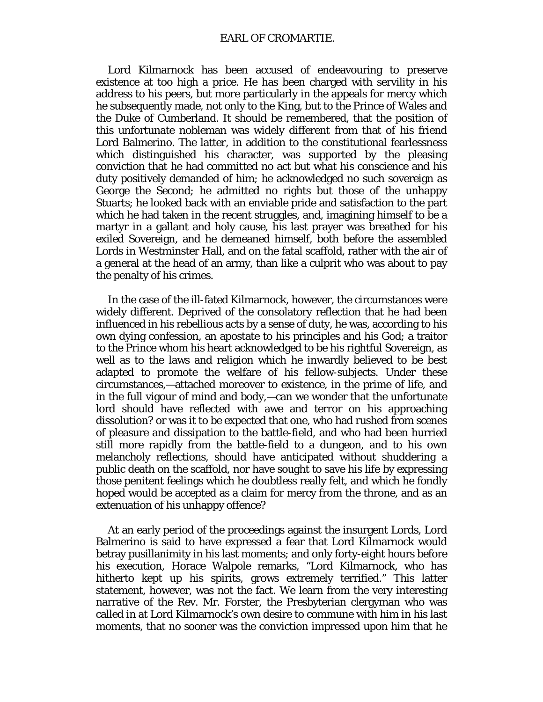Lord Kilmarnock has been accused of endeavouring to preserve existence at too high a price. He has been charged with servility in his address to his peers, but more particularly in the appeals for mercy which he subsequently made, not only to the King, but to the Prince of Wales and the Duke of Cumberland. It should be remembered, that the position of this unfortunate nobleman was widely different from that of his friend Lord Balmerino. The latter, in addition to the constitutional fearlessness which distinguished his character, was supported by the pleasing conviction that he had committed no act but what his conscience and his duty positively demanded of him; he acknowledged no such sovereign as George the Second; he admitted no rights but those of the unhappy Stuarts; he looked back with an enviable pride and satisfaction to the part which he had taken in the recent struggles, and, imagining himself to be a martyr in a gallant and holy cause, his last prayer was breathed for his exiled Sovereign, and he demeaned himself, both before the assembled Lords in Westminster Hall, and on the fatal scaffold, rather with the air of a general at the head of an army, than like a culprit who was about to pay the penalty of his crimes.

In the case of the ill-fated Kilmarnock, however, the circumstances were widely different. Deprived of the consolatory reflection that he had been influenced in his rebellious acts by a sense of duty, he was, according to his own dying confession, an apostate to his principles and his God; a traitor to the Prince whom his heart acknowledged to be his rightful Sovereign, as well as to the laws and religion which he inwardly believed to be best adapted to promote the welfare of his fellow-subjects. Under these circumstances,—attached moreover to existence, in the prime of life, and in the full vigour of mind and body,—can we wonder that the unfortunate lord should have reflected with awe and terror on his approaching dissolution? or was it to be expected that one, who had rushed from scenes of pleasure and dissipation to the battle-field, and who had been hurried still more rapidly from the battle-field to a dungeon, and to his own melancholy reflections, should have anticipated without shuddering a public death on the scaffold, nor have sought to save his life by expressing those penitent feelings which he doubtless really felt, and which he fondly hoped would be accepted as a claim for mercy from the throne, and as an extenuation of his unhappy offence?

At an early period of the proceedings against the insurgent Lords, Lord Balmerino is said to have expressed a fear that Lord Kilmarnock would betray pusillanimity in his last moments; and only forty-eight hours before his execution, Horace Walpole remarks, "Lord Kilmarnock, who has hitherto kept up his spirits, grows extremely terrified." This latter statement, however, was not the fact. We learn from the very interesting narrative of the Rev. Mr. Forster, the Presbyterian clergyman who was called in at Lord Kilmarnock's own desire to commune with him in his last moments, that no sooner was the conviction impressed upon him that he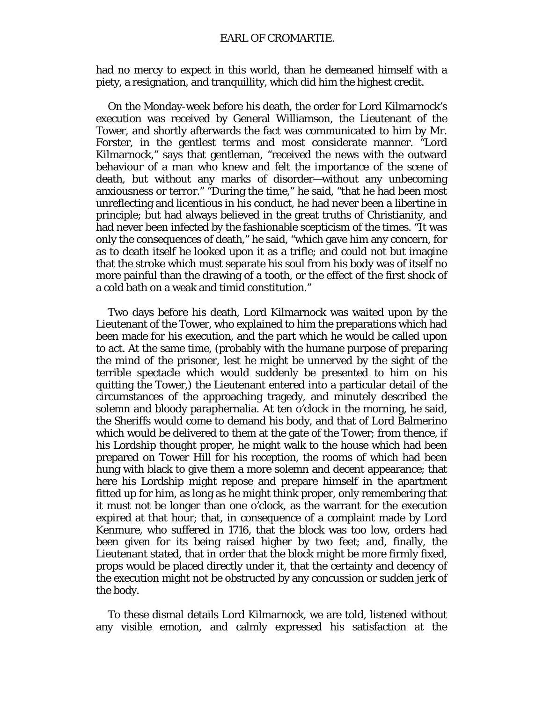had no mercy to expect in this world, than he demeaned himself with a piety, a resignation, and tranquillity, which did him the highest credit.

On the Monday-week before his death, the order for Lord Kilmarnock's execution was received by General Williamson, the Lieutenant of the Tower, and shortly afterwards the fact was communicated to him by Mr. Forster, in the gentlest terms and most considerate manner. "Lord Kilmarnock," says that gentleman, "received the news with the outward behaviour of a man who knew and felt the importance of the scene of death, but without any marks of disorder—without any unbecoming anxiousness or terror." "During the time," he said, "that he had been most unreflecting and licentious in his conduct, he had never been a libertine in principle; but had always believed in the great truths of Christianity, and had never been infected by the fashionable scepticism of the times. "It was only the consequences of death," he said, "which gave him any concern, for as to death itself he looked upon it as a trifle; and could not but imagine that the stroke which must separate his soul from his body was of itself no more painful than the drawing of a tooth, or the effect of the first shock of a cold bath on a weak and timid constitution."

Two days before his death, Lord Kilmarnock was waited upon by the Lieutenant of the Tower, who explained to him the preparations which had been made for his execution, and the part which he would be called upon to act. At the same time, (probably with the humane purpose of preparing the mind of the prisoner, lest he might be unnerved by the sight of the terrible spectacle which would suddenly be presented to him on his quitting the Tower,) the Lieutenant entered into a particular detail of the circumstances of the approaching tragedy, and minutely described the solemn and bloody paraphernalia. At ten o'clock in the morning, he said, the Sheriffs would come to demand his body, and that of Lord Balmerino which would be delivered to them at the gate of the Tower; from thence, if his Lordship thought proper, he might walk to the house which had been prepared on Tower Hill for his reception, the rooms of which had been hung with black to give them a more solemn and decent appearance; that here his Lordship might repose and prepare himself in the apartment fitted up for him, as long as he might think proper, only remembering that it must not be longer than one o'clock, as the warrant for the execution expired at that hour; that, in consequence of a complaint made by Lord Kenmure, who suffered in 1716, that the block was too low, orders had been given for its being raised higher by two feet; and, finally, the Lieutenant stated, that in order that the block might be more firmly fixed, props would be placed directly under it, that the certainty and decency of the execution might not be obstructed by any concussion or sudden jerk of the body.

To these dismal details Lord Kilmarnock, we are told, listened without any visible emotion, and calmly expressed his satisfaction at the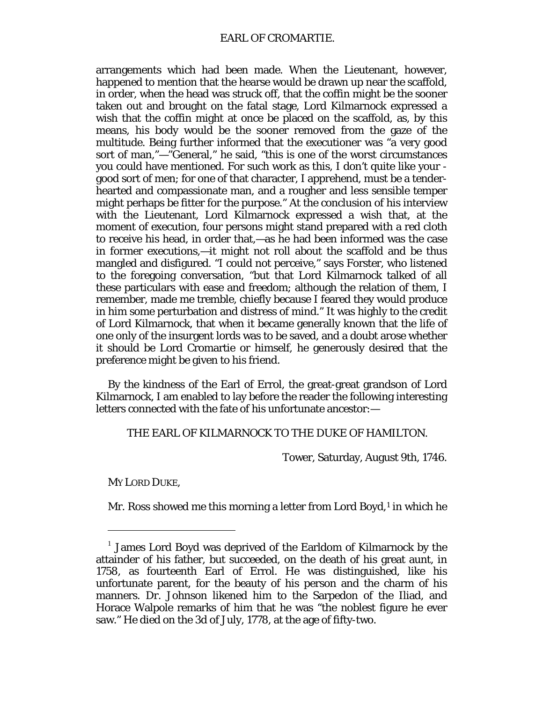arrangements which had been made. When the Lieutenant, however, happened to mention that the hearse would be drawn up near the scaffold, in order, when the head was struck off, that the coffin might be the sooner taken out and brought on the fatal stage, Lord Kilmarnock expressed a wish that the coffin might at once be placed on the scaffold, as, by this means, his body would be the sooner removed from the gaze of the multitude. Being further informed that the executioner was "a very good sort of man,"—"General," he said, "this is one of the worst circumstances you could have mentioned. For such work as this, I don't quite like your good sort of men; for one of that character, I apprehend, must be a tenderhearted and compassionate man, and a rougher and less sensible temper might perhaps be fitter for the purpose." At the conclusion of his interview with the Lieutenant, Lord Kilmarnock expressed a wish that, at the moment of execution, four persons might stand prepared with a red cloth to receive his head, in order that,—as he had been informed was the case in former executions,—it might not roll about the scaffold and be thus mangled and disfigured. "I could not perceive," says Forster, who listened to the foregoing conversation, "but that Lord Kilmarnock talked of all these particulars with ease and freedom; although the relation of them, I remember, made me tremble, chiefly because I feared they would produce in him some perturbation and distress of mind." It was highly to the credit of Lord Kilmarnock, that when it became generally known that the life of one only of the insurgent lords was to be saved, and a doubt arose whether it should be Lord Cromartie or himself, he generously desired that the preference might be given to his friend.

By the kindness of the Earl of Errol, the great-great grandson of Lord Kilmarnock, I am enabled to lay before the reader the following interesting letters connected with the fate of his unfortunate ancestor:—

THE EARL OF KILMARNOCK TO THE DUKE OF HAMILTON.

Tower, Saturday, August 9th, 1746.

MY LORD DUKE,

I

Mr. Ross showed me this morning a letter from Lord Boyd, $1$  in which he

<span id="page-134-0"></span> $1$  James Lord Boyd was deprived of the Earldom of Kilmarnock by the attainder of his father, but succeeded, on the death of his great aunt, in 1758, as fourteenth Earl of Errol. He was distinguished, like his unfortunate parent, for the beauty of his person and the charm of his manners. Dr. Johnson likened him to the Sarpedon of the Iliad, and Horace Walpole remarks of him that he was "the noblest figure he ever saw." He died on the 3d of July, 1778, at the age of fifty-two.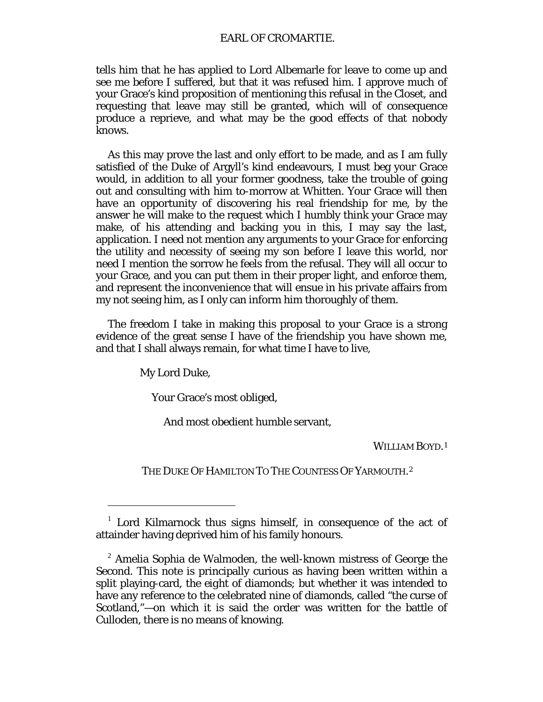## EARL OF CROMARTIE.

tells him that he has applied to Lord Albemarle for leave to come up and see me before I suffered, but that it was refused him. I approve much of your Grace's kind proposition of mentioning this refusal in the Closet, and requesting that leave may still be granted, which will of consequence produce a reprieve, and what may be the good effects of that nobody knows.

As this may prove the last and only effort to be made, and as I am fully satisfied of the Duke of Argyll's kind endeavours, I must beg your Grace would, in addition to all your former goodness, take the trouble of going out and consulting with him to-morrow at Whitten. Your Grace will then have an opportunity of discovering his real friendship for me, by the answer he will make to the request which I humbly think your Grace may make, of his attending and backing you in this, I may say the last, application. I need not mention any arguments to your Grace for enforcing the utility and necessity of seeing my son before I leave this world, nor need I mention the sorrow he feels from the refusal. They will all occur to your Grace, and you can put them in their proper light, and enforce them, and represent the inconvenience that will ensue in his private affairs from my not seeing him, as I only can inform him thoroughly of them.

The freedom I take in making this proposal to your Grace is a strong evidence of the great sense I have of the friendship you have shown me, and that I shall always remain, for what time I have to live,

My Lord Duke,

I

Your Grace's most obliged,

And most obedient humble servant,

WILLIAM BOYD.<sup>[1](#page-135-0)</sup>

THE DUKE OF HAMILTON TO THE COUNTESS OF YARMOUTH.<sup>[2](#page-135-1)</sup>

<span id="page-135-0"></span> $1$  Lord Kilmarnock thus signs himself, in consequence of the act of attainder having deprived him of his family honours.

<span id="page-135-1"></span> $2$  Amelia Sophia de Walmoden, the well-known mistress of George the Second. This note is principally curious as having been written within a split playing-card, the *eight* of diamonds; but whether it was intended to have any reference to the celebrated *nine* of diamonds, called "the curse of Scotland,"—on which it is said the order was written for the battle of Culloden, there is no means of knowing.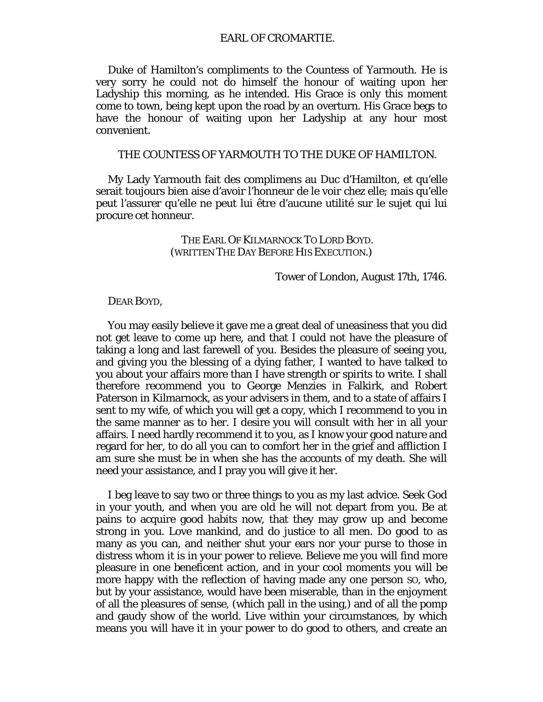### EARL OF CROMARTIE.

Duke of Hamilton's compliments to the Countess of Yarmouth. He is very sorry he could not do himself the honour of waiting upon her Ladyship this morning, as he intended. His Grace is only this moment come to town, being kept upon the road by an overturn. His Grace begs to have the honour of waiting upon her Ladyship at any hour most convenient.

## THE COUNTESS OF YARMOUTH TO THE DUKE OF HAMILTON.

My Lady Yarmouth fait des complimens au Duc d'Hamilton, et qu'elle serait toujours bien aise d'avoir l'honneur de le voir chez elle; mais qu'elle peut l'assurer qu'elle ne peut lui être d'aucune utilité sur le sujet qui lui procure cet honneur.

> THE EARL OF KILMARNOCK TO LORD BOYD. (WRITTEN THE DAY BEFORE HIS EXECUTION.)

> > Tower of London, August 17th, 1746.

#### DEAR BOYD,

You may easily believe it gave me a great deal of uneasiness that you did not get leave to come up here, and that I could not have the pleasure of taking a long and last farewell of you. Besides the pleasure of seeing you, and giving you the blessing of a dying father, I wanted to have talked to you about your affairs more than I have strength or spirits to write. I shall therefore recommend you to George Menzies in Falkirk, and Robert Paterson in Kilmarnock, as your advisers in them, and to a state of affairs I sent to my wife, of which you will get a copy, which I recommend to you in the same manner as to her. I desire you will consult with her in all your affairs. I need hardly recommend it to you, as I know your good nature and regard for her, to do all you can to comfort her in the grief and affliction I am sure she must be in when she has the accounts of my death. She will need your assistance, and I pray you will give it her.

I beg leave to say two or three things to you as my last advice. Seek God in your youth, and when you are old he will not depart from you. Be at pains to acquire good habits now, that they may grow up and become strong in you. Love mankind, and do justice to all men. Do good to as many as you can, and neither shut your ears nor your purse to those in distress whom it is in your power to relieve. Believe me you will find more pleasure in one beneficent action, and in your cool moments you will be more happy with the reflection of having made any one person SO, who, but by your assistance, would have been miserable, than in the enjoyment of all the pleasures of sense, (which pall in the using,) and of all the pomp and gaudy show of the world. Live within your circumstances, by which means you will have it in your power to do good to others, and create an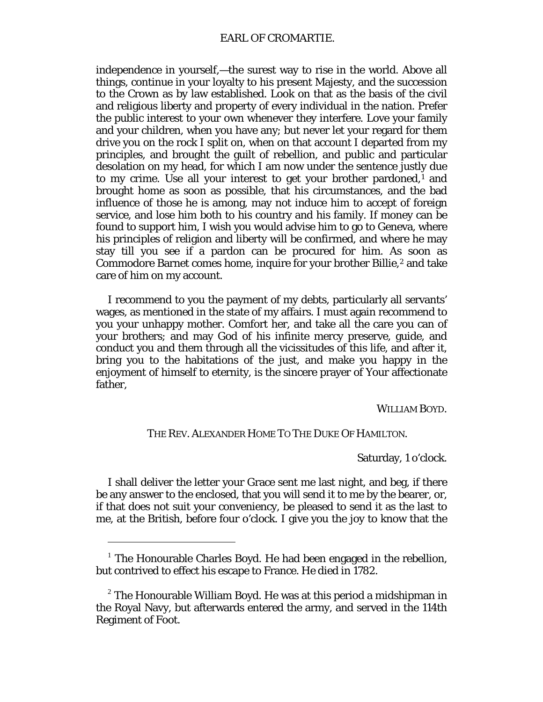independence in yourself,—the surest way to rise in the world. Above all things, continue in your loyalty to his present Majesty, and the succession to the Crown as by law established. Look on that as the basis of the civil and religious liberty and property of every individual in the nation. Prefer the public interest to your own whenever they interfere. Love your family and your children, when you have any; but never let your regard for them drive you on the rock I split on, when on that account I departed from my principles, and brought the guilt of rebellion, and public and particular desolation on my head, for which I am now under the sentence justly due to my crime. Use all your interest to get your brother pardoned, $1$  and brought home as soon as possible, that his circumstances, and the bad influence of those he is among, may not induce him to accept of foreign service, and lose him both to his country and his family. If money can be found to support him, I wish you would advise him to go to Geneva, where his principles of religion and liberty will be confirmed, and where he may stay till you see if a pardon can be procured for him. As soon as Commodore Barnet comes home, inquire for your brother Billie,<sup>[2](#page-137-1)</sup> and take care of him on my account.

I recommend to you the payment of my debts, particularly all servants' wages, as mentioned in the state of my affairs. I must again recommend to you your unhappy mother. Comfort her, and take all the care you can of your brothers; and may God of his infinite mercy preserve, guide, and conduct you and them through all the vicissitudes of this life, and after it, bring you to the habitations of the just, and make you happy in the enjoyment of himself to eternity, is the sincere prayer of Your affectionate father,

WILLIAM BOYD.

# THE REV. ALEXANDER HOME TO THE DUKE OF HAMILTON.

Saturday, 1 o'clock.

I shall deliver the letter your Grace sent me last night, and beg, if there be any answer to the enclosed, that you will send it to me by the bearer, or, if that does not suit your conveniency, be pleased to send it as the last to me, at the British, before four o'clock. I give you the joy to know that the

I

<span id="page-137-0"></span><sup>&</sup>lt;sup>1</sup> The Honourable Charles Boyd. He had been engaged in the rebellion, but contrived to effect his escape to France. He died in 1782.

<span id="page-137-1"></span> $2$  The Honourable William Boyd. He was at this period a midshipman in the Royal Navy, but afterwards entered the army, and served in the 114th Regiment of Foot.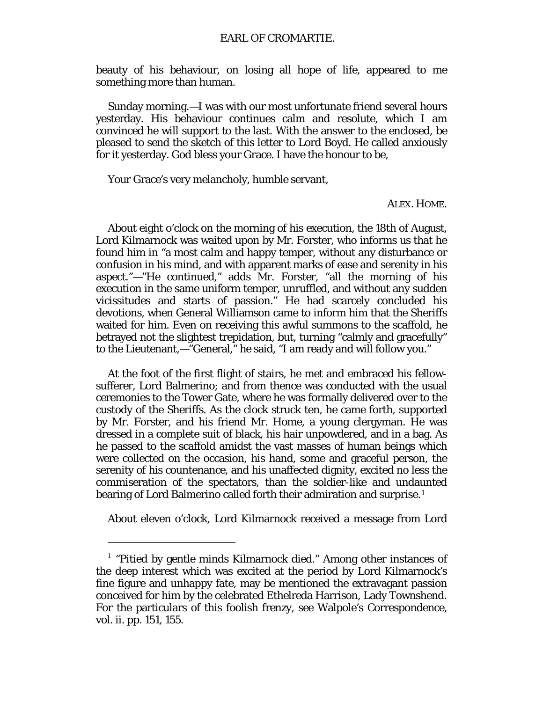beauty of his behaviour, on losing all hope of life, appeared to me something more than human.

Sunday morning.—I was with our most unfortunate friend several hours yesterday. His behaviour continues calm and resolute, which I am convinced he will support to the last. With the answer to the enclosed, be pleased to send the sketch of this letter to Lord Boyd. He called anxiously for it yesterday. God bless your Grace. I have the honour to be,

Your Grace's very melancholy, humble servant,

### ALEX. HOME.

About eight o'clock on the morning of his execution, the 18th of August, Lord Kilmarnock was waited upon by Mr. Forster, who informs us that he found him in "a most calm and happy temper, without any disturbance or confusion in his mind, and with apparent marks of ease and serenity in his aspect."—"He continued," adds Mr. Forster, "all the morning of his execution in the same uniform temper, unruffled, and without any sudden vicissitudes and starts of passion." He had scarcely concluded his devotions, when General Williamson came to inform him that the Sheriffs waited for him. Even on receiving this awful summons to the scaffold, he betrayed not the slightest trepidation, but, turning "calmly and gracefully" to the Lieutenant,—"General," he said, "I am ready and will follow you."

At the foot of the first flight of stairs, he met and embraced his fellowsufferer, Lord Balmerino; and from thence was conducted with the usual ceremonies to the Tower Gate, where he was formally delivered over to the custody of the Sheriffs. As the clock struck ten, he came forth, supported by Mr. Forster, and his friend Mr. Home, a young clergyman. He was dressed in a complete suit of black, his hair unpowdered, and in a bag. As he passed to the scaffold amidst the vast masses of human beings which were collected on the occasion, his hand, some and graceful person, the serenity of his countenance, and his unaffected dignity, excited no less the commiseration of the spectators, than the soldier-like and undaunted bearing of Lord Balmerino called forth their admiration and surprise.<sup>[1](#page-138-0)</sup>

About eleven o'clock, Lord Kilmarnock received a message from Lord

 $\ddot{ }$ 

<span id="page-138-0"></span> $<sup>1</sup>$  "Pitied by gentle minds Kilmarnock died." Among other instances of</sup> the deep interest which was excited at the period by Lord Kilmarnock's fine figure and unhappy fate, may be mentioned the extravagant passion conceived for him by the celebrated Ethelreda Harrison, Lady Townshend. For the particulars of this foolish frenzy, see Walpole's Correspondence, vol. ii. pp. 151, 155.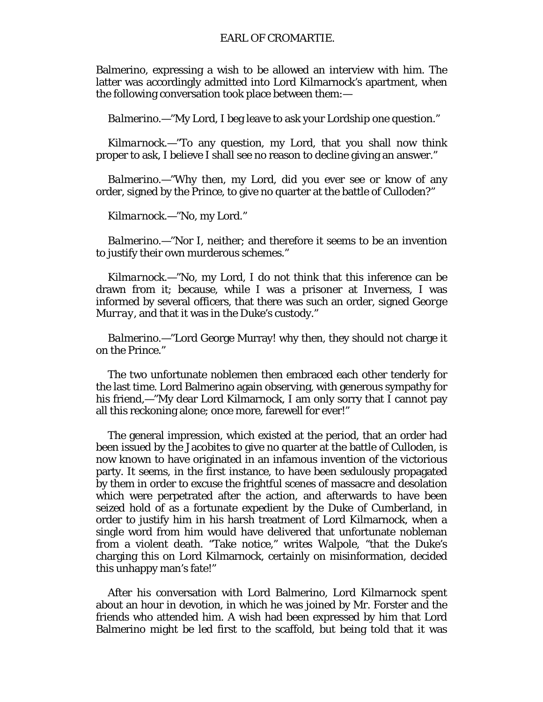Balmerino, expressing a wish to be allowed an interview with him. The latter was accordingly admitted into Lord Kilmarnock's apartment, when the following conversation took place between them:—

*Balmerino.*—"My Lord, I beg leave to ask your Lordship one question."

*Kilmarnock.—"*To any question, my Lord, that you shall now think proper to ask, I believe I shall see no reason to decline giving an answer."

*Balmerino.*—"Why then, my Lord, did you ever see or know of any order, signed by the Prince, to give no quarter at the battle of Culloden?"

*Kilmarnock.*—"No, my Lord."

*Balmerino.*—"Nor I, neither; and therefore it seems to be an invention to justify their own murderous schemes."

*Kilmarnock.*—"No, my Lord, I do not think that this inference can be drawn from it; because, while I was a prisoner at Inverness, I was informed by several officers, that there was such an order, signed *George Murray,* and that it was in the Duke's custody."

*Balmerino.*—"Lord George Murray! why then, they should not charge it on the Prince."

The two unfortunate noblemen then embraced each other tenderly for the last time. Lord Balmerino again observing, with generous sympathy for his friend,—"My dear Lord Kilmarnock, I am only sorry that I cannot pay all this reckoning alone; once more, farewell for ever!"

The general impression, which existed at the period, that an order had been issued by the Jacobites to give no quarter at the battle of Culloden, is now known to have originated in an infamous invention of the victorious party. It seems, in the first instance, to have been sedulously propagated by them in order to excuse the frightful scenes of massacre and desolation which were perpetrated after the action, and afterwards to have been seized hold of as a fortunate expedient by the Duke of Cumberland, in order to justify him in his harsh treatment of Lord Kilmarnock, when a single word from him would have delivered that unfortunate nobleman from a violent death. "Take notice," writes Walpole, "that the Duke's charging this on Lord Kilmarnock, certainly on misinformation, decided this unhappy man's fate!"

After his conversation with Lord Balmerino, Lord Kilmarnock spent about an hour in devotion, in which he was joined by Mr. Forster and the friends who attended him. A wish had been expressed by him that Lord Balmerino might be led first to the scaffold, but being told that it was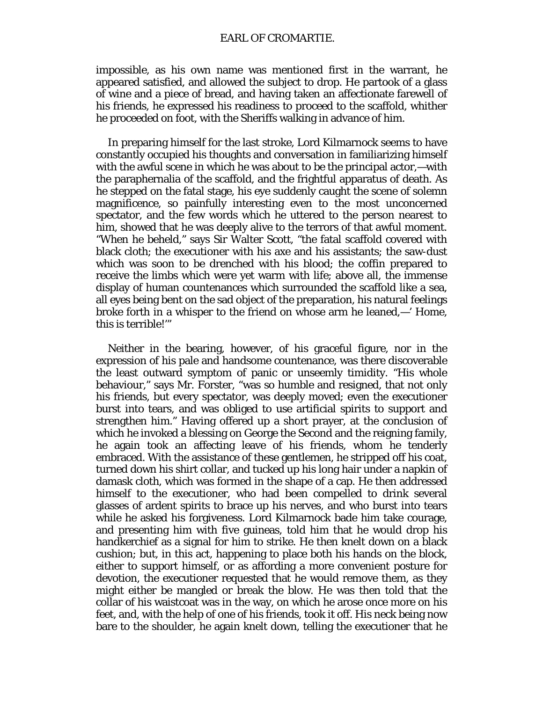impossible, as his own name was mentioned first in the warrant, he appeared satisfied, and allowed the subject to drop. He partook of a glass of wine and a piece of bread, and having taken an affectionate farewell of his friends, he expressed his readiness to proceed to the scaffold, whither he proceeded on foot, with the Sheriffs walking in advance of him.

In preparing himself for the last stroke, Lord Kilmarnock seems to have constantly occupied his thoughts and conversation in familiarizing himself with the awful scene in which he was about to be the principal actor,—with the paraphernalia of the scaffold, and the frightful apparatus of death. As he stepped on the fatal stage, his eye suddenly caught the scene of solemn magnificence, so painfully interesting even to the most unconcerned spectator, and the few words which he uttered to the person nearest to him, showed that he was deeply alive to the terrors of that awful moment. "When he beheld," says Sir Walter Scott, "the fatal scaffold covered with black cloth; the executioner with his axe and his assistants; the saw-dust which was soon to be drenched with his blood; the coffin prepared to receive the limbs which were yet warm with life; above all, the immense display of human countenances which surrounded the scaffold like a sea, all eyes being bent on the sad object of the preparation, his natural feelings broke forth in a whisper to the friend on whose arm he leaned,—' Home, this is terrible!'"

Neither in the bearing, however, of his graceful figure, nor in the expression of his pale and handsome countenance, was there discoverable the least outward symptom of panic or unseemly timidity. "His whole behaviour," says Mr. Forster, "was so humble and resigned, that not only his friends, but every spectator, was deeply moved; even the executioner burst into tears, and was obliged to use artificial spirits to support and strengthen him." Having offered up a short prayer, at the conclusion of which he invoked a blessing on George the Second and the reigning family, he again took an affecting leave of his friends, whom he tenderly embraced. With the assistance of these gentlemen, he stripped off his coat, turned down his shirt collar, and tucked up his long hair under a napkin of damask cloth, which was formed in the shape of a cap. He then addressed himself to the executioner, who had been compelled to drink several glasses of ardent spirits to brace up his nerves, and who burst into tears while he asked his forgiveness. Lord Kilmarnock bade him take courage, and presenting him with five guineas, told him that he would drop his handkerchief as a signal for him to strike. He then knelt down on a black cushion; but, in this act, happening to place both his hands on the block, either to support himself, or as affording a more convenient posture for devotion, the executioner requested that he would remove them, as they might either be mangled or break the blow. He was then told that the collar of his waistcoat was in the way, on which he arose once more on his feet, and, with the help of one of his friends, took it off. His neck being now bare to the shoulder, he again knelt down, telling the executioner that he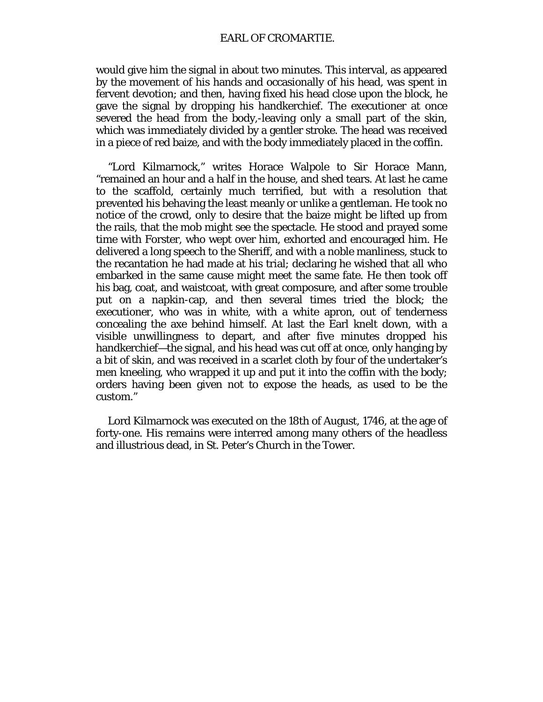would give him the signal in about two minutes. This interval, as appeared by the movement of his hands and occasionally of his head, was spent in fervent devotion; and then, having fixed his head close upon the block, he gave the signal by dropping his handkerchief. The executioner at once severed the head from the body,-leaving only a small part of the skin, which was immediately divided by a gentler stroke. The head was received in a piece of red baize, and with the body immediately placed in the coffin.

"Lord Kilmarnock," writes Horace Walpole to Sir Horace Mann, "remained an hour and a half in the house, and shed tears. At last he came to the scaffold, certainly much terrified, but with a resolution that prevented his behaving the least meanly or unlike a gentleman. He took no notice of the crowd, only to desire that the baize might be lifted up from the rails, that the mob might see the spectacle. He stood and prayed some time with Forster, who wept over him, exhorted and encouraged him. He delivered a long speech to the Sheriff, and with a noble manliness, stuck to the recantation he had made at his trial; declaring he wished that all who embarked in the same cause might meet the same fate. He then took off his bag, coat, and waistcoat, with great composure, and after some trouble put on a napkin-cap, and then several times tried the block; the executioner, who was in white, with a white apron, out of tenderness concealing the axe behind himself. At last the Earl knelt down, with a visible unwillingness to depart, and after five minutes dropped his handkerchief—the signal, and his head was cut off at once, only hanging by a bit of skin, and was received in a scarlet cloth by four of the undertaker's men kneeling, who wrapped it up and put it into the coffin with the body; orders having been given not to expose the heads, as used to be the custom."

Lord Kilmarnock was executed on the 18th of August, 1746, at the age of forty-one. His remains were interred among many others of the headless and illustrious dead, in St. Peter's Church in the Tower.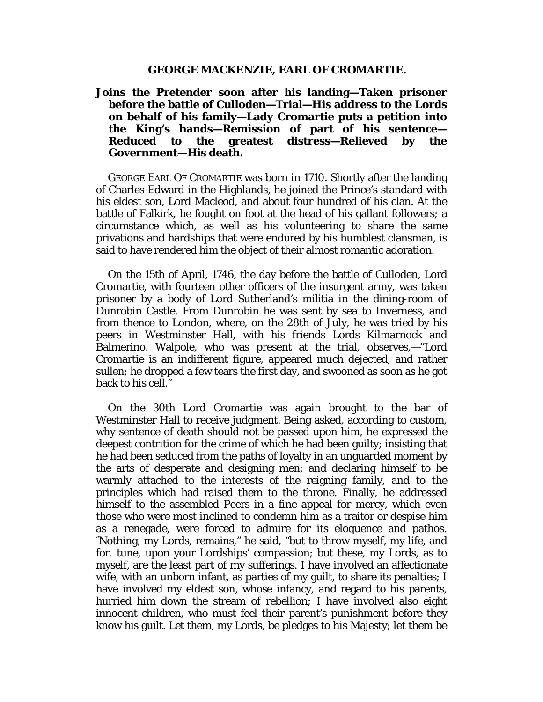#### **GEORGE MACKENZIE, EARL OF CROMARTIE.**

**Joins the Pretender soon after his landing—Taken prisoner before the battle of Culloden—Trial—His address to the Lords on behalf of his family—Lady Cromartie puts a petition into the King's hands—Remission of part of his sentence** the greatest distress—Relieved by the **Government—His death.**

GEORGE EARL OF CROMARTIE was born in 1710. Shortly after the landing of Charles Edward in the Highlands, he joined the Prince's standard with his eldest son, Lord Macleod, and about four hundred of his clan. At the battle of Falkirk, he fought on foot at the head of his gallant followers; a circumstance which, as well as his volunteering to share the same privations and hardships that were endured by his humblest clansman, is said to have rendered him the object of their almost romantic adoration.

On the 15th of April, 1746, the day before the battle of Culloden, Lord Cromartie, with fourteen other officers of the insurgent army, was taken prisoner by a body of Lord Sutherland's militia in the dining-room of Dunrobin Castle. From Dunrobin he was sent by sea to Inverness, and from thence to London, where, on the 28th of July, he was tried by his peers in Westminster Hall, with his friends Lords Kilmarnock and Balmerino. Walpole, who was present at the trial, observes,—"Lord Cromartie is an indifferent figure, appeared much dejected, and rather sullen; he dropped a few tears the first day, and swooned as soon as he got back to his cell."

On the 30th Lord Cromartie was again brought to the bar of Westminster Hall to receive judgment. Being asked, according to custom, why sentence of death should not be passed upon him, he expressed the deepest contrition for the crime of which he had been guilty; insisting that he had been seduced from the paths of loyalty in an unguarded moment by the arts of desperate and designing men; and declaring himself to be warmly attached to the interests of the reigning family, and to the principles which had raised them to the throne. Finally, he addressed himself to the assembled Peers in a fine appeal for mercy, which even those who were most inclined to condemn him as a traitor or despise him as a renegade, were forced to admire for its eloquence and pathos. "Nothing, my Lords, remains," he said, "but to throw myself, my life, and for. tune, upon your Lordships' compassion; but these, my Lords, as to myself, are the least part of my sufferings. I have involved an affectionate wife, with an unborn infant, as parties of my guilt, to share its penalties; I have involved my eldest son, whose infancy, and regard to his parents, hurried him down the stream of rebellion; I have involved also eight innocent children, who must feel their parent's punishment before they know his guilt. Let them, my Lords, be pledges to his Majesty; let them be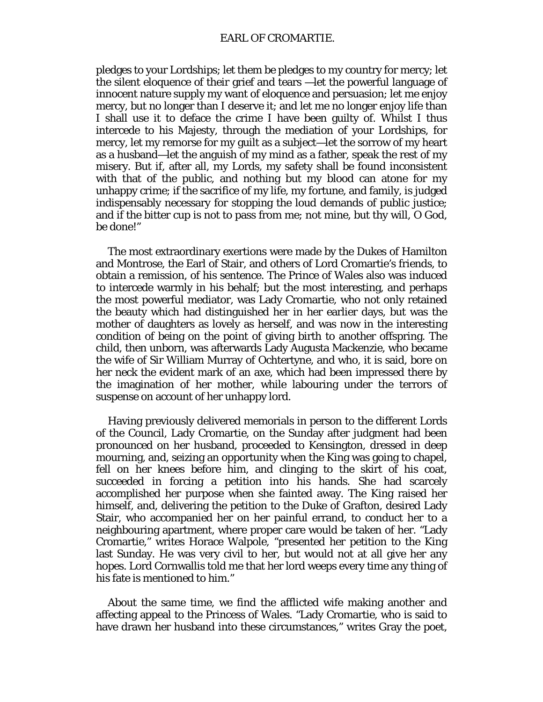pledges to your Lordships; let them be pledges to my country for mercy; let the silent eloquence of their grief and tears —let the powerful language of innocent nature supply my want of eloquence and persuasion; let me enjoy mercy, but no longer than I deserve it; and let me no longer enjoy life than I shall use it to deface the crime I have been guilty of. Whilst I thus intercede to his Majesty, through the mediation of your Lordships, for mercy, let my remorse for my guilt as a subject—let the sorrow of my heart as a husband—let the anguish of my mind as a father, speak the rest of my misery. But if, after all, my Lords, my safety shall be found inconsistent with that of the public, and nothing but my blood can atone for my unhappy crime; if the sacrifice of my life, my fortune, and family, is judged indispensably necessary for stopping the loud demands of public justice; and if the bitter cup is not to pass from me; not mine, but thy will, O God, be done!"

The most extraordinary exertions were made by the Dukes of Hamilton and Montrose, the Earl of Stair, and others of Lord Cromartie's friends, to obtain a remission, of his sentence. The Prince of Wales also was induced to intercede warmly in his behalf; but the most interesting, and perhaps the most powerful mediator, was Lady Cromartie, who not only retained the beauty which had distinguished her in her earlier days, but was the mother of daughters as lovely as herself, and was now in the interesting condition of being on the point of giving birth to another offspring. The child, then unborn, was afterwards Lady Augusta Mackenzie, who became the wife of Sir William Murray of Ochtertyne, and who, it is said, bore on her neck the evident mark of an axe, which had been impressed there by the imagination of her mother, while labouring under the terrors of suspense on account of her unhappy lord.

Having previously delivered memorials in person to the different Lords of the Council, Lady Cromartie, on the Sunday after judgment had been pronounced on her husband, proceeded to Kensington, dressed in deep mourning, and, seizing an opportunity when the King was going to chapel, fell on her knees before him, and clinging to the skirt of his coat, succeeded in forcing a petition into his hands. She had scarcely accomplished her purpose when she fainted away. The King raised her himself, and, delivering the petition to the Duke of Grafton, desired Lady Stair, who accompanied her on her painful errand, to conduct her to a neighbouring apartment, where proper care would be taken of her. "Lady Cromartie," writes Horace Walpole, "presented her petition to the King last Sunday. He was very civil to her, but would not at all give her any hopes. Lord Cornwallis told me that her lord weeps every time any thing of his fate is mentioned to him."

About the same time, we find the afflicted wife making another and affecting appeal to the Princess of Wales. "Lady Cromartie, who is said to have drawn her husband into these circumstances," writes Gray the poet,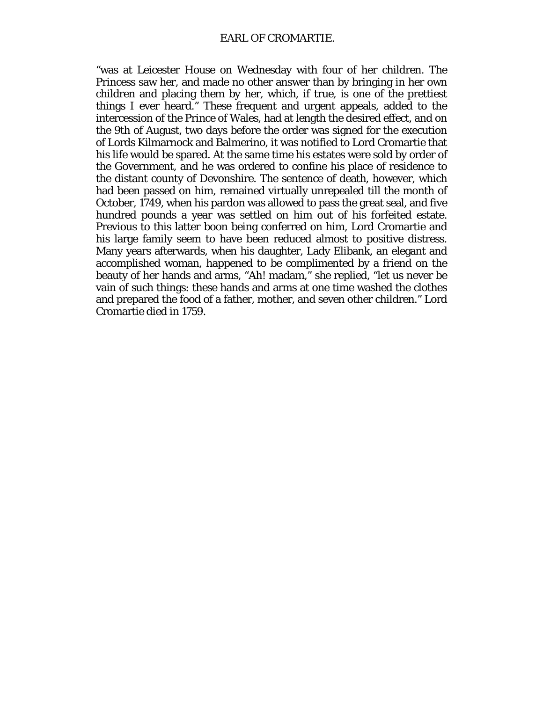"was at Leicester House on Wednesday with four of her children. The Princess saw her, and made no other answer than by bringing in her own children and placing them by her, which, if true, is one of the prettiest things I ever heard." These frequent and urgent appeals, added to the intercession of the Prince of Wales, had at length the desired effect, and on the 9th of August, two days before the order was signed for the execution of Lords Kilmarnock and Balmerino, it was notified to Lord Cromartie that his life would be spared. At the same time his estates were sold by order of the Government, and he was ordered to confine his place of residence to the distant county of Devonshire. The sentence of death, however, which had been passed on him, remained virtually unrepealed till the month of October, 1749, when his pardon was allowed to pass the great seal, and five hundred pounds a year was settled on him out of his forfeited estate. Previous to this latter boon being conferred on him, Lord Cromartie and his large family seem to have been reduced almost to positive distress. Many years afterwards, when his daughter, Lady Elibank, an elegant and accomplished woman, happened to be complimented by a friend on the beauty of her hands and arms, "Ah! madam," she replied, "let us never be vain of such things: these hands and arms at one time washed the clothes and prepared the food of a father, mother, and seven other children." Lord Cromartie died in 1759.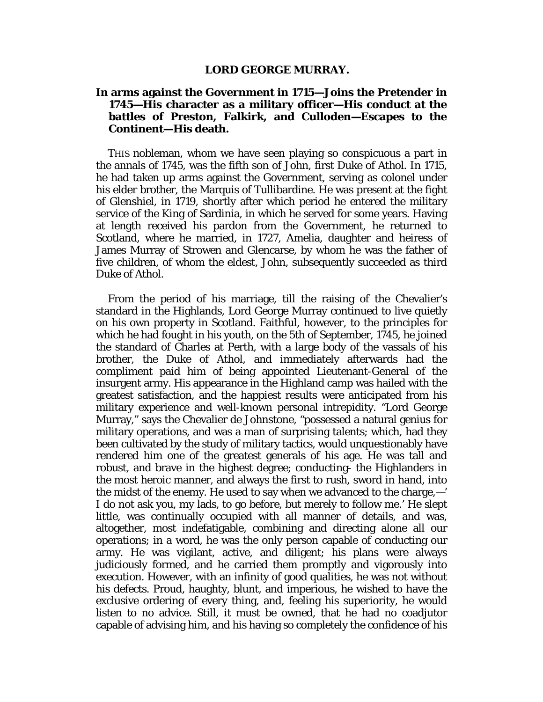#### **LORD GEORGE MURRAY.**

# **In arms against the Government in 1715—Joins the Pretender in 1745—His character as a military officer—His conduct at the battles of Preston, Falkirk, and Culloden—Escapes to the Continent—His death.**

THIS nobleman, whom we have seen playing so conspicuous a part in the annals of 1745, was the fifth son of John, first Duke of Athol. In 1715, he had taken up arms against the Government, serving as colonel under his elder brother, the Marquis of Tullibardine. He was present at the fight of Glenshiel, in 1719, shortly after which period he entered the military service of the King of Sardinia, in which he served for some years. Having at length received his pardon from the Government, he returned to Scotland, where he married, in 1727, Amelia, daughter and heiress of James Murray of Strowen and Glencarse, by whom he was the father of five children, of whom the eldest, John, subsequently succeeded as third Duke of Athol.

From the period of his marriage, till the raising of the Chevalier's standard in the Highlands, Lord George Murray continued to live quietly on his own property in Scotland. Faithful, however, to the principles for which he had fought in his youth, on the 5th of September, 1745, he joined the standard of Charles at Perth, with a large body of the vassals of his brother, the Duke of Athol, and immediately afterwards had the compliment paid him of being appointed Lieutenant-General of the insurgent army. His appearance in the Highland camp was hailed with the greatest satisfaction, and the happiest results were anticipated from his military experience and well-known personal intrepidity. "Lord George Murray," says the Chevalier de Johnstone, "possessed a natural genius for military operations, and was a man of surprising talents; which, had they been cultivated by the study of military tactics, would unquestionably have rendered him one of the greatest generals of his age. He was tall and robust, and brave in the highest degree; conducting- the Highlanders in the most heroic manner, and always the first to rush, sword in hand, into the midst of the enemy. He used to say when we advanced to the charge,—' I do not ask you, my lads, to go before, but merely to follow me.' He slept little, was continually occupied with all manner of details, and was, altogether, most indefatigable, combining and directing alone all our operations; in a word, he was the only person capable of conducting our army. He was vigilant, active, and diligent; his plans were always judiciously formed, and he carried them promptly and vigorously into execution. However, with an infinity of good qualities, he was not without his defects. Proud, haughty, blunt, and imperious, he wished to have the exclusive ordering of every thing, and, feeling his superiority, he would listen to no advice. Still, it must be owned, that he had no coadjutor capable of advising him, and his having so completely the confidence of his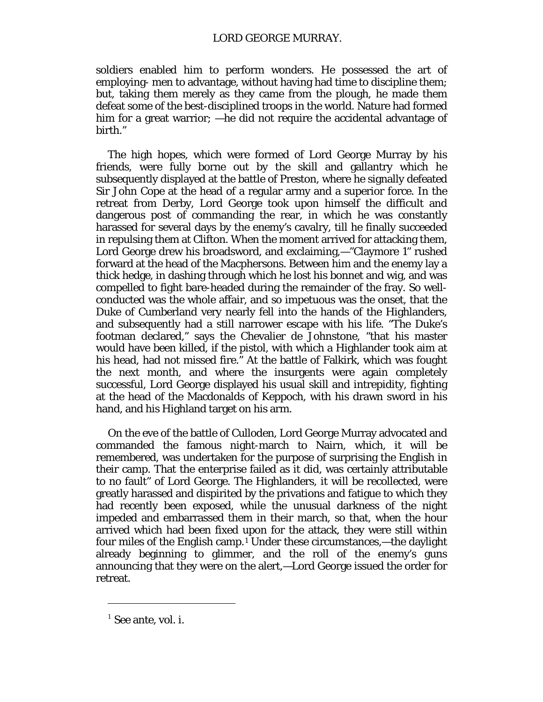soldiers enabled him to perform wonders. He possessed the art of employing- men to advantage, without having had time to discipline them; but, taking them merely as they came from the plough, he made them defeat some of the best-disciplined troops in the world. Nature had formed him for a great warrior; —he did not require the accidental advantage of birth."

The high hopes, which were formed of Lord George Murray by his friends, were fully borne out by the skill and gallantry which he subsequently displayed at the battle of Preston, where he signally defeated Sir John Cope at the head of a regular army and a superior force. In the retreat from Derby, Lord George took upon himself the difficult and dangerous post of commanding the rear, in which he was constantly harassed for several days by the enemy's cavalry, till he finally succeeded in repulsing them at Clifton. When the moment arrived for attacking them, Lord George drew his broadsword, and exclaiming,—"Claymore 1" rushed forward at the head of the Macphersons. Between him and the enemy lay a thick hedge, in dashing through which he lost his bonnet and wig, and was compelled to fight bare-headed during the remainder of the fray. So wellconducted was the whole affair, and so impetuous was the onset, that the Duke of Cumberland very nearly fell into the hands of the Highlanders, and subsequently had a still narrower escape with his life. "The Duke's footman declared," says the Chevalier de Johnstone, "that his master would have been killed, if the pistol, with which a Highlander took aim at his head, had not missed fire." At the battle of Falkirk, which was fought the next month, and where the insurgents were again completely successful, Lord George displayed his usual skill and intrepidity, fighting at the head of the Macdonalds of Keppoch, with his drawn sword in his hand, and his Highland target on his arm.

On the eve of the battle of Culloden, Lord George Murray advocated and commanded the famous night-march to Nairn, which, it will be remembered, was undertaken for the purpose of surprising the English in their camp. That the enterprise failed as it did, was certainly attributable to no fault" of Lord George. The Highlanders, it will be recollected, were greatly harassed and dispirited by the privations and fatigue to which they had recently been exposed, while the unusual darkness of the night impeded and embarrassed them in their march, so that, when the hour arrived which had been fixed upon for the attack, they were still within four miles of the English camp.[1](#page-146-0) Under these circumstances,—the daylight already beginning to glimmer, and the roll of the enemy's guns announcing that they were on the alert,—Lord George issued the order for retreat.

 $\overline{a}$ 

<span id="page-146-0"></span> $<sup>1</sup>$  See ante, vol. i.</sup>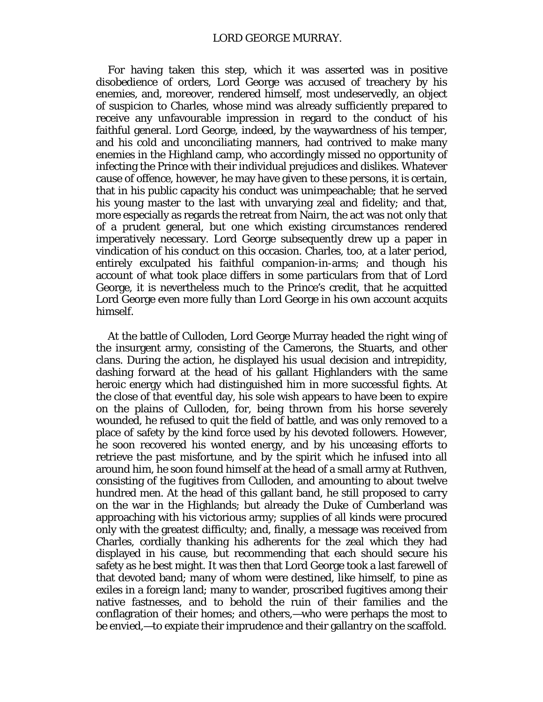For having taken this step, which it was asserted was in positive disobedience of orders, Lord George was accused of treachery by his enemies, and, moreover, rendered himself, most undeservedly, an object of suspicion to Charles, whose mind was already sufficiently prepared to receive any unfavourable impression in regard to the conduct of his faithful general. Lord George, indeed, by the waywardness of his temper, and his cold and unconciliating manners, had contrived to make many enemies in the Highland camp, who accordingly missed no opportunity of infecting the Prince with their individual prejudices and dislikes. Whatever cause of offence, however, he may have given to these persons, it is certain, that in his public capacity his conduct was unimpeachable; that he served his young master to the last with unvarying zeal and fidelity; and that, more especially as regards the retreat from Nairn, the act was not only that of a prudent general, but one which existing circumstances rendered imperatively necessary. Lord George subsequently drew up a paper in vindication of his conduct on this occasion. Charles, too, at a later period, entirely exculpated his faithful companion-in-arms; and though his account of what took place differs in some particulars from that of Lord George, it is nevertheless much to the Prince's credit, that he acquitted Lord George even more fully than Lord George in his own account acquits himself.

At the battle of Culloden, Lord George Murray headed the right wing of the insurgent army, consisting of the Camerons, the Stuarts, and other clans. During the action, he displayed his usual decision and intrepidity, dashing forward at the head of his gallant Highlanders with the same heroic energy which had distinguished him in more successful fights. At the close of that eventful day, his sole wish appears to have been to expire on the plains of Culloden, for, being thrown from his horse severely wounded, he refused to quit the field of battle, and was only removed to a place of safety by the kind force used by his devoted followers. However, he soon recovered his wonted energy, and by his unceasing efforts to retrieve the past misfortune, and by the spirit which he infused into all around him, he soon found himself at the head of a small army at Ruthven, consisting of the fugitives from Culloden, and amounting to about twelve hundred men. At the head of this gallant band, he still proposed to carry on the war in the Highlands; but already the Duke of Cumberland was approaching with his victorious army; supplies of all kinds were procured only with the greatest difficulty; and, finally, a message was received from Charles, cordially thanking his adherents for the zeal which they had displayed in his cause, but recommending that each should secure his safety as he best might. It was then that Lord George took a last farewell of that devoted band; many of whom were destined, like himself, to pine as exiles in a foreign land; many to wander, proscribed fugitives among their native fastnesses, and to behold the ruin of their families and the conflagration of their homes; and others,—who were perhaps the most to be envied,—to expiate their imprudence and their gallantry on the scaffold.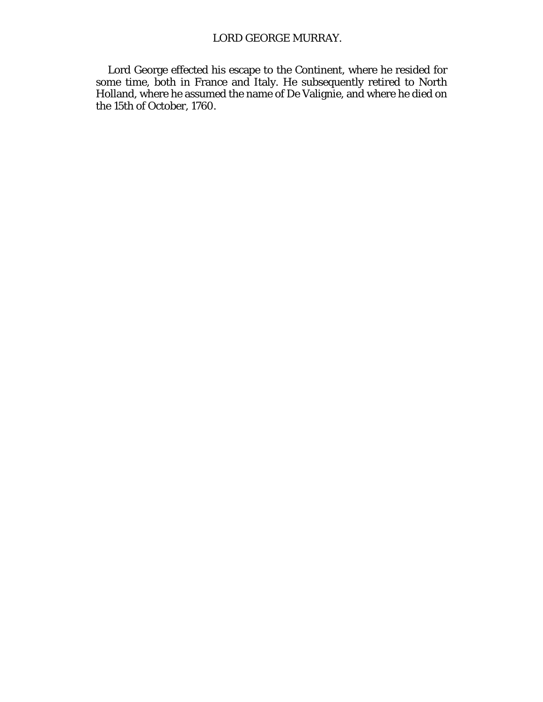# LORD GEORGE MURRAY.

Lord George effected his escape to the Continent, where he resided for some time, both in France and Italy. He subsequently retired to North Holland, where he assumed the name of De Valignie, and where he died on the 15th of October, 1760.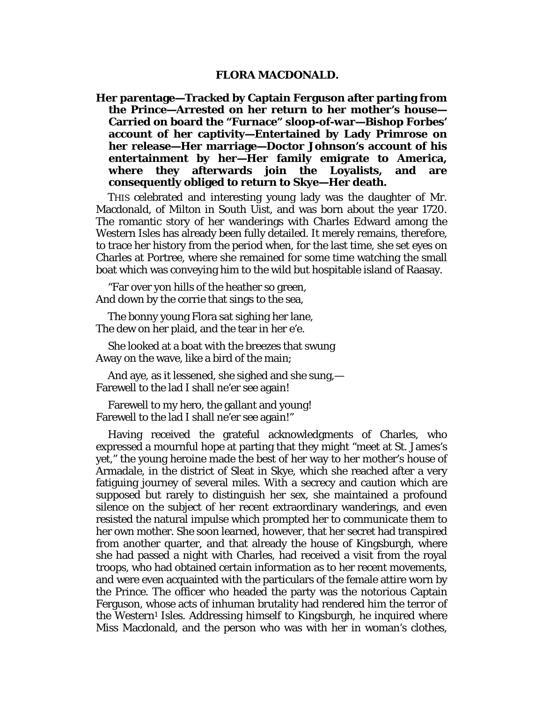#### **FLORA MACDONALD.**

**Her parentage—Tracked by Captain Ferguson after parting from the Prince—Arrested on her return to her mother's house— Carried on board the "Furnace" sloop-of-war—Bishop Forbes' account of her captivity—Entertained by Lady Primrose on her release—Her marriage—Doctor Johnson's account of his entertainment by her—Her family emigrate to America, where they afterwards join the Loyalists, and are consequently obliged to return to Skye—Her death.**

THIS celebrated and interesting young lady was the daughter of Mr. Macdonald, of Milton in South Uist, and was born about the year 1720. The romantic story of her wanderings with Charles Edward among the Western Isles has already been fully detailed. It merely remains, therefore, to trace her history from the period when, for the last time, she set eyes on Charles at Portree, where she remained for some time watching the small boat which was conveying him to the wild but hospitable island of Raasay.

"Far over yon hills of the heather so green, And down by the corrie that sings to the sea,

The bonny young Flora sat sighing her lane, The dew on her plaid, and the tear in her e'e.

She looked at a boat with the breezes that swung Away on the wave, like a bird of the main;

And aye, as it lessened, she sighed and she sung,— Farewell to the lad I shall ne'er see again!

Farewell to my hero, the gallant and young! Farewell to the lad I shall ne'er see again!"

Having received the grateful acknowledgments of Charles, who expressed a mournful hope at parting that they might "meet at St. James's yet," the young heroine made the best of her way to her mother's house of Armadale, in the district of Sleat in Skye, which she reached after a very fatiguing journey of several miles. With a secrecy and caution which are supposed but rarely to distinguish her sex, she maintained a profound silence on the subject of her recent extraordinary wanderings, and even resisted the natural impulse which prompted her to communicate them to her own mother. She soon learned, however, that her secret had transpired from another quarter, and that already the house of Kingsburgh, where she had passed a night with Charles, had received a visit from the royal troops, who had obtained certain information as to her recent movements, and were even acquainted with the particulars of the female attire worn by the Prince. The officer who headed the party was the notorious Captain Ferguson, whose acts of inhuman brutality had rendered him the terror of the Western<sup>1</sup> Isles. Addressing himself to Kingsburgh, he inquired where Miss Macdonald, and the person who was with her in woman's clothes,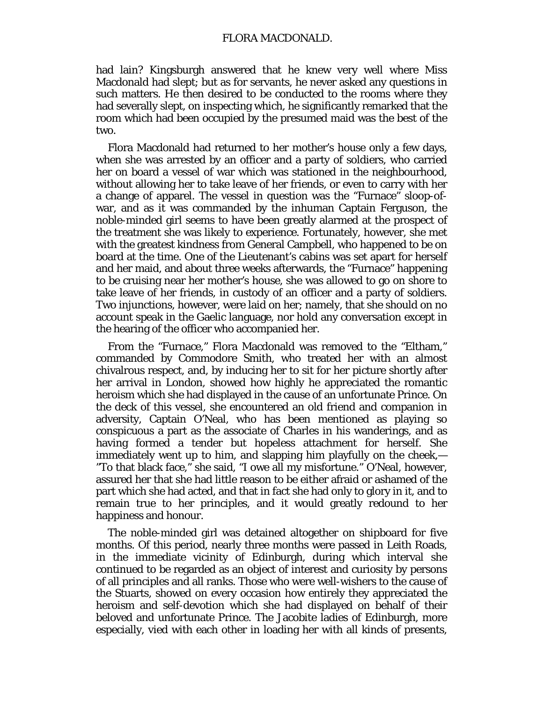had lain? Kingsburgh answered that he knew very well where Miss Macdonald had slept; but as for servants, he never asked any questions in such matters. He then desired to be conducted to the rooms where they had severally slept, on inspecting which, he significantly remarked that the room which had been occupied by the presumed maid was the best of the two.

Flora Macdonald had returned to her mother's house only a few days, when she was arrested by an officer and a party of soldiers, who carried her on board a vessel of war which was stationed in the neighbourhood, without allowing her to take leave of her friends, or even to carry with her a change of apparel. The vessel in question was the "Furnace" sloop-ofwar, and as it was commanded by the inhuman Captain Ferguson, the noble-minded girl seems to have been greatly alarmed at the prospect of the treatment she was likely to experience. Fortunately, however, she met with the greatest kindness from General Campbell, who happened to be on board at the time. One of the Lieutenant's cabins was set apart for herself and her maid, and about three weeks afterwards, the "Furnace" happening to be cruising near her mother's house, she was allowed to go on shore to take leave of her friends, in custody of an officer and a party of soldiers. Two injunctions, however, were laid on her; namely, that she should on no account speak in the Gaelic language, nor hold any conversation except in the hearing of the officer who accompanied her.

From the "Furnace," Flora Macdonald was removed to the "Eltham," commanded by Commodore Smith, who treated her with an almost chivalrous respect, and, by inducing her to sit for her picture shortly after her arrival in London, showed how highly he appreciated the romantic heroism which she had displayed in the cause of an unfortunate Prince. On the deck of this vessel, she encountered an old friend and companion in adversity, Captain O'Neal, who has been mentioned as playing so conspicuous a part as the associate of Charles in his wanderings, and as having formed a tender but hopeless attachment for herself. She immediately went up to him, and slapping him playfully on the cheek,— "To that black face," she said, "I owe all my misfortune." O'Neal, however, assured her that she had little reason to be either afraid or ashamed of the part which she had acted, and that in fact she had only to glory in it, and to remain true to her principles, and it would greatly redound to her happiness and honour.

The noble-minded girl was detained altogether on shipboard for five months. Of this period, nearly three months were passed in Leith Roads, in the immediate vicinity of Edinburgh, during which interval she continued to be regarded as an object of interest and curiosity by persons of all principles and all ranks. Those who were well-wishers to the cause of the Stuarts, showed on every occasion how entirely they appreciated the heroism and self-devotion which she had displayed on behalf of their beloved and unfortunate Prince. The Jacobite ladies of Edinburgh, more especially, vied with each other in loading her with all kinds of presents,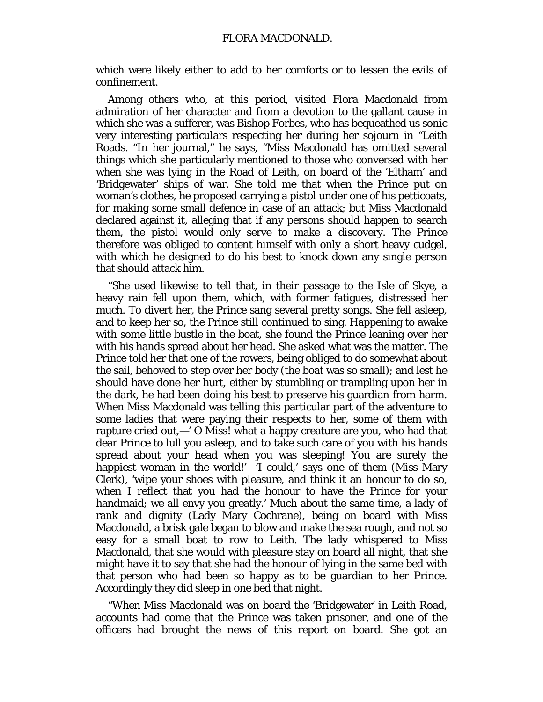which were likely either to add to her comforts or to lessen the evils of confinement.

Among others who, at this period, visited Flora Macdonald from admiration of her character and from a devotion to the gallant cause in which she was a sufferer, was Bishop Forbes, who has bequeathed us sonic very interesting particulars respecting her during her sojourn in "Leith Roads. "In her journal," he says, "Miss Macdonald has omitted several things which she particularly mentioned to those who conversed with her when she was lying in the Road of Leith, on board of the 'Eltham' and 'Bridgewater' ships of war. She told me that when the Prince put on woman's clothes, he proposed carrying a pistol under one of his petticoats, for making some small defence in case of an attack; but Miss Macdonald declared against it, alleging that if any persons should happen to search them, the pistol would only serve to make a discovery. The Prince therefore was obliged to content himself with only a short heavy cudgel, with which he designed to do his best to knock down any single person that should attack him.

"She used likewise to tell that, in their passage to the Isle of Skye, a heavy rain fell upon them, which, with former fatigues, distressed her much. To divert her, the Prince sang several pretty songs. She fell asleep, and to keep her so, the Prince still continued to sing. Happening to awake with some little bustle in the boat, she found the Prince leaning over her with his hands spread about her head. She asked what was the matter. The Prince told her that one of the rowers, being obliged to do somewhat about the sail, behoved to step over her body (the boat was so small); and lest he should have done her hurt, either by stumbling or trampling upon her in the dark, he had been doing his best to preserve his guardian from harm. When Miss Macdonald was telling this particular part of the adventure to some ladies that were paying their respects to her, some of them with rapture cried out,—' O Miss! what a happy creature are you, who had that dear Prince to lull you asleep, and to take such care of you with his hands spread about your head when you was sleeping! You are surely the happiest woman in the world!'—'I could,' says one of them (Miss Mary Clerk), 'wipe your shoes with pleasure, and think it an honour to do so, when I reflect that you had the honour to have the Prince for your handmaid; we all envy you greatly.' Much about the same time, a lady of rank and dignity (Lady Mary Cochrane), being on board with Miss Macdonald, a brisk gale began to blow and make the sea rough, and not so easy for a small boat to row to Leith. The lady whispered to Miss Macdonald, that she would with pleasure stay on board all night, that she might have it to say that she had the honour of lying in the same bed with that person who had been so happy as to be guardian to her Prince. Accordingly they did sleep in one bed that night.

"When Miss Macdonald was on board the 'Bridgewater' in Leith Road, accounts had come that the Prince was taken prisoner, and one of the officers had brought the news of this report on board. She got an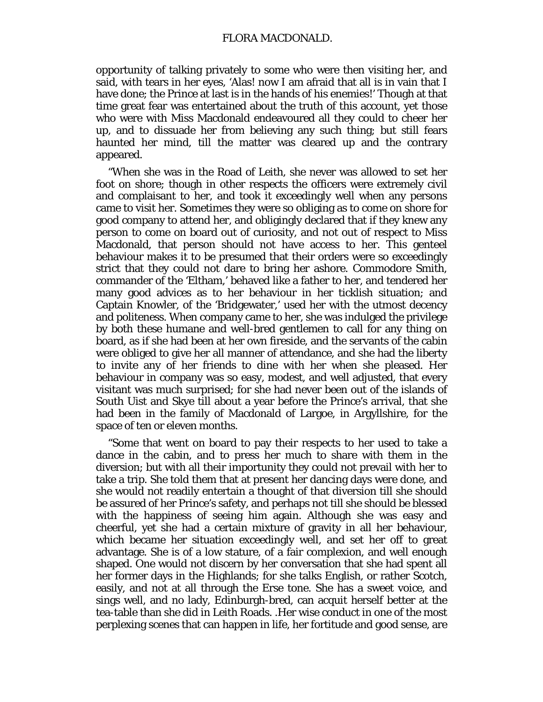opportunity of talking privately to some who were then visiting her, and said, with tears in her eyes, 'Alas! now I am afraid that all is in vain that I have done; the Prince at last is in the hands of his enemies!' Though at that time great fear was entertained about the truth of this account, yet those who were with Miss Macdonald endeavoured all they could to cheer her up, and to dissuade her from believing any such thing; but still fears haunted her mind, till the matter was cleared up and the contrary appeared.

"When she was in the Road of Leith, she never was allowed to set her foot on shore; though in other respects the officers were extremely civil and complaisant to her, and took it exceedingly well when any persons came to visit her. Sometimes they were so obliging as to come on shore for good company to attend her, and obligingly declared that if they knew any person to come on board out of curiosity, and not out of respect to Miss Macdonald, that person should not have access to her. This genteel behaviour makes it to be presumed that their orders were so exceedingly strict that they could not dare to bring her ashore. Commodore Smith, commander of the 'Eltham,' behaved like a father to her, and tendered her many good advices as to her behaviour in her ticklish situation; and Captain Knowler, of the 'Bridgewater,' used her with the utmost decency and politeness. When company came to her, she was indulged the privilege by both these humane and well-bred gentlemen to call for any thing on board, as if she had been at her own fireside, and the servants of the cabin were obliged to give her all manner of attendance, and she had the liberty to invite any of her friends to dine with her when she pleased. Her behaviour in company was so easy, modest, and well adjusted, that every visitant was much surprised; for she had never been out of the islands of South Uist and Skye till about a year before the Prince's arrival, that she had been in the family of Macdonald of Largoe, in Argyllshire, for the space of ten or eleven months.

"Some that went on board to pay their respects to her used to take a dance in the cabin, and to press her much to share with them in the diversion; but with all their importunity they could not prevail with her to take a trip. She told them that at present her dancing days were done, and she would not readily entertain a thought of that diversion till she should be assured of her Prince's safety, and perhaps not till she should be blessed with the happiness of seeing him again. Although she was easy and cheerful, yet she had a certain mixture of gravity in all her behaviour, which became her situation exceedingly well, and set her off to great advantage. She is of a low stature, of a fair complexion, and well enough shaped. One would not discern by her conversation that she had spent all her former days in the Highlands; for she talks English, or rather Scotch, easily, and not at all through the Erse tone. She has a sweet voice, and sings well, and no lady, Edinburgh-bred, can acquit herself better at the tea-table than she did in Leith Roads. .Her wise conduct in one of the most perplexing scenes that can happen in life, her fortitude and good sense, are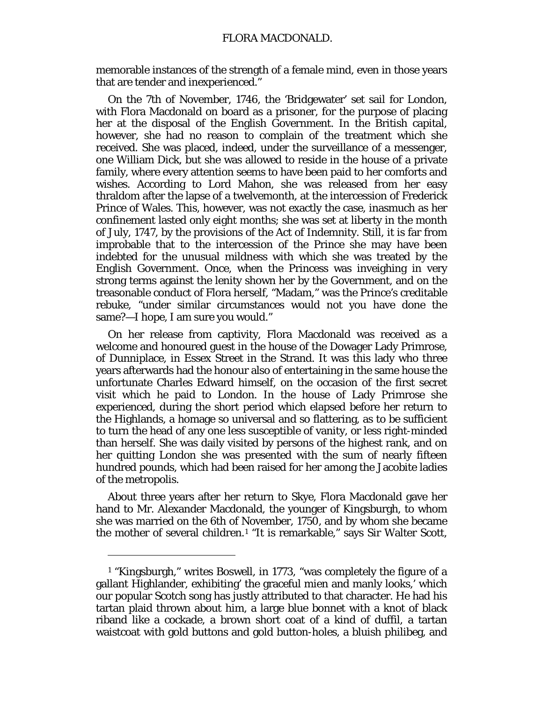memorable instances of the strength of a female mind, even in those years that are tender and inexperienced."

On the 7th of November, 1746, the 'Bridgewater' set sail for London, with Flora Macdonald on board as a prisoner, for the purpose of placing her at the disposal of the English Government. In the British capital, however, she had no reason to complain of the treatment which she received. She was placed, indeed, under the surveillance of a messenger, one William Dick, but she was allowed to reside in the house of a private family, where every attention seems to have been paid to her comforts and wishes. According to Lord Mahon, she was released from her easy thraldom after the lapse of a twelvemonth, at the intercession of Frederick Prince of Wales. This, however, was not exactly the case, inasmuch as her confinement lasted only eight months; she was set at liberty in the month of July, 1747, by the provisions of the Act of Indemnity. Still, it is far from improbable that to the intercession of the Prince she may have been indebted for the unusual mildness with which she was treated by the English Government. Once, when the Princess was inveighing in very strong terms against the lenity shown her by the Government, and on the treasonable conduct of Flora herself, "Madam," was the Prince's creditable rebuke, "under similar circumstances would not you have done the same?—I hope, I am sure you would."

On her release from captivity, Flora Macdonald was received as a welcome and honoured guest in the house of the Dowager Lady Primrose, of Dunniplace, in Essex Street in the Strand. It was this lady who three years afterwards had the honour also of entertaining in the same house the unfortunate Charles Edward himself, on the occasion of the first secret visit which he paid to London. In the house of Lady Primrose she experienced, during the short period which elapsed before her return to the Highlands, a homage so universal and so flattering, as to be sufficient to turn the head of any one less susceptible of vanity, or less right-minded than herself. She was daily visited by persons of the highest rank, and on her quitting London she was presented with the sum of nearly fifteen hundred pounds, which had been raised for her among the Jacobite ladies of the metropolis.

About three years after her return to Skye, Flora Macdonald gave her hand to Mr. Alexander Macdonald, the younger of Kingsburgh, to whom she was married on the 6th of November, 1750, and by whom she became the mother of several children.[1](#page-153-0) "It is remarkable," says Sir Walter Scott,

<span id="page-153-0"></span><sup>1</sup> "Kingsburgh," writes Boswell, in 1773, "was completely the figure of a gallant Highlander, exhibiting' the graceful mien and manly looks,' which our popular Scotch song has justly attributed to that character. He had his tartan plaid thrown about him, a large blue bonnet with a knot of black riband like a cockade, a brown short coat of a kind of duffil, a tartan waistcoat with gold buttons and gold button-holes, a bluish philibeg, and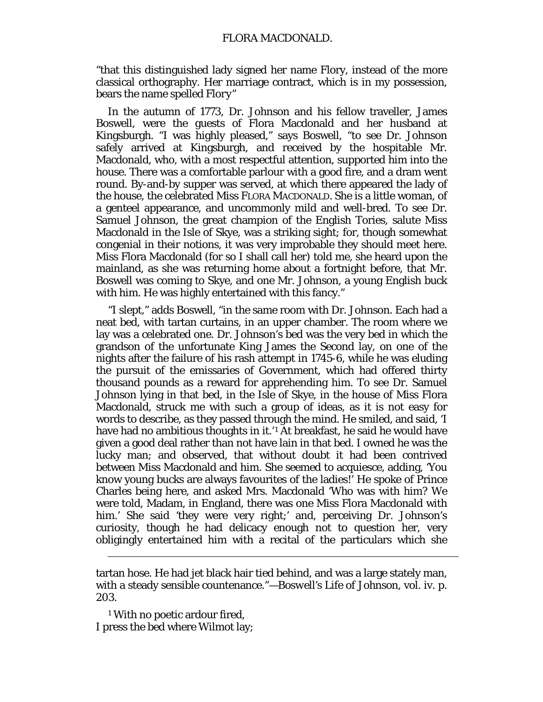"that this distinguished lady signed her name Flory, instead of the more classical orthography. Her marriage contract, which is in my possession, bears the name spelled *Flory"*

In the autumn of 1773, Dr. Johnson and his fellow traveller, James Boswell, were the guests of Flora Macdonald and her husband at Kingsburgh. "I was highly pleased," says Boswell, "to see Dr. Johnson safely arrived at Kingsburgh, and received by the hospitable Mr. Macdonald, who, with a most respectful attention, supported him into the house. There was a comfortable parlour with a good fire, and a dram went round. By-and-by supper was served, at which there appeared the lady of the house, the celebrated Miss FLORA MACDONALD. She is a little woman, of a genteel appearance, and uncommonly mild and well-bred. To see Dr. Samuel Johnson, the great champion of the English Tories, salute Miss Macdonald in the Isle of Skye, was a striking sight; for, though somewhat congenial in their notions, it was very improbable they should meet here. Miss Flora Macdonald (for so I shall call her) told me, she heard upon the mainland, as she was returning home about a fortnight before, that Mr. Boswell was coming to Skye, and one Mr. Johnson, a young English *buck* with him. He was highly entertained with this fancy."

"I slept," adds Boswell, "in the same room with Dr. Johnson. Each had a neat bed, with tartan curtains, in an upper chamber. The room where we lay was a celebrated one. Dr. Johnson's bed was the very bed in which the grandson of the unfortunate King James the Second lay, on one of the nights after the failure of his rash attempt in 1745-6, while he was eluding the pursuit of the emissaries of Government, which had offered thirty thousand pounds as a reward for apprehending him. To see Dr. Samuel Johnson lying in that bed, in the Isle of Skye, in the house of Miss Flora Macdonald, struck me with such a group of ideas, as it is not easy for words to describe, as they passed through the mind. He smiled, and said, 'I have had no ambitious thoughts in it.<sup>'[1](#page-154-0)</sup> At breakfast, he said he would have given a good deal rather than not have lain in that bed. I owned he was the lucky man; and observed, that without doubt it had been contrived between Miss Macdonald and him. She seemed to acquiesce, adding, 'You know young *bucks* are always favourites of the ladies!' He spoke of Prince Charles being here, and asked Mrs. Macdonald '*Who* was with him? We were told, Madam, in England, there was one Miss Flora Macdonald with him.' She said 'they were very right;' and, perceiving Dr. Johnson's curiosity, though he had delicacy enough not to question her, very obligingly entertained him with a recital of the particulars which she

<span id="page-154-0"></span><sup>1</sup> With no poetic ardour fired, I press the bed where Wilmot lay;

tartan hose. He had jet black hair tied behind, and was a large stately man, with a steady sensible countenance."—*Boswell's Life of Johnson,* vol. iv. p. 203.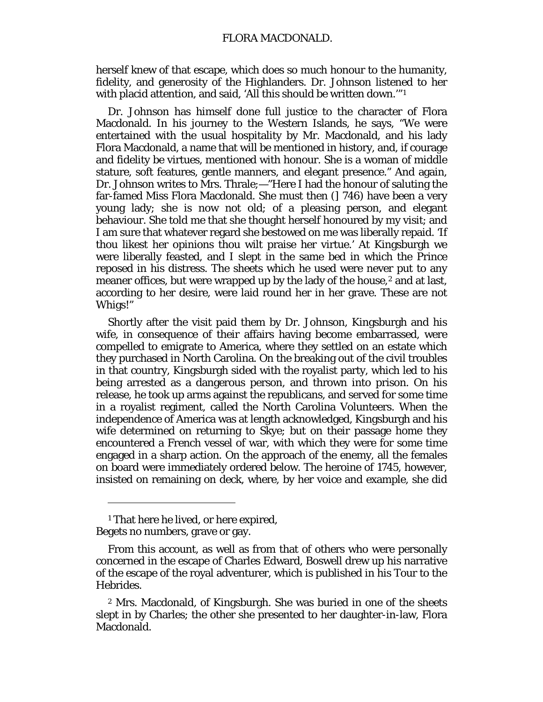herself knew of that escape, which does so much honour to the humanity, fidelity, and generosity of the Highlanders. Dr. Johnson listened to her with placid attention, and said, 'All this should be written down.'"[1](#page-155-0)

Dr. Johnson has himself done full justice to the character of Flora Macdonald. In his journey to the Western Islands, he says, "We were entertained with the usual hospitality by Mr. Macdonald, and his lady Flora Macdonald, a name that will be mentioned in history, and, if courage and fidelity be virtues, mentioned with honour. She is a woman of middle stature, soft features, gentle manners, and elegant presence." And again, Dr. Johnson writes to Mrs. Thrale;—"Here I had the honour of saluting the far-famed Miss Flora Macdonald. She must then (] 746) have been a very young lady; she is now not old; of a pleasing person, and elegant behaviour. She told me that she thought herself honoured by my visit; and I am sure that whatever regard she bestowed on me was liberally repaid. 'If thou likest her opinions thou wilt praise her virtue.' At Kingsburgh we were liberally feasted, and I slept in the same bed in which the Prince reposed in his distress. The sheets which he used were never put to any meaner offices, but were wrapped up by the lady of the house,<sup>[2](#page-155-1)</sup> and at last, according to her desire, were laid round her in her grave. These are not Whigs!"

Shortly after the visit paid them by Dr. Johnson, Kingsburgh and his wife, in consequence of their affairs having become embarrassed, were compelled to emigrate to America, where they settled on an estate which they purchased in North Carolina. On the breaking out of the civil troubles in that country, Kingsburgh sided with the royalist party, which led to his being arrested as a dangerous person, and thrown into prison. On his release, he took up arms against the republicans, and served for some time in a royalist regiment, called the North Carolina Volunteers. When the independence of America was at length acknowledged, Kingsburgh and his wife determined on returning to Skye; but on their passage home they encountered a French vessel of war, with which they were for some time engaged in a sharp action. On the approach of the enemy, all the females on board were immediately ordered below. The heroine of 1745, however, insisted on remaining on deck, where, by her voice and example, she did

<span id="page-155-0"></span><sup>1</sup> That here he lived, or here expired, Begets no numbers, grave or gay.

From this account, as well as from that of others who were personally concerned in the escape of Charles Edward, Boswell drew up his narrative of the escape of the royal adventurer, which is published in his Tour to the Hebrides.

<span id="page-155-1"></span><sup>2</sup> Mrs. Macdonald, of Kingsburgh. She was buried in *one* of the sheets slept in by Charles; the other she presented to her daughter-in-law, Flora Macdonald.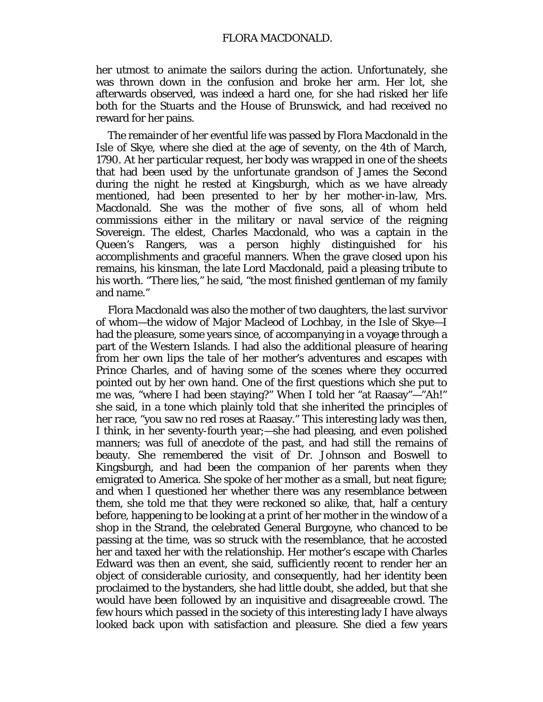#### FLORA MACDONALD.

her utmost to animate the sailors during the action. Unfortunately, she was thrown down in the confusion and broke her arm. Her lot, she afterwards observed, was indeed a hard one, for she had risked her life both for the Stuarts and the House of Brunswick, and had received no reward for her pains.

The remainder of her eventful life was passed by Flora Macdonald in the Isle of Skye, where she died at the age of seventy, on the 4th of March, 1790. At her particular request, her body was wrapped in one of the sheets that had been used by the unfortunate grandson of James the Second during the night he rested at Kingsburgh, which as we have already mentioned, had been presented to her by her mother-in-law, Mrs. Macdonald. She was the mother of five sons, all of whom held commissions either in the military or naval service of the reigning Sovereign. The eldest, Charles Macdonald, who was a captain in the Queen's Rangers, was a person highly distinguished for his accomplishments and graceful manners. When the grave closed upon his remains, his kinsman, the late Lord Macdonald, paid a pleasing tribute to his worth. "There lies," he said, "the most finished gentleman of my family and name."

Flora Macdonald was also the mother of two daughters, the last survivor of whom—the widow of Major Macleod of Lochbay, in the Isle of Skye—I had the pleasure, some years since, of accompanying in a voyage through a part of the Western Islands. I had also the additional pleasure of hearing from her own lips the tale of her mother's adventures and escapes with Prince Charles, and of having some of the scenes where they occurred pointed out by her own hand. One of the first questions which she put to me was, "where I had been staying?" When I told her "at Raasay"—"Ah!" she said, in a tone which plainly told that she inherited the principles of her race, "you saw no *red* roses at Raasay." This interesting lady was then, I think, in her seventy-fourth year;—she had pleasing, and even polished manners; was full of anecdote of the past, and had still the remains of beauty. She remembered the visit of Dr. Johnson and Boswell to Kingsburgh, and had been the companion of her parents when they emigrated to America. She spoke of her mother as a small, but neat figure; and when I questioned her whether there was any resemblance between them, she told me that they were reckoned so alike, that, half a century before, happening to be looking at a print of her mother in the window of a shop in the Strand, the celebrated General Burgoyne, who chanced to be passing at the time, was so struck with the resemblance, that he accosted her and taxed her with the relationship. Her mother's escape with Charles Edward was then an event, she said, sufficiently recent to render her an object of considerable curiosity, and consequently, had her identity been proclaimed to the bystanders, she had little doubt, she added, but that she would have been followed by an inquisitive and disagreeable crowd. The few hours which passed in the society of this interesting lady I have always looked back upon with satisfaction and pleasure. She died a few years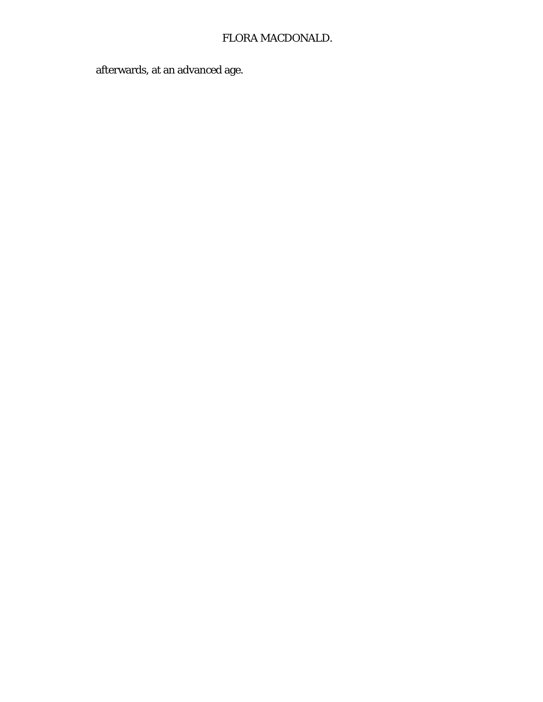# FLORA MACDONALD.

afterwards, at an advanced age.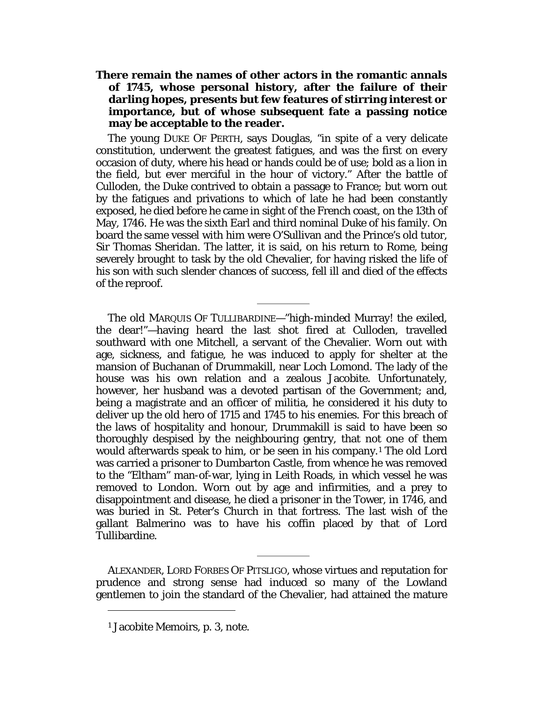# **There remain the names of other actors in the romantic annals of 1745, whose personal history, after the failure of their darling hopes, presents but few features of stirring interest or importance, but of whose subsequent fate a passing notice may be acceptable to the reader.**

The young DUKE OF PERTH, says Douglas, "in spite of a very delicate constitution, underwent the greatest fatigues, and was the first on every occasion of duty, where his head or hands could be of use; bold as a lion in the field, but ever merciful in the hour of victory." After the battle of Culloden, the Duke contrived to obtain a passage to France; but worn out by the fatigues and privations to which of late he had been constantly exposed, he died before he came in sight of the French coast, on the 13th of May, 1746. He was the sixth Earl and third nominal Duke of his family. On board the same vessel with him were O'Sullivan and the Prince's old tutor, Sir Thomas Sheridan. The latter, it is said, on his return to Rome, being severely brought to task by the old Chevalier, for having risked the life of his son with such slender chances of success, fell ill and died of the effects of the reproof.

The old MARQUIS OF TULLIBARDINE—"high-minded Murray! the exiled, the dear!"—having heard the last shot fired at Culloden, travelled southward with one Mitchell, a servant of the Chevalier. Worn out with age, sickness, and fatigue, he was induced to apply for shelter at the mansion of Buchanan of Drummakill, near Loch Lomond. The lady of the house was his own relation and a zealous Jacobite. Unfortunately, however, her husband was a devoted partisan of the Government; and, being a magistrate and an officer of militia, he considered it his duty to deliver up the old hero of 1715 and 1745 to his enemies. For this breach of the laws of hospitality and honour, Drummakill is said to have been so thoroughly despised by the neighbouring gentry, that not one of them would afterwards speak to him, or be seen in his company.[1](#page-158-0) The old Lord was carried a prisoner to Dumbarton Castle, from whence he was removed to the "Eltham" man-of-war, lying in Leith Roads, in which vessel he was removed to London. Worn out by age and infirmities, and a prey to disappointment and disease, he died a prisoner in the Tower, in 1746, and was buried in St. Peter's Church in that fortress. The last wish of the gallant Balmerino was to have his coffin placed by that of Lord Tullibardine.

ALEXANDER, LORD FORBES OF PITSLIGO, whose virtues and reputation for prudence and strong sense had induced so many of the Lowland gentlemen to join the standard of the Chevalier, had attained the mature

<span id="page-158-0"></span><sup>1</sup> Jacobite Memoirs, p. 3, note.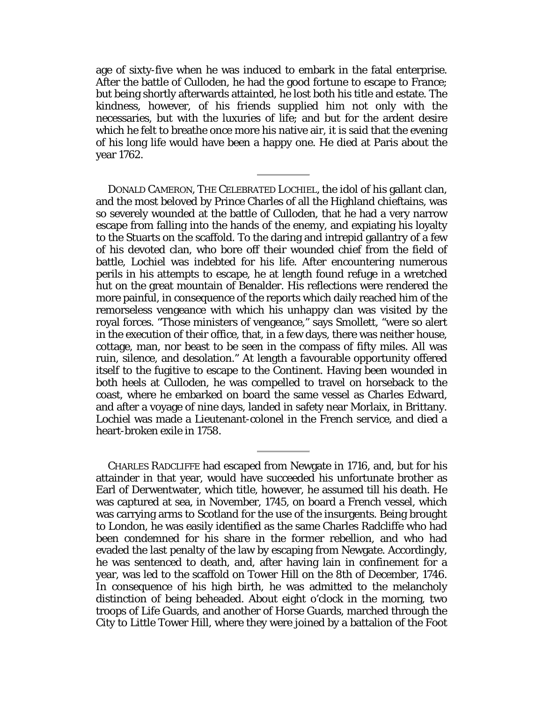age of sixty-five when he was induced to embark in the fatal enterprise. After the battle of Culloden, he had the good fortune to escape to France; but being shortly afterwards attainted, he lost both his title and estate. The kindness, however, of his friends supplied him not only with the necessaries, but with the luxuries of life; and but for the ardent desire which he felt to breathe once more his native air, it is said that the evening of his long life would have been a happy one. He died at Paris about the year 1762.

DONALD CAMERON, THE CELEBRATED LOCHIEL, the idol of his gallant clan, and the most beloved by Prince Charles of all the Highland chieftains, was so severely wounded at the battle of Culloden, that he had a very narrow escape from falling into the hands of the enemy, and expiating his loyalty to the Stuarts on the scaffold. To the daring and intrepid gallantry of a few of his devoted clan, who bore off their wounded chief from the field of battle, Lochiel was indebted for his life. After encountering numerous perils in his attempts to escape, he at length found refuge in a wretched hut on the great mountain of Benalder. His reflections were rendered the more painful, in consequence of the reports which daily reached him of the remorseless vengeance with which his unhappy clan was visited by the royal forces. "Those ministers of vengeance," says Smollett, "were so alert in the execution of their office, that, in a few days, there was neither house, cottage, man, nor beast to be seen in the compass of fifty miles. All was ruin, silence, and desolation." At length a favourable opportunity offered itself to the fugitive to escape to the Continent. Having been wounded in both heels at Culloden, he was compelled to travel on horseback to the coast, where he embarked on board the same vessel as Charles Edward, and after a voyage of nine days, landed in safety near Morlaix, in Brittany. Lochiel was made a Lieutenant-colonel in the French service, and died a heart-broken exile in 1758.

CHARLES RADCLIFFE had escaped from Newgate in 1716, and, but for his attainder in that year, would have succeeded his unfortunate brother as Earl of Derwentwater, which title, however, he assumed till his death. He was captured at sea, in November, 1745, on board a French vessel, which was carrying arms to Scotland for the use of the insurgents. Being brought to London, he was easily identified as the same Charles Radcliffe who had been condemned for his share in the former rebellion, and who had evaded the last penalty of the law by escaping from Newgate. Accordingly, he was sentenced to death, and, after having lain in confinement for a year, was led to the scaffold on Tower Hill on the 8th of December, 1746. In consequence of his high birth, he was admitted to the melancholy distinction of being beheaded. About eight o'clock in the morning, two troops of Life Guards, and another of Horse Guards, marched through the City to Little Tower Hill, where they were joined by a battalion of the Foot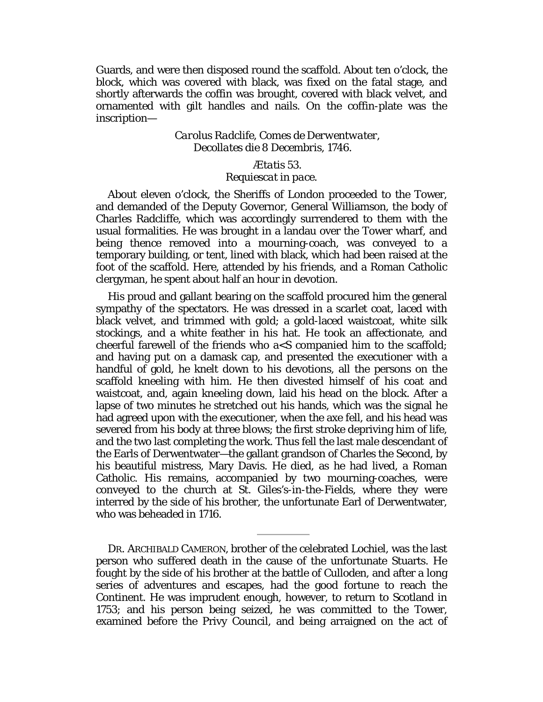Guards, and were then disposed round the scaffold. About ten o'clock, the block, which was covered with black, was fixed on the fatal stage, and shortly afterwards the coffin was brought, covered with black velvet, and ornamented with gilt handles and nails. On the coffin-plate was the inscription—

# *Carolus Radclife, Comes de Derwentwater, Decollates die 8 Decembris,* 1746*.*

#### *Ætatis 53.*

# *Requiescat in pace.*

About eleven o'clock, the Sheriffs of London proceeded to the Tower, and demanded of the Deputy Governor, General Williamson, the body of Charles Radcliffe, which was accordingly surrendered to them with the usual formalities. He was brought in a landau over the Tower wharf, and being thence removed into a mourning-coach, was conveyed to a temporary building, or tent, lined with black, which had been raised at the foot of the scaffold. Here, attended by his friends, and a Roman Catholic clergyman, he spent about half an hour in devotion.

His proud and gallant bearing on the scaffold procured him the general sympathy of the spectators. He was dressed in a scarlet coat, laced with black velvet, and trimmed with gold; a gold-laced waistcoat, white silk stockings, and a white feather in his hat. He took an affectionate, and cheerful farewell of the friends who  $a < S$  companied him to the scaffold; and having put on a damask cap, and presented the executioner with a handful of gold, he knelt down to his devotions, all the persons on the scaffold kneeling with him. He then divested himself of his coat and waistcoat, and, again kneeling down, laid his head on the block. After a lapse of two minutes he stretched out his hands, which was the signal he had agreed upon with the executioner, when the axe fell, and his head was severed from his body at three blows; the first stroke depriving him of life, and the two last completing the work. Thus fell the last male descendant of the Earls of Derwentwater—the gallant grandson of Charles the Second, by his beautiful mistress, Mary Davis. He died, as he had lived, a Roman Catholic. His remains, accompanied by two mourning-coaches, were conveyed to the church at St. Giles's-in-the-Fields, where they were interred by the side of his brother, the unfortunate Earl of Derwentwater, who was beheaded in 1716.

DR. ARCHIBALD CAMERON, brother of the celebrated Lochiel, was the last person who suffered death in the cause of the unfortunate Stuarts. He fought by the side of his brother at the battle of Culloden, and after a long series of adventures and escapes, had the good fortune to reach the Continent. He was imprudent enough, however, to return to Scotland in 1753; and his person being seized, he was committed to the Tower, examined before the Privy Council, and being arraigned on the act of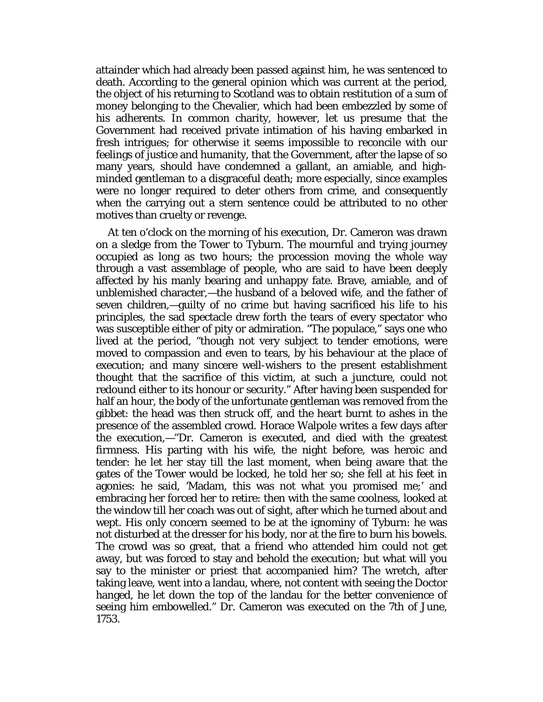attainder which had already been passed against him, he was sentenced to death. According to the general opinion which was current at the period, the object of his returning to Scotland was to obtain restitution of a sum of money belonging to the Chevalier, which had been embezzled by some of his adherents. In common charity, however, let us presume that the Government had received private intimation of his having embarked in fresh intrigues; for otherwise it seems impossible to reconcile with our feelings of justice and humanity, that the Government, after the lapse of so many years, should have condemned a gallant, an amiable, and highminded gentleman to a disgraceful death; more especially, since examples were no longer required to deter others from crime, and consequently when the carrying out a stern sentence could be attributed to no other motives than cruelty or revenge.

At ten o'clock on the morning of his execution, Dr. Cameron was drawn on a sledge from the Tower to Tyburn. The mournful and trying journey occupied as long as two hours; the procession moving the whole way through a vast assemblage of people, who are said to have been deeply affected by his manly bearing and unhappy fate. Brave, amiable, and of unblemished character,—the husband of a beloved wife, and the father of seven children,—guilty of no crime but having sacrificed his life to his principles, the sad spectacle drew forth the tears of every spectator who was susceptible either of pity or admiration. "The populace," says one who lived at the period, "though not very subject to tender emotions, were moved to compassion and even to tears, by his behaviour at the place of execution; and many sincere well-wishers to the present establishment thought that the sacrifice of this victim, at such a juncture, could not redound either to its honour or security." After having been suspended for half an hour, the body of the unfortunate gentleman was removed from the gibbet: the head was then struck off, and the heart burnt to ashes in the presence of the assembled crowd. Horace Walpole writes a few days after the execution,—"Dr. Cameron is executed, and died with the greatest firmness. His parting with his wife, the night before, was heroic and tender: he let her stay till the last moment, when being aware that the gates of the Tower would be locked, he told her so; she fell at his feet in agonies: he said, 'Madam, this was not what you promised me;' and embracing her forced her to retire: then with the same coolness, looked at the window till her coach was out of sight, after which he turned about and wept. His only concern seemed to be at the ignominy of Tyburn: he was not disturbed at the dresser for his body, nor at the fire to burn his bowels. The crowd was so great, that a friend who attended him could not get away, but was forced to stay and behold the execution; but what will you say to the minister or priest that accompanied him? The wretch, after taking leave, went into a landau, where, not content with seeing the Doctor hanged, he let down the top of the landau for the better convenience of seeing him embowelled." Dr. Cameron was executed on the 7th of June, 1753.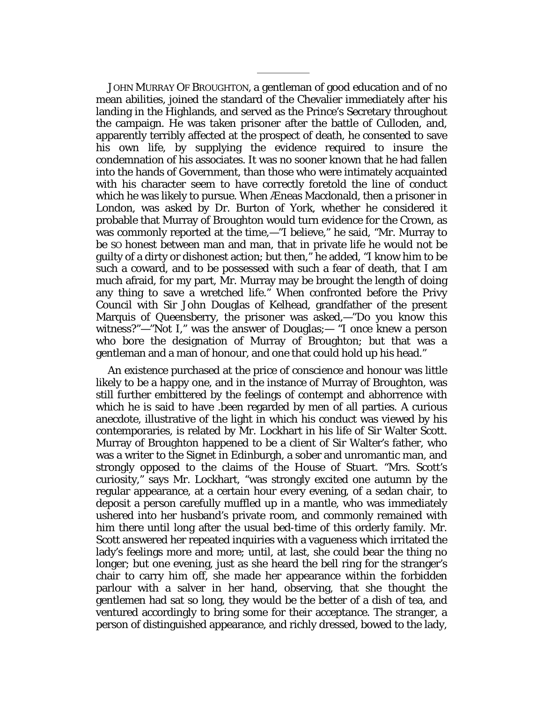JOHN MURRAY OF BROUGHTON, a gentleman of good education and of no mean abilities, joined the standard of the Chevalier immediately after his landing in the Highlands, and served as the Prince's Secretary throughout the campaign. He was taken prisoner after the battle of Culloden, and, apparently terribly affected at the prospect of death, he consented to save his own life, by supplying the evidence required to insure the condemnation of his associates. It was no sooner known that he had fallen into the hands of Government, than those who were intimately acquainted with his character seem to have correctly foretold the line of conduct which he was likely to pursue. When Æneas Macdonald, then a prisoner in London, was asked by Dr. Burton of York, whether he considered it probable that Murray of Broughton would turn evidence for the Crown, as was commonly reported at the time,—"I believe," he said, "Mr. Murray to be SO honest between man and man, that in private life he would not be guilty of a dirty or dishonest action; but then," he added, "I know him to be such a coward, and to be possessed with such a fear of death, that I am much afraid, for my part, Mr. Murray may be brought the length of doing any thing to save a wretched life." When confronted before the Privy Council with Sir John Douglas of Kelhead, grandfather of the present Marquis of Queensberry, the prisoner was asked,—"Do you know this witness?"—"Not I," was the answer of Douglas;— "I once knew a person who bore the designation of Murray of Broughton; but that was a gentleman and a man of honour, and one that could hold up his head."

An existence purchased at the price of conscience and honour was little likely to be a happy one, and in the instance of Murray of Broughton, was still further embittered by the feelings of contempt and abhorrence with which he is said to have .been regarded by men of all parties. A curious anecdote, illustrative of the light in which his conduct was viewed by his contemporaries, is related by Mr. Lockhart in his life of Sir Walter Scott. Murray of Broughton happened to be a client of Sir Walter's father, who was a writer to the Signet in Edinburgh, a sober and unromantic man, and strongly opposed to the claims of the House of Stuart. "Mrs. Scott's curiosity," says Mr. Lockhart, "was strongly excited one autumn by the regular appearance, at a certain hour every evening, of a sedan chair, to deposit a person carefully muffled up in a mantle, who was immediately ushered into her husband's private room, and commonly remained with him there until long after the usual bed-time of this orderly family. Mr. Scott answered her repeated inquiries with a vagueness which irritated the lady's feelings more and more; until, at last, she could bear the thing no longer; but one evening, just as she heard the bell ring for the stranger's chair to carry him off, she made her appearance within the forbidden parlour with a salver in her hand, observing, that she thought the gentlemen had sat so long, they would be the better of a dish of tea, and ventured accordingly to bring some for their acceptance. The stranger, a person of distinguished appearance, and richly dressed, bowed to the lady,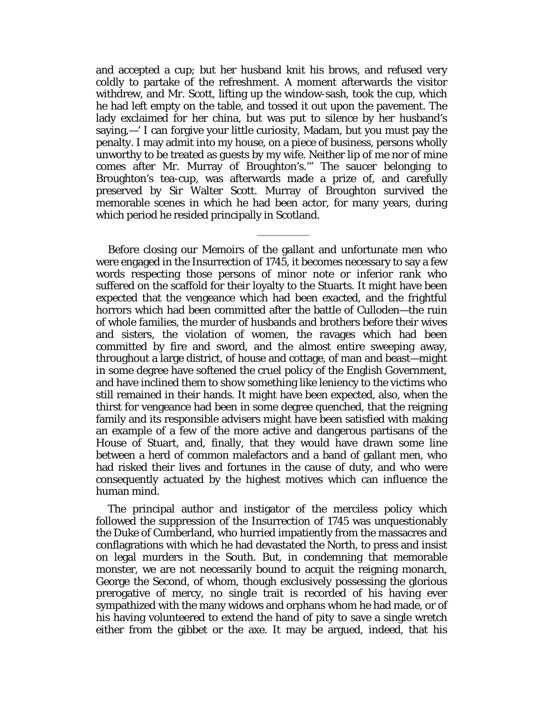and accepted a cup; but her husband knit his brows, and refused very coldly to partake of the refreshment. A moment afterwards the visitor withdrew, and Mr. Scott, lifting up the window-sash, took the cup, which he had left empty on the table, and tossed it out upon the pavement. The lady exclaimed for her china, but was put to silence by her husband's saying,—' I can forgive your little curiosity, Madam, but you must pay the penalty. I may admit into my house, on a piece of business, persons wholly unworthy to be treated as guests by my wife. Neither lip of me nor of mine comes after Mr. Murray of Broughton's.'" The saucer belonging to Broughton's tea-cup, was afterwards made a prize of, and carefully preserved by Sir Walter Scott. Murray of Broughton survived the memorable scenes in which he had been actor, for many years, during which period he resided principally in Scotland.

Before closing our Memoirs of the gallant and unfortunate men who were engaged in the Insurrection of 1745, it becomes necessary to say a few words respecting those persons of minor note or inferior rank who suffered on the scaffold for their loyalty to the Stuarts. It might have been expected that the vengeance which had been exacted, and the frightful horrors which had been committed after the battle of Culloden—the ruin of whole families, the murder of husbands and brothers before their wives and sisters, the violation of women, the ravages which had been committed by fire and sword, and the almost entire sweeping away, throughout a large district, of house and cottage, of man and beast—might in some degree have softened the cruel policy of the English Government, and have inclined them to show something like leniency to the victims who still remained in their hands. It might have been expected, also, when the thirst for vengeance had been in some degree quenched, that the reigning family and its responsible advisers might have been satisfied with making an example of a few of the more active and dangerous partisans of the House of Stuart, and, finally, that they would have drawn some line between a herd of common malefactors and a band of gallant men, who had risked their lives and fortunes in the cause of duty, and who were consequently actuated by the highest motives which can influence the human mind.

The principal author and instigator of the merciless policy which followed the suppression of the Insurrection of 1745 was unquestionably the Duke of Cumberland, who hurried impatiently from the massacres and conflagrations with which he had devastated the North, to press and insist on legal murders in the South. But, in condemning that memorable monster, we are not necessarily bound to acquit the reigning monarch, George the Second, of whom, though exclusively possessing the glorious prerogative of mercy, no single trait is recorded of his having ever sympathized with the many widows and orphans whom he had made, or of his having volunteered to extend the hand of pity to save a single wretch either from the gibbet or the axe. It may be argued, indeed, that his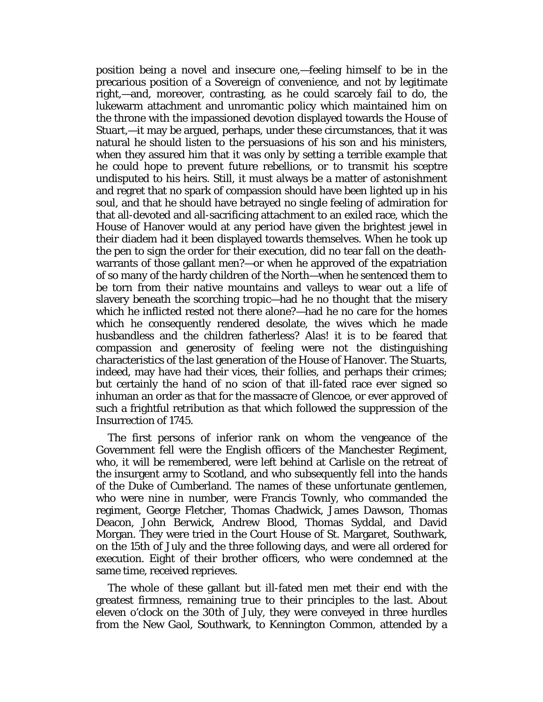position being a novel and insecure one,—feeling himself to be in the precarious position of a Sovereign of convenience, and not by legitimate right,—and, moreover, contrasting, as he could scarcely fail to do, the lukewarm attachment and unromantic policy which maintained him on the throne with the impassioned devotion displayed towards the House of Stuart,—it may be argued, perhaps, under these circumstances, that it was natural he should listen to the persuasions of his son and his ministers, when they assured him that it was only by setting a terrible example that he could hope to prevent future rebellions, or to transmit his sceptre undisputed to his heirs. Still, it must always be a matter of astonishment and regret that no spark of compassion should have been lighted up in his soul, and that he should have betrayed no single feeling of admiration for that all-devoted and all-sacrificing attachment to an exiled race, which the House of Hanover would at any period have given the brightest jewel in their diadem had it been displayed towards themselves. When he took up the pen to sign the order for their execution, did no tear fall on the deathwarrants of those gallant men?—or when he approved of the expatriation of so many of the hardy children of the North—when he sentenced them to be torn from their native mountains and valleys to wear out a life of slavery beneath the scorching tropic—had he no thought that the misery which he inflicted rested not there alone?—had he no care for the homes which he consequently rendered desolate, the wives which he made husbandless and the children fatherless? Alas! it is to be feared that compassion and generosity of feeling were not the distinguishing characteristics of the last generation of the House of Hanover. The Stuarts, indeed, may have had their vices, their follies, and perhaps their crimes; but certainly the hand of no scion of that ill-fated race ever signed so inhuman an order as that for the massacre of Glencoe, or ever approved of such a frightful retribution as that which followed the suppression of the Insurrection of 1745.

The first persons of inferior rank on whom the vengeance of the Government fell were the English officers of the Manchester Regiment, who, it will be remembered, were left behind at Carlisle on the retreat of the insurgent army to Scotland, and who subsequently fell into the hands of the Duke of Cumberland. The names of these unfortunate gentlemen, who were nine in number, were Francis Townly, who commanded the regiment, George Fletcher, Thomas Chadwick, James Dawson, Thomas Deacon, John Berwick, Andrew Blood, Thomas Syddal, and David Morgan. They were tried in the Court House of St. Margaret, Southwark, on the 15th of July and the three following days, and were all ordered for execution. Eight of their brother officers, who were condemned at the same time, received reprieves.

The whole of these gallant but ill-fated men met their end with the greatest firmness, remaining true to their principles to the last. About eleven o'clock on the 30th of July, they were conveyed in three hurdles from the New Gaol, Southwark, to Kennington Common, attended by a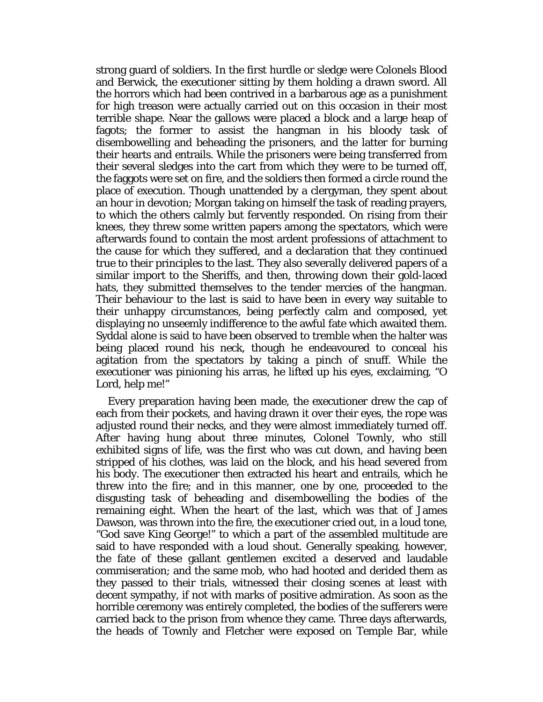strong guard of soldiers. In the first hurdle or sledge were Colonels Blood and Berwick, the executioner sitting by them holding a drawn sword. All the horrors which had been contrived in a barbarous age as a punishment for high treason were actually carried out on this occasion in their most terrible shape. Near the gallows were placed a block and a large heap of fagots; the former to assist the hangman in his bloody task of disembowelling and beheading the prisoners, and the latter for burning their hearts and entrails. While the prisoners were being transferred from their several sledges into the cart from which they were to be turned off, the faggots were set on fire, and the soldiers then formed a circle round the place of execution. Though unattended by a clergyman, they spent about an hour in devotion; Morgan taking on himself the task of reading prayers, to which the others calmly but fervently responded. On rising from their knees, they threw some written papers among the spectators, which were afterwards found to contain the most ardent professions of attachment to the cause for which they suffered, and a declaration that they continued true to their principles to the last. They also severally delivered papers of a similar import to the Sheriffs, and then, throwing down their gold-laced hats, they submitted themselves to the tender mercies of the hangman. Their behaviour to the last is said to have been in every way suitable to their unhappy circumstances, being perfectly calm and composed, yet displaying no unseemly indifference to the awful fate which awaited them. Syddal alone is said to have been observed to tremble when the halter was being placed round his neck, though he endeavoured to conceal his agitation from the spectators by taking a pinch of snuff. While the executioner was pinioning his arras, he lifted up his eyes, exclaiming, "O Lord, help me!"

Every preparation having been made, the executioner drew the cap of each from their pockets, and having drawn it over their eyes, the rope was adjusted round their necks, and they were almost immediately turned off. After having hung about three minutes, Colonel Townly, who still exhibited signs of life, was the first who was cut down, and having been stripped of his clothes, was laid on the block, and his head severed from his body. The executioner then extracted his heart and entrails, which he threw into the fire; and in this manner, one by one, proceeded to the disgusting task of beheading and disembowelling the bodies of the remaining eight. When the heart of the last, which was that of James Dawson, was thrown into the fire, the executioner cried out, in a loud tone, "God save King George!" to which a part of the assembled multitude are said to have responded with a loud shout. Generally speaking, however, the fate of these gallant gentlemen excited a deserved and laudable commiseration; and the same mob, who had hooted and derided them as they passed to their trials, witnessed their closing scenes at least with decent sympathy, if not with marks of positive admiration. As soon as the horrible ceremony was entirely completed, the bodies of the sufferers were carried back to the prison from whence they came. Three days afterwards, the heads of Townly and Fletcher were exposed on Temple Bar, while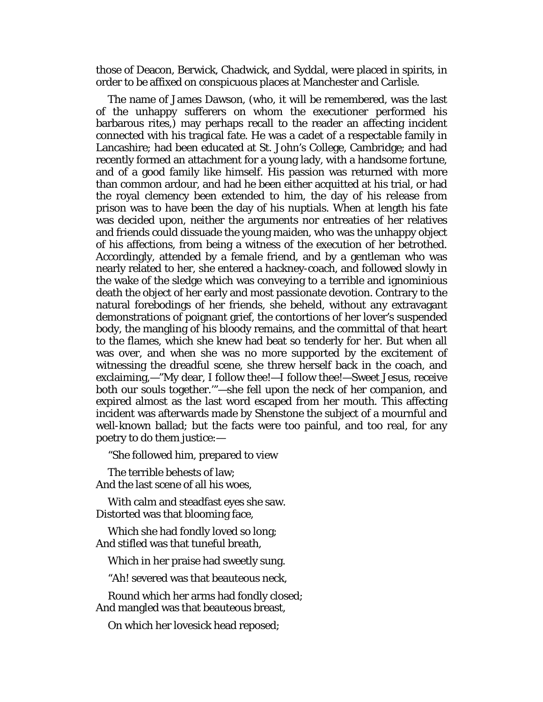those of Deacon, Berwick, Chadwick, and Syddal, were placed in spirits, in order to be affixed on conspicuous places at Manchester and Carlisle.

The name of James Dawson, (who, it will be remembered, was the last of the unhappy sufferers on whom the executioner performed his barbarous rites,) may perhaps recall to the reader an affecting incident connected with his tragical fate. He was a cadet of a respectable family in Lancashire; had been educated at St. John's College, Cambridge; and had recently formed an attachment for a young lady, with a handsome fortune, and of a good family like himself. His passion was returned with more than common ardour, and had he been either acquitted at his trial, or had the royal clemency been extended to him, the day of his release from prison was to have been the day of his nuptials. When at length his fate was decided upon, neither the arguments nor entreaties of her relatives and friends could dissuade the young maiden, who was the unhappy object of his affections, from being a witness of the execution of her betrothed. Accordingly, attended by a female friend, and by a gentleman who was nearly related to her, she entered a hackney-coach, and followed slowly in the wake of the sledge which was conveying to a terrible and ignominious death the object of her early and most passionate devotion. Contrary to the natural forebodings of her friends, she beheld, without any extravagant demonstrations of poignant grief, the contortions of her lover's suspended body, the mangling of his bloody remains, and the committal of that heart to the flames, which she knew had beat so tenderly for her. But when all was over, and when she was no more supported by the excitement of witnessing the dreadful scene, she threw herself back in the coach, and exclaiming,—"My dear, I follow thee!—I follow thee!—Sweet Jesus, receive both our souls together.'"—she fell upon the neck of her companion, and expired almost as the last word escaped from her mouth. This affecting incident was afterwards made by Shenstone the subject of a mournful and well-known ballad; but the facts were too painful, and too real, for any poetry to do them justice:—

"She followed him, prepared to view

The terrible behests of law; And the last scene of all his woes,

With calm and steadfast eyes she saw. Distorted was that blooming face,

Which she had fondly loved so long; And stifled was that tuneful breath,

Which in her praise had sweetly sung.

"Ah! severed was that beauteous neck,

Round which her arms had fondly closed; And mangled was that beauteous breast,

On which her lovesick head reposed;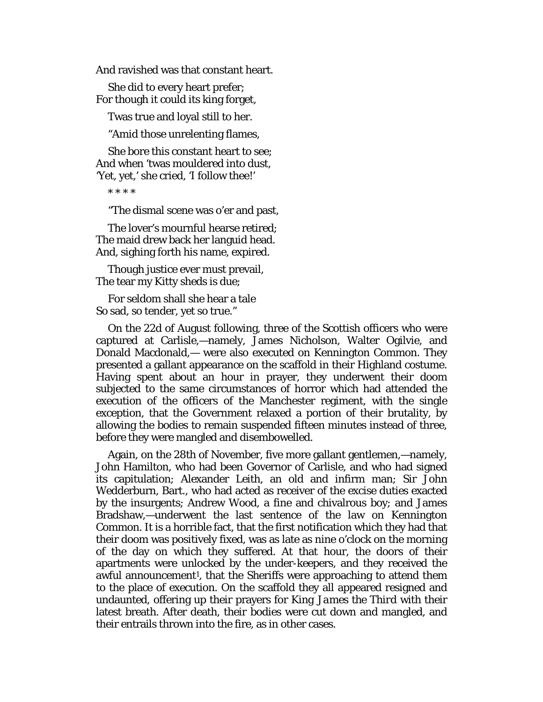And ravished was that constant heart.

She did to every heart prefer; For though it could its king forget,

Twas true and loyal still to her.

"Amid those unrelenting flames,

She bore this constant heart to see; And when 'twas mouldered into dust, 'Yet, yet,' she cried, 'I follow thee!'

\* \* \* \*

"The dismal scene was o'er and past,

The lover's mournful hearse retired; The maid drew back her languid head. And, sighing forth his name, expired.

Though justice ever must prevail, The tear my Kitty sheds is due;

For seldom shall she hear a tale So sad, so tender, yet so true."

On the 22d of August following, three of the Scottish officers who were captured at Carlisle,—namely, James Nicholson, Walter Ogilvie, and Donald Macdonald,— were also executed on Kennington Common. They presented a gallant appearance on the scaffold in their Highland costume. Having spent about an hour in prayer, they underwent their doom subjected to the same circumstances of horror which had attended the execution of the officers of the Manchester regiment, with the single exception, that the Government relaxed a portion of their brutality, by allowing the bodies to remain suspended fifteen minutes instead of three, before they were mangled and disembowelled.

Again, on the 28th of November, five more gallant gentlemen,—namely, John Hamilton, who had been Governor of Carlisle, and who had signed its capitulation; Alexander Leith, an old and infirm man; Sir John Wedderburn, Bart., who had acted as receiver of the excise duties exacted by the insurgents; Andrew Wood, a fine and chivalrous boy; and James Bradshaw,—underwent the last sentence of the law on Kennington Common. It is a horrible fact, that the first notification which they had that their doom was positively fixed, was as late as nine o'clock on the morning of the day on which they suffered. At that hour, the doors of their apartments were unlocked by the under-keepers, and they received the awful announcement<sup>1</sup>, that the Sheriffs were approaching to attend them to the place of execution. On the scaffold they all appeared resigned and undaunted, offering up their prayers for *King James the Third* with their latest breath. After death, their bodies were cut down and mangled, and their entrails thrown into the fire, as in other cases.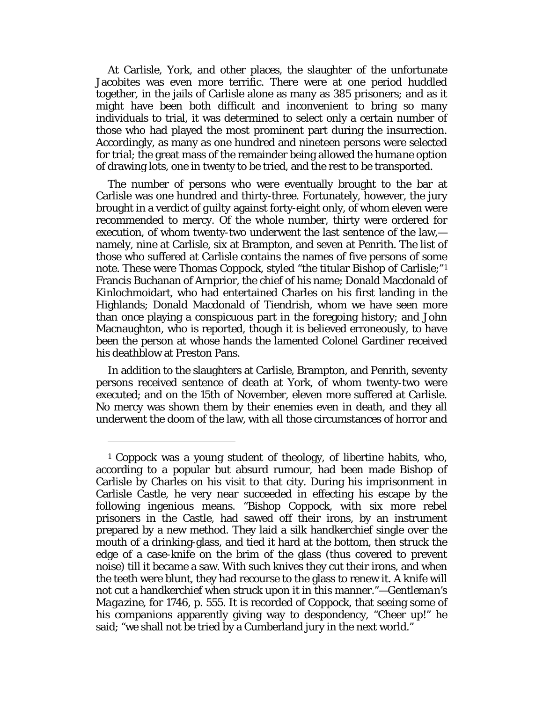At Carlisle, York, and other places, the slaughter of the unfortunate Jacobites was even more terrific. There were at one period huddled together, in the jails of Carlisle alone as many as 385 prisoners; and as it might have been both difficult and inconvenient to bring so many individuals to trial, it was determined to select only a certain number of those who had played the most prominent part during the insurrection. Accordingly, as many as one hundred and nineteen persons were selected for trial; the great mass of the remainder being allowed the *humane* option of drawing lots, one in twenty to be tried, and the rest to be transported.

The number of persons who were eventually brought to the bar at Carlisle was one hundred and thirty-three. Fortunately, however, the jury brought in a verdict of *guilty* against forty-eight only, of whom eleven were recommended to mercy. Of the whole number, thirty were ordered for execution, of whom twenty-two underwent the last sentence of the law, namely, nine at Carlisle, six at Brampton, and seven at Penrith. The list of those who suffered at Carlisle contains the names of five persons of some note. These were Thomas Coppock, styled "the titular Bishop of Carlisle;"[1](#page-168-0) Francis Buchanan of Arnprior, the chief of his name; Donald Macdonald of Kinlochmoidart, who had entertained Charles on his first landing in the Highlands; Donald Macdonald of Tiendrish, whom we have seen more than once playing a conspicuous part in the foregoing history; and John Macnaughton, who is reported, though it is believed erroneously, to have been the person at whose hands the lamented Colonel Gardiner received his deathblow at Preston Pans.

In addition to the slaughters at Carlisle, Brampton, and Penrith, seventy persons received sentence of death at York, of whom twenty-two were executed; and on the 15th of November, eleven more suffered at Carlisle. No mercy was shown them by their enemies even in death, and they all underwent the doom of the law, with all those circumstances of horror and

<span id="page-168-0"></span><sup>1</sup> Coppock was a young student of theology, of libertine habits, who, according to a popular but absurd rumour, had been made Bishop of Carlisle by Charles on his visit to that city. During his imprisonment in Carlisle Castle, he very near succeeded in effecting his escape by the following ingenious means. "Bishop Coppock, with six more rebel prisoners in the Castle, had sawed off their irons, by an instrument prepared by a new method. They laid a silk handkerchief single over the mouth of a drinking-glass, and tied it hard at the bottom, then struck the edge of a case-knife on the brim of the glass (thus covered to prevent noise) till it became a saw. With such knives they cut their irons, and when the teeth were blunt, they had recourse to the glass to renew it. A knife will not cut a handkerchief when struck upon it in this manner."—*Gentleman's Magazine,* for 1746, p. 555. It is recorded of Coppock, that seeing some of his companions apparently giving way to despondency, "Cheer up!" he said; "we shall not be tried by a Cumberland jury in the next world."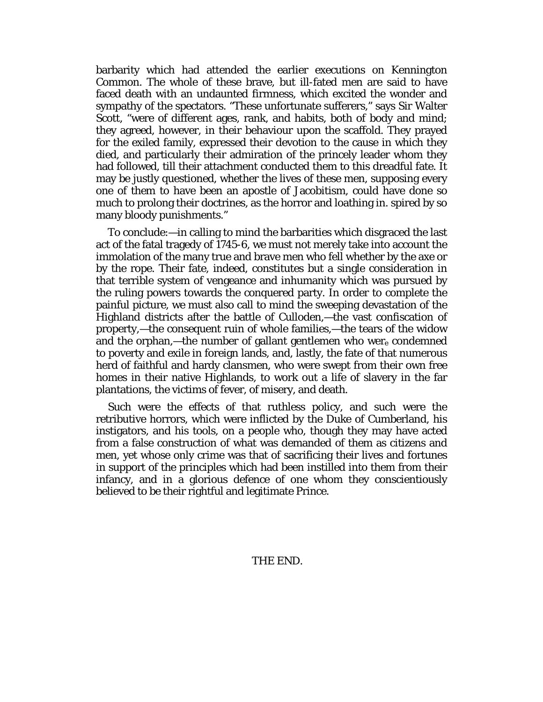barbarity which had attended the earlier executions on Kennington Common. The whole of these brave, but ill-fated men are said to have faced death with an undaunted firmness, which excited the wonder and sympathy of the spectators. "These unfortunate sufferers," says Sir Walter Scott, "were of different ages, rank, and habits, both of body and mind; they agreed, however, in their behaviour upon the scaffold. They prayed for the exiled family, expressed their devotion to the cause in which they died, and particularly their admiration of the princely leader whom they had followed, till their attachment conducted them to this dreadful fate. It may be justly questioned, whether the lives of these men, supposing every one of them to have been an apostle of Jacobitism, could have done so much to prolong their doctrines, as the horror and loathing in. spired by so many bloody punishments."

To conclude:—in calling to mind the barbarities which disgraced the last act of the fatal tragedy of 1745-6, we must not merely take into account the immolation of the many true and brave men who fell whether by the axe or by the rope. Their fate, indeed, constitutes but a single consideration in that terrible system of vengeance and inhumanity which was pursued by the ruling powers towards the conquered party. In order to complete the painful picture, we must also call to mind the sweeping devastation of the Highland districts after the battle of Culloden,—the vast confiscation of property,—the consequent ruin of whole families,—the tears of the widow and the orphan,—the number of gallant gentlemen who were condemned to poverty and exile in foreign lands, and, lastly, the fate of that numerous herd of faithful and hardy clansmen, who were swept from their own free homes in their native Highlands, to work out a life of slavery in the far plantations, the victims of fever, of misery, and death.

Such were the effects of that ruthless policy, and such were the retributive horrors, which were inflicted by the Duke of Cumberland, his instigators, and his tools, on a people who, though they may have acted from a false construction of what was demanded of them as citizens and men, yet whose only crime was that of sacrificing their lives and fortunes in support of the principles which had been instilled into them from their infancy, and in a glorious defence of one whom they conscientiously believed to be their rightful and legitimate Prince.

# THE END.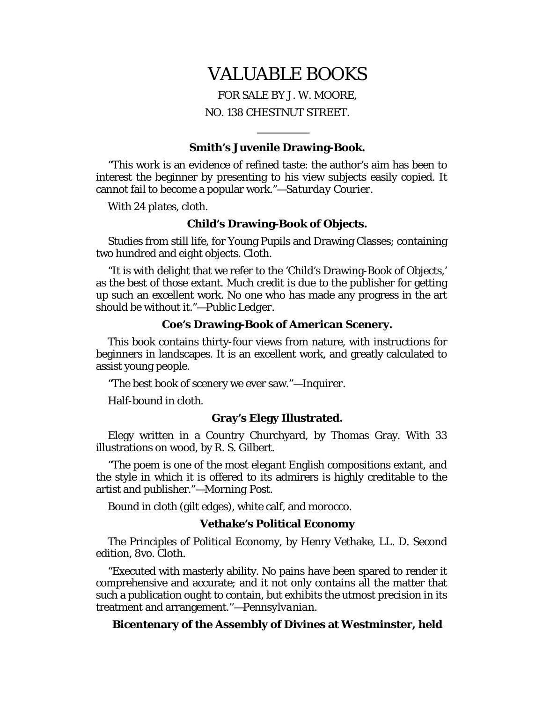# VALUABLE BOOKS

FOR SALE BY J. W. MOORE, NO. 138 CHESTNUT STREET.

#### **Smith's Juvenile Drawing-Book.**

"This work is an evidence of refined taste: the author's aim has been to interest the beginner by presenting to his view subjects easily copied. It cannot fail to become a popular work."—*Saturday Courier.*

With 24 plates, cloth.

#### **Child's Drawing-Book of Objects.**

Studies from still life, for Young Pupils and Drawing Classes; containing two hundred and eight objects. Cloth.

"It is with delight that we refer to the 'Child's Drawing-Book of Objects,' as the best of those extant. Much credit is due to the publisher for getting up such an excellent work. No one who has made any progress in the art should be without it."—*Public Ledger.*

#### **Coe's Drawing-Book of American Scenery.**

This book contains thirty-four views from nature, with instructions for beginners in landscapes. It is an excellent work, and greatly calculated to assist young people.

"The best book of scenery we ever saw."—*Inquirer.*

Half-bound in cloth.

#### **Gray's Elegy Illustrated.**

Elegy written in a Country Churchyard, by Thomas Gray. With 33 illustrations on wood, by R. S. Gilbert.

"The poem is one of the most elegant English compositions extant, and the style in which it is offered to its admirers is highly creditable to the artist and publisher."—*Morning Post.*

Bound in cloth (gilt edges), white calf, and morocco.

#### **Vethake's Political Economy**

The Principles of Political Economy, by Henry Vethake, LL. D. Second edition, 8vo. Cloth.

"Executed with masterly ability. No pains have been spared to render it comprehensive and accurate; and it not only contains all the matter that such a publication ought to contain, but exhibits the utmost precision in its treatment and arrangement.''—*Pennsylvanian.*

# **Bicentenary of the Assembly of Divines at Westminster, held**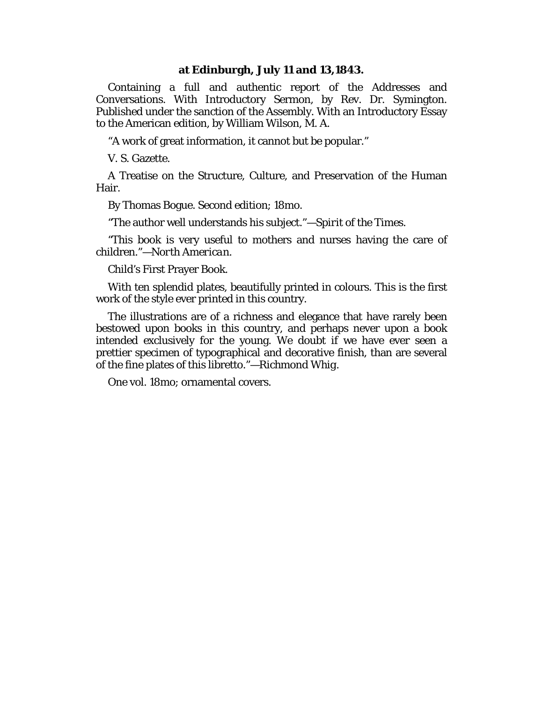#### **at Edinburgh, July 11 and 13,1843.**

Containing a full and authentic report of the Addresses and Conversations. With Introductory Sermon, by Rev. Dr. Symington. Published under the sanction of the Assembly. With an Introductory Essay to the American edition, by William Wilson, M. A.

"A work of great information, it cannot but be popular."

V. S. Gazette.

A Treatise on the Structure, Culture, and Preservation of the Human Hair.

By Thomas Bogue. Second edition; 18mo.

"The author well understands his subject."—*Spirit of the Times.*

*"*This book is very useful to mothers and nurses having the care of children."—*North American.*

Child's First Prayer Book.

With ten splendid plates, beautifully printed in colours. This is the first work of the style ever printed in this country.

The illustrations are of a richness and elegance that have rarely been bestowed upon books in this country, and perhaps never upon a book intended exclusively for the young. We doubt if we have ever seen a prettier specimen of typographical and decorative finish, than are several of the fine plates of this libretto."—*Richmond Whig.*

One vol. 18mo; ornamental covers.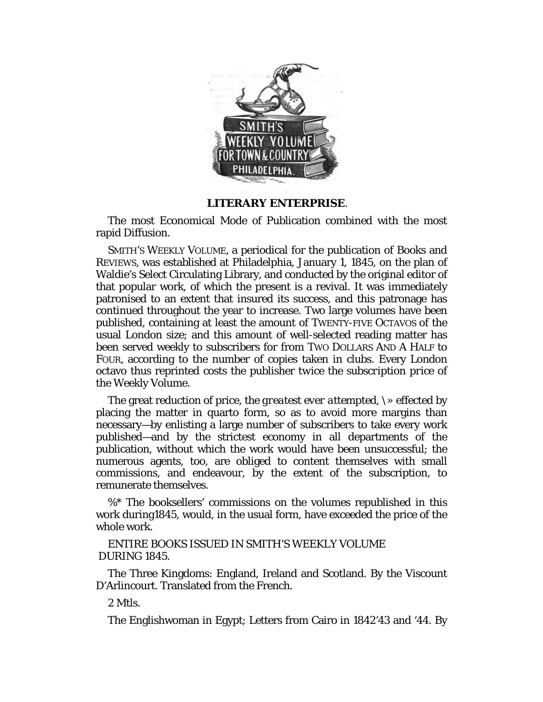

# **LITERARY ENTERPRISE**.

The most Economical Mode of Publication combined with the most rapid Diffusion.

SMITH'S WEEKLY VOLUME, a periodical for the publication of Books and REVIEWS, was established at Philadelphia, January 1, 1845, on the plan of Waldie's Select Circulating Library, and conducted by the original editor of that popular work, of which the present is a revival. It was immediately patronised to an extent that insured its success, and this patronage has continued throughout the year to increase. Two large volumes have been published, containing at least the amount of TWENTY-FIVE OCTAVOS of the usual London size; and this amount of well-selected reading matter has been served weekly to subscribers for from TWO DOLLARS AND A HALF to FOUR, according to the number of copies taken in clubs. Every London octavo thus reprinted costs the publisher *twice the subscription price* of the Weekly Volume.

The great reduction of price, *the greatest ever attempted, \»* effected by placing the matter in quarto form, so as to avoid more margins than necessary—by enlisting a large number of subscribers to take every work published—and by the strictest economy in all departments of the publication, without which the work would have been unsuccessful; the numerous agents, too, are obliged to content themselves with small commissions, and endeavour, by the extent of the subscription, to remunerate themselves.

%\* The booksellers' commissions on the volumes republished in this work during1845, would, in the usual form, have exceeded the price of the whole work.

ENTIRE BOOKS ISSUED IN SMITH'S WEEKLY VOLUME DURING 1845.

The Three Kingdoms: England, Ireland and Scotland. By the Viscount D'Arlincourt. Translated from the French.

2 Mtls.

The Englishwoman in Egypt; Letters from Cairo in 1842'43 and '44. By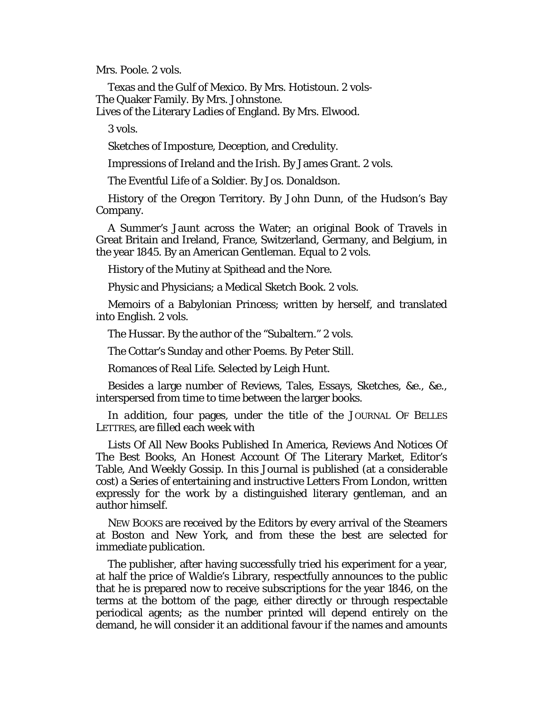Mrs. Poole. 2 vols.

Texas and the Gulf of Mexico. By Mrs. Hotistoun. 2 vols-The Quaker Family. By Mrs. Johnstone.

Lives of the Literary Ladies of England. By Mrs. Elwood.

3 vols.

Sketches of Imposture, Deception, and Credulity.

Impressions of Ireland and the Irish. By James Grant. *2* vols.

The Eventful Life of a Soldier. By Jos. Donaldson.

History of the Oregon Territory. By John Dunn, of the Hudson's Bay Company.

A Summer's Jaunt across the Water; an original Book of Travels in Great Britain and Ireland, France, Switzerland, Germany, and Belgium, in the year 1845. By an American Gentleman. Equal to 2 vols.

History of the Mutiny at Spithead and the Nore.

Physic and Physicians; a Medical Sketch Book. 2 vols.

Memoirs of a Babylonian Princess; written by herself, and translated into English. 2 vols.

The Hussar. By the author of the "Subaltern." 2 vols.

The Cottar's Sunday and other Poems. By Peter Still.

Romances of Real Life. Selected by Leigh Hunt.

Besides a large number of Reviews, Tales, Essays, Sketches, &e., &e., interspersed from time to time between the larger books.

*In addition,* four pages, under the title of the JOURNAL OF BELLES LETTRES, are filled each week with

Lists Of All New Books Published In America, Reviews And Notices Of The Best Books, An Honest Account Of The Literary Market, Editor's Table, And Weekly Gossip. In this Journal is published (at a considerable cost) a Series of entertaining and instructive Letters From London, written expressly for the work by a distinguished literary gentleman, and an author himself.

NEW BOOKS are received by the Editors by every arrival of the Steamers at Boston and New York, and from these the best are selected for immediate publication.

The publisher, after having successfully tried his experiment for a year, at half the price of Waldie's Library, respectfully announces to the public that he is prepared now to receive subscriptions for the year 1846, on the terms at the bottom of the page, either directly or through respectable periodical agents; as the number printed will depend entirely on the demand, he will consider it an additional favour if the names and amounts